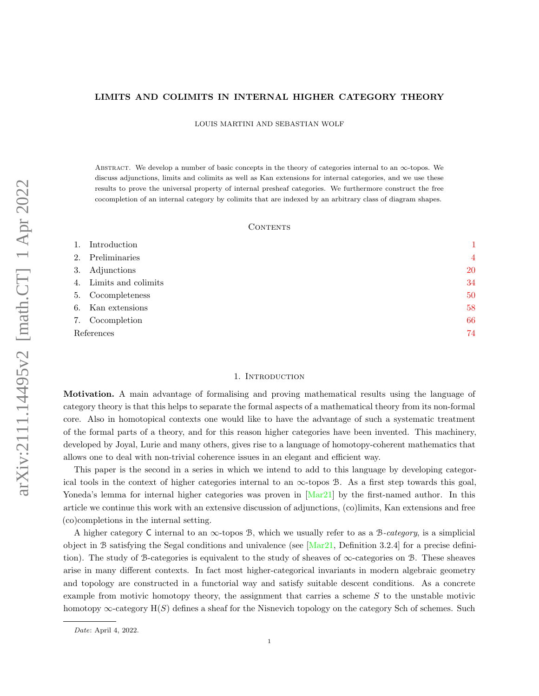# LIMITS AND COLIMITS IN INTERNAL HIGHER CATEGORY THEORY

LOUIS MARTINI AND SEBASTIAN WOLF

Abstract. We develop a number of basic concepts in the theory of categories internal to an ∞-topos. We discuss adjunctions, limits and colimits as well as Kan extensions for internal categories, and we use these results to prove the universal property of internal presheaf categories. We furthermore construct the free cocompletion of an internal category by colimits that are indexed by an arbitrary class of diagram shapes.

### CONTENTS

| 1.         | Introduction           |                |
|------------|------------------------|----------------|
| 2.         | Preliminaries          | $\overline{4}$ |
| 3.         | Adjunctions            | 20             |
|            | 4. Limits and colimits | 34             |
|            | 5. Cocompleteness      | 50             |
| 6.         | Kan extensions         | 58             |
|            | 7. Cocompletion        | 66             |
| References | 74                     |                |

### 1. INTRODUCTION

<span id="page-0-0"></span>Motivation. A main advantage of formalising and proving mathematical results using the language of category theory is that this helps to separate the formal aspects of a mathematical theory from its non-formal core. Also in homotopical contexts one would like to have the advantage of such a systematic treatment of the formal parts of a theory, and for this reason higher categories have been invented. This machinery, developed by Joyal, Lurie and many others, gives rise to a language of homotopy-coherent mathematics that allows one to deal with non-trivial coherence issues in an elegant and efficient way.

This paper is the second in a series in which we intend to add to this language by developing categorical tools in the context of higher categories internal to an  $\infty$ -topos B. As a first step towards this goal, Yoneda's lemma for internal higher categories was proven in [\[Mar21\]](#page-73-1) by the first-named author. In this article we continue this work with an extensive discussion of adjunctions, (co)limits, Kan extensions and free (co)completions in the internal setting.

A higher category C internal to an  $\infty$ -topos B, which we usually refer to as a B-category, is a simplicial object in B satisfying the Segal conditions and univalence (see  $[Mar21,$  Definition 3.2.4] for a precise definition). The study of B-categories is equivalent to the study of sheaves of ∞-categories on B. These sheaves arise in many different contexts. In fact most higher-categorical invariants in modern algebraic geometry and topology are constructed in a functorial way and satisfy suitable descent conditions. As a concrete example from motivic homotopy theory, the assignment that carries a scheme  $S$  to the unstable motivic homotopy  $\infty$ -category  $H(S)$  defines a sheaf for the Nisnevich topology on the category Sch of schemes. Such

Date: April 4, 2022.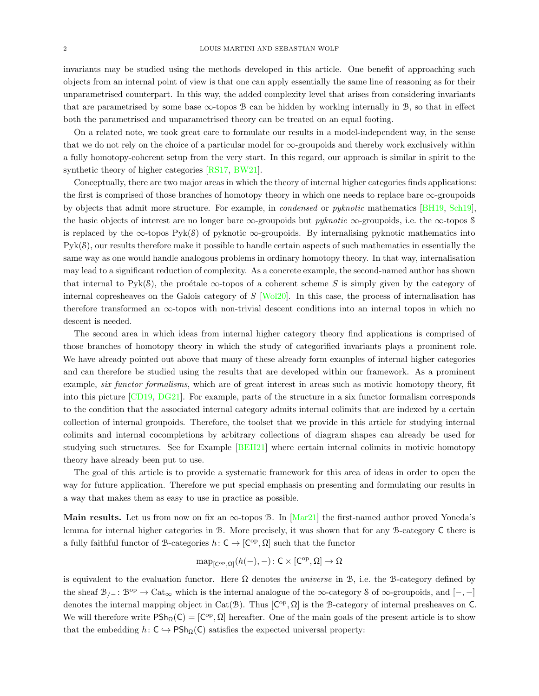invariants may be studied using the methods developed in this article. One benefit of approaching such objects from an internal point of view is that one can apply essentially the same line of reasoning as for their unparametrised counterpart. In this way, the added complexity level that arises from considering invariants that are parametrised by some base  $\infty$ -topos  $\mathcal B$  can be hidden by working internally in  $\mathcal B$ , so that in effect both the parametrised and unparametrised theory can be treated on an equal footing.

On a related note, we took great care to formulate our results in a model-independent way, in the sense that we do not rely on the choice of a particular model for  $\infty$ -groupoids and thereby work exclusively within a fully homotopy-coherent setup from the very start. In this regard, our approach is similar in spirit to the synthetic theory of higher categories [\[RS17,](#page-73-2) [BW21\]](#page-73-3).

Conceptually, there are two major areas in which the theory of internal higher categories finds applications: the first is comprised of those branches of homotopy theory in which one needs to replace bare ∞-groupoids by objects that admit more structure. For example, in condensed or pyknotic mathematics [\[BH19,](#page-73-4) [Sch19\]](#page-74-0), the basic objects of interest are no longer bare  $\infty$ -groupoids but *pyknotic*  $\infty$ -groupoids, i.e. the  $\infty$ -topos S is replaced by the  $\infty$ -topos Pyk(S) of pyknotic  $\infty$ -groupoids. By internalising pyknotic mathematics into Pyk(S), our results therefore make it possible to handle certain aspects of such mathematics in essentially the same way as one would handle analogous problems in ordinary homotopy theory. In that way, internalisation may lead to a significant reduction of complexity. As a concrete example, the second-named author has shown that internal to Pyk(S), the proétale  $\infty$ -topos of a coherent scheme S is simply given by the category of internal copresheaves on the Galois category of S [\[Wol20\]](#page-74-1). In this case, the process of internalisation has therefore transformed an  $\infty$ -topos with non-trivial descent conditions into an internal topos in which no descent is needed.

The second area in which ideas from internal higher category theory find applications is comprised of those branches of homotopy theory in which the study of categorified invariants plays a prominent role. We have already pointed out above that many of these already form examples of internal higher categories and can therefore be studied using the results that are developed within our framework. As a prominent example, *six functor formalisms*, which are of great interest in areas such as motivic homotopy theory, fit into this picture [\[CD19,](#page-73-5) [DG21\]](#page-73-6). For example, parts of the structure in a six functor formalism corresponds to the condition that the associated internal category admits internal colimits that are indexed by a certain collection of internal groupoids. Therefore, the toolset that we provide in this article for studying internal colimits and internal cocompletions by arbitrary collections of diagram shapes can already be used for studying such structures. See for Example [\[BEH21\]](#page-73-7) where certain internal colimits in motivic homotopy theory have already been put to use.

The goal of this article is to provide a systematic framework for this area of ideas in order to open the way for future application. Therefore we put special emphasis on presenting and formulating our results in a way that makes them as easy to use in practice as possible.

Main results. Let us from now on fix an  $\infty$ -topos B. In [\[Mar21\]](#page-73-1) the first-named author proved Yoneda's lemma for internal higher categories in B. More precisely, it was shown that for any B-category C there is a fully faithful functor of B-categories  $h: \mathsf{C} \to [\mathsf{C}^{\mathrm{op}}, \Omega]$  such that the functor

$$
\mathrm{map}_{[C^{\mathrm{op}},\Omega]}(h(-),-)\colon C\times [C^{\mathrm{op}},\Omega]\to \Omega
$$

is equivalent to the evaluation functor. Here  $\Omega$  denotes the *universe* in B, i.e. the B-category defined by the sheaf  $\mathcal{B}_{/-}$ :  $\mathcal{B}^{\text{op}} \to \text{Cat}_{\infty}$  which is the internal analogue of the  $\infty$ -category S of  $\infty$ -groupoids, and  $[-,-]$ denotes the internal mapping object in Cat( $\mathcal{B}$ ). Thus  $[C^{\rm op}, \Omega]$  is the B-category of internal presheaves on C. We will therefore write  $PSh_{\Omega}(C) = [C^{\text{op}}, \Omega]$  hereafter. One of the main goals of the present article is to show that the embedding  $h: C \hookrightarrow \text{PSh}_{\Omega}(C)$  satisfies the expected universal property: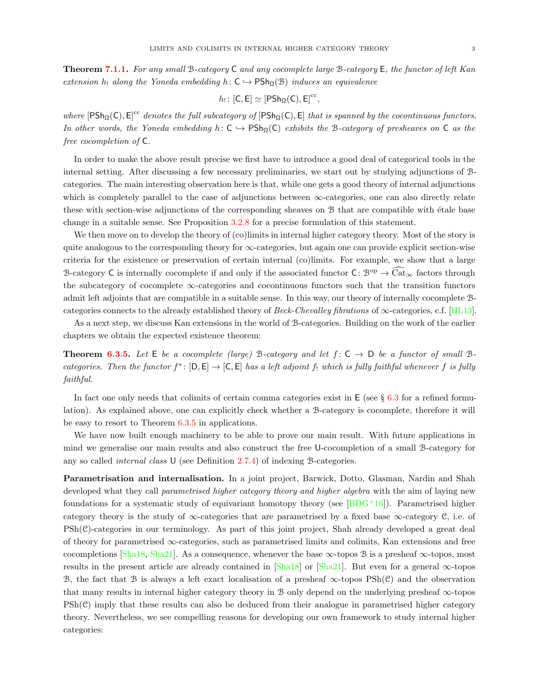**Theorem [7.1.1.](#page-65-1)** For any small B-category C and any cocomplete large B-category E, the functor of left Kan extension h<sub>!</sub> along the Yoneda embedding h:  $C \hookrightarrow \text{PSh}_{\Omega}(\mathcal{B})$  induces an equivalence

$$
h_!\colon [C,E]\simeq [\mathsf{PSh}_\Omega(C),E]^{cc},
$$

where  $[PSh_{\Omega}(C), E]^{cc}$  denotes the full subcategory of  $[PSh_{\Omega}(C), E]$  that is spanned by the cocontinuous functors. In other words, the Yoneda embedding h:  $C \rightarrow PSh_{\Omega}(C)$  exhibits the B-category of presheaves on C as the free cocompletion of C.

In order to make the above result precise we first have to introduce a good deal of categorical tools in the internal setting. After discussing a few necessary preliminaries, we start out by studying adjunctions of Bcategories. The main interesting observation here is that, while one gets a good theory of internal adjunctions which is completely parallel to the case of adjunctions between  $\infty$ -categories, one can also directly relate these with section-wise adjunctions of the corresponding sheaves on  $\mathcal B$  that are compatible with étale base change in a suitable sense. See Proposition [3.2.8](#page-26-0) for a precise formulation of this statement.

We then move on to develop the theory of (co)limits in internal higher category theory. Most of the story is quite analogous to the corresponding theory for  $\infty$ -categories, but again one can provide explicit section-wise criteria for the existence or preservation of certain internal (co)limits. For example, we show that a large B-category C is internally cocomplete if and only if the associated functor C:  $\mathcal{B}^{\text{op}} \to \widehat{\text{Cat}}_{\infty}$  factors through the subcategory of cocomplete ∞-categories and cocontinuous functors such that the transition functors admit left adjoints that are compatible in a suitable sense. In this way, our theory of internally cocomplete Bcategories connects to the already established theory of Beck-Chevalley fibrations of  $\infty$ -categories, c.f. [\[HL13\]](#page-73-8).

As a next step, we discuss Kan extensions in the world of B-categories. Building on the work of the earlier chapters we obtain the expected existence theorem:

**Theorem [6.3.5.](#page-61-0)** Let  $E$  be a cocomplete (large) B-category and let  $f: C \rightarrow D$  be a functor of small Bcategories. Then the functor  $f^*: [\mathsf{D}, \mathsf{E}] \to [\mathsf{C}, \mathsf{E}]$  has a left adjoint  $f_!$  which is fully faithful whenever f is fully faithful.

In fact one only needs that colimits of certain comma categories exist in  $E$  (see § [6.3](#page-60-0) for a refined formulation). As explained above, one can explicitly check whether a B-category is cocomplete, therefore it will be easy to resort to Theorem [6.3.5](#page-61-0) in applications.

We have now built enough machinery to be able to prove our main result. With future applications in mind we generalise our main results and also construct the free U-cocompletion of a small B-category for any so called *internal class* U (see Definition [2.7.4\)](#page-8-0) of indexing B-categories.

Parametrisation and internalisation. In a joint project, Barwick, Dotto, Glasman, Nardin and Shah developed what they call parametrised higher category theory and higher algebra with the aim of laying new foundations for a systematic study of equivariant homotopy theory (see  $[BDG+16]$ ). Parametrised higher category theory is the study of  $\infty$ -categories that are parametrised by a fixed base  $\infty$ -category C, i.e. of  $\text{PSh}(\mathcal{C})$ -categories in our terminology. As part of this joint project, Shah already developed a great deal of theory for parametrised  $\infty$ -categories, such as parametrised limits and colimits, Kan extensions and free cocompletions [\[Sha18,](#page-74-2) [Sha21\]](#page-74-3). As a consequence, whenever the base  $\infty$ -topos B is a presheaf  $\infty$ -topos, most results in the present article are already contained in  $[\text{Sha18}]$  or  $[\text{Sha21}]$ . But even for a general  $\infty$ -topos B, the fact that B is always a left exact localisation of a presheaf  $\infty$ -topos PSh(C) and the observation that many results in internal higher category theory in B only depend on the underlying presheaf ∞-topos  $\mathrm{PSh}(\mathcal{C})$  imply that these results can also be deduced from their analogue in parametrised higher category theory. Nevertheless, we see compelling reasons for developing our own framework to study internal higher categories: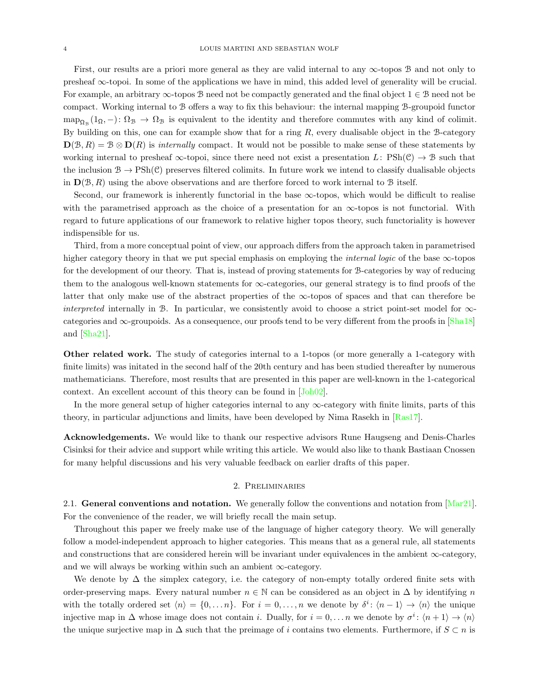First, our results are a priori more general as they are valid internal to any  $\infty$ -topos B and not only to presheaf ∞-topoi. In some of the applications we have in mind, this added level of generality will be crucial. For example, an arbitrary  $\infty$ -topos B need not be compactly generated and the final object  $1 \in \mathcal{B}$  need not be compact. Working internal to B offers a way to fix this behaviour: the internal mapping B-groupoid functor  $map_{\Omega_{\mathcal{B}}}(1_{\Omega},-)\colon\Omega_{\mathcal{B}}\to\Omega_{\mathcal{B}}$  is equivalent to the identity and therefore commutes with any kind of colimit. By building on this, one can for example show that for a ring  $R$ , every dualisable object in the B-category  $\mathbf{D}(\mathcal{B}, R) = \mathcal{B} \otimes \mathbf{D}(R)$  is internally compact. It would not be possible to make sense of these statements by working internal to presheaf  $\infty$ -topoi, since there need not exist a presentation L:  $\text{PSh}(\mathcal{C}) \to \mathcal{B}$  such that the inclusion  $B \to \text{PSh}(\mathcal{C})$  preserves filtered colimits. In future work we intend to classify dualisable objects in  $\mathbf{D}(\mathcal{B}, R)$  using the above observations and are therfore forced to work internal to  $\mathcal{B}$  itself.

Second, our framework is inherently functorial in the base  $\infty$ -topos, which would be difficult to realise with the parametrised approach as the choice of a presentation for an  $\infty$ -topos is not functorial. With regard to future applications of our framework to relative higher topos theory, such functoriality is however indispensible for us.

Third, from a more conceptual point of view, our approach differs from the approach taken in parametrised higher category theory in that we put special emphasis on employing the *internal logic* of the base  $\infty$ -topos for the development of our theory. That is, instead of proving statements for B-categories by way of reducing them to the analogous well-known statements for ∞-categories, our general strategy is to find proofs of the latter that only make use of the abstract properties of the  $\infty$ -topos of spaces and that can therefore be *interpreted* internally in B. In particular, we consistently avoid to choose a strict point-set model for  $\infty$ categories and  $\infty$ -groupoids. As a consequence, our proofs tend to be very different from the proofs in  $[\text{Sha18}]$ and [\[Sha21\]](#page-74-3).

Other related work. The study of categories internal to a 1-topos (or more generally a 1-category with finite limits) was initated in the second half of the 20th century and has been studied thereafter by numerous mathematicians. Therefore, most results that are presented in this paper are well-known in the 1-categorical context. An excellent account of this theory can be found in [\[Joh02\]](#page-73-10).

In the more general setup of higher categories internal to any  $\infty$ -category with finite limits, parts of this theory, in particular adjunctions and limits, have been developed by Nima Rasekh in [\[Ras17\]](#page-73-11).

Acknowledgements. We would like to thank our respective advisors Rune Haugseng and Denis-Charles Cisinksi for their advice and support while writing this article. We would also like to thank Bastiaan Cnossen for many helpful discussions and his very valuable feedback on earlier drafts of this paper.

#### 2. Preliminaries

<span id="page-3-0"></span>2.1. General conventions and notation. We generally follow the conventions and notation from  $[Mar21]$ . For the convenience of the reader, we will briefly recall the main setup.

Throughout this paper we freely make use of the language of higher category theory. We will generally follow a model-independent approach to higher categories. This means that as a general rule, all statements and constructions that are considered herein will be invariant under equivalences in the ambient  $\infty$ -category, and we will always be working within such an ambient  $\infty$ -category.

We denote by  $\Delta$  the simplex category, i.e. the category of non-empty totally ordered finite sets with order-preserving maps. Every natural number  $n \in \mathbb{N}$  can be considered as an object in  $\Delta$  by identifying n with the totally ordered set  $\langle n \rangle = \{0, \ldots n\}$ . For  $i = 0, \ldots, n$  we denote by  $\delta^i$ :  $\langle n-1 \rangle \to \langle n \rangle$  the unique injective map in  $\Delta$  whose image does not contain *i*. Dually, for  $i = 0, \ldots n$  we denote by  $\sigma^i : \langle n+1 \rangle \to \langle n \rangle$ the unique surjective map in  $\Delta$  such that the preimage of i contains two elements. Furthermore, if  $S \subset n$  is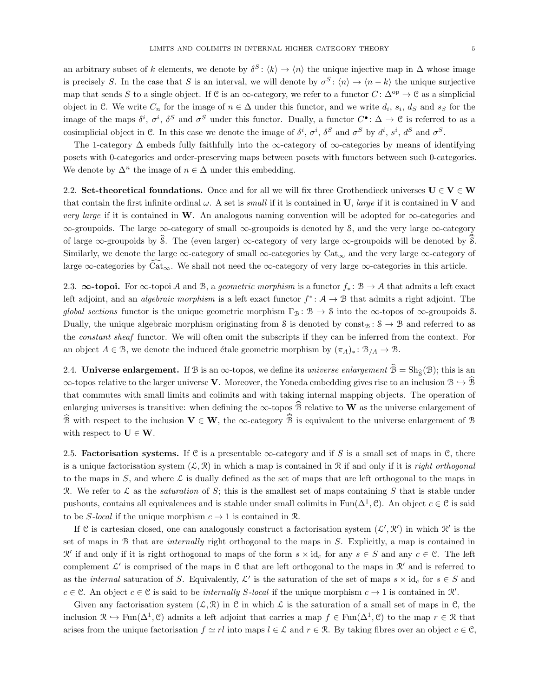an arbitrary subset of k elements, we denote by  $\delta^S$ :  $\langle k \rangle \to \langle n \rangle$  the unique injective map in  $\Delta$  whose image is precisely S. In the case that S is an interval, we will denote by  $\sigma^S$ :  $\langle n \rangle \to \langle n - k \rangle$  the unique surjective map that sends S to a single object. If C is an  $\infty$ -category, we refer to a functor  $C: \Delta^{op} \to \mathcal{C}$  as a simplicial object in C. We write  $C_n$  for the image of  $n \in \Delta$  under this functor, and we write  $d_i$ ,  $s_i$ ,  $d_S$  and  $s_S$  for the image of the maps  $\delta^i$ ,  $\sigma^i$ ,  $\delta^S$  and  $\sigma^S$  under this functor. Dually, a functor  $C^{\bullet}$ :  $\Delta \to \mathfrak{C}$  is referred to as a cosimplicial object in C. In this case we denote the image of  $\delta^i$ ,  $\sigma^i$ ,  $\delta^S$  and  $\sigma^S$  by  $d^i$ ,  $s^i$ ,  $d^S$  and  $\sigma^S$ .

The 1-category  $\Delta$  embeds fully faithfully into the  $\infty$ -category of  $\infty$ -categories by means of identifying posets with 0-categories and order-preserving maps between posets with functors between such 0-categories. We denote by  $\Delta^n$  the image of  $n \in \Delta$  under this embedding.

2.2. Set-theoretical foundations. Once and for all we will fix three Grothendieck universes  $U \in V \in W$ that contain the first infinite ordinal  $\omega$ . A set is *small* if it is contained in U, *large* if it is contained in V and very large if it is contained in W. An analogous naming convention will be adopted for  $\infty$ -categories and ∞-groupoids. The large ∞-category of small ∞-groupoids is denoted by S, and the very large ∞-category of large  $\infty$ -groupoids by  $\hat{\mathcal{S}}$ . The (even larger)  $\infty$ -category of very large  $\infty$ -groupoids will be denoted by  $\hat{\mathcal{S}}$ . Similarly, we denote the large  $\infty$ -category of small  $\infty$ -categories by Cat<sub> $\infty$ </sub> and the very large  $\infty$ -category of large  $\infty$ -categories by  $\widehat{\text{Cat}}_{\infty}$ . We shall not need the  $\infty$ -category of very large  $\infty$ -categories in this article.

2.3.  $\infty$ -topoi. For  $\infty$ -topoi A and B, a *geometric morphism* is a functor  $f_* : \mathcal{B} \to \mathcal{A}$  that admits a left exact left adjoint, and an *algebraic morphism* is a left exact functor  $f^*$ :  $A \to B$  that admits a right adjoint. The global sections functor is the unique geometric morphism  $\Gamma_B : \mathcal{B} \to \mathcal{S}$  into the  $\infty$ -topos of  $\infty$ -groupoids  $\mathcal{S}$ . Dually, the unique algebraic morphism originating from S is denoted by const<sub>B</sub> :  $S \rightarrow B$  and referred to as the constant sheaf functor. We will often omit the subscripts if they can be inferred from the context. For an object  $A \in \mathcal{B}$ , we denote the induced étale geometric morphism by  $(\pi_A)_* : \mathcal{B}_{/A} \to \mathcal{B}$ .

2.4. Universe enlargement. If B is an  $\infty$ -topos, we define its *universe enlargement*  $\hat{B} = Sh_{\hat{\sigma}}(\mathcal{B})$ ; this is an  $\infty$ -topos relative to the larger universe V. Moreover, the Yoneda embedding gives rise to an inclusion  $\mathcal{B} \hookrightarrow \mathcal{B}$ that commutes with small limits and colimits and with taking internal mapping objects. The operation of enlarging universes is transitive: when defining the  $\infty$ -topos  $\widehat{B}$  relative to W as the universe enlargement of  $\widehat{\mathcal{B}}$  with respect to the inclusion  $V \in W$ , the  $\infty$ -category  $\widehat{\mathcal{B}}$  is equivalent to the universe enlargement of  $\mathcal{B}$ with respect to  $\mathbf{U} \in \mathbf{W}$ .

2.5. **Factorisation systems.** If C is a presentable  $\infty$ -category and if S is a small set of maps in C, there is a unique factorisation system  $(\mathcal{L}, \mathcal{R})$  in which a map is contained in R if and only if it is *right orthogonal* to the maps in  $S$ , and where  $\mathcal L$  is dually defined as the set of maps that are left orthogonal to the maps in R. We refer to L as the *saturation* of S; this is the smallest set of maps containing S that is stable under pushouts, contains all equivalences and is stable under small colimits in  $\text{Fun}(\Delta^1, \mathcal{C})$ . An object  $c \in \mathcal{C}$  is said to be S-local if the unique morphism  $c \to 1$  is contained in R.

If C is cartesian closed, one can analogously construct a factorisation system  $(\mathcal{L}', \mathcal{R}')$  in which  $\mathcal{R}'$  is the set of maps in B that are internally right orthogonal to the maps in S. Explicitly, a map is contained in  $\mathcal{R}'$  if and only if it is right orthogonal to maps of the form  $s \times id_c$  for any  $s \in S$  and any  $c \in \mathcal{C}$ . The left complement  $\mathcal{L}'$  is comprised of the maps in  $\mathcal{C}$  that are left orthogonal to the maps in  $\mathcal{R}'$  and is referred to as the *internal* saturation of S. Equivalently,  $\mathcal{L}'$  is the saturation of the set of maps  $s \times id_c$  for  $s \in S$  and  $c \in \mathcal{C}$ . An object  $c \in \mathcal{C}$  is said to be *internally S-local* if the unique morphism  $c \to 1$  is contained in  $\mathcal{R}'$ .

Given any factorisation system  $(\mathcal{L}, \mathcal{R})$  in C in which  $\mathcal{L}$  is the saturation of a small set of maps in C, the inclusion  $\mathcal{R} \hookrightarrow \text{Fun}(\Delta^1,\mathcal{C})$  admits a left adjoint that carries a map  $f \in \text{Fun}(\Delta^1,\mathcal{C})$  to the map  $r \in \mathcal{R}$  that arises from the unique factorisation  $f \simeq rl$  into maps  $l \in \mathcal{L}$  and  $r \in \mathcal{R}$ . By taking fibres over an object  $c \in \mathcal{C}$ ,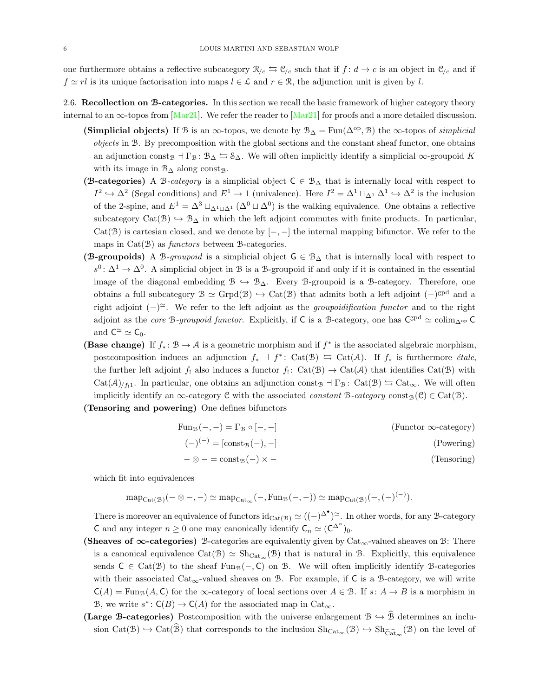one furthermore obtains a reflective subcategory  $\mathcal{R}_{c} \leftrightarrows \mathcal{C}_{c}$  such that if  $f : d \to c$  is an object in  $\mathcal{C}_{c}$  and if  $f \simeq rl$  is its unique factorisation into maps  $l \in \mathcal{L}$  and  $r \in \mathcal{R}$ , the adjunction unit is given by l.

- 2.6. Recollection on B-categories. In this section we recall the basic framework of higher category theory internal to an  $\infty$ -topos from [\[Mar21\]](#page-73-1). We refer the reader to [Mar21] for proofs and a more detailed discussion.
	- (Simplicial objects) If B is an  $\infty$ -topos, we denote by  $\mathcal{B}_{\Delta} = \text{Fun}(\Delta^{\text{op}}, \mathcal{B})$  the  $\infty$ -topos of simplicial objects in B. By precomposition with the global sections and the constant sheaf functor, one obtains an adjunction const<sub>B</sub>  $\Gamma$ <sub>B</sub> :  $\mathcal{B}_{\Delta} \leftrightarrows \mathcal{S}_{\Delta}$ . We will often implicitly identify a simplicial  $\infty$ -groupoid K with its image in  $\mathcal{B}_{\Delta}$  along const<sub>B</sub>.
	- (B-categories) A B-category is a simplicial object  $C \in \mathcal{B}_{\Delta}$  that is internally local with respect to  $I^2 \hookrightarrow \Delta^2$  (Segal conditions) and  $E^1 \to 1$  (univalence). Here  $I^2 = \Delta^1 \sqcup_{\Delta^0} \Delta^1 \hookrightarrow \Delta^2$  is the inclusion of the 2-spine, and  $E^1 = \Delta^3 \sqcup_{\Delta^1 \sqcup \Delta^1} (\Delta^0 \sqcup \Delta^0)$  is the walking equivalence. One obtains a reflective subcategory Cat(B)  $\rightarrow$  B<sub>Δ</sub> in which the left adjoint commutes with finite products. In particular, Cat(B) is cartesian closed, and we denote by  $[-,-]$  the internal mapping bifunctor. We refer to the maps in  $Cat(\mathcal{B})$  as *functors* between  $\mathcal{B}\text{-categories.}$
	- (B-groupoids) A B-groupoid is a simplicial object  $G \in \mathcal{B}_{\Delta}$  that is internally local with respect to  $s^0: \Delta^1 \to \Delta^0$ . A simplicial object in B is a B-groupoid if and only if it is contained in the essential image of the diagonal embedding  $\mathcal{B} \hookrightarrow \mathcal{B}_{\Delta}$ . Every B-groupoid is a B-category. Therefore, one obtains a full subcategory  $\mathcal{B} \simeq \text{Grpd}(\mathcal{B}) \hookrightarrow \text{Cat}(\mathcal{B})$  that admits both a left adjoint  $(-)^{\text{gpd}}$  and a right adjoint  $(-)$ <sup> $\approx$ </sup>. We refer to the left adjoint as the *groupoidification functor* and to the right adjoint as the *core* B-groupoid functor. Explicitly, if C is a B-category, one has  $C^{gpd} \simeq \text{colim}_{\Delta^{op}} C$ and  $C^{\simeq} \simeq C_0$ .
	- (Base change) If  $f_* : \mathcal{B} \to \mathcal{A}$  is a geometric morphism and if  $f^*$  is the associated algebraic morphism, postcomposition induces an adjunction  $f_*$  +  $f^*:$  Cat( $\mathcal{B})$   $\hookrightarrow$  Cat( $\mathcal{A}$ ). If  $f_*$  is furthermore *étale*, the further left adjoint  $f_!$  also induces a functor  $f_!$ :  $Cat(\mathcal{B}) \to Cat(\mathcal{A})$  that identifies  $Cat(\mathcal{B})$  with  $Cat(\mathcal{A})_{/f_1}$ . In particular, one obtains an adjunction const<sub>B</sub>  $\exists \Gamma_B : Cat(\mathcal{B}) \leftrightarrows Cat_\infty$ . We will often implicitly identify an  $\infty$ -category C with the associated *constant* B-category const<sub>B</sub>(C)  $\in$  Cat(B).
	- (Tensoring and powering) One defines bifunctors

| $(Functor \infty\text{-category})$ | $\text{Fun}_{\mathcal{B}}(-,-)=\Gamma_{\mathcal{B}}\circ[-,-]$ |
|------------------------------------|----------------------------------------------------------------|
| (Powering)                         | $(-)^{(-)} = [\text{const}_{\mathcal{B}}(-), -]$               |
| (Tensoring)                        | $-\otimes - = \text{const}_{\mathcal{B}}(-) \times -$          |

which fit into equivalences

$$
\mathrm{map}_{\mathrm{Cat}(\mathcal{B})}(-\otimes -,-)\simeq \mathrm{map}_{\mathrm{Cat}_{\infty}}(-,\mathrm{Fun}_{\mathcal{B}}(-,-))\simeq \mathrm{map}_{\mathrm{Cat}(\mathcal{B})}(-,(-)^{(-)}).
$$

There is moreover an equivalence of functors  $\mathrm{id}_{\mathrm{Cat}(\mathcal{B})} \simeq ((-)^{\Delta^{\bullet}})^{\simeq}$ . In other words, for any B-category C and any integer  $n \geq 0$  one may canonically identify  $C_n \simeq (C^{\Delta^n})_0$ .

- (Sheaves of ∞-categories) B-categories are equivalently given by Cat<sub>∞</sub>-valued sheaves on B: There is a canonical equivalence  $\text{Cat}(\mathcal{B}) \simeq \text{Sh}_{\text{Cat}_{\infty}}(\mathcal{B})$  that is natural in  $\mathcal{B}$ . Explicitly, this equivalence sends  $C \in \text{Cat}(\mathcal{B})$  to the sheaf  $\text{Fun}_{\mathcal{B}}(-, C)$  on  $\mathcal{B}$ . We will often implicitly identify B-categories with their associated  $Cat_{\infty}$ -valued sheaves on B. For example, if C is a B-category, we will write  $C(A) = \text{Fun}_{\mathcal{B}}(A, C)$  for the  $\infty$ -category of local sections over  $A \in \mathcal{B}$ . If  $s: A \to B$  is a morphism in B, we write  $s^*$ :  $C(B) \to C(A)$  for the associated map in  $Cat_{\infty}$ .
- (Large B-categories) Postcomposition with the universe enlargement  $\mathcal{B} \hookrightarrow \hat{\mathcal{B}}$  determines an inclusion  $Cat(\mathcal{B}) \hookrightarrow Cat(\mathcal{B})$  that corresponds to the inclusion  $Sh_{Cat_{\infty}}(\mathcal{B}) \hookrightarrow Sh_{\widehat{Cat}_{\infty}}(\mathcal{B})$  on the level of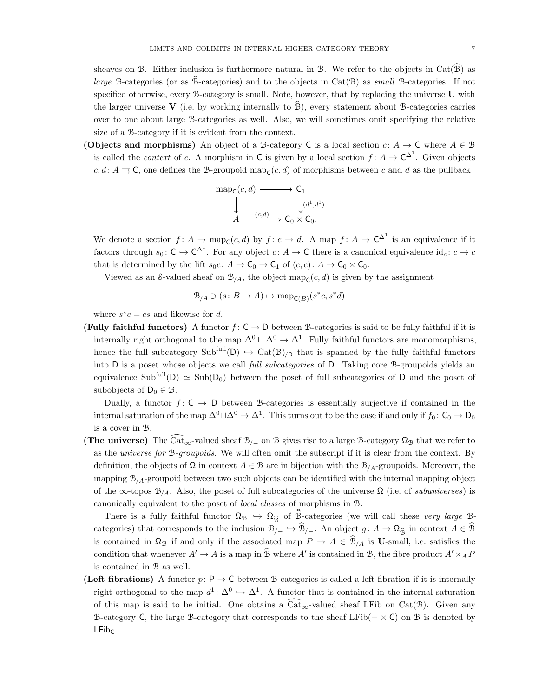sheaves on B. Either inclusion is furthermore natural in B. We refer to the objects in  $Cat(\hat{B})$  as large B-categories (or as  $\hat{\mathcal{B}}$ -categories) and to the objects in Cat( $\mathcal{B}$ ) as small B-categories. If not specified otherwise, every B-category is small. Note, however, that by replacing the universe U with the larger universe V (i.e. by working internally to  $\hat{B}$ ), every statement about B-categories carries over to one about large B-categories as well. Also, we will sometimes omit specifying the relative size of a B-category if it is evident from the context.

(Objects and morphisms) An object of a B-category C is a local section  $c: A \to C$  where  $A \in \mathcal{B}$ is called the *context* of c. A morphism in C is given by a local section  $f: A \to C^{\Delta^1}$ . Given objects c, d:  $A \rightrightarrows C$ , one defines the B-groupoid map<sub>C</sub>(c, d) of morphisms between c and d as the pullback

$$
\begin{array}{ccc}\n\text{map}_{\mathsf{C}}(c,d) & \longrightarrow & \mathsf{C}_1 \\
\downarrow & & \downarrow_{(d^1,d^0)} \\
A & \xrightarrow{(c,d)} & \mathsf{C}_0 \times \mathsf{C}_0.\n\end{array}
$$

We denote a section  $f: A \to \text{map}_{\mathsf{C}}(c,d)$  by  $f: c \to d$ . A map  $f: A \to \mathsf{C}^{\Delta^1}$  is an equivalence if it factors through  $s_0: \mathsf{C} \hookrightarrow \mathsf{C}^{\Delta^1}$ . For any object  $c: A \to \mathsf{C}$  there is a canonical equivalence  $id_c: c \to c$ that is determined by the lift  $s_0c: A \to \mathsf{C}_0 \to \mathsf{C}_1$  of  $(c, c): A \to \mathsf{C}_0 \times \mathsf{C}_0$ .

Viewed as an S-valued sheaf on  $\mathcal{B}_{/A}$ , the object map<sub>c</sub>(*c*, *d*) is given by the assignment

$$
\mathcal{B}_{/A} \ni (s \colon B \to A) \mapsto \text{map}_{\mathsf{C}(B)}(s^*c, s^*d)
$$

where  $s^*c = cs$  and likewise for d.

(Fully faithful functors) A functor  $f: C \to D$  between B-categories is said to be fully faithful if it is internally right orthogonal to the map  $\Delta^0 \sqcup \Delta^0 \to \Delta^1$ . Fully faithful functors are monomorphisms, hence the full subcategory  $Sub<sup>full</sup>(D) \hookrightarrow Cat(B)<sub>/D</sub>$  that is spanned by the fully faithful functors into D is a poset whose objects we call full subcategories of D. Taking core B-groupoids yields an equivalence Sub<sup>full</sup>(D)  $\simeq$  Sub(D<sub>0</sub>) between the poset of full subcategories of D and the poset of subobjects of  $D_0 \in \mathcal{B}$ .

Dually, a functor  $f: \mathsf{C} \to \mathsf{D}$  between B-categories is essentially surjective if contained in the internal saturation of the map  $\Delta^0\Box\Delta^0\to\Delta^1$ . This turns out to be the case if and only if  $f_0\colon\mathsf{C}_0\to\mathsf{D}_0$ is a cover in B.

(The universe) The  $\text{Cat}_{\infty}$ -valued sheaf  $\mathcal{B}_{/-}$  on B gives rise to a large B-category  $\Omega_{\mathcal{B}}$  that we refer to as the universe for B-groupoids. We will often omit the subscript if it is clear from the context. By definition, the objects of  $\Omega$  in context  $A \in \mathcal{B}$  are in bijection with the  $\mathcal{B}_{A}$ -groupoids. Moreover, the mapping  $\mathcal{B}_{A}$ -groupoid between two such objects can be identified with the internal mapping object of the  $\infty$ -topos  $\mathcal{B}_{/A}$ . Also, the poset of full subcategories of the universe  $\Omega$  (i.e. of subuniverses) is canonically equivalent to the poset of local classes of morphisms in B.

There is a fully faithful functor  $\Omega_{\mathcal{B}} \hookrightarrow \Omega_{\widehat{\mathcal{B}}}$  of B-categories (we will call these very large Bcategories) that corresponds to the inclusion  $\mathcal{B}_{/-} \hookrightarrow \mathcal{B}_{/-}$ . An object  $g: A \to \Omega_{\widehat{B}}$  in context  $A \in \mathcal{B}$ is contained in  $\Omega_{\mathcal{B}}$  if and only if the associated map  $P \to A \in \mathcal{B}_{/A}$  is U-small, i.e. satisfies the condition that whenever  $A' \to A$  is a map in  $\hat{B}$  where  $A'$  is contained in  $B$ , the fibre product  $A' \times_A P$ is contained in B as well.

(Left fibrations) A functor  $p: P \to C$  between B-categories is called a left fibration if it is internally right orthogonal to the map  $d^1: \Delta^0 \hookrightarrow \Delta^1$ . A functor that is contained in the internal saturation of this map is said to be initial. One obtains a  $\widehat{\text{Cat}}_{\infty}$ -valued sheaf LFib on Cat(B). Given any B-category C, the large B-category that corresponds to the sheaf LFib( $- \times C$ ) on B is denoted by  $LFib<sub>C</sub>$ .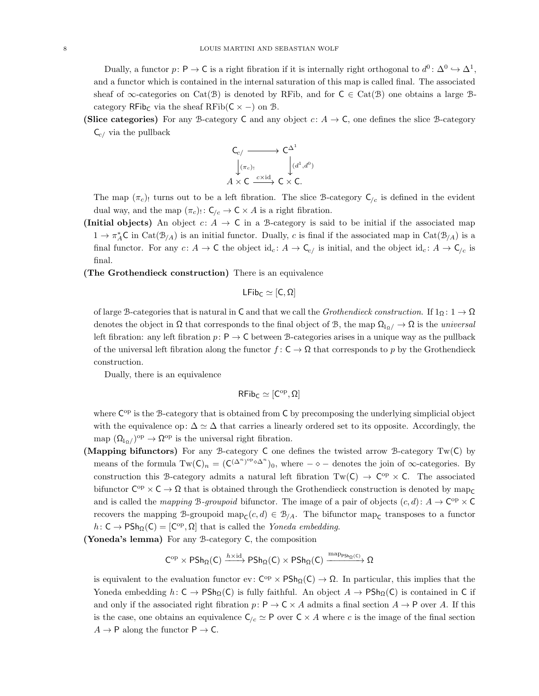Dually, a functor  $p: \mathsf{P} \to \mathsf{C}$  is a right fibration if it is internally right orthogonal to  $d^0: \Delta^0 \to \Delta^1$ , and a functor which is contained in the internal saturation of this map is called final. The associated sheaf of  $\infty$ -categories on Cat(B) is denoted by RFib, and for  $C \in \text{Cat}(\mathcal{B})$  one obtains a large Bcategory RFib<sub>C</sub> via the sheaf RFib( $C \times -$ ) on B.

(Slice categories) For any B-category C and any object  $c: A \to \mathsf{C}$ , one defines the slice B-category  $C_{c/}$  via the pullback

$$
\begin{array}{ccc}\nC_{c/} & \longrightarrow & C^{\Delta^1} \\
\downarrow^{(\pi_c)!} & \downarrow^{(d^1, d^0)} \\
A \times C & \xrightarrow{c \times \text{id}} & C \times C.\n\end{array}
$$

The map  $(\pi_c)$  turns out to be a left fibration. The slice B-category  $C_{/c}$  is defined in the evident dual way, and the map  $(\pi_c)$ :  $C_{/c} \to C \times A$  is a right fibration.

- (Initial objects) An object  $c: A \to \mathsf{C}$  in a B-category is said to be initial if the associated map  $1 \to \pi_A^* C$  in  $\text{Cat}(\mathcal{B}_{/A})$  is an initial functor. Dually, c is final if the associated map in  $\text{Cat}(\mathcal{B}_{/A})$  is a final functor. For any  $c: A \to \mathsf{C}$  the object id<sub>c</sub>:  $A \to \mathsf{C}_{c}$  is initial, and the object id<sub>c</sub>:  $A \to \mathsf{C}_{c}$  is final.
- (The Grothendieck construction) There is an equivalence

$$
\mathsf{LFib}_\mathsf{C}\simeq[\mathsf{C},\Omega]
$$

of large B-categories that is natural in C and that we call the Grothendieck construction. If  $1_{\Omega}$ :  $1 \to \Omega$ denotes the object in  $\Omega$  that corresponds to the final object of B, the map  $\Omega_{10}/\to\Omega$  is the universal left fibration: any left fibration  $p: \mathsf{P} \to \mathsf{C}$  between B-categories arises in a unique way as the pullback of the universal left fibration along the functor  $f: \mathsf{C} \to \Omega$  that corresponds to p by the Grothendieck construction.

Dually, there is an equivalence

$$
\mathsf{RFib}_C\simeq [C^{\mathrm{op}},\Omega]
$$

where C<sup>op</sup> is the B-category that is obtained from C by precomposing the underlying simplicial object with the equivalence op:  $\Delta \simeq \Delta$  that carries a linearly ordered set to its opposite. Accordingly, the map  $(\Omega_{1\alpha})^{\text{op}} \to \Omega^{\text{op}}$  is the universal right fibration.

- (Mapping bifunctors) For any B-category C one defines the twisted arrow B-category  $Tw(C)$  by means of the formula  $Tw(C)_n = (C^{(\Delta^n)^{op} \diamond \Delta^n})_0$ , where  $-\diamond$  – denotes the join of  $\infty$ -categories. By construction this B-category admits a natural left fibration  $Tw(C) \to C^{op} \times C$ . The associated bifunctor  $C^{op} \times C \to \Omega$  that is obtained through the Grothendieck construction is denoted by  $map_C$ and is called the *mapping* B-groupoid bifunctor. The image of a pair of objects  $(c, d)$ :  $A \to \mathbb{C}^{op} \times \mathbb{C}$ recovers the mapping B-groupoid map<sub>C</sub> $(c, d) \in \mathcal{B}_{/A}$ . The bifunctor map<sub>C</sub> transposes to a functor  $h: \mathsf{C} \to \mathsf{PSh}_{\Omega}(\mathsf{C}) = [\mathsf{C}^{\mathrm{op}}, \Omega]$  that is called the *Yoneda embedding*.
- (Yoneda's lemma) For any B-category C, the composition

 $C^{\rm op} \times {\sf PSh}_\Omega(C) \xrightarrow{h \times \mathrm{id}} {\sf PSh}_\Omega(C) \times {\sf PSh}_\Omega(C) \xrightarrow{\mathrm{map}_{\sf PSh}_\Omega(C)} \Omega$ 

is equivalent to the evaluation functor ev:  $C^{op} \times PSh_{\Omega}(C) \to \Omega$ . In particular, this implies that the Yoneda embedding  $h: C \to \text{PSh}_{\Omega}(C)$  is fully faithful. An object  $A \to \text{PSh}_{\Omega}(C)$  is contained in C if and only if the associated right fibration  $p: \mathsf{P} \to \mathsf{C} \times A$  admits a final section  $A \to \mathsf{P}$  over A. If this is the case, one obtains an equivalence  $C/c \simeq P$  over  $C \times A$  where c is the image of the final section  $A \rightarrow P$  along the functor  $P \rightarrow C$ .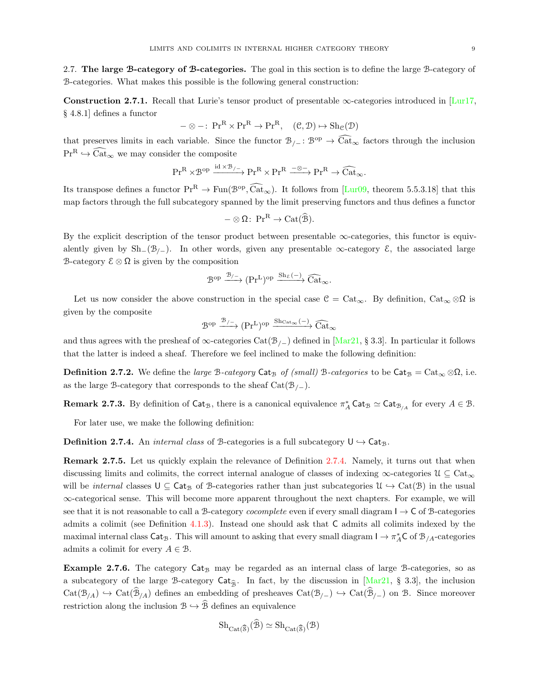2.7. The large B-category of B-categories. The goal in this section is to define the large B-category of B-categories. What makes this possible is the following general construction:

<span id="page-8-1"></span>Construction 2.7.1. Recall that Lurie's tensor product of presentable  $\infty$ -categories introduced in [\[Lur17,](#page-73-12) § 4.8.1] defines a functor

$$
-\otimes -\colon \operatorname{Pr}^R \times \operatorname{Pr}^R \to \operatorname{Pr}^R, \quad (\mathcal{C}, \mathcal{D}) \mapsto \operatorname{Sh}_{\mathcal{C}}(\mathcal{D})
$$

that preserves limits in each variable. Since the functor  $\mathcal{B}_{/-}$ :  $\mathcal{B}^{op} \to \widehat{\text{Cat}}_{\infty}$  factors through the inclusion  $Pr^R \hookrightarrow \text{Cat}_{\infty}$  we may consider the composite

$$
\mathrm{Pr}^R\times \mathcal{B}^{op}\xrightarrow{\mathrm{id}\times \mathcal{B}_{/-}}\mathrm{Pr}^R\times \mathrm{Pr}^R\xrightarrow{-\otimes -} \mathrm{Pr}^R\to \widehat{\mathrm{Cat}}_{\infty}.
$$

Its transpose defines a functor  $\mathrm{Pr}^R \to \mathrm{Fun}(\mathcal{B}^{\mathrm{op}}, \widetilde{\mathrm{Cat}}_{\infty})$ . It follows from  $[\mathrm{Lur}09,$  theorem 5.5.3.18] that this map factors through the full subcategory spanned by the limit preserving functors and thus defines a functor

$$
-\otimes\Omega\colon\Pr^R\to\mathrm{Cat}(\widehat{\mathcal{B}}).
$$

By the explicit description of the tensor product between presentable  $\infty$ -categories, this functor is equivalently given by  $\text{Sh}_-(\mathcal{B}/_-)$ . In other words, given any presentable  $\infty$ -category  $\mathcal{E}$ , the associated large B-category  $\mathcal{E} \otimes \Omega$  is given by the composition

$$
\mathcal{B}^{\mathrm{op}} \xrightarrow{\mathcal{B}_{/-}} (\mathrm{Pr}^{\mathrm{L}})^{\mathrm{op}} \xrightarrow{\mathrm{Sh}_{\mathcal{E}}(-)} \widehat{\mathrm{Cat}}_{\infty}.
$$

Let us now consider the above construction in the special case  $\mathcal{C} = \text{Cat}_{\infty}$ . By definition,  $\text{Cat}_{\infty} \otimes \Omega$  is given by the composite

$$
\mathcal{B}^{\mathrm{op}} \xrightarrow{\mathcal{B}_{/-}} (\mathrm{Pr}^{\mathrm{L}})^{\mathrm{op}} \xrightarrow{\mathrm{Sh}_{\mathrm{Cat}_{\infty}}(-)} \widehat{\mathrm{Cat}}_{\infty}
$$

and thus agrees with the presheaf of  $\infty$ -categories Cat( $\mathcal{B}_{/-}$ ) defined in [\[Mar21,](#page-73-1) § 3.3]. In particular it follows that the latter is indeed a sheaf. Therefore we feel inclined to make the following definition:

**Definition 2.7.2.** We define the *large* B-category Cat<sub>B</sub> of (small) B-categories to be  $Cat_B = Cat_{\infty} \otimes \Omega$ , i.e. as the large B-category that corresponds to the sheaf  $Cat(\mathcal{B}_{/})$ .

**Remark 2.7.3.** By definition of  $\mathsf{Cat}_\mathcal{B}$ , there is a canonical equivalence  $\pi_A^* \mathsf{Cat}_\mathcal{B} \simeq \mathsf{Cat}_{\mathcal{B}_{/A}}$  for every  $A \in \mathcal{B}$ .

For later use, we make the following definition:

<span id="page-8-0"></span>**Definition 2.7.4.** An *internal class* of B-categories is a full subcategory  $U \rightarrow Cat_{\mathcal{B}}$ .

Remark 2.7.5. Let us quickly explain the relevance of Definition [2.7.4.](#page-8-0) Namely, it turns out that when discussing limits and colimits, the correct internal analogue of classes of indexing  $\infty$ -categories  $\mathcal{U} \subseteq \text{Cat}_{\infty}$ will be *internal* classes  $U \subseteq Cat_B$  of B-categories rather than just subcategories  $\mathcal{U} \hookrightarrow Cat(\mathcal{B})$  in the usual ∞-categorical sense. This will become more apparent throughout the next chapters. For example, we will see that it is not reasonable to call a B-category *cocomplete* even if every small diagram  $I \rightarrow C$  of B-categories admits a colimit (see Definition [4.1.3\)](#page-34-0). Instead one should ask that C admits all colimits indexed by the maximal internal class  $\textsf{Cat}_\mathcal{B}$ . This will amount to asking that every small diagram  $I \to \pi_A^* C$  of  $\mathcal{B}_{/A}$ -categories admits a colimit for every  $A \in \mathcal{B}$ .

**Example 2.7.6.** The category  $Cat_B$  may be regarded as an internal class of large B-categories, so as a subcategory of the large B-category  $\text{Cat}_{\widehat{\mathcal{B}}}$ . In fact, by the discussion in [\[Mar21,](#page-73-1) § 3.3], the inclusion  $Cat(\mathcal{B}_{/A}) \hookrightarrow Cat(\mathcal{B}_{/A})$  defines an embedding of presheaves  $Cat(\mathcal{B}_{/-}) \hookrightarrow Cat(\mathcal{B}_{/-})$  on  $\mathcal{B}$ . Since moreover restriction along the inclusion  $\mathcal{B} \hookrightarrow \widehat{\mathcal{B}}$  defines an equivalence

$$
Sh_{Cat(\widehat{\mathcal{S}})}(\mathcal{B}) \simeq Sh_{Cat(\widehat{\mathcal{S}})}(\mathcal{B})
$$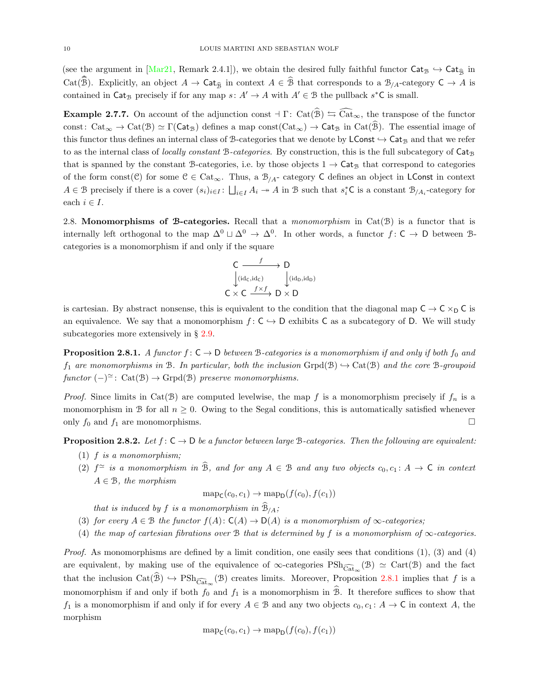(see the argument in [\[Mar21,](#page-73-1) Remark 2.4.1]), we obtain the desired fully faithful functor  $\text{Cat}_{\mathcal{B}} \hookrightarrow \text{Cat}_{\widehat{\mathcal{B}}}$  in Cat( $\widehat{\mathcal{B}}$ ). Explicitly, an object  $A \to \mathsf{Cat}_{\widehat{\mathcal{B}}}$  in context  $A \in \widehat{\mathcal{B}}$  that corresponds to a  $\mathcal{B}_{/A}$ -category  $\mathsf{C} \to A$  is contained in Cat<sub>B</sub> precisely if for any map  $s: A' \to A$  with  $A' \in B$  the pullback  $s^*$ C is small.

**Example 2.7.7.** On account of the adjunction const  $\exists \Gamma: \text{Cat}(\widehat{\mathcal{B}}) \leftrightarrows \widehat{\text{Cat}}_{\infty}$ , the transpose of the functor const:  $Cat_{\infty} \to Cat(\mathcal{B}) \simeq \Gamma(\text{Cat}_{\mathcal{B}})$  defines a map const $(Cat_{\infty}) \to Cat_{\mathcal{B}}$  in  $Cat(\widehat{\mathcal{B}})$ . The essential image of this functor thus defines an internal class of B-categories that we denote by  $\mathsf{LConst}\hookrightarrow \mathsf{Cat}_{\mathcal{B}}$  and that we refer to as the internal class of *locally constant B-categories*. By construction, this is the full subcategory of  $Cat_B$ that is spanned by the constant B-categories, i.e. by those objects  $1 \rightarrow \text{Cat}_{\mathcal{B}}$  that correspond to categories of the form const(C) for some  $C \in \text{Cat}_{\infty}$ . Thus, a  $\mathcal{B}_{/A}$ - category C defines an object in LConst in context  $A \in \mathcal{B}$  precisely if there is a cover  $(s_i)_{i \in I}$ :  $\bigsqcup_{i \in I} A_i \to A$  in  $\mathcal{B}$  such that  $s_i^*$ C is a constant  $\mathcal{B}_{/A_i}$ -category for each  $i \in I$ .

2.8. Monomorphisms of B-categories. Recall that a monomorphism in  $Cat(\mathcal{B})$  is a functor that is internally left orthogonal to the map  $\Delta^0 \sqcup \Delta^0 \rightarrow \Delta^0$ . In other words, a functor  $f: \mathsf{C} \rightarrow \mathsf{D}$  between  $\mathsf{B}$ categories is a monomorphism if and only if the square

$$
\begin{array}{ccc}\nC & f & D \\
\downarrow \text{(id}_c, \text{id}_c) & \downarrow \text{(id}_D, \text{id}_D) \\
C \times C & \xrightarrow{f \times f} D \times D\n\end{array}
$$

is cartesian. By abstract nonsense, this is equivalent to the condition that the diagonal map  $C \to C \times_D C$  is an equivalence. We say that a monomorphism  $f: \mathsf{C} \to \mathsf{D}$  exhibits C as a subcategory of D. We will study subcategories more extensively in § [2.9.](#page-11-0)

<span id="page-9-0"></span>**Proposition 2.8.1.** A functor  $f: \mathsf{C} \to \mathsf{D}$  between B-categories is a monomorphism if and only if both  $f_0$  and  $f_1$  are monomorphisms in B. In particular, both the inclusion  $\text{Gryd}(\mathcal{B}) \hookrightarrow \text{Cat}(\mathcal{B})$  and the core B-groupoid  $functor$  (-)<sup> $\simeq$ </sup>: Cat(B)  $\rightarrow$  Grpd(B) preserve monomorphisms.

*Proof.* Since limits in Cat(B) are computed levelwise, the map f is a monomorphism precisely if  $f_n$  is a monomorphism in B for all  $n \geq 0$ . Owing to the Segal conditions, this is automatically satisfied whenever only  $f_0$  and  $f_1$  are monomorphisms.

<span id="page-9-1"></span>**Proposition 2.8.2.** Let  $f: C \to D$  be a functor between large B-categories. Then the following are equivalent:

- $(1)$  f is a monomorphism;
- (2)  $f^{\simeq}$  is a monomorphism in B, and for any  $A \in \mathcal{B}$  and any two objects  $c_0, c_1 : A \to \mathsf{C}$  in context  $A \in \mathcal{B}$ , the morphism

$$
\mathrm{map}_{\mathsf{C}}(c_0,c_1) \to \mathrm{map}_{\mathsf{D}}(f(c_0),f(c_1))
$$

that is induced by  $f$  is a monomorphism in  $\mathcal{B}_{/A}$ ;

- (3) for every  $A \in \mathcal{B}$  the functor  $f(A): C(A) \to D(A)$  is a monomorphism of  $\infty$ -categories;
- (4) the map of cartesian fibrations over B that is determined by f is a monomorphism of  $\infty$ -categories.

*Proof.* As monomorphisms are defined by a limit condition, one easily sees that conditions  $(1)$ ,  $(3)$  and  $(4)$ are equivalent, by making use of the equivalence of  $\infty$ -categories  $\text{PSh}_{\widehat{\text{Cat}}_{\infty}}(\mathcal{B}) \simeq \text{Cart}(\mathcal{B})$  and the fact that the inclusion  $Cat(\mathcal{B}) \hookrightarrow \text{PSh}_{\widehat{Cat}_{\infty}}(\mathcal{B})$  creates limits. Moreover, Proposition [2.8.1](#page-9-0) implies that f is a monomorphism if and only if both  $f_0$  and  $f_1$  is a monomorphism in  $\mathcal{B}$ . It therefore suffices to show that  $f_1$  is a monomorphism if and only if for every  $A \in \mathcal{B}$  and any two objects  $c_0, c_1 : A \to \mathsf{C}$  in context A, the morphism

$$
\mathrm{map}_{\mathsf{C}}(c_0,c_1) \to \mathrm{map}_{\mathsf{D}}(f(c_0),f(c_1))
$$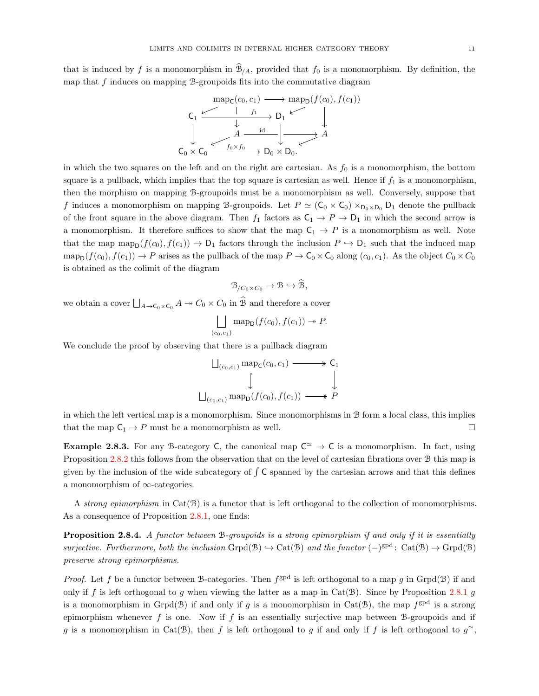that is induced by f is a monomorphism in  $\mathcal{B}_{/A}$ , provided that  $f_0$  is a monomorphism. By definition, the map that  $f$  induces on mapping  $\beta$ -groupoids fits into the commutative diagram

$$
\mathsf{cap}_{\mathsf{C}}(c_0, c_1) \longrightarrow \mathsf{map}_{\mathsf{D}}(f(c_0), f(c_1))
$$
\n
$$
\mathsf{C}_1 \xrightarrow{\downarrow} \mathsf{C}_1 \xrightarrow{\downarrow} \mathsf{D}_1 \xleftarrow{\downarrow} \mathsf{C}_0
$$
\n
$$
\downarrow \qquad \qquad \downarrow
$$
\n
$$
\mathsf{C}_0 \times \mathsf{C}_0 \xrightarrow{\downarrow} \mathsf{f}_0 \times \mathsf{f}_0 \longrightarrow \mathsf{D}_0 \times \mathsf{D}_0.
$$

in which the two squares on the left and on the right are cartesian. As  $f_0$  is a monomorphism, the bottom square is a pullback, which implies that the top square is cartesian as well. Hence if  $f_1$  is a monomorphism, then the morphism on mapping B-groupoids must be a monomorphism as well. Conversely, suppose that f induces a monomorphism on mapping B-groupoids. Let  $P \simeq (C_0 \times C_0) \times_{D_0 \times D_0} D_1$  denote the pullback of the front square in the above diagram. Then  $f_1$  factors as  $C_1 \rightarrow P \rightarrow D_1$  in which the second arrow is a monomorphism. It therefore suffices to show that the map  $C_1 \rightarrow P$  is a monomorphism as well. Note that the map map<sub>p</sub> $(f(c_0), f(c_1)) \to D_1$  factors through the inclusion  $P \hookrightarrow D_1$  such that the induced map  $map_D(f(c_0), f(c_1)) \to P$  arises as the pullback of the map  $P \to C_0 \times C_0$  along  $(c_0, c_1)$ . As the object  $C_0 \times C_0$ is obtained as the colimit of the diagram

$$
\mathcal{B}_{/C_0 \times C_0} \to \mathcal{B} \hookrightarrow \widehat{\mathcal{B}},
$$

we obtain a cover  $\bigsqcup_{A\to\mathsf{C}_0\times\mathsf{C}_0} A \twoheadrightarrow C_0\times C_0$  in  $\widehat{\mathcal{B}}$  and therefore a cover

$$
\bigsqcup_{(c_0,c_1)} \operatorname{map}_D(f(c_0),f(c_1)) \twoheadrightarrow P.
$$

We conclude the proof by observing that there is a pullback diagram

$$
\bigcup_{(c_0,c_1)} \operatorname{map}_{\mathsf{C}}(c_0,c_1) \longrightarrow {\mathsf{C}}_1
$$
\n
$$
\downarrow \qquad \qquad \downarrow
$$
\n
$$
\bigcup_{(c_0,c_1)} \operatorname{map}_{\mathsf{D}}(f(c_0),f(c_1)) \longrightarrow P
$$

in which the left vertical map is a monomorphism. Since monomorphisms in B form a local class, this implies that the map  $C_1 \rightarrow P$  must be a monomorphism as well.

**Example 2.8.3.** For any B-category C, the canonical map  $C^{\simeq} \to C$  is a monomorphism. In fact, using Proposition [2.8.2](#page-9-1) this follows from the observation that on the level of cartesian fibrations over B this map is given by the inclusion of the wide subcategory of  $\int \mathsf{C}$  spanned by the cartesian arrows and that this defines a monomorphism of ∞-categories.

A strong epimorphism in  $Cat(\mathcal{B})$  is a functor that is left orthogonal to the collection of monomorphisms. As a consequence of Proposition [2.8.1,](#page-9-0) one finds:

<span id="page-10-0"></span>Proposition 2.8.4. A functor between B-groupoids is a strong epimorphism if and only if it is essentially surjective. Furthermore, both the inclusion Grpd(B)  $\hookrightarrow$  Cat(B) and the functor ( $-\}^{\text{gpd}}$ : Cat(B)  $\rightarrow$  Grpd(B) preserve strong epimorphisms.

*Proof.* Let f be a functor between B-categories. Then  $f^{\text{gpd}}$  is left orthogonal to a map g in Grpd(B) if and only if f is left orthogonal to g when viewing the latter as a map in  $Cat(\mathcal{B})$ . Since by Proposition [2.8.1](#page-9-0) g is a monomorphism in Grpd( $\mathcal{B}$ ) if and only if g is a monomorphism in Cat( $\mathcal{B}$ ), the map  $f^{\text{gpd}}$  is a strong epimorphism whenever f is one. Now if f is an essentially surjective map between B-groupoids and if g is a monomorphism in Cat(B), then f is left orthogonal to g if and only if f is left orthogonal to  $g^{\sim}$ ,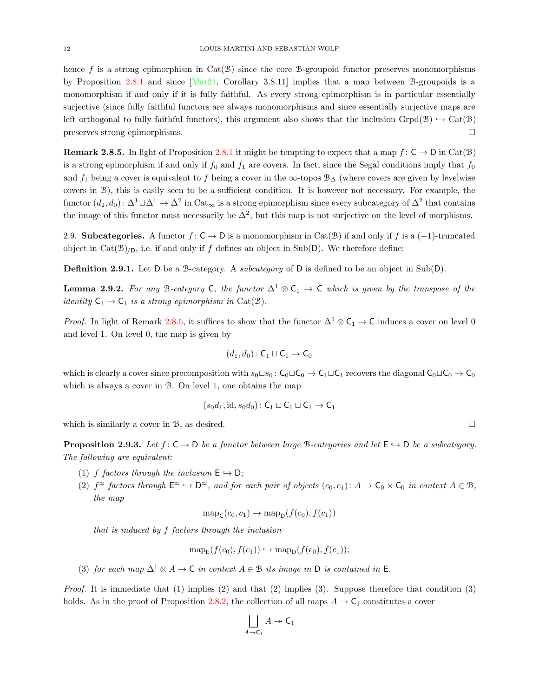hence f is a strong epimorphism in  $Cat(\mathcal{B})$  since the core B-groupoid functor preserves monomorphisms by Proposition [2.8.1](#page-9-0) and since [\[Mar21,](#page-73-1) Corollary 3.8.11] implies that a map between B-groupoids is a monomorphism if and only if it is fully faithful. As every strong epimorphism is in particular essentially surjective (since fully faithful functors are always monomorphisms and since essentially surjective maps are left orthogonal to fully faithful functors), this argument also shows that the inclusion Grpd(B)  $\rightarrow$  Cat(B) preserves strong epimorphisms.

<span id="page-11-1"></span>**Remark 2.8.5.** In light of Proposition [2.8.1](#page-9-0) it might be tempting to expect that a map  $f: C \to D$  in Cat(B) is a strong epimorphism if and only if  $f_0$  and  $f_1$  are covers. In fact, since the Segal conditions imply that  $f_0$ and  $f_1$  being a cover is equivalent to f being a cover in the ∞-topos  $\mathcal{B}_{\Delta}$  (where covers are given by levelwise covers in B), this is easily seen to be a sufficient condition. It is however not necessary. For example, the functor  $(d_2, d_0)$ :  $\Delta^1 \sqcup \Delta^1 \to \Delta^2$  in  $\text{Cat}_{\infty}$  is a strong epimorphism since every subcategory of  $\Delta^2$  that contains the image of this functor must necessarily be  $\Delta^2$ , but this map is not surjective on the level of morphisms.

<span id="page-11-0"></span>2.9. Subcategories. A functor  $f: \mathsf{C} \to \mathsf{D}$  is a monomorphism in Cat( $\mathcal{B}$ ) if and only if f is a (-1)-truncated object in Cat( $\mathcal{B}|_{\mathcal{D}}$ , i.e. if and only if f defines an object in Sub(D). We therefore define:

**Definition 2.9.1.** Let D be a B-category. A *subcategory* of D is defined to be an object in Sub(D).

<span id="page-11-2"></span>**Lemma 2.9.2.** For any B-category C, the functor  $\Delta^1 \otimes C_1 \rightarrow C$  which is given by the transpose of the *identity*  $C_1 \rightarrow C_1$  *is a strong epimorphism in* Cat(B).

*Proof.* In light of Remark [2.8.5,](#page-11-1) it suffices to show that the functor  $\Delta^1 \otimes C_1 \to C$  induces a cover on level 0 and level 1. On level 0, the map is given by

$$
(d_1, d_0) \colon \mathsf{C}_1 \sqcup \mathsf{C}_1 \to \mathsf{C}_0
$$

which is clearly a cover since precomposition with  $s_0 \sqcup s_0 : C_0 \sqcup C_0 \to C_1 \sqcup C_1$  recovers the diagonal  $C_0 \sqcup C_0 \to C_0$ which is always a cover in B. On level 1, one obtains the map

$$
(s_0d_1, \mathrm{id}, s_0d_0) \colon \mathsf{C}_1 \sqcup \mathsf{C}_1 \sqcup \mathsf{C}_1 \to \mathsf{C}_1
$$

which is similarly a cover in B, as desired.  $\square$ 

**Proposition 2.9.3.** Let  $f: C \to D$  be a functor between large B-categories and let  $E \to D$  be a subcategory. The following are equivalent:

- (1) f factors through the inclusion  $E \hookrightarrow D$ ;
- (2)  $f^{\simeq}$  factors through  $\mathsf{E}^{\simeq} \hookrightarrow \mathsf{D}^{\simeq}$ , and for each pair of objects  $(c_0, c_1): A \to \mathsf{C}_0 \times \mathsf{C}_0$  in context  $A \in \mathcal{B}$ , the map

$$
\operatorname{map}_{\mathsf{C}}(c_0,c_1) \to \operatorname{map}_{\mathsf{D}}(f(c_0),f(c_1))
$$

that is induced by f factors through the inclusion

$$
\operatorname{map}_{\mathsf{E}}(f(c_0), f(c_1)) \hookrightarrow \operatorname{map}_{\mathsf{D}}(f(c_0), f(c_1));
$$

(3) for each map  $\Delta^1 \otimes A \to \mathsf{C}$  in context  $A \in \mathcal{B}$  its image in D is contained in E.

*Proof.* It is immediate that  $(1)$  implies  $(2)$  and that  $(2)$  implies  $(3)$ . Suppose therefore that condition  $(3)$ holds. As in the proof of Proposition [2.8.2,](#page-9-1) the collection of all maps  $A \to \mathsf{C}_1$  constitutes a cover

$$
\bigsqcup_{A \to \mathsf{C}_1} A \twoheadrightarrow \mathsf{C}_1
$$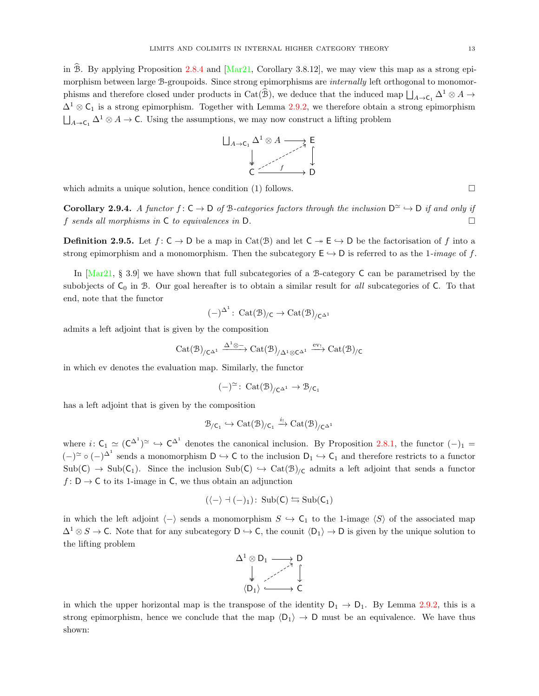in  $\hat{\mathcal{B}}$ . By applying Proposition [2.8.4](#page-10-0) and [\[Mar21,](#page-73-1) Corollary 3.8.12], we may view this map as a strong epimorphism between large B-groupoids. Since strong epimorphisms are *internally* left orthogonal to monomorphisms and therefore closed under products in Cat( $\hat{B}$ ), we deduce that the induced map  $\bigsqcup_{A\to\mathsf{C}_1} \Delta^1\otimes A\to$  $\Delta^1 \otimes \mathsf{C}_1$  is a strong epimorphism. Together with Lemma [2.9.2,](#page-11-2) we therefore obtain a strong epimorphism  $\bigsqcup_{A \to \mathsf{C}_1} \Delta^1 \otimes A \to \mathsf{C}$ . Using the assumptions, we may now construct a lifting problem



which admits a unique solution, hence condition  $(1)$  follows.

<span id="page-12-0"></span>**Corollary 2.9.4.** A functor  $f: \mathsf{C} \to \mathsf{D}$  of B-categories factors through the inclusion  $\mathsf{D}^{\simeq} \to \mathsf{D}$  if and only if f sends all morphisms in  $\mathsf C$  to equivalences in  $\mathsf D$ .

**Definition 2.9.5.** Let  $f: \mathsf{C} \to \mathsf{D}$  be a map in Cat(B) and let  $\mathsf{C} \to \mathsf{E} \to \mathsf{D}$  be the factorisation of f into a strong epimorphism and a monomorphism. Then the subcategory  $E \hookrightarrow D$  is referred to as the 1-image of f.

In [\[Mar21,](#page-73-1) § 3.9] we have shown that full subcategories of a B-category C can be parametrised by the subobjects of  $C_0$  in B. Our goal hereafter is to obtain a similar result for all subcategories of C. To that end, note that the functor

$$
(-)^{\Delta^1}\colon \operatorname{Cat}(\mathfrak{B})_{/\mathsf{C}} \rightarrow \operatorname{Cat}(\mathfrak{B})_{/\mathsf{C}^{\Delta^1}}
$$

admits a left adjoint that is given by the composition

$$
\mathrm{Cat}(\mathfrak{B})_{/\mathsf{C}^{\Delta^1}} \xrightarrow{\Delta^1 \otimes -} \mathrm{Cat}(\mathfrak{B})_{/\Delta^1 \otimes \mathsf{C}^{\Delta^1}} \xrightarrow{\mathrm{ev}_!} \mathrm{Cat}(\mathfrak{B})_{/\mathsf{C}}
$$

in which ev denotes the evaluation map. Similarly, the functor

$$
(-)^{\simeq} \colon \operatorname{Cat}(\mathfrak{B})_{/C^{\Delta^1}} \to \mathfrak{B}_{/C_1}
$$

has a left adjoint that is given by the composition

$$
\mathcal{B}_{/C_1}\hookrightarrow \mathrm{Cat}(\mathcal{B})_{/C_1}\xrightarrow{i_!}\mathrm{Cat}(\mathcal{B})_{/C^{\Delta^1}}
$$

where  $i: C_1 \simeq (C^{\Delta^1})^{\simeq} \hookrightarrow C^{\Delta^1}$  denotes the canonical inclusion. By Proposition [2.8.1,](#page-9-0) the functor  $(-)_{1} =$  $(-)^\simeq \circ (-)^\Delta$  sends a monomorphism  $D \hookrightarrow C$  to the inclusion  $D_1 \hookrightarrow C_1$  and therefore restricts to a functor  $Sub(C) \rightarrow Sub(C_1)$ . Since the inclusion  $Sub(C) \rightarrow Cat(B)/c$  admits a left adjoint that sends a functor  $f: D \to C$  to its 1-image in C, we thus obtain an adjunction

$$
(\langle - \rangle \dashv (-)_1) \colon \operatorname{Sub}(C) \leftrightarrows \operatorname{Sub}(C_1)
$$

in which the left adjoint  $\langle - \rangle$  sends a monomorphism  $S \hookrightarrow C_1$  to the 1-image  $\langle S \rangle$  of the associated map  $\Delta^1 \otimes S \to \mathsf{C}$ . Note that for any subcategory  $\mathsf{D} \hookrightarrow \mathsf{C}$ , the counit  $\langle \mathsf{D}_1 \rangle \to \mathsf{D}$  is given by the unique solution to the lifting problem

$$
\begin{array}{ccc}\n\Delta^1\otimes D_1 & \longrightarrow & D \\
\downarrow & & \nearrow & \uparrow \\
\langle D_1\rangle & \longrightarrow & C\n\end{array}
$$

in which the upper horizontal map is the transpose of the identity  $D_1 \rightarrow D_1$ . By Lemma [2.9.2,](#page-11-2) this is a strong epimorphism, hence we conclude that the map  $\langle D_1 \rangle \rightarrow D$  must be an equivalence. We have thus shown: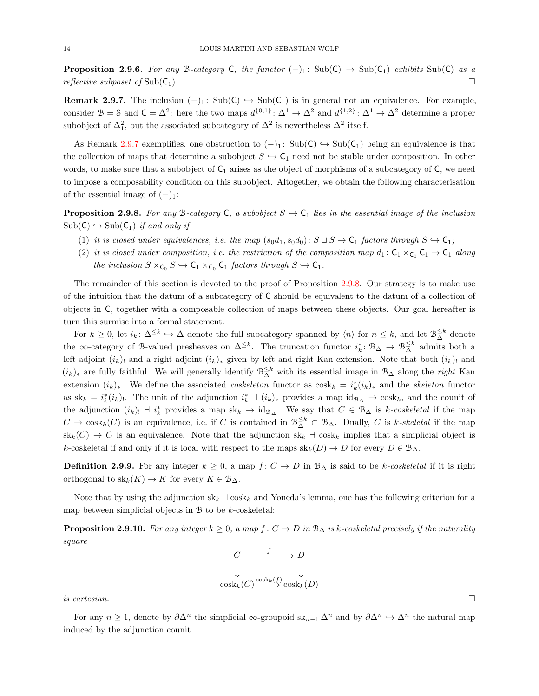**Proposition 2.9.6.** For any B-category C, the functor  $(-)_1$ : Sub(C)  $\rightarrow$  Sub(C<sub>1</sub>) exhibits Sub(C) as a reflective subposet of  $\text{Sub}(\mathsf{C}_1)$ .

<span id="page-13-0"></span>**Remark 2.9.7.** The inclusion  $(-)_1$ : Sub( $C$ )  $\rightarrow$  Sub( $C_1$ ) is in general not an equivalence. For example, consider  $\mathcal{B} = \mathcal{S}$  and  $\mathcal{C} = \Delta^2$ : here the two maps  $d^{\{0,1\}} \colon \Delta^1 \to \Delta^2$  and  $d^{\{1,2\}} \colon \Delta^1 \to \Delta^2$  determine a proper subobject of  $\Delta_1^2$ , but the associated subcategory of  $\Delta^2$  is nevertheless  $\Delta^2$  itself.

As Remark [2.9.7](#page-13-0) exemplifies, one obstruction to  $(-)_1$ : Sub(C)  $\hookrightarrow$  Sub(C<sub>1</sub>) being an equivalence is that the collection of maps that determine a subobject  $S \hookrightarrow C_1$  need not be stable under composition. In other words, to make sure that a subobject of  $C_1$  arises as the object of morphisms of a subcategory of  $C$ , we need to impose a composability condition on this subobject. Altogether, we obtain the following characterisation of the essential image of  $(-)_{1}$ :

<span id="page-13-1"></span>**Proposition 2.9.8.** For any B-category C, a subobject  $S \rightarrow C_1$  lies in the essential image of the inclusion  $Sub(C) \hookrightarrow Sub(C_1)$  if and only if

- (1) it is closed under equivalences, i.e. the map  $(s_0d_1, s_0d_0): S \sqcup S \rightarrow \mathsf{C}_1$  factors through  $S \hookrightarrow \mathsf{C}_1$ ;
- (2) it is closed under composition, i.e. the restriction of the composition map  $d_1: \mathsf{C}_1 \times_{\mathsf{C}_0} \mathsf{C}_1 \to \mathsf{C}_1$  along the inclusion  $S \times_{\mathsf{C}_0} S \hookrightarrow \mathsf{C}_1 \times_{\mathsf{C}_0} \mathsf{C}_1$  factors through  $S \hookrightarrow \mathsf{C}_1$ .

The remainder of this section is devoted to the proof of Proposition [2.9.8.](#page-13-1) Our strategy is to make use of the intuition that the datum of a subcategory of C should be equivalent to the datum of a collection of objects in C, together with a composable collection of maps between these objects. Our goal hereafter is turn this surmise into a formal statement.

For  $k \geq 0$ , let  $i_k \colon \Delta^{\leq k} \hookrightarrow \Delta$  denote the full subcategory spanned by  $\langle n \rangle$  for  $n \leq k$ , and let  $\mathcal{B}_{\Delta}^{\leq k}$  denote the ∞-category of B-valued presheaves on  $\Delta^{\leq k}$ . The truncation functor  $i_k^* \colon \mathcal{B}_{\Delta} \to \mathcal{B}_{\Delta}^{\leq k}$  admits both a left adjoint  $(i_k)$ ! and a right adjoint  $(i_k)_*$  given by left and right Kan extension. Note that both  $(i_k)$ ! and  $(i_k)_*$  are fully faithful. We will generally identify  $\mathcal{B}_{\Delta}^{\leq k}$  with its essential image in  $\mathcal{B}_{\Delta}$  along the *right* Kan extension  $(i_k)_*.$  We define the associated *coskeleton* functor as  $cosh_k = i_k^*(i_k)_*$  and the *skeleton* functor as  $sk_k = i_k^*(i_k)$ . The unit of the adjunction  $i_k^* \doteq (i_k)_*$  provides a map  $id_{\mathcal{B}_{\Delta}} \rightarrow \text{cos}k_k$ , and the counit of the adjunction  $(i_k)$  +  $i_k^*$  provides a map sk<sub>k</sub>  $\rightarrow$  id<sub>B</sub><sub>∆</sub>. We say that  $C \in B_\Delta$  is k-coskeletal if the map  $C \to \text{cosh}_k(C)$  is an equivalence, i.e. if C is contained in  $\mathcal{B}_{\Delta}^{\leq k} \subset \mathcal{B}_{\Delta}$ . Dually, C is k-skeletal if the map  $sk_k(C) \to C$  is an equivalence. Note that the adjunction  $sk_k \dashv \text{cos } k_k$  implies that a simplicial object is k-coskeletal if and only if it is local with respect to the maps  $sk_k(D) \to D$  for every  $D \in \mathcal{B}_{\Delta}$ .

**Definition 2.9.9.** For any integer  $k \geq 0$ , a map  $f: C \to D$  in  $\mathcal{B}_{\Delta}$  is said to be k-coskeletal if it is right orthogonal to  $\operatorname{sk}_k(K) \to K$  for every  $K \in \mathcal{B}_{\Delta}$ .

Note that by using the adjunction  $sk_k + \cos k_k$  and Yoneda's lemma, one has the following criterion for a map between simplicial objects in  $\mathcal B$  to be k-coskeletal:

**Proposition 2.9.10.** For any integer  $k \geq 0$ , a map  $f: C \to D$  in  $\mathcal{B}_{\Delta}$  is k-coskeletal precisely if the naturality square



is cartesian.  $\Box$ 

For any  $n \geq 1$ , denote by  $\partial \Delta^n$  the simplicial  $\infty$ -groupoid  $sk_{n-1} \Delta^n$  and by  $\partial \Delta^n \hookrightarrow \Delta^n$  the natural map induced by the adjunction counit.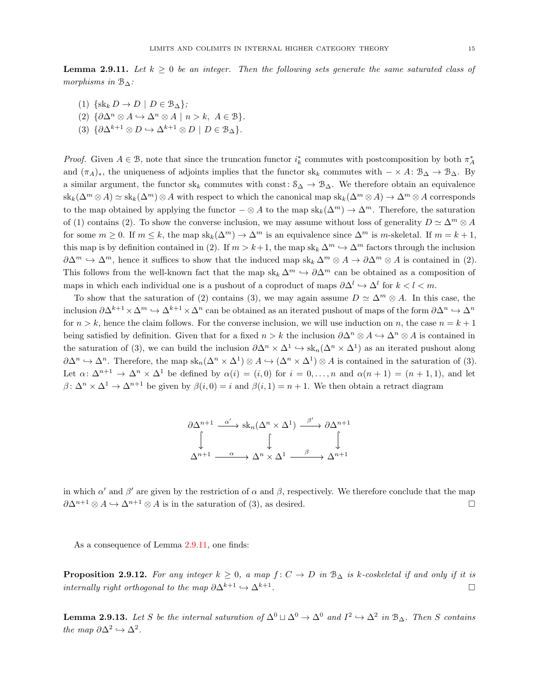<span id="page-14-0"></span>**Lemma 2.9.11.** Let  $k > 0$  be an integer. Then the following sets generate the same saturated class of morphisms in  $\mathcal{B}_{\Delta}$ :

- (1)  $\{sk_k D \to D \mid D \in \mathcal{B}_{\Delta}\};$
- (2)  $\{\partial \Delta^n \otimes A \hookrightarrow \Delta^n \otimes A \mid n > k, A \in \mathcal{B}\}.$
- (3)  $\{\partial \Delta^{k+1} \otimes D \hookrightarrow \Delta^{k+1} \otimes D \mid D \in \mathcal{B}_{\Delta}\}.$

Proof. Given  $A \in \mathcal{B}$ , note that since the truncation functor  $i_k^*$  commutes with postcomposition by both  $\pi_A^*$ and  $(\pi_A)_*,$  the uniqueness of adjoints implies that the functor sk<sub>k</sub> commutes with  $-\times A: \mathcal{B}_{\Delta} \to \mathcal{B}_{\Delta}$ . By a similar argument, the functor sk<sub>k</sub> commutes with const:  $S_{\Delta} \to B_{\Delta}$ . We therefore obtain an equivalence  $\operatorname{sk}_k(\Delta^m \otimes A) \simeq \operatorname{sk}_k(\Delta^m) \otimes A$  with respect to which the canonical map  $\operatorname{sk}_k(\Delta^m \otimes A) \to \Delta^m \otimes A$  corresponds to the map obtained by applying the functor  $-\otimes A$  to the map  $sk_k(\Delta^m) \to \Delta^m$ . Therefore, the saturation of (1) contains (2). To show the converse inclusion, we may assume without loss of generality  $D \simeq \Delta^m \otimes A$ for some  $m \geq 0$ . If  $m \leq k$ , the map  $sk_k(\Delta^m) \to \Delta^m$  is an equivalence since  $\Delta^m$  is m-skeletal. If  $m = k + 1$ , this map is by definition contained in (2). If  $m > k+1$ , the map  $sk_k \Delta^m \hookrightarrow \Delta^m$  factors through the inclusion  $\partial \Delta^m \hookrightarrow \Delta^m$ , hence it suffices to show that the induced map sk<sub>k</sub>  $\Delta^m \otimes A \to \partial \Delta^m \otimes A$  is contained in (2). This follows from the well-known fact that the map  $sk_k \Delta^m \hookrightarrow \partial \Delta^m$  can be obtained as a composition of maps in which each individual one is a pushout of a coproduct of maps  $\partial \Delta^l \hookrightarrow \Delta^l$  for  $k < l < m$ .

To show that the saturation of (2) contains (3), we may again assume  $D \simeq \Delta^m \otimes A$ . In this case, the inclusion  $\partial \Delta^{k+1} \times \Delta^m \hookrightarrow \Delta^{k+1} \times \Delta^n$  can be obtained as an iterated pushout of maps of the form  $\partial \Delta^n \hookrightarrow \Delta^n$ for  $n > k$ , hence the claim follows. For the converse inclusion, we will use induction on n, the case  $n = k + 1$ being satisfied by definition. Given that for a fixed  $n > k$  the inclusion  $\partial \Delta^n \otimes A \hookrightarrow \Delta^n \otimes A$  is contained in the saturation of (3), we can build the inclusion  $\partial \Delta^n \times \Delta^1 \hookrightarrow sk_n(\Delta^n \times \Delta^1)$  as an iterated pushout along  $\partial \Delta^n \hookrightarrow \Delta^n$ . Therefore, the map  $\operatorname{sk}_n(\Delta^n \times \Delta^1) \otimes A \hookrightarrow (\Delta^n \times \Delta^1) \otimes A$  is contained in the saturation of (3). Let  $\alpha: \Delta^{n+1} \to \Delta^n \times \Delta^1$  be defined by  $\alpha(i) = (i, 0)$  for  $i = 0, \ldots, n$  and  $\alpha(n+1) = (n+1, 1)$ , and let  $\beta: \Delta^n \times \Delta^1 \to \Delta^{n+1}$  be given by  $\beta(i, 0) = i$  and  $\beta(i, 1) = n + 1$ . We then obtain a retract diagram

$$
\begin{array}{ccc}\n\partial \Delta^{n+1} & \xrightarrow{\alpha'} & sk_n(\Delta^n \times \Delta^1) & \xrightarrow{\beta'} & \partial \Delta^{n+1} \\
\downarrow & & \downarrow & & \downarrow \\
\Delta^{n+1} & \xrightarrow{\alpha} & \Delta^n \times \Delta^1 & \xrightarrow{\beta} & \Delta^{n+1}\n\end{array}
$$

in which  $\alpha'$  and  $\beta'$  are given by the restriction of  $\alpha$  and  $\beta$ , respectively. We therefore conclude that the map  $\partial \Delta^{n+1} \otimes A \hookrightarrow \Delta^{n+1} \otimes A$  is in the saturation of (3), as desired.

As a consequence of Lemma [2.9.11,](#page-14-0) one finds:

**Proposition 2.9.12.** For any integer  $k \geq 0$ , a map  $f: C \to D$  in  $\mathcal{B}_{\Delta}$  is k-coskeletal if and only if it is internally right orthogonal to the map  $\partial \Delta^{k+1} \hookrightarrow \Delta^{k+1}$ . . В последните последните последните последните и последните последните последните последните последните после<br>В последните последните последните последните последните последните последните последните последните последнит

<span id="page-14-1"></span>**Lemma 2.9.13.** Let S be the internal saturation of  $\Delta^0 \sqcup \Delta^0 \to \Delta^0$  and  $I^2 \to \Delta^2$  in  $\mathcal{B}_{\Delta}$ . Then S contains the map  $\partial \Delta^2 \hookrightarrow \Delta^2$ .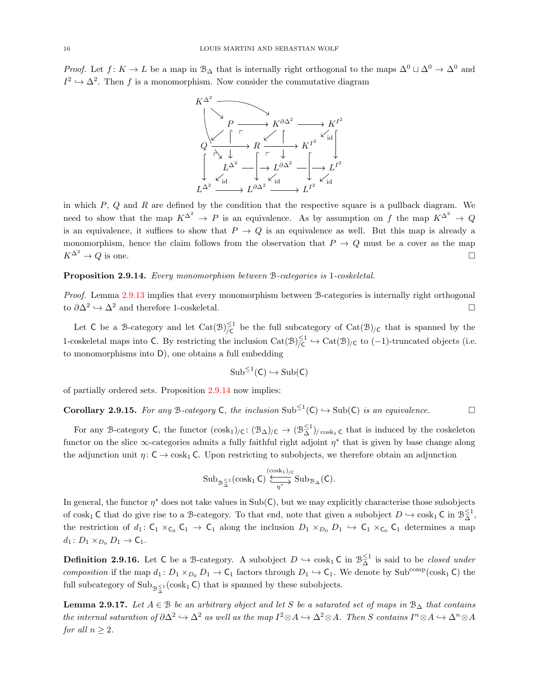*Proof.* Let  $f: K \to L$  be a map in  $\mathcal{B}_{\Delta}$  that is internally right orthogonal to the maps  $\Delta^0 \cup \Delta^0 \to \Delta^0$  and  $I^2 \hookrightarrow \Delta^2$ . Then f is a monomorphism. Now consider the commutative diagram



in which  $P$ ,  $Q$  and  $R$  are defined by the condition that the respective square is a pullback diagram. We need to show that the map  $K^{\Delta^2} \to P$  is an equivalence. As by assumption on f the map  $K^{\Delta^2} \to Q$ is an equivalence, it suffices to show that  $P \to Q$  is an equivalence as well. But this map is already a monomorphism, hence the claim follows from the observation that  $P \to Q$  must be a cover as the map  $K^{\Delta^2} \to Q$  is one.

<span id="page-15-0"></span>Proposition 2.9.14. Every monomorphism between B-categories is 1-coskeletal.

Proof. Lemma [2.9.13](#page-14-1) implies that every monomorphism between B-categories is internally right orthogonal to  $\partial \Delta^2 \hookrightarrow \Delta^2$  and therefore 1-coskeletal.  $□$ 

Let C be a B-category and let  $Cat(\mathcal{B})^{\leq 1}_{\mathcal{L}}$  $\sum_{\mathcal{C}}^{\mathbb{L}^1}$  be the full subcategory of Cat $(\mathcal{B})_{/\mathbb{C}}$  that is spanned by the 1-coskeletal maps into C. By restricting the inclusion  $\text{Cat}(\mathcal{B})^{\leq 1}_{\mathcal{L}}$  $\frac{1}{\zeta}$ <sup>L</sup> → Cat(B)<sub>/C</sub> to (-1)-truncated objects (i.e. to monomorphisms into D), one obtains a full embedding

$$
\operatorname{Sub}^{\leq 1}(C) \hookrightarrow \operatorname{Sub}(C)
$$

of partially ordered sets. Proposition [2.9.14](#page-15-0) now implies:

<span id="page-15-2"></span>**Corollary 2.9.15.** For any B-category C, the inclusion  $\text{Sub}^{\leq 1}(\mathsf{C}) \hookrightarrow \text{Sub}(\mathsf{C})$  is an equivalence.

For any B-category C, the functor  $(\cosh_1)_{\text{/C}}: (\mathcal{B}_{\Delta})_{\text{/C}} \to (\mathcal{B}_{\Delta}^{\leq 1})_{\text{/cosh}_1}$  c that is induced by the coskeleton functor on the slice  $\infty$ -categories admits a fully faithful right adjoint  $\eta^*$  that is given by base change along the adjunction unit  $\eta: \mathsf{C} \to \cosh \mathsf{C}$ . Upon restricting to subobjects, we therefore obtain an adjunction

$$
\mathrm{Sub}_{\mathcal{B}_{\Delta}^{\leq 1}}(\mathrm{cosk}_1 \, C) \xleftrightarrow{\mathrm{(cosk_1)}/c} \mathrm{Sub}_{\mathcal{B}_{\Delta}}(C).
$$

In general, the functor  $\eta^*$  does not take values in Sub(C), but we may explicitly characterise those subobjects of cosk<sub>1</sub> C that do give rise to a B-category. To that end, note that given a subobject  $D \hookrightarrow \cosh_1 C$  in  $\mathcal{B}_{\Delta}^{\leq 1}$ , the restriction of  $d_1: C_1 \times_{C_0} C_1 \to C_1$  along the inclusion  $D_1 \times_{D_0} D_1 \hookrightarrow C_1 \times_{C_0} C_1$  determines a map  $d_1: D_1 \times_{D_0} D_1 \to \mathsf{C}_1.$ 

<span id="page-15-3"></span>**Definition 2.9.16.** Let C be a B-category. A subobject  $D \hookrightarrow \cosh_1 C$  in  $\mathcal{B}_{\Delta}^{\leq 1}$  is said to be *closed under* composition if the map  $d_1: D_1 \times_{D_0} D_1 \to \mathsf{C}_1$  factors through  $D_1 \hookrightarrow \mathsf{C}_1$ . We denote by Sub<sup>comp</sup>(cosk<sub>1</sub> C) the full subcategory of  $\text{Sub}_{\mathcal{B}_{\Delta}^{\leq 1}}(\text{cosh}_1 \mathsf{C})$  that is spanned by these subobjects.

<span id="page-15-1"></span>**Lemma 2.9.17.** Let  $A \in \mathcal{B}$  be an arbitrary object and let S be a saturated set of maps in  $\mathcal{B}_{\Delta}$  that contains the internal saturation of  $\partial \Delta^2 \hookrightarrow \Delta^2$  as well as the map  $I^2 \otimes A \hookrightarrow \Delta^2 \otimes A$ . Then S contains  $I^n \otimes A \hookrightarrow \Delta^n \otimes A$ for all  $n \geq 2$ .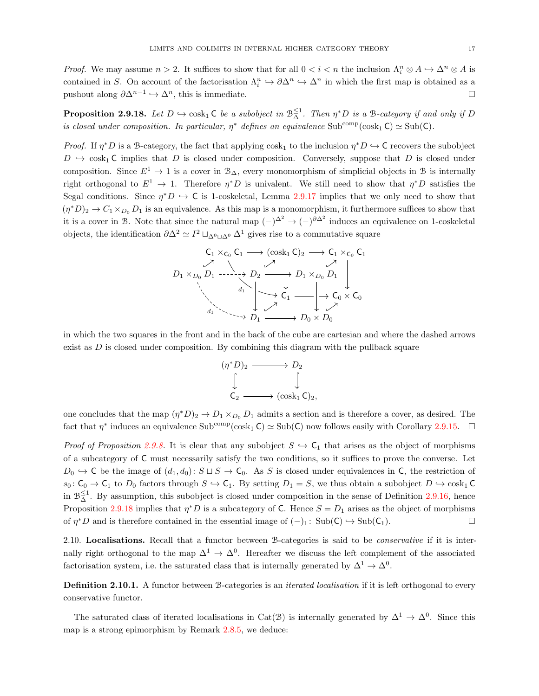*Proof.* We may assume  $n > 2$ . It suffices to show that for all  $0 < i < n$  the inclusion  $\Lambda_i^n \otimes A \hookrightarrow \Lambda^n \otimes A$  is contained in S. On account of the factorisation  $\Lambda_i^n \hookrightarrow \partial \Delta^n \hookrightarrow \Delta^n$  in which the first map is obtained as a pushout along  $\partial \Delta^{n-1} \hookrightarrow \Delta^n$ , this is immediate.

<span id="page-16-0"></span>**Proposition 2.9.18.** Let  $D \hookrightarrow \text{cosh}_1 \mathsf{C}$  be a subobject in  $\mathbb{B}_{\Delta}^{\leq 1}$ . Then  $\eta^*D$  is a B-category if and only if D is closed under composition. In particular,  $\eta^*$  defines an equivalence Sub<sup>comp</sup>(cosk<sub>1</sub> C)  $\simeq$  Sub(C).

*Proof.* If  $\eta^*D$  is a B-category, the fact that applying cosk<sub>1</sub> to the inclusion  $\eta^*D \hookrightarrow C$  recovers the subobject  $D \leftrightarrow \cosh C$  implies that D is closed under composition. Conversely, suppose that D is closed under composition. Since  $E^1 \to 1$  is a cover in  $\mathcal{B}_{\Delta}$ , every monomorphism of simplicial objects in B is internally right orthogonal to  $E^1 \to 1$ . Therefore  $\eta^* D$  is univalent. We still need to show that  $\eta^* D$  satisfies the Segal conditions. Since  $\eta^*D \hookrightarrow C$  is 1-coskeletal, Lemma [2.9.17](#page-15-1) implies that we only need to show that  $(\eta^*D)_2 \to C_1 \times_{D_0} D_1$  is an equivalence. As this map is a monomorphism, it furthermore suffices to show that it is a cover in B. Note that since the natural map  $(-)^{\Delta^2} \rightarrow (-)^{\partial \Delta^2}$  induces an equivalence on 1-coskeletal objects, the identification  $\partial \Delta^2 \simeq I^2 \sqcup_{\Delta^0 \sqcup \Delta^0} \Delta^1$  gives rise to a commutative square

$$
C_1 \times_{C_0} C_1 \longrightarrow (\cosh_1 C)_2 \longrightarrow C_1 \times_{C_0} C_1
$$
\n
$$
D_1 \times_{D_0} D_1 \longrightarrow D_2 \longrightarrow \rightarrow D_1 \times_{D_0} D_1
$$
\n
$$
\downarrow \qquad \qquad \downarrow \qquad \qquad \downarrow
$$
\n
$$
C_1 \longrightarrow C_0 \times C_0
$$
\n
$$
d_1 \longrightarrow \rightarrow D_1 \longrightarrow D_0 \times D_0
$$

in which the two squares in the front and in the back of the cube are cartesian and where the dashed arrows exist as  $D$  is closed under composition. By combining this diagram with the pullback square



one concludes that the map  $(\eta^* D)_2 \to D_1 \times_{D_0} D_1$  admits a section and is therefore a cover, as desired. The fact that  $\eta^*$  induces an equivalence  $\text{Sub}^{\text{comp}}(\cosh_1 C) \simeq \text{Sub}(C)$  now follows easily with Corollary [2.9.15.](#page-15-2)

*Proof of Proposition [2.9.8.](#page-13-1)* It is clear that any subobject  $S \to C_1$  that arises as the object of morphisms of a subcategory of C must necessarily satisfy the two conditions, so it suffices to prove the converse. Let  $D_0 \hookrightarrow C$  be the image of  $(d_1, d_0): S \sqcup S \rightarrow C_0$ . As S is closed under equivalences in C, the restriction of  $s_0: \mathsf{C}_0 \to \mathsf{C}_1$  to  $D_0$  factors through  $S \hookrightarrow \mathsf{C}_1$ . By setting  $D_1 = S$ , we thus obtain a subobject  $D \hookrightarrow \text{cosh}_1 \mathsf{C}$ in  $\mathcal{B}_{\Delta}^{\leq 1}$ . By assumption, this subobject is closed under composition in the sense of Definition [2.9.16,](#page-15-3) hence Proposition [2.9.18](#page-16-0) implies that  $\eta^*D$  is a subcategory of C. Hence  $S = D_1$  arises as the object of morphisms of  $\eta^*D$  and is therefore contained in the essential image of  $(-)_1$ : Sub( $C$ )  $\hookrightarrow$  Sub( $C_1$ ).

2.10. Localisations. Recall that a functor between B-categories is said to be *conservative* if it is internally right orthogonal to the map  $\Delta^1 \to \Delta^0$ . Hereafter we discuss the left complement of the associated factorisation system, i.e. the saturated class that is internally generated by  $\Delta^1 \to \Delta^0$ .

<span id="page-16-1"></span>Definition 2.10.1. A functor between B-categories is an *iterated localisation* if it is left orthogonal to every conservative functor.

The saturated class of iterated localisations in Cat(B) is internally generated by  $\Delta^1 \to \Delta^0$ . Since this map is a strong epimorphism by Remark [2.8.5,](#page-11-1) we deduce: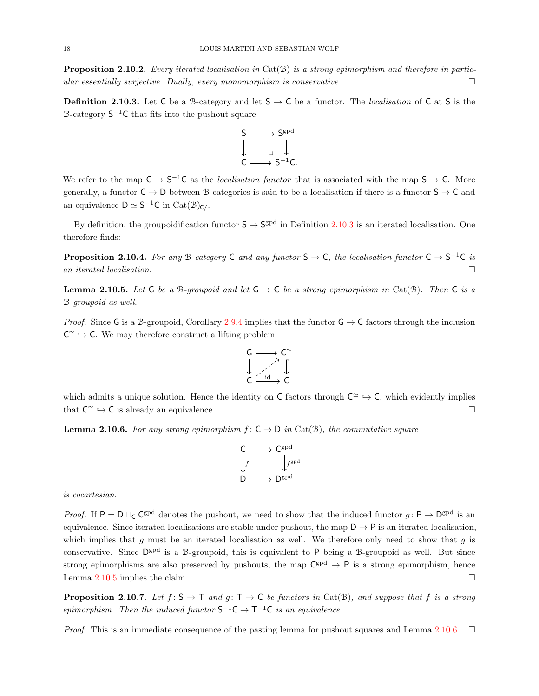**Proposition 2.10.2.** Every iterated localisation in Cat(B) is a strong epimorphism and therefore in particular essentially surjective. Dually, every monomorphism is conservative.

<span id="page-17-0"></span>**Definition 2.10.3.** Let C be a B-category and let  $S \rightarrow C$  be a functor. The *localisation* of C at S is the  $\beta$ -category  $S^{-1}C$  that fits into the pushout square



We refer to the map  $C \to S^{-1}C$  as the *localisation functor* that is associated with the map  $S \to C$ . More generally, a functor  $C \to D$  between B-categories is said to be a localisation if there is a functor  $S \to C$  and an equivalence  $D \simeq S^{-1}C$  in  $Cat(\mathcal{B})_{C}/$ .

By definition, the groupoidification functor  $S \to S^{gpd}$  in Definition [2.10.3](#page-17-0) is an iterated localisation. One therefore finds:

**Proposition 2.10.4.** For any B-category C and any functor  $S \to C$ , the localisation functor  $C \to S^{-1}C$  is an iterated localisation.  $\Box$ 

<span id="page-17-1"></span>**Lemma 2.10.5.** Let G be a B-groupoid and let  $G \rightarrow C$  be a strong epimorphism in Cat(B). Then C is a B-groupoid as well.

*Proof.* Since G is a B-groupoid, Corollary [2.9.4](#page-12-0) implies that the functor  $G \rightarrow C$  factors through the inclusion  $C^{\simeq} \hookrightarrow C$ . We may therefore construct a lifting problem



which admits a unique solution. Hence the identity on C factors through  $C^{\simeq} \to C$ , which evidently implies that  $C^{\simeq} \hookrightarrow C$  is already an equivalence.

<span id="page-17-2"></span>**Lemma 2.10.6.** For any strong epimorphism  $f: C \to D$  in Cat(B), the commutative square

$$
\begin{array}{ccc}\nC & \longrightarrow & C^{\text{gpd}} \\
\downarrow f & & \downarrow f^{\text{gpd}} \\
D & \longrightarrow & D^{\text{gpd}}\n\end{array}
$$

is cocartesian.

*Proof.* If  $P = D \sqcup_C C^{gpd}$  denotes the pushout, we need to show that the induced functor  $g: P \to D^{gpd}$  is an equivalence. Since iterated localisations are stable under pushout, the map  $D \to P$  is an iterated localisation, which implies that  $g$  must be an iterated localisation as well. We therefore only need to show that  $g$  is conservative. Since  $\mathsf{D}^{\text{gpd}}$  is a B-groupoid, this is equivalent to P being a B-groupoid as well. But since strong epimorphisms are also preserved by pushouts, the map  $\mathsf{C}^{\text{gpd}} \to \mathsf{P}$  is a strong epimorphism, hence Lemma [2.10.5](#page-17-1) implies the claim.

<span id="page-17-3"></span>**Proposition 2.10.7.** Let  $f: S \to T$  and  $g: T \to C$  be functors in Cat(B), and suppose that f is a strong epimorphism. Then the induced functor  $S^{-1}C \rightarrow T^{-1}C$  is an equivalence.

*Proof.* This is an immediate consequence of the pasting lemma for pushout squares and Lemma [2.10.6.](#page-17-2)  $\Box$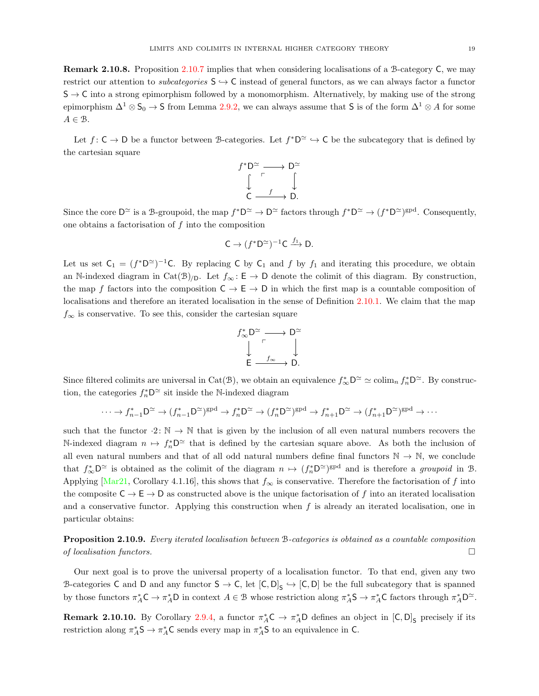Remark 2.10.8. Proposition [2.10.7](#page-17-3) implies that when considering localisations of a B-category C, we may restrict our attention to *subcategories*  $S \hookrightarrow C$  instead of general functors, as we can always factor a functor  $S \rightarrow C$  into a strong epimorphism followed by a monomorphism. Alternatively, by making use of the strong epimorphism  $\Delta^1 \otimes \mathsf{S}_0 \to \mathsf{S}$  from Lemma [2.9.2,](#page-11-2) we can always assume that  $\mathsf{S}$  is of the form  $\Delta^1 \otimes A$  for some  $A \in \mathcal{B}$ .

Let  $f: \mathsf{C} \to \mathsf{D}$  be a functor between B-categories. Let  $f^* \mathsf{D}^{\simeq} \to \mathsf{C}$  be the subcategory that is defined by the cartesian square



Since the core  $D^{\simeq}$  is a B-groupoid, the map  $f^*D^{\simeq} \to D^{\simeq}$  factors through  $f^*D^{\simeq} \to (f^*D^{\simeq})^{\text{spd}}$ . Consequently, one obtains a factorisation of f into the composition

$$
C \to (f^*D^{\simeq})^{-1}C \xrightarrow{f_1} D.
$$

Let us set  $C_1 = (f^*D^{\simeq})^{-1}C$ . By replacing C by  $C_1$  and f by  $f_1$  and iterating this procedure, we obtain an N-indexed diagram in Cat(B)/p. Let  $f_{\infty} : \mathsf{E} \to \mathsf{D}$  denote the colimit of this diagram. By construction, the map f factors into the composition  $C \to E \to D$  in which the first map is a countable composition of localisations and therefore an iterated localisation in the sense of Definition [2.10.1.](#page-16-1) We claim that the map  $f_{\infty}$  is conservative. To see this, consider the cartesian square

$$
f^*_{\infty}D^{\simeq} \longrightarrow D^{\simeq}
$$
  

$$
\downarrow \qquad \qquad \downarrow
$$
  

$$
E \longrightarrow f_{\infty} \longrightarrow D.
$$

Since filtered colimits are universal in Cat(B), we obtain an equivalence  $f^*_{\infty} \mathsf{D}^{\simeq} \simeq \text{colim}_n f^*_{n} \mathsf{D}^{\simeq}$ . By construction, the categories  $f_n^* D^\simeq$  sit inside the N-indexed diagram

$$
\cdots \to f_{n-1}^* \mathsf{D}^\simeq \to (f_{n-1}^* \mathsf{D}^\simeq)^{\text{gpd}} \to f_n^* \mathsf{D}^\simeq \to (f_n^* \mathsf{D}^\simeq)^{\text{gpd}} \to f_{n+1}^* \mathsf{D}^\simeq \to (f_{n+1}^* \mathsf{D}^\simeq)^{\text{gpd}} \to \cdots
$$

such that the functor  $\cdot 2$ :  $\mathbb{N} \to \mathbb{N}$  that is given by the inclusion of all even natural numbers recovers the N-indexed diagram  $n \mapsto f_n^* D^{\simeq}$  that is defined by the cartesian square above. As both the inclusion of all even natural numbers and that of all odd natural numbers define final functors  $\mathbb{N} \to \mathbb{N}$ , we conclude that  $f^*_{\infty} \mathsf{D}^{\simeq}$  is obtained as the colimit of the diagram  $n \mapsto (f^*_{n} \mathsf{D}^{\simeq})^{\text{gpd}}$  and is therefore a groupoid in  $\mathcal{B}$ . Applying [\[Mar21,](#page-73-1) Corollary 4.1.16], this shows that  $f_{\infty}$  is conservative. Therefore the factorisation of f into the composite  $C \to E \to D$  as constructed above is the unique factorisation of f into an iterated localisation and a conservative functor. Applying this construction when  $f$  is already an iterated localisation, one in particular obtains:

Proposition 2.10.9. Every iterated localisation between B-categories is obtained as a countable composition of localisation functors.  $\Box$ 

Our next goal is to prove the universal property of a localisation functor. To that end, given any two B-categories C and D and any functor  $S \to C$ , let  $[C, D]_S \to [C, D]$  be the full subcategory that is spanned by those functors  $\pi_A^* C \to \pi_A^* D$  in context  $A \in \mathcal{B}$  whose restriction along  $\pi_A^* S \to \pi_A^* C$  factors through  $\pi_A^* D^{\simeq}$ .

**Remark 2.10.10.** By Corollary [2.9.4,](#page-12-0) a functor  $\pi_A^*C \to \pi_A^*D$  defines an object in  $[C, D]_S$  precisely if its restriction along  $\pi_A^*S \to \pi_A^*C$  sends every map in  $\pi_A^*S$  to an equivalence in C.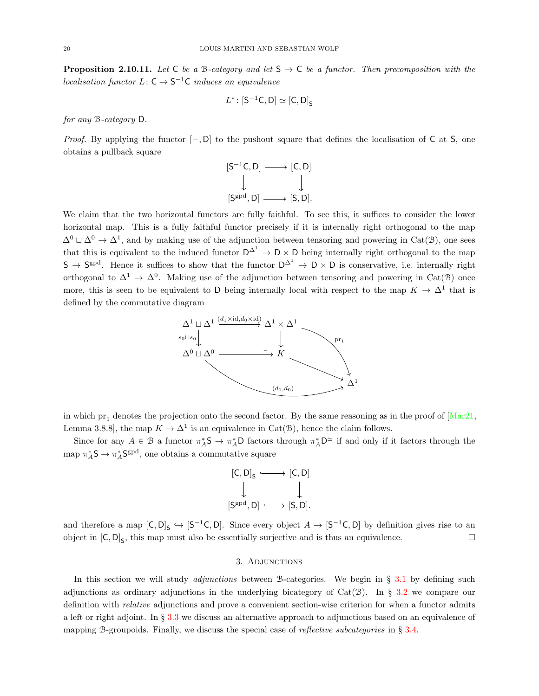<span id="page-19-1"></span>**Proposition 2.10.11.** Let C be a B-category and let  $S \rightarrow C$  be a functor. Then precomposition with the *localisation functor*  $L: \mathsf{C} \to \mathsf{S}^{-1}\mathsf{C}$  *induces an equivalence* 

$$
L^*\colon [\mathsf{S}^{-1}\mathsf{C},\mathsf{D}] \simeq [\mathsf{C},\mathsf{D}]_\mathsf{S}
$$

for any B-category D.

*Proof.* By applying the functor  $[-, D]$  to the pushout square that defines the localisation of C at S, one obtains a pullback square



We claim that the two horizontal functors are fully faithful. To see this, it suffices to consider the lower horizontal map. This is a fully faithful functor precisely if it is internally right orthogonal to the map  $\Delta^0 \sqcup \Delta^0 \rightarrow \Delta^1$ , and by making use of the adjunction between tensoring and powering in Cat(B), one sees that this is equivalent to the induced functor  $D^{\Delta^1} \to D \times D$  being internally right orthogonal to the map  $S \to S^{gpd}$ . Hence it suffices to show that the functor  $D^{\Delta^1} \to D \times D$  is conservative, i.e. internally right orthogonal to  $\Delta^1 \to \Delta^0$ . Making use of the adjunction between tensoring and powering in Cat(B) once more, this is seen to be equivalent to D being internally local with respect to the map  $K \to \Delta^1$  that is defined by the commutative diagram



in which  $pr_1$  denotes the projection onto the second factor. By the same reasoning as in the proof of  $Mar21$ , Lemma 3.8.8, the map  $K \to \Delta^1$  is an equivalence in Cat( $\mathcal{B}$ ), hence the claim follows.

Since for any  $A \in \mathcal{B}$  a functor  $\pi_A^* \mathsf{S} \to \pi_A^* \mathsf{D}$  factors through  $\pi_A^* \mathsf{D}^{\simeq}$  if and only if it factors through the map  $\pi_A^*S \to \pi_A^*S^{gpd}$ , one obtains a commutative square

$$
[C, D]_S \longleftrightarrow [C, D]
$$

$$
\downarrow \qquad \qquad \downarrow
$$

$$
[S^{gpd}, D] \longleftrightarrow [S, D].
$$

and therefore a map  $[C, D]_S \hookrightarrow [S^{-1}C, D]$ . Since every object  $A \to [S^{-1}C, D]$  by definition gives rise to an object in  $[C, D]_S$ , this map must also be essentially surjective and is thus an equivalence.

#### 3. Adjunctions

<span id="page-19-0"></span>In this section we will study *adjunctions* between B-categories. We begin in  $\S$  [3.1](#page-20-0) by defining such adjunctions as ordinary adjunctions in the underlying bicategory of  $Cat(\mathcal{B})$ . In § [3.2](#page-23-0) we compare our definition with relative adjunctions and prove a convenient section-wise criterion for when a functor admits a left or right adjoint. In § [3.3](#page-27-0) we discuss an alternative approach to adjunctions based on an equivalence of mapping B-groupoids. Finally, we discuss the special case of *reflective subcategories* in  $\S 3.4$ .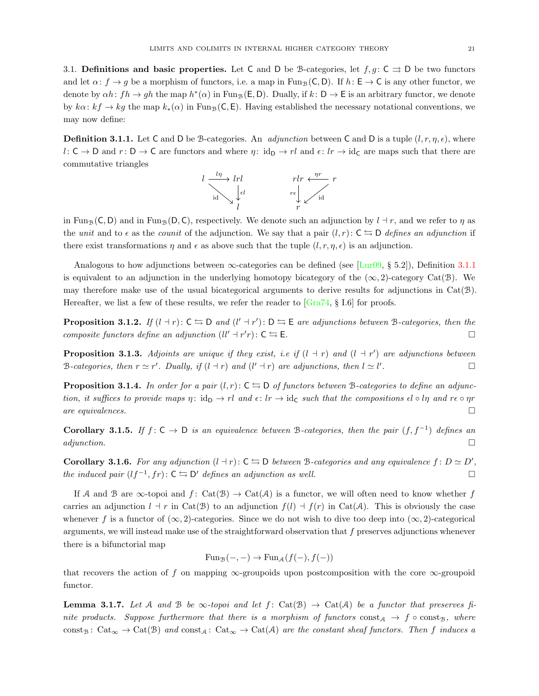<span id="page-20-0"></span>3.1. Definitions and basic properties. Let C and D be B-categories, let  $f, g \colon C \rightrightarrows D$  be two functors and let  $\alpha: f \to g$  be a morphism of functors, i.e. a map in Fun<sub>B</sub>(C, D). If  $h: E \to C$  is any other functor, we denote by  $\alpha h: fh \to gh$  the map  $h^*(\alpha)$  in Fun<sub>B</sub>(E, D). Dually, if  $k: D \to E$  is an arbitrary functor, we denote by  $k\alpha: kf \to kg$  the map  $k_*(\alpha)$  in Fun<sub>B</sub>(C, E). Having established the necessary notational conventions, we may now define:

<span id="page-20-1"></span>**Definition 3.1.1.** Let C and D be B-categories. An *adjunction* between C and D is a tuple  $(l, r, \eta, \epsilon)$ , where  $l: \mathsf{C} \to \mathsf{D}$  and  $r: \mathsf{D} \to \mathsf{C}$  are functors and where  $\eta: id_{\mathsf{D}} \to rl$  and  $\epsilon: lr \to id_{\mathsf{C}}$  are maps such that there are commutative triangles



in Fun<sub>B</sub>(C, D) and in Fun<sub>B</sub>(D, C), respectively. We denote such an adjunction by  $l + r$ , and we refer to  $\eta$  as the unit and to  $\epsilon$  as the counit of the adjunction. We say that a pair  $(l, r)$ :  $C \leq D$  defines an adjunction if there exist transformations  $\eta$  and  $\epsilon$  as above such that the tuple  $(l, r, \eta, \epsilon)$  is an adjunction.

Analogous to how adjunctions between  $\infty$ -categories can be defined (see [\[Lur09,](#page-73-13) § 5.2]), Definition [3.1.1](#page-20-1) is equivalent to an adjunction in the underlying homotopy bicategory of the  $(\infty, 2)$ -category Cat(B). We may therefore make use of the usual bicategorical arguments to derive results for adjunctions in  $Cat(\mathcal{B})$ . Hereafter, we list a few of these results, we refer the reader to  $\left[{\text{Gra74, § I.6}}\right]$  for proofs.

**Proposition 3.1.2.** If  $(l + r)$ :  $C \nightharpoonup D$  and  $(l' + r')$ :  $D \nightharpoonup E$  are adjunctions between B-categories, then the composite functors define an adjunction  $(ll' + r'r): C \leq E$ .

**Proposition 3.1.3.** Adjoints are unique if they exist, i.e if  $(l + r)$  and  $(l + r')$  are adjunctions between B-categories, then  $r \simeq r'$ . Dually, if  $(l + r)$  and  $(l' + r)$  are adjunctions, then  $l \simeq l'$ .

<span id="page-20-3"></span>**Proposition 3.1.4.** In order for a pair  $(l, r)$ :  $C \nightharpoonup D$  of functors between B-categories to define an adjunction, it suffices to provide maps  $\eta: \text{id}_{\mathsf{D}} \to \text{rl}$  and  $\epsilon: \text{lr} \to \text{id}_{\mathsf{C}}$  such that the compositions  $\epsilon \cdot \text{rl}$  and  $\tau \in \text{pr}$ are equivalences.  $\Box$ 

Corollary 3.1.5. If  $f: \mathsf{C} \to \mathsf{D}$  is an equivalence between B-categories, then the pair  $(f, f^{-1})$  defines an  $adjunction.$ 

**Corollary 3.1.6.** For any adjunction  $(l + r)$ :  $C \nightharpoonup D$  between B-categories and any equivalence  $f: D \simeq D'$ , the induced pair  $(lf^{-1}, fr)$ :  $C \leftrightarrows D'$  defines an adjunction as well.  $□$ 

If A and B are  $\infty$ -topoi and f: Cat(B)  $\rightarrow$  Cat(A) is a functor, we will often need to know whether f carries an adjunction  $l \, \dagger \, r$  in Cat( $\mathcal{B}$ ) to an adjunction  $f(l) \, \dagger \, f(r)$  in Cat( $\mathcal{A}$ ). This is obviously the case whenever f is a functor of  $(\infty, 2)$ -categories. Since we do not wish to dive too deep into  $(\infty, 2)$ -categorical arguments, we will instead make use of the straightforward observation that  $f$  preserves adjunctions whenever there is a bifunctorial map

$$
\text{Fun}_{\mathcal{B}}(-,-) \to \text{Fun}_{\mathcal{A}}(f(-), f(-))
$$

that recovers the action of f on mapping  $\infty$ -groupoids upon postcomposition with the core  $\infty$ -groupoid functor.

<span id="page-20-2"></span>**Lemma 3.1.7.** Let A and B be  $\infty$ -topoi and let  $f: Cat(\mathcal{B}) \to Cat(\mathcal{A})$  be a functor that preserves finite products. Suppose furthermore that there is a morphism of functors  $\text{const}_A \to f \circ \text{const}_B$ , where const<sub>B</sub>:  $Cat_{\infty} \to Cat(\mathcal{B})$  and const<sub>A</sub>:  $Cat_{\infty} \to Cat(\mathcal{A})$  are the constant sheaf functors. Then f induces a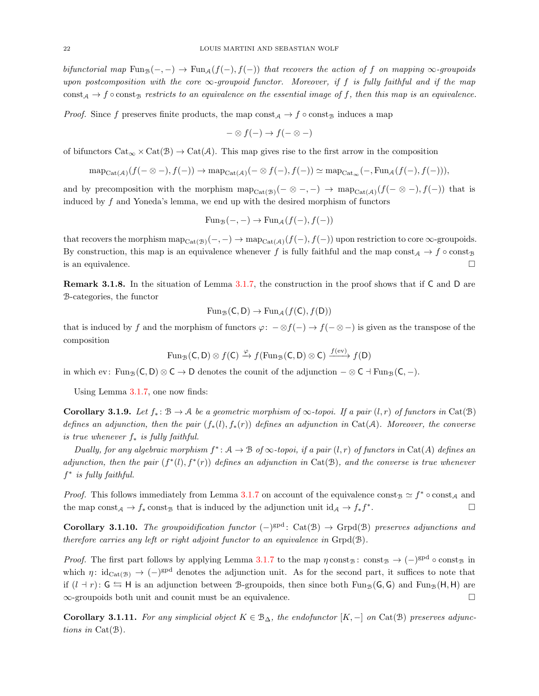bifunctorial map  $Fun_{\mathcal{B}}(-, -) \to Fun_{\mathcal{A}}(f(-), f(-))$  that recovers the action of f on mapping  $\infty$ -groupoids upon postcomposition with the core  $\infty$ -groupoid functor. Moreover, if f is fully faithful and if the map const<sub>A</sub>  $\rightarrow$  f  $\circ$  const<sub>B</sub> restricts to an equivalence on the essential image of f, then this map is an equivalence.

*Proof.* Since f preserves finite products, the map  $\text{const}_{\mathcal{A}} \to f \circ \text{const}_{\mathcal{B}}$  induces a map

$$
-\otimes f(-) \to f(-\otimes -)
$$

of bifunctors  $Cat_{\infty} \times Cat(B) \to Cat(A)$ . This map gives rise to the first arrow in the composition

$$
\mathrm{map}_{\mathrm{Cat}(\mathcal{A})}(f(-\otimes -), f(-)) \to \mathrm{map}_{\mathrm{Cat}(\mathcal{A})}(-\otimes f(-), f(-)) \simeq \mathrm{map}_{\mathrm{Cat}_{\infty}}(-, \mathrm{Fun}_{\mathcal{A}}(f(-), f(-))),
$$

and by precomposition with the morphism  $map_{Cat(\mathcal{B})}(-\otimes -,-) \rightarrow map_{Cat(\mathcal{A})}(f(-\otimes -),f(-))$  that is induced by  $f$  and Yoneda's lemma, we end up with the desired morphism of functors

$$
\mathrm{Fun}_{\mathcal{B}}(-,-) \to \mathrm{Fun}_{\mathcal{A}}(f(-), f(-))
$$

that recovers the morphism  $\text{map}_{\text{Cat}(\mathcal{B})}(-,-) \to \text{map}_{\text{Cat}(\mathcal{A})}(f(-), f(-))$  upon restriction to core  $\infty$ -groupoids. By construction, this map is an equivalence whenever f is fully faithful and the map const $A \to f \circ \text{const}_B$ is an equivalence.  $\Box$ 

<span id="page-21-1"></span>Remark 3.1.8. In the situation of Lemma [3.1.7,](#page-20-2) the construction in the proof shows that if C and D are B-categories, the functor

$$
\operatorname{Fun}_{\mathcal{B}}(C,D) \to \operatorname{Fun}_{\mathcal{A}}(f(C),f(D))
$$

that is induced by f and the morphism of functors  $\varphi: -\otimes f(-) \to f(- \otimes -)$  is given as the transpose of the composition

$$
\operatorname{Fun}_{\mathcal{B}}(C, D) \otimes f(C) \xrightarrow{\varphi} f(\operatorname{Fun}_{\mathcal{B}}(C, D) \otimes C) \xrightarrow{f(\operatorname{ev})} f(D)
$$

in which ev: Fun<sub>B</sub>(C, D) ⊗ C  $\rightarrow$  D denotes the counit of the adjunction  $-\otimes$  C  $\exists$  Fun<sub>B</sub>(C,  $\Box$ ).

Using Lemma [3.1.7,](#page-20-2) one now finds:

<span id="page-21-2"></span>Corollary 3.1.9. Let  $f_* : \mathcal{B} \to \mathcal{A}$  be a geometric morphism of  $\infty$ -topoi. If a pair  $(l, r)$  of functors in Cat( $\mathcal{B}$ ) defines an adjunction, then the pair  $(f_*(l), f_*(r))$  defines an adjunction in Cat(A). Moreover, the converse is true whenever  $f_*$  is fully faithful.

Dually, for any algebraic morphism  $f^*: A \to B$  of  $\infty$ -topoi, if a pair  $(l, r)$  of functors in Cat(A) defines an adjunction, then the pair  $(f^*(l), f^*(r))$  defines an adjunction in Cat(B), and the converse is true whenever  $f^*$  is fully faithful.

*Proof.* This follows immediately from Lemma [3.1.7](#page-20-2) on account of the equivalence const<sub>B</sub>  $\approx f^* \circ \text{const}_{\mathcal{A}}$  and the map const<sub>A</sub>  $\rightarrow$  f<sub>\*</sub> const<sub>B</sub> that is induced by the adjunction unit id<sub>A</sub>  $\rightarrow$  f<sub>\*</sub>f<sup>\*</sup> . — Первый производительный производительный производительный производительный производительный прои<br>В 1990 году в 1990 году в 1990 году в 1990 году в 1990 году в 1990 году в 1990 году в 1990 году в 1990 году в<br>Применение

Corollary 3.1.10. The groupoidification functor  $(-)^{\text{gpd}}$ : Cat(B)  $\rightarrow$  Grpd(B) preserves adjunctions and therefore carries any left or right adjoint functor to an equivalence in  $\text{Grpd}(\mathcal{B})$ .

*Proof.* The first part follows by applying Lemma [3.1.7](#page-20-2) to the map  $\eta$  const<sub>B</sub> : const<sub>B</sub>  $\rightarrow$  ( $-\right)^{gpd}$   $\circ$  const<sub>B</sub> in which  $\eta: \mathrm{id}_{\mathrm{Cat}(\mathcal{B})} \to (-)^{\mathrm{gpd}}$  denotes the adjunction unit. As for the second part, it suffices to note that if  $(l + r): G \rightharpoonup H$  is an adjunction between B-groupoids, then since both Fun<sub>B</sub>(G, G) and Fun<sub>B</sub>(H, H) are  $\infty$ -groupoids both unit and counit must be an equivalence.

<span id="page-21-0"></span>Corollary 3.1.11. For any simplicial object  $K \in \mathcal{B}_{\Delta}$ , the endofunctor  $[K, -]$  on Cat( $\mathcal{B}$ ) preserves adjunctions in Cat(B).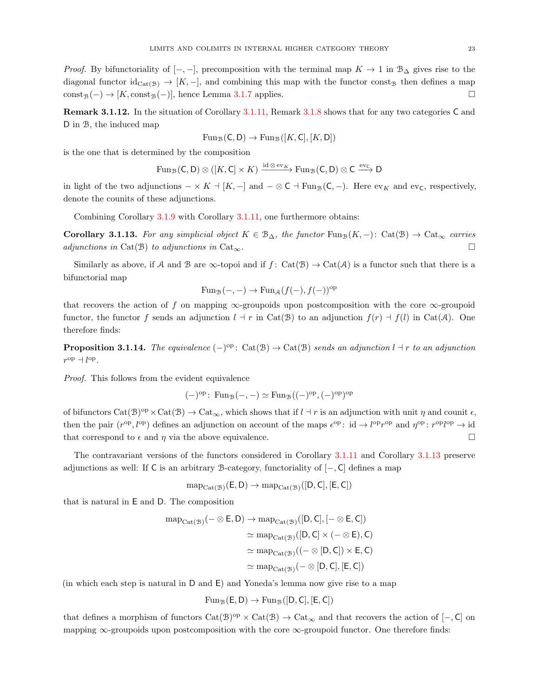*Proof.* By bifunctoriality of  $[-,-]$ , precomposition with the terminal map  $K \to 1$  in  $\mathcal{B}_{\Delta}$  gives rise to the diagonal functor  $\mathrm{id}_{\mathrm{Cat}(\mathcal{B})} \to [K, -]$ , and combining this map with the functor const<sub>B</sub> then defines a map  $\text{const}_B(-) \to [K, \text{const}_B(-)]$ , hence Lemma [3.1.7](#page-20-2) applies.

Remark 3.1.12. In the situation of Corollary [3.1.11,](#page-21-0) Remark [3.1.8](#page-21-1) shows that for any two categories C and D in B, the induced map

$$
\mathrm{Fun}_{\mathcal{B}}(\mathsf{C},\mathsf{D}) \to \mathrm{Fun}_{\mathcal{B}}([K,\mathsf{C}],[K,\mathsf{D}])
$$

is the one that is determined by the composition

$$
\mathrm{Fun}_{\mathcal{B}}(C, D) \otimes ([K, C] \times K) \xrightarrow{\mathrm{id} \otimes \mathrm{ev}_{K}} \mathrm{Fun}_{\mathcal{B}}(C, D) \otimes C \xrightarrow{\mathrm{ev}_{C}} D
$$

in light of the two adjunctions  $-\times K \perp [K, -]$  and  $-\otimes \mathsf{C} \perp \mathrm{Fun}_{\mathcal{B}}(\mathsf{C}, -)$ . Here  $\mathrm{ev}_K$  and  $\mathrm{ev}_\mathsf{C}$ , respectively, denote the counits of these adjunctions.

Combining Corollary [3.1.9](#page-21-2) with Corollary [3.1.11,](#page-21-0) one furthermore obtains:

<span id="page-22-0"></span>Corollary 3.1.13. For any simplicial object  $K \in \mathcal{B}_{\Delta}$ , the functor Fung $(K, -)$ : Cat $(\mathcal{B}) \to \text{Cat}_{\infty}$  carries adjunctions in Cat(B) to adjunctions in Cat<sub>∞</sub>.

Similarly as above, if A and B are  $\infty$ -topoi and if  $f: Cat(B) \to Cat(A)$  is a functor such that there is a bifunctorial map

$$
\operatorname{Fun}_{\mathcal{B}}(-,-) \to \operatorname{Fun}_{\mathcal{A}}(f(-), f(-))^{\text{op}}
$$

that recovers the action of f on mapping  $\infty$ -groupoids upon postcomposition with the core  $\infty$ -groupoid functor, the functor f sends an adjunction  $l \, \dagger \, r$  in Cat( $\mathcal{B}$ ) to an adjunction  $f(r) \, \dagger \, f(l)$  in Cat( $\mathcal{A}$ ). One therefore finds:

<span id="page-22-1"></span>**Proposition 3.1.14.** The equivalence  $(-)^{op}$ : Cat(B)  $\rightarrow$  Cat(B) sends an adjunction  $l \dashv r$  to an adjunction  $r^{\rm op} \dashv l^{\rm op}.$ 

Proof. This follows from the evident equivalence

$$
(-)^{op}
$$
: Fun<sub>B</sub> $(-, -)$   $\simeq$  Fun<sub>B</sub> $((-)^{op}, (-)^{op})^{op}$ 

of bifunctors  $Cat(\mathcal{B})^{op} \times Cat(\mathcal{B}) \to Cat_{\infty}$ , which shows that if  $l \dashv r$  is an adjunction with unit  $\eta$  and counit  $\epsilon$ , then the pair  $(r^{op}, l^{op})$  defines an adjunction on account of the maps  $\epsilon^{op}$ : id  $\rightarrow l^{op}r^{op}$  and  $\eta^{op}$ :  $r^{op}l^{op}$   $\rightarrow$  id that correspond to  $\epsilon$  and  $\eta$  via the above equivalence.

The contravariant versions of the functors considered in Corollary [3.1.11](#page-21-0) and Corollary [3.1.13](#page-22-0) preserve adjunctions as well: If C is an arbitrary B-category, functoriality of [−, C] defines a map

 $map_{Cat(\mathcal{B})}(\mathsf{E},\mathsf{D}) \to map_{Cat(\mathcal{B})}([D,\mathsf{C}],[\mathsf{E},\mathsf{C}])$ 

that is natural in E and D. The composition

$$
\begin{aligned} \mathrm{map}_{\mathrm{Cat}(\mathcal{B})}(- \otimes E, D) &\rightarrow \mathrm{map}_{\mathrm{Cat}(\mathcal{B})}([D, C], [- \otimes E, C]) \\ &\simeq \mathrm{map}_{\mathrm{Cat}(\mathcal{B})}([D, C] \times (- \otimes E), C) \\ &\simeq \mathrm{map}_{\mathrm{Cat}(\mathcal{B})}((-\otimes [D, C]) \times E, C) \\ &\simeq \mathrm{map}_{\mathrm{Cat}(\mathcal{B})}(- \otimes [D, C], [E, C]) \end{aligned}
$$

(in which each step is natural in D and E) and Yoneda's lemma now give rise to a map

$$
\mathrm{Fun}_{\mathcal{B}}(E,D) \to \mathrm{Fun}_{\mathcal{B}}([D,C],[E,C])
$$

that defines a morphism of functors  $Cat(\mathcal{B})^{op} \times Cat(\mathcal{B}) \to Cat_{\infty}$  and that recovers the action of  $[-,C]$  on mapping  $\infty$ -groupoids upon postcomposition with the core  $\infty$ -groupoid functor. One therefore finds: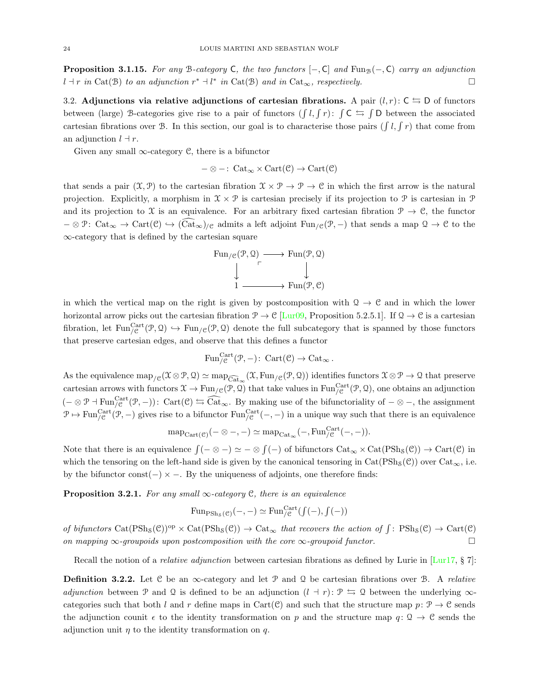<span id="page-23-2"></span>**Proposition 3.1.15.** For any B-category C, the two functors  $[-,C]$  and Fun<sub>B</sub> $(-,C)$  carry an adjunction  $l \dashr r$  in Cat(B) to an adjunction  $r^* \dashv l^*$  in Cat(B) and in Cat<sub>∞</sub>, respectively.

<span id="page-23-0"></span>3.2. Adjunctions via relative adjunctions of cartesian fibrations. A pair  $(l, r)$ :  $C \nightharpoonup D$  of functors between (large) B-categories give rise to a pair of functors  $(\int l, \int r)$ :  $\int C \leq \int D$  between the associated cartesian fibrations over B. In this section, our goal is to characterise those pairs  $(\int l, \int r)$  that come from an adjunction  $l \, \dagger r$ .

Given any small  $\infty$ -category C, there is a bifunctor

$$
-\otimes -\colon \operatorname{Cat}_\infty \times \operatorname{Cart}(\mathcal{C}) \to \operatorname{Cart}(\mathcal{C})
$$

that sends a pair  $(\mathfrak{X}, \mathfrak{P})$  to the cartesian fibration  $\mathfrak{X} \times \mathfrak{P} \to \mathfrak{P} \to \mathfrak{C}$  in which the first arrow is the natural projection. Explicitly, a morphism in  $\mathcal{X} \times \mathcal{P}$  is cartesian precisely if its projection to  $\mathcal{P}$  is cartesian in  $\mathcal{P}$ and its projection to X is an equivalence. For an arbitrary fixed cartesian fibration  $\mathcal{P} \to \mathcal{C}$ , the functor  $-\otimes \mathcal{P}$ : Cat<sub>∞</sub>  $\rightarrow$  Cart( $\mathcal{C}$ )  $\rightarrow$  (Cat<sub>∞</sub>)<sub>/ $\mathcal{C}$ </sub> admits a left adjoint Fun<sub>/ $\mathcal{C}(\mathcal{P},-)$  that sends a map  $\mathcal{Q} \rightarrow \mathcal{C}$  to the</sub> ∞-category that is defined by the cartesian square

$$
\begin{array}{ccc}\n\text{Fun}_{/\mathcal{C}}(\mathcal{P}, \mathcal{Q}) & \longrightarrow & \text{Fun}(\mathcal{P}, \mathcal{Q}) \\
\downarrow & & \downarrow \\
1 & \longrightarrow & \text{Fun}(\mathcal{P}, \mathcal{C})\n\end{array}
$$

in which the vertical map on the right is given by postcomposition with  $\Omega \to \mathcal{C}$  and in which the lower horizontal arrow picks out the cartesian fibration  $\mathcal{P} \to \mathcal{C}$  [\[Lur09,](#page-73-13) Proposition 5.2.5.1]. If  $\mathcal{Q} \to \mathcal{C}$  is a cartesian fibration, let  $\text{Fun}^{\text{Cart}}_{\text{/}e}(\mathcal{P}, \mathcal{Q}) \hookrightarrow \text{Fun}_{\text{/}e}(\mathcal{P}, \mathcal{Q})$  denote the full subcategory that is spanned by those functors that preserve cartesian edges, and observe that this defines a functor

$$
\mathrm{Fun}^{\mathrm{Cart}}_{/\mathcal{C}}(\mathcal{P}, -) \colon \, \mathrm{Cart}(\mathcal{C}) \to \mathrm{Cat}_{\infty} \, .
$$

As the equivalence  $\text{map}_{/\mathcal{C}}(\mathcal{X}\otimes\mathcal{P},\mathcal{Q})\simeq \text{map}_{\widehat{\text{Cat}}_{\infty}}(\mathcal{X},\text{Fun}_{/\mathcal{C}}(\mathcal{P},\mathcal{Q}))$  identifies functors  $\mathcal{X}\otimes\mathcal{P}\to\mathcal{Q}$  that preserve cartesian arrows with functors  $\mathfrak{X} \to \text{Fun}_{/\mathfrak{C}}(\mathfrak{P}, \mathfrak{Q})$  that take values in  $\text{Fun}_{/\mathfrak{C}}^{\text{Cart}}(\mathfrak{P}, \mathfrak{Q})$ , one obtains an adjunction  $(- \otimes \mathcal{P} - \text{Fun}^{\text{Cart}}_{\mathcal{C}}(\mathcal{P}, -))$ : Cart $(\mathcal{C}) \leftrightarrows \widehat{\text{Cat}}_{\infty}$ . By making use of the bifunctoriality of  $-\otimes -$ , the assignment  $\mathcal{P} \mapsto \text{Fun}_{\mathcal{C}}^{\text{Cart}}(\mathcal{P}, -)$  gives rise to a bifunctor  $\text{Fun}_{\mathcal{C}}^{\text{Cart}}(-, -)$  in a unique way such that there is an equivalence

$$
\operatorname{map}_{\operatorname{Cart}(\mathcal{C})}(-\otimes -, -) \simeq \operatorname{map}_{\operatorname{Cat}_{\infty}}(-, \operatorname{Fun}^{\operatorname{Cart}}_{/\mathcal{C}}(-, -)).
$$

Note that there is an equivalence  $\int (-\otimes -) \simeq -\otimes \int (-)$  of bifunctors  $\text{Cat}_{\infty} \times \text{Cat}(\text{PSh}_{\mathcal{S}}(\mathcal{C})) \to \text{Cart}(\mathcal{C})$  in which the tensoring on the left-hand side is given by the canonical tensoring in  $Cat(PSh<sub>S</sub>(\mathcal{C}))$  over  $Cat_{\infty}$ , i.e. by the bifunctor const( $-$ )  $\times$  −. By the uniqueness of adjoints, one therefore finds:

<span id="page-23-1"></span>**Proposition 3.2.1.** For any small  $\infty$ -category C, there is an equivalence

$$
\mathrm{Fun}_{\mathrm{PSh}_\mathcal{S}(\mathcal{C})}(-,-) \simeq \mathrm{Fun}^{\mathrm{Cart}}_{/\mathcal{C}}(f(-), f(-))
$$

of bifunctors  $Cat(PSh_{\mathcal{S}}(\mathcal{C}))^{op} \times Cat(PSh_{\mathcal{S}}(\mathcal{C})) \rightarrow Cat_{\infty}$  that recovers the action of  $\int \colon PSh_{\mathcal{S}}(\mathcal{C}) \rightarrow Cart(\mathcal{C})$ on mapping  $\infty$ -groupoids upon postcomposition with the core  $\infty$ -groupoid functor.

Recall the notion of a *relative adjunction* between cartesian fibrations as defined by Lurie in [\[Lur17,](#page-73-12) § 7]:

**Definition 3.2.2.** Let C be an  $\infty$ -category and let P and Q be cartesian fibrations over B. A relative adjunction between P and Q is defined to be an adjunction  $(l + r): \mathcal{P} \subseteq \mathcal{Q}$  between the underlying  $\infty$ categories such that both l and r define maps in Cart(C) and such that the structure map  $p: \mathcal{P} \to \mathcal{C}$  sends the adjunction counit  $\epsilon$  to the identity transformation on p and the structure map  $q: \Omega \to \mathcal{C}$  sends the adjunction unit  $\eta$  to the identity transformation on q.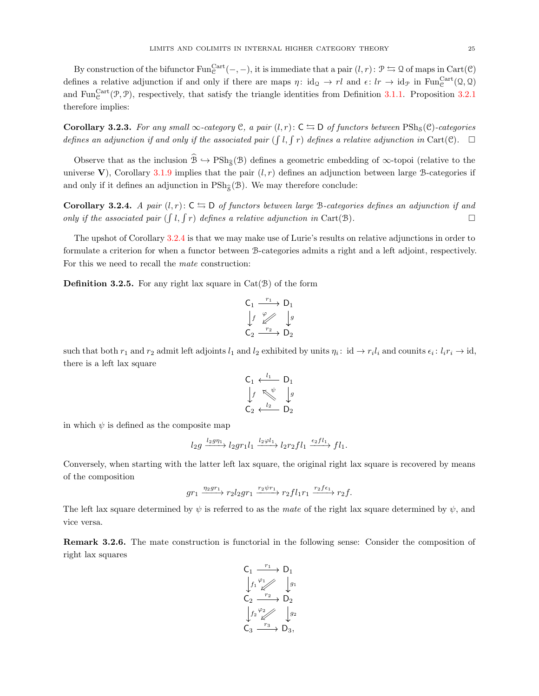By construction of the bifunctor  $\text{Fun}^{\text{Cart}}_{\mathcal{C}}(-,-)$ , it is immediate that a pair  $(l,r)$ :  $\mathcal{P} \leftrightarrows \mathcal{Q}$  of maps in  $\text{Cart}(\mathcal{C})$ defines a relative adjunction if and only if there are maps  $\eta: id_{\Omega} \to rl$  and  $\epsilon: lr \to id_{\mathcal{P}}$  in  $\text{Fun}^{\text{Cart}}_{\mathcal{C}}(\Omega, \Omega)$ and Fun<sup>Cart</sup> $(\mathcal{P}, \mathcal{P})$ , respectively, that satisfy the triangle identities from Definition [3.1.1.](#page-20-1) Proposition [3.2.1](#page-23-1) therefore implies:

<span id="page-24-1"></span>Corollary 3.2.3. For any small  $\infty$ -category C, a pair  $(l, r)$ :  $C \nightharpoonup D$  of functors between PSh<sub>s</sub>(C)-categories defines an adjunction if and only if the associated pair ( $\int l$ ,  $\int r$ ) defines a relative adjunction in Cart(C).  $\Box$ 

Observe that as the inclusion  $\widehat{\mathcal{B}} \hookrightarrow \mathrm{PSh}_{\widehat{\mathcal{S}}}(\mathcal{B})$  defines a geometric embedding of  $\infty$ -topoi (relative to the universe V), Corollary [3.1.9](#page-21-2) implies that the pair  $(l, r)$  defines an adjunction between large B-categories if and only if it defines an adjunction in  $\text{PSh}_{\hat{\mathcal{S}}}(\mathcal{B})$ . We may therefore conclude:

<span id="page-24-0"></span>**Corollary 3.2.4.** A pair  $(l, r)$ :  $C \nightharpoonup D$  of functors between large B-categories defines an adjunction if and only if the associated pair  $(\int l, \int r)$  defines a relative adjunction in Cart(B).

The upshot of Corollary [3.2.4](#page-24-0) is that we may make use of Lurie's results on relative adjunctions in order to formulate a criterion for when a functor between B-categories admits a right and a left adjoint, respectively. For this we need to recall the mate construction:

**Definition 3.2.5.** For any right lax square in  $Cat(\mathcal{B})$  of the form

$$
\begin{array}{ccc}\nC_1 & \xrightarrow{r_1} & D_1 \\
\downarrow f & \swarrow & \downarrow g \\
C_2 & \xrightarrow{r_2} & D_2\n\end{array}
$$

such that both  $r_1$  and  $r_2$  admit left adjoints  $l_1$  and  $l_2$  exhibited by units  $\eta_i: id \to r_i l_i$  and counits  $\epsilon_i: l_i r_i \to id$ , there is a left lax square

$$
C_1 \xleftarrow{l_1} D_1
$$
  
\n
$$
\downarrow f \searrow \qquad \downarrow g
$$
  
\n
$$
C_2 \xleftarrow{l_2} D_2
$$

in which  $\psi$  is defined as the composite map

$$
l_2g \xrightarrow{l_2g\eta_1} l_2gr_1l_1 \xrightarrow{l_2\varphi l_1} l_2r_2fl_1 \xrightarrow{\epsilon_2fl_1} fl_1.
$$

Conversely, when starting with the latter left lax square, the original right lax square is recovered by means of the composition

$$
gr_1 \xrightarrow{\eta_2gr_1} r_2l_2gr_1 \xrightarrow{r_2\psi r_1} r_2fl_1r_1 \xrightarrow{r_2f\epsilon_1} r_2f.
$$

The left lax square determined by  $\psi$  is referred to as the mate of the right lax square determined by  $\psi$ , and vice versa.

Remark 3.2.6. The mate construction is functorial in the following sense: Consider the composition of right lax squares

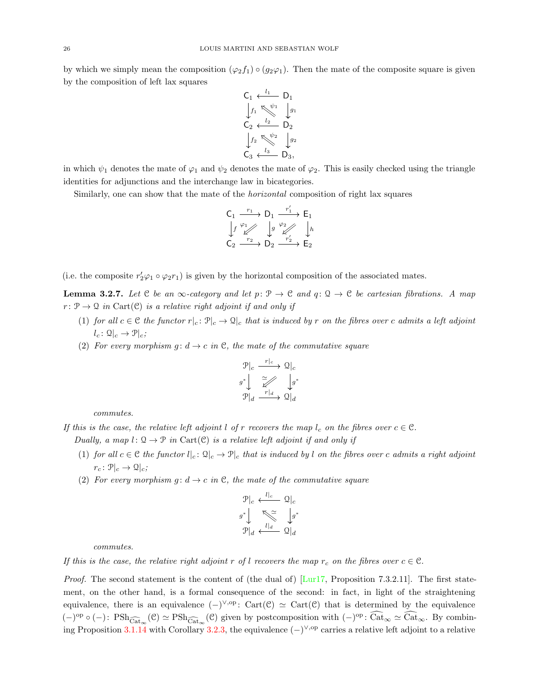by which we simply mean the composition  $(\varphi_2 f_1) \circ (g_2 \varphi_1)$ . Then the mate of the composite square is given by the composition of left lax squares

$$
C_1 \xleftarrow{l_1} D_1
$$
  
\n
$$
\downarrow f_1 \searrow^{\psi_1} \downarrow g_1
$$
  
\n
$$
C_2 \xleftarrow{l_2} D_2
$$
  
\n
$$
\downarrow f_2 \searrow^{\psi_2} \downarrow g_2
$$
  
\n
$$
C_3 \xleftarrow{l_3} D_3,
$$

in which  $\psi_1$  denotes the mate of  $\varphi_1$  and  $\psi_2$  denotes the mate of  $\varphi_2$ . This is easily checked using the triangle identities for adjunctions and the interchange law in bicategories.

Similarly, one can show that the mate of the *horizontal* composition of right lax squares

$$
\begin{array}{ccc} C_1 & \xrightarrow{r_1} & D_1 & \xrightarrow{r'_1} & E_1 \\ \downarrow f & \swarrow & \downarrow g & \swarrow & \downarrow h \\ C_2 & \xrightarrow{r_2} & D_2 & \xrightarrow{r'_2} & E_2 \end{array}
$$

(i.e. the composite  $r'_2\varphi_1 \circ \varphi_2 r_1$ ) is given by the horizontal composition of the associated mates.

<span id="page-25-0"></span>**Lemma 3.2.7.** Let C be an  $\infty$ -category and let  $p: \mathcal{P} \to \mathcal{C}$  and  $q: \mathcal{Q} \to \mathcal{C}$  be cartesian fibrations. A map  $r: \mathcal{P} \to \mathcal{Q}$  in Cart(C) is a relative right adjoint if and only if

- (1) for all  $c \in \mathcal{C}$  the functor  $r|_c : \mathcal{P}|_c \to \mathcal{Q}|_c$  that is induced by r on the fibres over c admits a left adjoint  $l_c: \mathcal{Q}|_c \to \mathcal{P}|_c;$
- (2) For every morphism  $g: d \to c$  in C, the mate of the commutative square

$$
\mathcal{P}|c \xrightarrow{r|c} \mathcal{Q}|c
$$

$$
g^* \downarrow \xrightarrow{\simeq} \downarrow g^*
$$

$$
\mathcal{P}|d \xrightarrow{r|d} \mathcal{Q}|d
$$

commutes.

If this is the case, the relative left adjoint l of r recovers the map  $l_c$  on the fibres over  $c \in \mathcal{C}$ .

Dually, a map  $l: \mathcal{Q} \to \mathcal{P}$  in Cart(C) is a relative left adjoint if and only if

- (1) for all  $c \in \mathcal{C}$  the functor  $l|_c : \mathcal{Q}|_c \to \mathcal{P}|_c$  that is induced by l on the fibres over c admits a right adjoint  $r_c \colon \mathcal{P}|_c \to \mathcal{Q}|_c;$
- (2) For every morphism g:  $d \rightarrow c$  in C, the mate of the commutative square

$$
\mathcal{P}|_{c} \xleftarrow{l|_{c}} \mathcal{Q}|_{c}
$$
\n
$$
g^* \downarrow \qquad \qquad \sum_{l|_{d}} \qquad \qquad \downarrow g^*
$$
\n
$$
\mathcal{P}|_{d} \xleftarrow{l|_{d}} \mathcal{Q}|_{d}
$$

commutes.

If this is the case, the relative right adjoint r of l recovers the map  $r_c$  on the fibres over  $c \in \mathcal{C}$ .

*Proof.* The second statement is the content of (the dual of)  $\text{[Lur17, Proposition 7.3.2.11]}$ . The first statement, on the other hand, is a formal consequence of the second: in fact, in light of the straightening equivalence, there is an equivalence  $(-)^{\vee, op}$ : Cart $(\mathcal{C}) \simeq$  Cart $(\mathcal{C})$  that is determined by the equivalence  $(-)^{\text{op}} \circ (-) \colon \text{PSh}_{\widehat{\text{Cat}}_{\infty}}(\mathcal{C}) \simeq \text{PSh}_{\widehat{\text{Cat}}_{\infty}}(\mathcal{C})$  given by postcomposition with  $(-)^{\text{op}} \colon \widehat{\text{Cat}}_{\infty} \simeq \widehat{\text{Cat}}_{\infty}$ . By combin-ing Proposition [3.1.14](#page-22-1) with Corollary [3.2.3,](#page-24-1) the equivalence  $(-)^{\vee,op}$  carries a relative left adjoint to a relative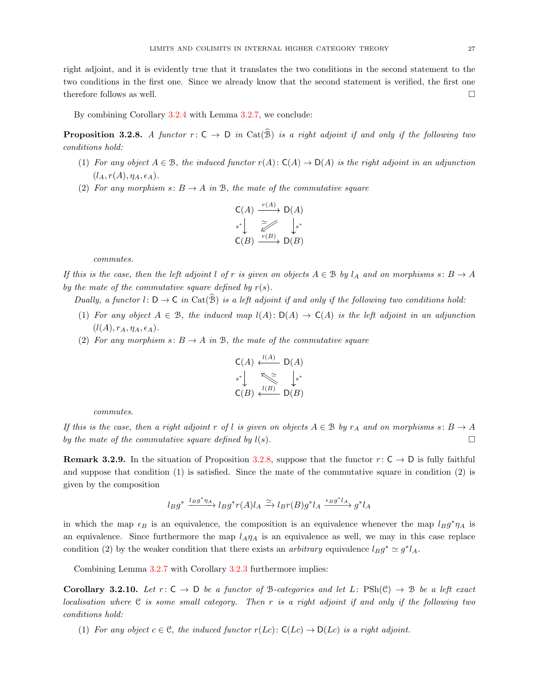right adjoint, and it is evidently true that it translates the two conditions in the second statement to the two conditions in the first one. Since we already know that the second statement is verified, the first one therefore follows as well.  $\Box$ 

By combining Corollary [3.2.4](#page-24-0) with Lemma [3.2.7,](#page-25-0) we conclude:

<span id="page-26-0"></span>**Proposition 3.2.8.** A functor  $r: C \to D$  in  $Cat(\widehat{B})$  is a right adjoint if and only if the following two conditions hold:

- (1) For any object  $A \in \mathcal{B}$ , the induced functor  $r(A): C(A) \to D(A)$  is the right adjoint in an adjunction  $(l_A, r(A), \eta_A, \epsilon_A).$
- (2) For any morphism s:  $B \to A$  in B, the mate of the commutative square

$$
\mathsf{C}(A) \xrightarrow{r(A)} \mathsf{D}(A)
$$
\n
$$
\begin{array}{c} \n\ast \\ \n\ast \\ \n\end{array}\n\quad\n\begin{array}{c}\n\cong \\ \n\ast \\ \n\end{array}\n\quad\n\begin{array}{c}\n\downarrow \\ \n\downarrow \\ \n\end{array}\n\quad\n\begin{array}{c}\n\downarrow \\ \n\downarrow \\ \n\end{array}
$$
\n
$$
\mathsf{C}(B) \xrightarrow{r(B)} \mathsf{D}(B)
$$

commutes.

If this is the case, then the left adjoint l of r is given on objects  $A \in \mathcal{B}$  by  $l_A$  and on morphisms  $s: B \to A$ by the mate of the commutative square defined by  $r(s)$ .

Dually, a functor l:  $D \to C$  in  $Cat(\widehat{B})$  is a left adjoint if and only if the following two conditions hold:

- (1) For any object  $A \in \mathcal{B}$ , the induced map  $l(A): D(A) \to C(A)$  is the left adjoint in an adjunction  $(l(A), r_A, \eta_A, \epsilon_A).$
- (2) For any morphism s:  $B \to A$  in B, the mate of the commutative square

$$
\mathsf{C}(A) \xleftarrow{l(A)} \mathsf{D}(A)
$$
\n
$$
s^* \downarrow \qquad \qquad \mathsf{D}(A)
$$
\n
$$
\mathsf{C}(B) \xleftarrow{l(B)} \mathsf{D}(B)
$$

commutes.

If this is the case, then a right adjoint r of l is given on objects  $A \in \mathcal{B}$  by  $r_A$  and on morphisms s:  $B \to A$ by the mate of the commutative square defined by  $l(s)$ .

**Remark 3.2.9.** In the situation of Proposition [3.2.8,](#page-26-0) suppose that the functor  $r: \mathsf{C} \to \mathsf{D}$  is fully faithful and suppose that condition (1) is satisfied. Since the mate of the commutative square in condition (2) is given by the composition

$$
l_B g^* \xrightarrow{l_B g^* \eta_A} l_B g^* r(A) l_A \xrightarrow{\simeq} l_B r(B) g^* l_A \xrightarrow{\epsilon_B g^* l_A} g^* l_A
$$

in which the map  $\epsilon_B$  is an equivalence, the composition is an equivalence whenever the map  $l_B g^* \eta_A$  is an equivalence. Since furthermore the map  $l_A\eta_A$  is an equivalence as well, we may in this case replace condition (2) by the weaker condition that there exists an *arbitrary* equivalence  $l_B g^* \simeq g^* l_A$ .

Combining Lemma [3.2.7](#page-25-0) with Corollary [3.2.3](#page-24-1) furthermore implies:

**Corollary 3.2.10.** Let  $r: C \to D$  be a functor of B-categories and let L:  $\text{PSh}(\mathcal{C}) \to \mathcal{B}$  be a left exact localisation where  $C$  is some small category. Then r is a right adjoint if and only if the following two conditions hold:

(1) For any object  $c \in \mathcal{C}$ , the induced functor  $r(Le): \mathsf{C}(Le) \to \mathsf{D}(Le)$  is a right adjoint.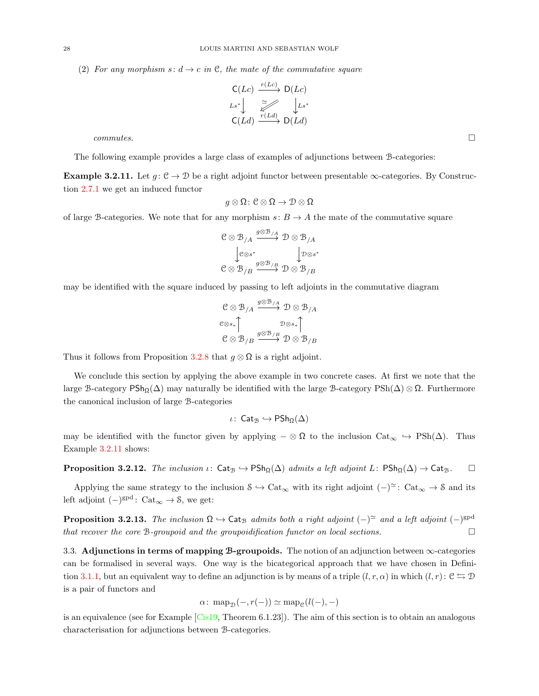(2) For any morphism s:  $d \to c$  in C, the mate of the commutative square

$$
\begin{array}{ccc}\n\mathsf{C}(Lc) & \xrightarrow{r(Lc)} & \mathsf{D}(Lc) \\
\downarrow_{Ls^*} & \xrightarrow{\simeq} & \downarrow_{Ls^*} \\
\mathsf{C}(Ld) & \xrightarrow{r(Ld)} & \mathsf{D}(Ld)\n\end{array}
$$

 $commutes.$ 

The following example provides a large class of examples of adjunctions between B-categories:

<span id="page-27-1"></span>Example 3.2.11. Let  $g: \mathcal{C} \to \mathcal{D}$  be a right adjoint functor between presentable  $\infty$ -categories. By Construction [2.7.1](#page-8-1) we get an induced functor

$$
g\otimes\Omega\colon\mathcal{C}\otimes\Omega\to\mathcal{D}\otimes\Omega
$$

of large B-categories. We note that for any morphism  $s: B \to A$  the mate of the commutative square

$$
\begin{array}{ccc}\n\mathbf{C} \otimes \mathbf{\mathcal{B}}_{/A} & \xrightarrow{g \otimes \mathbf{\mathcal{B}}_{/A}} \mathbf{\mathcal{D}} \otimes \mathbf{\mathcal{B}}_{/A} \\
\downarrow \mathbf{c} \otimes \mathbf{s}^* & \downarrow \mathbf{\mathcal{D}} \otimes \mathbf{s}^* \\
\mathbf{C} \otimes \mathbf{\mathcal{B}}_{/B} & \xrightarrow{g \otimes \mathbf{\mathcal{B}}_{/B}} \mathbf{\mathcal{D}} \otimes \mathbf{\mathcal{B}}_{/B}\n\end{array}
$$

may be identified with the square induced by passing to left adjoints in the commutative diagram

$$
\begin{array}{ccc}\n\mathbf{C} \otimes \mathbf{B}_{/A} & \xrightarrow{\mathbf{g} \otimes \mathbf{B}_{/A}} \mathbf{D} \otimes \mathbf{B}_{/A} \\
\mathbf{C} \otimes s_*\uparrow & & \mathbf{D} \otimes s_*\uparrow \\
\mathbf{C} \otimes \mathbf{B}_{/B} & \xrightarrow{\mathbf{g} \otimes \mathbf{B}_{/B}} \mathbf{D} \otimes \mathbf{B}_{/B}\n\end{array}
$$

Thus it follows from Proposition [3.2.8](#page-26-0) that  $g \otimes \Omega$  is a right adjoint.

We conclude this section by applying the above example in two concrete cases. At first we note that the large B-category  $\text{PSh}_{\Omega}(\Delta)$  may naturally be identified with the large B-category  $\text{PSh}(\Delta) \otimes \Omega$ . Furthermore the canonical inclusion of large B-categories

$$
\iota\colon\operatorname{\mathsf{Cat}}_\mathcal{B}\hookrightarrow\operatorname{\mathsf{PSh}}_\Omega(\Delta)
$$

may be identified with the functor given by applying  $-\otimes \Omega$  to the inclusion  $Cat_{\infty} \hookrightarrow PSh(\Delta)$ . Thus Example [3.2.11](#page-27-1) shows:

**Proposition 3.2.12.** The inclusion  $\iota$ : Cat<sub>B</sub>  $\hookrightarrow$  PSh<sub>Ω</sub>( $\Delta$ ) admits a left adjoint L: PSh<sub>Ω</sub>( $\Delta$ )  $\rightarrow$  Cat<sub>B</sub>.  $\Box$ 

Applying the same strategy to the inclusion  $S \hookrightarrow \text{Cat}_{\infty}$  with its right adjoint  $(-)^{\simeq}$ : Cat<sub>∞</sub>  $\rightarrow$  S and its left adjoint  $(-)^{gpd}$ : Cat<sub>∞</sub>  $\rightarrow$  8, we get:

**Proposition 3.2.13.** The inclusion  $\Omega \hookrightarrow$  Cat<sub>B</sub> admits both a right adjoint  $(-)^\approx$  and a left adjoint  $(-)^\text{spd}$ that recover the core B-groupoid and the groupoidification functor on local sections.  $\Box$ 

<span id="page-27-0"></span>3.3. Adjunctions in terms of mapping B-groupoids. The notion of an adjunction between ∞-categories can be formalised in several ways. One way is the bicategorical approach that we have chosen in Defini-tion [3.1.1,](#page-20-1) but an equivalent way to define an adjunction is by means of a triple  $(l, r, \alpha)$  in which  $(l, r)$ :  $\mathcal{C} \leftrightarrows \mathcal{D}$ is a pair of functors and

$$
\alpha\colon \operatorname{map}_{\mathcal{D}}(-, r(-)) \simeq \operatorname{map}_{\mathcal{C}}(l(-), -)
$$

is an equivalence (see for Example [\[Cis19,](#page-73-15) Theorem 6.1.23]). The aim of this section is to obtain an analogous characterisation for adjunctions between B-categories.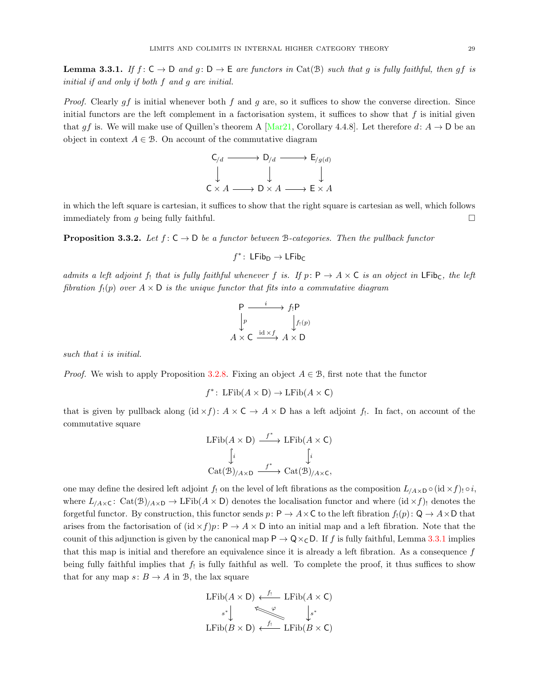<span id="page-28-0"></span>**Lemma 3.3.1.** If  $f: \mathsf{C} \to \mathsf{D}$  and  $g: \mathsf{D} \to \mathsf{E}$  are functors in Cat(B) such that g is fully faithful, then gf is initial if and only if both f and g are initial.

*Proof.* Clearly  $gf$  is initial whenever both  $f$  and  $g$  are, so it suffices to show the converse direction. Since initial functors are the left complement in a factorisation system, it suffices to show that  $f$  is initial given that gf is. We will make use of Quillen's theorem A [\[Mar21,](#page-73-1) Corollary 4.4.8]. Let therefore  $d: A \to D$  be an object in context  $A \in \mathcal{B}$ . On account of the commutative diagram



in which the left square is cartesian, it suffices to show that the right square is cartesian as well, which follows immediately from g being fully faithful.  $\square$ 

<span id="page-28-1"></span>**Proposition 3.3.2.** Let  $f: C \to D$  be a functor between B-categories. Then the pullback functor

$$
f^*\colon\operatorname{\mathsf{LFib}}_D\to\operatorname{\mathsf{LFib}}_C
$$

admits a left adjoint f<sub>!</sub> that is fully faithful whenever f is. If  $p: P \to A \times C$  is an object in LFib<sub>C</sub>, the left fibration  $f_!(p)$  over  $A \times D$  is the unique functor that fits into a commutative diagram

$$
\begin{array}{ccc}\n\mathsf{P} & \xrightarrow{i} & f_!\mathsf{P} \\
\downarrow p & & \downarrow f_!(p) \\
A \times \mathsf{C} & \xrightarrow{\mathrm{id} \times f} & A \times \mathsf{D}\n\end{array}
$$

such that *i* is initial.

*Proof.* We wish to apply Proposition [3.2.8.](#page-26-0) Fixing an object  $A \in \mathcal{B}$ , first note that the functor

$$
f^* \colon \mathrm{LFib}(A \times \mathsf{D}) \to \mathrm{LFib}(A \times \mathsf{C})
$$

that is given by pullback along  $(id \times f)$ :  $A \times C \rightarrow A \times D$  has a left adjoint  $f_!$ . In fact, on account of the commutative square

$$
\begin{array}{ccc}\n\text{LFib}(A \times \mathsf{D}) & \xrightarrow{f^*} & \text{LFib}(A \times \mathsf{C}) \\
\downarrow i & \downarrow i \\
\text{Cat}(\mathcal{B})_{/A \times \mathsf{D}} & \xrightarrow{f^*} & \text{Cat}(\mathcal{B})_{/A \times \mathsf{C}},\n\end{array}
$$

one may define the desired left adjoint f! on the level of left fibrations as the composition  $L_{/A\times D} \circ (\mathrm{id} \times f) \circ i$ , where  $L_{/A \times C}$ : Cat $(\mathcal{B})_{/A \times D}$   $\rightarrow$  LFib $(A \times D)$  denotes the localisation functor and where  $(id \times f)$  denotes the forgetful functor. By construction, this functor sends p:  $P \to A \times C$  to the left fibration  $f_1(p): Q \to A \times D$  that arises from the factorisation of  $(id \times f)p: P \to A \times D$  into an initial map and a left fibration. Note that the counit of this adjunction is given by the canonical map  $P \to Q \times_C D$ . If f is fully faithful, Lemma [3.3.1](#page-28-0) implies that this map is initial and therefore an equivalence since it is already a left fibration. As a consequence f being fully faithful implies that  $f_!$  is fully faithful as well. To complete the proof, it thus suffices to show that for any map  $s: B \to A$  in B, the lax square

$$
\begin{array}{ccc}\n\text{LFib}(A \times D) & \xleftarrow{f_1} & \text{LFib}(A \times C) \\
\downarrow^{s^*} & & \downarrow^{s^*} \\
\text{LFib}(B \times D) & \xleftarrow{f_1} & \text{LFib}(B \times C)\n\end{array}
$$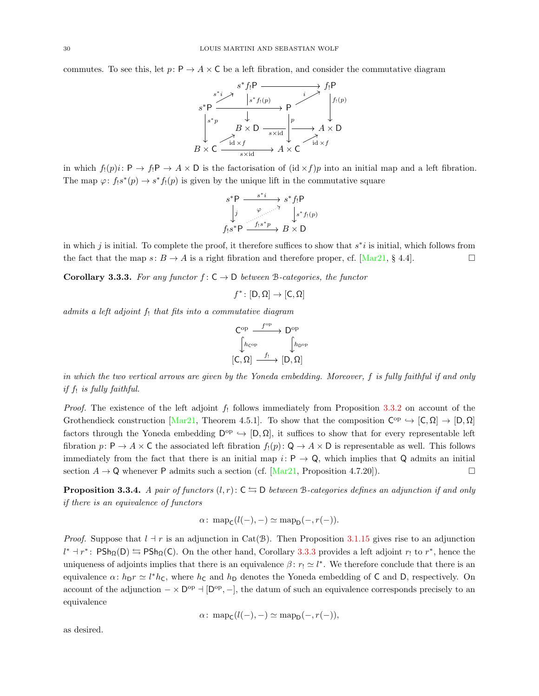commutes. To see this, let  $p: P \to A \times C$  be a left fibration, and consider the commutative diagram



in which  $f_1(p)i: \mathsf{P} \to f_1\mathsf{P} \to A \times \mathsf{D}$  is the factorisation of  $(\mathrm{id} \times f)p$  into an initial map and a left fibration. The map  $\varphi: f_!s^*(p) \to s^*f_!(p)$  is given by the unique lift in the commutative square

$$
s^*P \xrightarrow{\quad s^*i \quad} s^*f_!P
$$
  
\n
$$
\downarrow j \qquad \qquad \downarrow s^*f_!(p)
$$
  
\n
$$
f_!s^*P \xrightarrow{\quad f_!s^*p} B \times D
$$

in which j is initial. To complete the proof, it therefore suffices to show that  $s^*i$  is initial, which follows from the fact that the map  $s: B \to A$  is a right fibration and therefore proper, cf. [\[Mar21,](#page-73-1) § 4.4].

<span id="page-29-0"></span>**Corollary 3.3.3.** For any functor  $f: C \to D$  between B-categories, the functor

$$
f^* \colon [D, \Omega] \to [C, \Omega]
$$

admits a left adjoint  $f_!$  that fits into a commutative diagram

$$
\begin{array}{ccc}\n{\mathsf C}^{\mathrm{op}} & \xrightarrow{f^{\mathrm{op}}} & {\mathsf D}^{\mathrm{op}} \\
\int_{h_{\mathrm{C^{op}}}^{h_{\mathrm{C^{op}}}} & \int_{h_{\mathrm{D^{op}}}}^{h_{\mathrm{D^{op}}}} \\
[{\mathsf C},\Omega] & \xrightarrow{f_1} & [{\mathsf D},\Omega]\n\end{array}
$$

in which the two vertical arrows are given by the Yoneda embedding. Moreover, f is fully faithful if and only if  $f_!$  is fully faithful.

*Proof.* The existence of the left adjoint  $f_1$  follows immediately from Proposition [3.3.2](#page-28-1) on account of the Grothendieck construction [\[Mar21,](#page-73-1) Theorem 4.5.1]. To show that the composition  $C^{op} \hookrightarrow [C, \Omega] \to [D, \Omega]$ factors through the Yoneda embedding  $D^{\rm op} \hookrightarrow [D, \Omega]$ , it suffices to show that for every representable left fibration  $p: \mathsf{P} \to A \times \mathsf{C}$  the associated left fibration  $f_!(p): \mathsf{Q} \to A \times \mathsf{D}$  is representable as well. This follows immediately from the fact that there is an initial map  $i: P \to Q$ , which implies that Q admits an initial section  $A \rightarrow \mathbb{Q}$  whenever P admits such a section (cf. [\[Mar21,](#page-73-1) Proposition 4.7.20]).

<span id="page-29-1"></span>**Proposition 3.3.4.** A pair of functors  $(l, r)$ :  $C \leq D$  between B-categories defines an adjunction if and only if there is an equivalence of functors

$$
\alpha\colon \mathrm{map}_{\mathsf{C}}(l(-),-)\simeq \mathrm{map}_{\mathsf{D}}(-,r(-)).
$$

*Proof.* Suppose that  $l + r$  is an adjunction in Cat(B). Then Proposition [3.1.15](#page-23-2) gives rise to an adjunction  $l^*$  +  $r^*$ :  $\mathsf{PSh}_{\Omega}(\mathsf{D}) \leftrightarrows \mathsf{PSh}_{\Omega}(\mathsf{C})$ . On the other hand, Corollary [3.3.3](#page-29-0) provides a left adjoint  $r_!$  to  $r^*$ , hence the uniqueness of adjoints implies that there is an equivalence  $\beta: r_1 \simeq l^*$ . We therefore conclude that there is an equivalence  $\alpha: h_D r \simeq l^* h_C$ , where  $h_C$  and  $h_D$  denotes the Yoneda embedding of C and D, respectively. On account of the adjunction  $-\times$  D<sup>op</sup>  $\rightarrow$  [D<sup>op</sup>,  $-$ ], the datum of such an equivalence corresponds precisely to an equivalence

$$
\alpha\colon \operatorname{map}_{\mathsf{C}}(l(-),-)\simeq \operatorname{map}_{\mathsf{D}}(-,r(-)),
$$

as desired.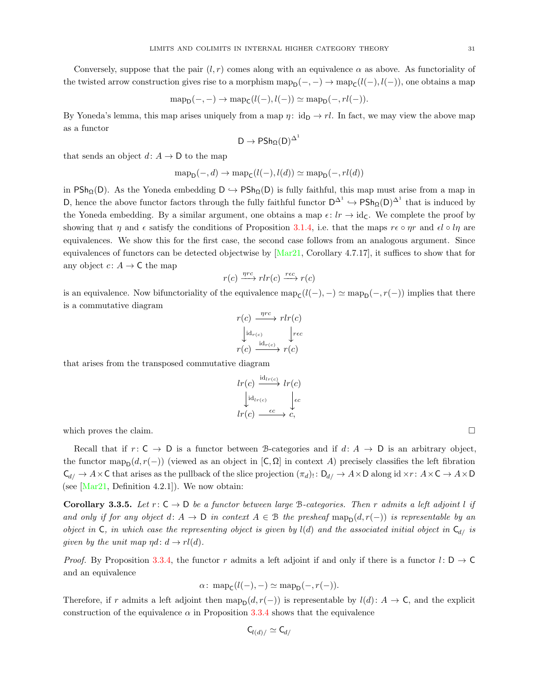Conversely, suppose that the pair  $(l, r)$  comes along with an equivalence  $\alpha$  as above. As functoriality of the twisted arrow construction gives rise to a morphism  $\text{map}_{D}(-, -) \to \text{map}_{C}(l(-), l(-))$ , one obtains a map

$$
\operatorname{map}_{\mathsf{D}}(-,-) \to \operatorname{map}_{\mathsf{C}}(l(-),l(-)) \simeq \operatorname{map}_{\mathsf{D}}(-,rl(-)).
$$

By Yoneda's lemma, this map arises uniquely from a map  $\eta: id_{D} \to rl$ . In fact, we may view the above map as a functor

$$
D\to PSh_\Omega(D)^{\Delta^1}
$$

that sends an object  $d: A \rightarrow D$  to the map

$$
\text{map}_{\mathsf{D}}(-,d) \to \text{map}_{\mathsf{C}}(l(-),l(d)) \simeq \text{map}_{\mathsf{D}}(-,rl(d))
$$

in PSh<sub>Q</sub>(D). As the Yoneda embedding  $D \hookrightarrow PSh<sub>Q</sub>(D)$  is fully faithful, this map must arise from a map in D, hence the above functor factors through the fully faithful functor  $D^{\Delta^1} \hookrightarrow P\mathsf{Sh}_{\Omega}(D)^{\Delta^1}$  that is induced by the Yoneda embedding. By a similar argument, one obtains a map  $\epsilon: lr \to id_{\mathsf{C}}$ . We complete the proof by showing that  $\eta$  and  $\epsilon$  satisfy the conditions of Proposition [3.1.4,](#page-20-3) i.e. that the maps  $r\epsilon \circ \eta r$  and  $\epsilon l \circ l\eta$  are equivalences. We show this for the first case, the second case follows from an analogous argument. Since equivalences of functors can be detected objectwise by  $\text{Mar21}$ , Corollary 4.7.17, it suffices to show that for any object  $c: A \to \mathsf{C}$  the map

$$
r(c) \xrightarrow{\eta rc} rlr(c) \xrightarrow{rec} r(c)
$$

is an equivalence. Now bifunctoriality of the equivalence  $\text{map}_{\mathsf{C}}(l(-), -) \simeq \text{map}_{\mathsf{D}}(-, r(-))$  implies that there is a commutative diagram

$$
r(c) \xrightarrow{\eta rc} rlr(c)
$$
  
\n
$$
\downarrow id_{r(c)} \qquad \qquad \downarrow rec
$$
  
\n
$$
r(c) \xrightarrow{\mathrm{id}_{r(c)}} r(c)
$$

that arises from the transposed commutative diagram

$$
lr(c) \xrightarrow{\mathrm{id}_{lr(c)}} lr(c) \\ \downarrow id_{lr(c)} \\ lr(c) \xrightarrow{\epsilon c} c, \\
$$

which proves the claim.

Recall that if  $r: \mathsf{C} \to \mathsf{D}$  is a functor between B-categories and if  $d: A \to \mathsf{D}$  is an arbitrary object, the functor map<sub>D</sub>( $d, r(-)$ ) (viewed as an object in [C,  $\Omega$ ] in context A) precisely classifies the left fibration  $\mathsf{C}_{d} \to A \times \mathsf{C}$  that arises as the pullback of the slice projection  $(\pi_d)$ :  $\mathsf{D}_{d} \to A \times \mathsf{D}$  along id  $\times r$ :  $A \times \mathsf{C} \to A \times \mathsf{D}$ (see  $[\text{Mar21}, \text{Definition } 4.2.1]$ ). We now obtain:

<span id="page-30-0"></span>Corollary 3.3.5. Let  $r: C \to D$  be a functor between large B-categories. Then r admits a left adjoint l if and only if for any object d: A  $\rightarrow$  D in context A  $\in$  B the presheaf map<sub>p</sub> $(d, r(-))$  is representable by an object in C, in which case the representing object is given by  $l(d)$  and the associated initial object in  $C_{d/2}$  is given by the unit map  $\eta d: d \to rl(d)$ .

*Proof.* By Proposition [3.3.4,](#page-29-1) the functor r admits a left adjoint if and only if there is a functor  $l: D \to C$ and an equivalence

$$
\alpha\colon \operatorname{map}_{\mathsf{C}}(l(-),-)\simeq \operatorname{map}_{\mathsf{D}}(-,r(-)).
$$

Therefore, if r admits a left adjoint then  $\text{map}_{D}(d, r(-))$  is representable by  $l(d): A \rightarrow C$ , and the explicit construction of the equivalence  $\alpha$  in Proposition [3.3.4](#page-29-1) shows that the equivalence

$$
\mathsf{C}_{l(d)/}\simeq \mathsf{C}_{d/}
$$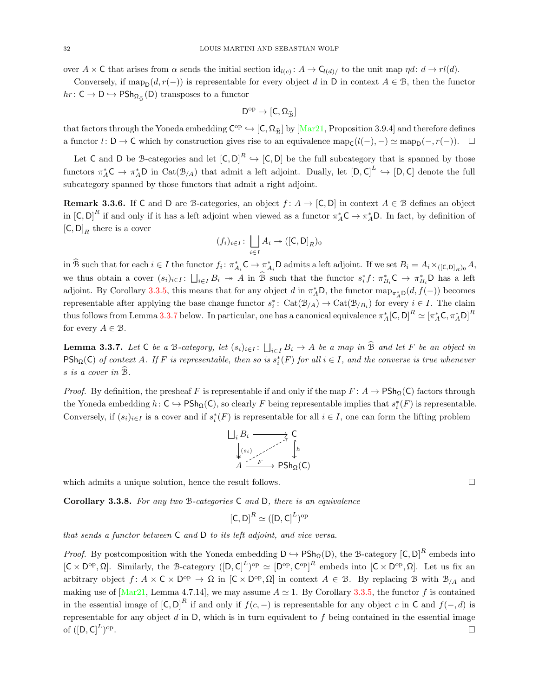over  $A \times C$  that arises from  $\alpha$  sends the initial section  $\mathrm{id}_{l(c)}: A \to \mathsf{C}_{l(d)/l}$  to the unit map  $\eta d: d \to rl(d)$ .

Conversely, if  $\text{map}_D(d, r(-))$  is representable for every object d in D in context  $A \in \mathcal{B}$ , then the functor  $hr: \mathsf{C} \to \mathsf{D} \hookrightarrow \mathsf{PSh}_{\Omega_{\widehat{\mathfrak{B}}}}(\mathsf{D})$  transposes to a functor

$$
D^{\mathrm{op}} \to [C,\Omega_{\widehat{\mathcal{B}}}]
$$

that factors through the Yoneda embedding  $C^{\text{op}} \hookrightarrow [C, \Omega_{\widehat{B}}]$  by [\[Mar21,](#page-73-1) Proposition 3.9.4] and therefore defines a functor  $l: \mathsf{D} \to \mathsf{C}$  which by construction gives rise to an equivalence  $\text{map}_{\mathsf{C}}(l(-), -) \simeq \text{map}_{\mathsf{D}}(-, r(-))$ .  $\Box$ 

Let C and D be B-categories and let  $[C, D]^R \hookrightarrow [C, D]$  be the full subcategory that is spanned by those functors  $\pi_A^* C \to \pi_A^* D$  in  $\text{Cat}(\mathcal{B}_{/A})$  that admit a left adjoint. Dually, let  $[D, C]^L \hookrightarrow [D, C]$  denote the full subcategory spanned by those functors that admit a right adjoint.

<span id="page-31-1"></span>**Remark 3.3.6.** If C and D are B-categories, an object  $f: A \to [C, D]$  in context  $A \in \mathcal{B}$  defines an object in  $[C, D]^R$  if and only if it has a left adjoint when viewed as a functor  $\pi_A^* C \to \pi_A^* D$ . In fact, by definition of  $[C, D]_R$  there is a cover

$$
(f_i)_{i \in I} \colon \bigsqcup_{i \in I} A_i \twoheadrightarrow ([\mathsf{C}, \mathsf{D}]_R)_0
$$

in  $\widehat{B}$  such that for each  $i \in I$  the functor  $f_i: \pi_{A_i}^* C \to \pi_{A_i}^* D$  admits a left adjoint. If we set  $B_i = A_i \times_{([C,D]_R)_0} A$ , we thus obtain a cover  $(s_i)_{i\in I}$ :  $\bigsqcup_{i\in I} B_i \to A$  in  $\widehat{B}$  such that the functor  $s_i^* f: \pi_{B_i}^* C \to \pi_{B_i}^* D$  has a left adjoint. By Corollary [3.3.5,](#page-30-0) this means that for any object d in  $\pi_A^* D$ , the functor  $\text{map}_{\pi_A^* D}(d, f(-))$  becomes representable after applying the base change functor  $s_i^* \colon \text{Cat}(\mathcal{B}_{/A}) \to \text{Cat}(\mathcal{B}_{/B_i})$  for every  $i \in I$ . The claim thus follows from Lemma [3.3.7](#page-31-0) below. In particular, one has a canonical equivalence  $\pi_A^*$  [C, D] $^R \simeq [\pi_A^* C, \pi_A^* D]^R$ for every  $A \in \mathcal{B}$ .

<span id="page-31-0"></span>**Lemma 3.3.7.** Let C be a B-category, let  $(s_i)_{i \in I}$ :  $\bigsqcup_{i \in I} B_i \to A$  be a map in B and let F be an object in  $\text{PSh}_{\Omega}(\mathsf{C})$  of context A. If F is representable, then so is  $s_i^*(F)$  for all  $i \in I$ , and the converse is true whenever  $s$  is a cover in  $\overline{B}$ .

*Proof.* By definition, the presheaf F is representable if and only if the map  $F: A \to \text{PSh}_\Omega(\mathsf{C})$  factors through the Yoneda embedding  $h: C \hookrightarrow \text{PSh}_{\Omega}(C)$ , so clearly F being representable implies that  $s_i^*(F)$  is representable. Conversely, if  $(s_i)_{i\in I}$  is a cover and if  $s_i^*(F)$  is representable for all  $i\in I$ , one can form the lifting problem

$$
\begin{array}{ccc}\n\bigsqcup_{i} B_{i} & \xrightarrow{\qquad} C \\
\downarrow_{(s_{i})} & \xrightarrow{\qquad} \uparrow_{h} \\
A & \xrightarrow{F} & \text{PSh}_{\Omega}(C)\n\end{array}
$$

which admits a unique solution, hence the result follows.  $\Box$ 

Corollary 3.3.8. For any two B-categories C and D, there is an equivalence

$$
[\mathsf{C},\mathsf{D}]^R \simeq ([\mathsf{D},\mathsf{C}]^L)^{\mathrm{op}}
$$

that sends a functor between C and D to its left adjoint, and vice versa.

*Proof.* By postcomposition with the Yoneda embedding  $D \hookrightarrow PSh_{\Omega}(D)$ , the B-category  $[C, D]^{R}$  embeds into  $[C \times D^{\text{op}}, \Omega]$ . Similarly, the B-category  $([D, C]^L)^{\text{op}} \simeq [D^{\text{op}}, C^{\text{op}}]^R$  embeds into  $[C \times D^{\text{op}}, \Omega]$ . Let us fix an arbitrary object  $f: A \times C \times D^{\text{op}} \to \Omega$  in  $[C \times D^{\text{op}}, \Omega]$  in context  $A \in \mathcal{B}$ . By replacing  $\mathcal{B}$  with  $\mathcal{B}_{/A}$  and making use of [\[Mar21,](#page-73-1) Lemma 4.7.14], we may assume  $A \simeq 1$ . By Corollary [3.3.5,](#page-30-0) the functor f is contained in the essential image of  $[C, D]^R$  if and only if  $f(c, -)$  is representable for any object c in C and  $f(-, d)$  is representable for any object  $d$  in D, which is in turn equivalent to  $f$  being contained in the essential image of  $([D, C]^L)$ <sup>op</sup> .<br>1980 - Paul Barbara, politikar eta biztanleria eta biztanleria eta biztanleria eta biztanleria eta biztanleri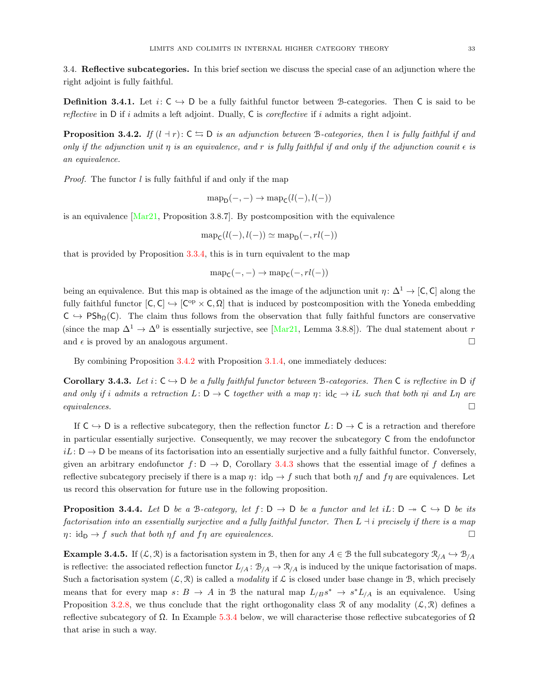<span id="page-32-0"></span>3.4. Reflective subcategories. In this brief section we discuss the special case of an adjunction where the right adjoint is fully faithful.

**Definition 3.4.1.** Let  $i: \mathsf{C} \hookrightarrow \mathsf{D}$  be a fully faithful functor between B-categories. Then  $\mathsf{C}$  is said to be reflective in  $D$  if i admits a left adjoint. Dually,  $C$  is *coreflective* if i admits a right adjoint.

<span id="page-32-1"></span>**Proposition 3.4.2.** If  $(l + r): C \rightharpoonup D$  is an adjunction between B-categories, then l is fully faithful if and only if the adjunction unit  $\eta$  is an equivalence, and r is fully faithful if and only if the adjunction counit  $\epsilon$  is an equivalence.

*Proof.* The functor  $l$  is fully faithful if and only if the map

$$
\mathrm{map}_{\mathsf{D}}(-,-) \to \mathrm{map}_{\mathsf{C}}(l(-), l(-))
$$

is an equivalence  $[Mar21,$  Proposition 3.8.7]. By postcomposition with the equivalence

$$
\mathrm{map}_{\mathsf{C}}(l(-), l(-)) \simeq \mathrm{map}_{\mathsf{D}}(-, rl(-))
$$

that is provided by Proposition [3.3.4,](#page-29-1) this is in turn equivalent to the map

$$
\mathrm{map}_{\mathsf{C}}(-,-) \to \mathrm{map}_{\mathsf{C}}(-,rl(-))
$$

being an equivalence. But this map is obtained as the image of the adjunction unit  $\eta: \Delta^1 \to [\mathsf{C}, \mathsf{C}]$  along the fully faithful functor  $[C, C] \hookrightarrow [C^{op} \times C, \Omega]$  that is induced by postcomposition with the Yoneda embedding  $C \hookrightarrow PSh_{\Omega}(C)$ . The claim thus follows from the observation that fully faithful functors are conservative (since the map  $\Delta^1 \to \Delta^0$  is essentially surjective, see [\[Mar21,](#page-73-1) Lemma 3.8.8]). The dual statement about r and  $\epsilon$  is proved by an analogous argument.

By combining Proposition [3.4.2](#page-32-1) with Proposition [3.1.4,](#page-20-3) one immediately deduces:

<span id="page-32-2"></span>Corollary 3.4.3. Let  $i: C \rightarrow D$  be a fully faithful functor between B-categories. Then C is reflective in D if and only if i admits a retraction  $L: \mathsf{D} \to \mathsf{C}$  together with a map  $\eta: \mathrm{id}_{\mathsf{C}} \to i\mathsf{L}$  such that both  $\eta$  and  $\mathsf{L}\eta$  are  $equivalences.$ 

If  $C \hookrightarrow D$  is a reflective subcategory, then the reflection functor  $L: D \to C$  is a retraction and therefore in particular essentially surjective. Consequently, we may recover the subcategory C from the endofunctor  $iL: \mathsf{D} \to \mathsf{D}$  be means of its factorisation into an essentially surjective and a fully faithful functor. Conversely, given an arbitrary endofunctor  $f: D \to D$ , Corollary [3.4.3](#page-32-2) shows that the essential image of f defines a reflective subcategory precisely if there is a map  $\eta: id_{\mathcal{D}} \to f$  such that both  $\eta f$  and  $f\eta$  are equivalences. Let us record this observation for future use in the following proposition.

**Proposition 3.4.4.** Let D be a B-category, let  $f: D \to D$  be a functor and let  $iL: D \to C \to D$  be its factorisation into an essentially surjective and a fully faithful functor. Then  $L \dashv i$  precisely if there is a map  $\eta: id_{\mathsf{D}} \to f$  such that both  $\eta f$  and  $f\eta$  are equivalences.

**Example 3.4.5.** If  $(\mathcal{L}, \mathcal{R})$  is a factorisation system in B, then for any  $A \in \mathcal{B}$  the full subcategory  $\mathcal{R}_{/A} \hookrightarrow \mathcal{B}_{/A}$ is reflective: the associated reflection functor  $L_{/A}: \mathcal{B}_{/A} \to \mathcal{R}_{/A}$  is induced by the unique factorisation of maps. Such a factorisation system  $(\mathcal{L}, \mathcal{R})$  is called a *modality* if  $\mathcal{L}$  is closed under base change in  $\mathcal{B}$ , which precisely means that for every map  $s: B \to A$  in B the natural map  $L_{/B} s^* \to s^* L_{/A}$  is an equivalence. Using Proposition [3.2.8,](#page-26-0) we thus conclude that the right orthogonality class R of any modality  $(\mathcal{L}, \mathcal{R})$  defines a reflective subcategory of  $\Omega$ . In Example [5.3.4](#page-52-0) below, we will characterise those reflective subcategories of  $\Omega$ that arise in such a way.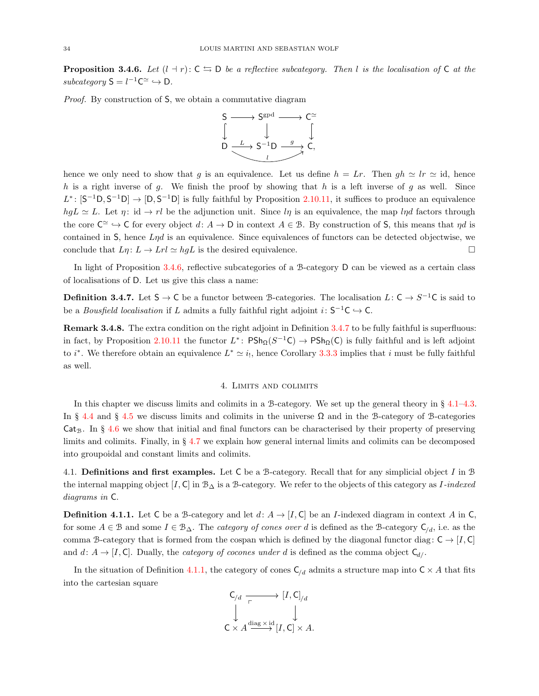<span id="page-33-1"></span>**Proposition 3.4.6.** Let  $(l + r): C \rightharpoonup D$  be a reflective subcategory. Then l is the localisation of C at the subcategory  $S = l^{-1}C^{\simeq} \hookrightarrow D$ .

Proof. By construction of S, we obtain a commutative diagram



hence we only need to show that g is an equivalence. Let us define  $h = Lr$ . Then  $gh \simeq lr \simeq id$ , hence h is a right inverse of g. We finish the proof by showing that h is a left inverse of g as well. Since  $L^*$ :  $[S^{-1}D, S^{-1}D] \rightarrow [D, S^{-1}D]$  is fully faithful by Proposition [2.10.11,](#page-19-1) it suffices to produce an equivalence  $hgL \simeq L$ . Let  $\eta: id \to rl$  be the adjunction unit. Since  $l\eta$  is an equivalence, the map  $l\eta d$  factors through the core  $\mathbb{C}^{\simeq} \to \mathbb{C}$  for every object  $d: A \to \mathbb{D}$  in context  $A \in \mathcal{B}$ . By construction of S, this means that  $\eta d$  is contained in  $S$ , hence  $L\eta d$  is an equivalence. Since equivalences of functors can be detected objectwise, we conclude that  $L\eta: L \to Lrl \simeq hgL$  is the desired equivalence.

In light of Proposition [3.4.6,](#page-33-1) reflective subcategories of a B-category D can be viewed as a certain class of localisations of D. Let us give this class a name:

<span id="page-33-2"></span>**Definition 3.4.7.** Let  $S \to C$  be a functor between B-categories. The localisation  $L: C \to S^{-1}C$  is said to be a *Bousfield localisation* if L admits a fully faithful right adjoint  $i: S^{-1}C \hookrightarrow C$ .

Remark 3.4.8. The extra condition on the right adjoint in Definition [3.4.7](#page-33-2) to be fully faithful is superfluous: in fact, by Proposition [2.10.11](#page-19-1) the functor  $L^*$ :  $P\text{Sh}_{\Omega}(S^{-1}C) \to P\text{Sh}_{\Omega}(C)$  is fully faithful and is left adjoint to i<sup>\*</sup>. We therefore obtain an equivalence  $L^* \simeq i_!,$  hence Corollary [3.3.3](#page-29-0) implies that i must be fully faithful as well.

# 4. Limits and colimits

<span id="page-33-0"></span>In this chapter we discuss limits and colimits in a B-category. We set up the general theory in § [4.1](#page-33-3)[–4.3.](#page-40-0) In § [4.4](#page-42-0) and § [4.5](#page-45-0) we discuss limits and colimits in the universe  $Ω$  and in the B-category of B-categories  $Cat_B$ . In § [4.6](#page-46-0) we show that initial and final functors can be characterised by their property of preserving limits and colimits. Finally, in § [4.7](#page-48-0) we explain how general internal limits and colimits can be decomposed into groupoidal and constant limits and colimits.

<span id="page-33-3"></span>4.1. Definitions and first examples. Let C be a B-category. Recall that for any simplicial object I in B the internal mapping object  $[I, C]$  in  $\mathcal{B}_{\Delta}$  is a B-category. We refer to the objects of this category as I-indexed diagrams in C.

<span id="page-33-4"></span>**Definition 4.1.1.** Let C be a B-category and let  $d: A \rightarrow [I, C]$  be an *I*-indexed diagram in context A in C, for some  $A \in \mathcal{B}$  and some  $I \in \mathcal{B}_{\Delta}$ . The *category of cones over d* is defined as the B-category  $C_{/d}$ , i.e. as the comma B-category that is formed from the cospan which is defined by the diagonal functor diag:  $C \rightarrow [I, C]$ and  $d: A \to [I, C]$ . Dually, the *category of cocones under d* is defined as the comma object  $C_{d}$ .

In the situation of Definition [4.1.1,](#page-33-4) the category of cones  $C_{d}$  admits a structure map into  $C \times A$  that fits into the cartesian square

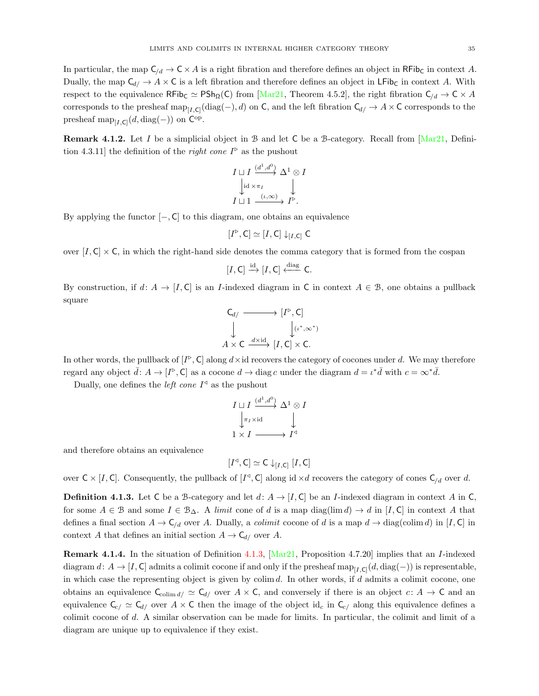In particular, the map  $C_{d} \to C \times A$  is a right fibration and therefore defines an object in RFib<sub>C</sub> in context A. Dually, the map  $C_{d/} \to A \times C$  is a left fibration and therefore defines an object in LFib<sub>C</sub> in context A. With respect to the equivalence  $\mathsf{RFib}_\mathsf{C} \simeq \mathsf{PSh}_\Omega(\mathsf{C})$  from [\[Mar21,](#page-73-1) Theorem 4.5.2], the right fibration  $\mathsf{C}_{/d} \to \mathsf{C} \times A$ corresponds to the presheaf  $\text{map}_{[I,\mathsf{C}]}(\text{diag}(-),d)$  on C, and the left fibration  $\mathsf{C}_{d}/\to A\times\mathsf{C}$  corresponds to the presheaf  $\text{map}_{[I,\mathsf{C}]}(d,\text{diag}(-))$  on  $\mathsf{C}^{\text{op}}$ .

**Remark 4.1.2.** Let I be a simplicial object in B and let C be a B-category. Recall from  $Mar21$ , Definition 4.3.11 the definition of the *right cone*  $I^{\triangleright}$  as the pushout

$$
I \sqcup I \xrightarrow{\left(d^1, d^0\right)} \Delta^1 \otimes I
$$
  
\n
$$
\downarrow id \times \pi_I \qquad \qquad \downarrow
$$
  
\n
$$
I \sqcup 1 \xrightarrow{\left(\iota, \infty\right)} I^{\triangleright}.
$$

By applying the functor  $[-, C]$  to this diagram, one obtains an equivalence

$$
[I^{\triangleright}, \mathsf{C}] \simeq [I, \mathsf{C}] \downarrow_{[I, \mathsf{C}]} \mathsf{C}
$$

over  $[I, C] \times C$ , in which the right-hand side denotes the comma category that is formed from the cospan

$$
[I,\mathsf{C}] \xrightarrow{\mathrm{id}} [I,\mathsf{C}] \xleftarrow{\mathrm{diag}} \mathsf{C}.
$$

By construction, if  $d: A \to [I, C]$  is an *I*-indexed diagram in C in context  $A \in \mathcal{B}$ , one obtains a pullback square

$$
C_{d/} \longrightarrow [I^{\triangleright}, C]
$$
  
\n
$$
\downarrow \qquad \qquad [\iota^*, \infty^*)
$$
  
\n
$$
A \times C \xrightarrow{d \times \mathrm{id}} [I, C] \times C.
$$

In other words, the pullback of  $[I^{\triangleright}, C]$  along  $d \times id$  recovers the category of cocones under d. We may therefore regard any object  $\bar{d}: A \to [I^{\triangleright}, \mathsf{C}]$  as a cocone  $d \to \text{diag } c$  under the diagram  $d = \iota^* \bar{d}$  with  $c = \infty^* \bar{d}$ .

Dually, one defines the *left cone*  $I^{\triangleleft}$  as the pushout

$$
I \sqcup I \xrightarrow{(d^1, d^0)} \Delta^1 \otimes I
$$
  

$$
\downarrow_{\pi_I \times \mathrm{id}} \qquad \downarrow
$$
  

$$
1 \times I \longrightarrow I^{\triangleleft}
$$

and therefore obtains an equivalence

$$
[I^\triangleleft, \mathsf{C}] \simeq \mathsf{C} \downarrow_{[I, \mathsf{C}]} [I, \mathsf{C}]
$$

over  $C \times [I, C]$ . Consequently, the pullback of  $[I^d, C]$  along id  $\times d$  recovers the category of cones  $C_{/d}$  over d.

<span id="page-34-0"></span>**Definition 4.1.3.** Let C be a B-category and let  $d: A \rightarrow [I, C]$  be an *I*-indexed diagram in context A in C, for some  $A \in \mathcal{B}$  and some  $I \in \mathcal{B}_{\Delta}$ . A limit cone of d is a map diag(lim d)  $\rightarrow d$  in [I, C] in context A that defines a final section  $A \to \mathsf{C}_{/d}$  over A. Dually, a *colimit* cocone of d is a map  $d \to \text{diag}(\text{colim } d)$  in [I, C] in context A that defines an initial section  $A \to \mathsf{C}_{d}$  over A.

<span id="page-34-1"></span>Remark 4.1.4. In the situation of Definition [4.1.3,](#page-34-0) [\[Mar21,](#page-73-1) Proposition 4.7.20] implies that an I-indexed diagram  $d: A \to [I, C]$  admits a colimit cocone if and only if the presheaf  $\text{map}_{[I, C]}(d, \text{diag}(-))$  is representable, in which case the representing object is given by colim  $d$ . In other words, if  $d$  admits a colimit cocone, one obtains an equivalence  $C_{\text{colim }d}/\simeq C_{d}/$  over  $A\times C$ , and conversely if there is an object  $c: A \to C$  and an equivalence  $C_{c/} \simeq C_{d/}$  over  $A \times C$  then the image of the object id<sub>c</sub> in  $C_{c/}$  along this equivalence defines a colimit cocone of d. A similar observation can be made for limits. In particular, the colimit and limit of a diagram are unique up to equivalence if they exist.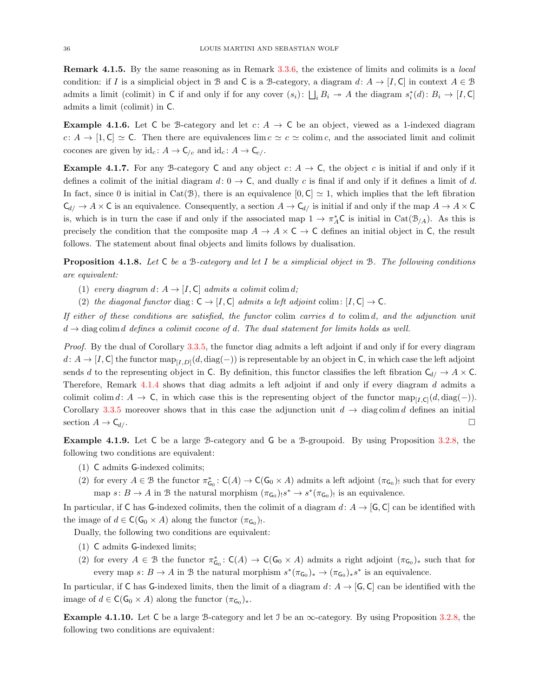Remark 4.1.5. By the same reasoning as in Remark [3.3.6,](#page-31-1) the existence of limits and colimits is a local condition: if I is a simplicial object in B and C is a B-category, a diagram  $d: A \to [I, C]$  in context  $A \in \mathcal{B}$ admits a limit (colimit) in C if and only if for any cover  $(s_i)$ :  $\bigsqcup_i B_i \to A$  the diagram  $s_i^*(d)$ :  $B_i \to [I, C]$ admits a limit (colimit) in C.

**Example 4.1.6.** Let C be B-category and let  $c: A \rightarrow C$  be an object, viewed as a 1-indexed diagram  $c: A \to [1, C] \simeq C$ . Then there are equivalences lim  $c \simeq c \simeq$  colim c, and the associated limit and colimit cocones are given by  $\mathrm{id}_c \colon A \to \mathsf{C}_{/c}$  and  $\mathrm{id}_c \colon A \to \mathsf{C}_{c}/.$ 

**Example 4.1.7.** For any B-category C and any object  $c: A \to \mathbb{C}$ , the object c is initial if and only if it defines a colimit of the initial diagram  $d: 0 \to \mathsf{C}$ , and dually c is final if and only if it defines a limit of d. In fact, since 0 is initial in Cat(B), there is an equivalence  $[0, C] \simeq 1$ , which implies that the left fibration  $\mathsf{C}_{d/} \to A \times \mathsf{C}$  is an equivalence. Consequently, a section  $A \to \mathsf{C}_{d/}$  is initial if and only if the map  $A \to A \times \mathsf{C}$ is, which is in turn the case if and only if the associated map  $1 \to \pi_A^*C$  is initial in Cat $(\mathcal{B}_{/A})$ . As this is precisely the condition that the composite map  $A \to A \times C \to C$  defines an initial object in C, the result follows. The statement about final objects and limits follows by dualisation.

**Proposition 4.1.8.** Let  $\mathsf{C}$  be a B-category and let  $I$  be a simplicial object in B. The following conditions are equivalent:

- (1) every diagram d:  $A \rightarrow [I, C]$  admits a colimit colim d;
- (2) the diagonal functor diag:  $C \rightarrow [I, C]$  admits a left adjoint colim:  $[I, C] \rightarrow C$ .

If either of these conditions are satisfied, the functor colim carries d to colim d, and the adjunction unit  $d \rightarrow$  diag colim d defines a colimit cocone of d. The dual statement for limits holds as well.

Proof. By the dual of Corollary [3.3.5,](#page-30-0) the functor diag admits a left adjoint if and only if for every diagram  $d: A \to [I, C]$  the functor  $\text{map}_{[I, D]}(d, \text{diag}(-))$  is representable by an object in C, in which case the left adjoint sends d to the representing object in C. By definition, this functor classifies the left fibration  $C_{d/} \to A \times C$ . Therefore, Remark [4.1.4](#page-34-1) shows that diag admits a left adjoint if and only if every diagram d admits a colimit colim d: A  $\rightarrow$  C, in which case this is the representing object of the functor  $\text{map}_{[I,\text{C}]}(d,\text{diag}(-))$ . Corollary [3.3.5](#page-30-0) moreover shows that in this case the adjunction unit  $d \to \text{diag}\,\text{colim}\,d$  defines an initial section  $A \to \mathsf{C}_{d/}$ .

Example 4.1.9. Let C be a large B-category and G be a B-groupoid. By using Proposition [3.2.8,](#page-26-0) the following two conditions are equivalent:

- (1) C admits G-indexed colimits;
- (2) for every  $A \in \mathcal{B}$  the functor  $\pi_{\mathsf{G}_0}^* \colon \mathsf{C}(A) \to \mathsf{C}(\mathsf{G}_0 \times A)$  admits a left adjoint  $(\pi_{\mathsf{G}_0})_!$  such that for every map  $s: B \to A$  in B the natural morphism  $(\pi_{\mathsf{G}_0})_! s^* \to s^*(\pi_{\mathsf{G}_0})_!$  is an equivalence.

In particular, if C has G-indexed colimits, then the colimit of a diagram  $d: A \rightarrow [G, C]$  can be identified with the image of  $d \in \mathsf{C}(\mathsf{G}_0 \times A)$  along the functor  $(\pi_{\mathsf{G}_0})_!$ .

Dually, the following two conditions are equivalent:

- (1) C admits G-indexed limits;
- (2) for every  $A \in \mathcal{B}$  the functor  $\pi_{\mathsf{G}_0}^* : \mathsf{C}(A) \to \mathsf{C}(\mathsf{G}_0 \times A)$  admits a right adjoint  $(\pi_{\mathsf{G}_0})_*$  such that for every map  $s: B \to A$  in B the natural morphism  $s^*(\pi_{G_0})_* \to (\pi_{G_0})_*s^*$  is an equivalence.

In particular, if C has G-indexed limits, then the limit of a diagram  $d: A \rightarrow [G, C]$  can be identified with the image of  $d \in \mathsf{C}(\mathsf{G}_0 \times A)$  along the functor  $(\pi_{\mathsf{G}_0})_*$ .

Example 4.1.10. Let C be a large B-category and let  $\Im$  be an  $\infty$ -category. By using Proposition [3.2.8,](#page-26-0) the following two conditions are equivalent: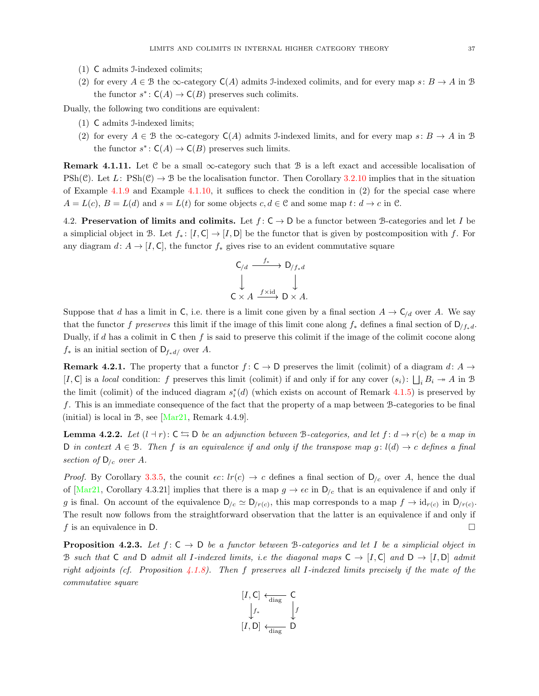- (1) C admits I-indexed colimits;
- (2) for every  $A \in \mathcal{B}$  the  $\infty$ -category  $C(A)$  admits J-indexed colimits, and for every map  $s: B \to A$  in  $\mathcal{B}$ the functor  $s^*$ :  $C(A) \to C(B)$  preserves such colimits.

Dually, the following two conditions are equivalent:

- (1) C admits I-indexed limits;
- (2) for every  $A \in \mathcal{B}$  the  $\infty$ -category  $C(A)$  admits J-indexed limits, and for every map  $s: B \to A$  in  $\mathcal{B}$ the functor  $s^*$ :  $C(A) \to C(B)$  preserves such limits.

<span id="page-36-3"></span>**Remark 4.1.11.** Let  $C$  be a small  $\infty$ -category such that  $B$  is a left exact and accessible localisation of PSh(C). Let L:  $\text{PSh}(\mathcal{C}) \to \mathcal{B}$  be the localisation functor. Then Corollary [3.2.10](#page-26-0) implies that in the situation of Example [4.1.9](#page-35-0) and Example [4.1.10,](#page-35-1) it suffices to check the condition in (2) for the special case where  $A = L(c)$ ,  $B = L(d)$  and  $s = L(t)$  for some objects  $c, d \in \mathcal{C}$  and some map  $t: d \to c$  in  $\mathcal{C}$ .

4.2. Preservation of limits and colimits. Let  $f: \mathsf{C} \to \mathsf{D}$  be a functor between B-categories and let I be a simplicial object in B. Let  $f_* : [I, C] \to [I, D]$  be the functor that is given by postcomposition with f. For any diagram  $d: A \to [I, C]$ , the functor  $f_*$  gives rise to an evident commutative square

$$
\begin{array}{ccc}\nC_{/d} & \xrightarrow{f_*} & D_{/f_*d} \\
\downarrow & & \downarrow \\
C \times A & \xrightarrow{f \times \text{id}} & D \times A.\n\end{array}
$$

Suppose that d has a limit in C, i.e. there is a limit cone given by a final section  $A \to C_{/d}$  over A. We say that the functor f preserves this limit if the image of this limit cone along  $f_*$  defines a final section of  $D_{/f_*d}$ . Dually, if d has a colimit in  $\mathsf C$  then f is said to preserve this colimit if the image of the colimit cocone along  $f_*$  is an initial section of  $D_{f_*d/}$  over A.

<span id="page-36-2"></span>**Remark 4.2.1.** The property that a functor  $f: C \to D$  preserves the limit (colimit) of a diagram  $d: A \to D$ [I, C] is a local condition: f preserves this limit (colimit) if and only if for any cover  $(s_i)$ :  $\bigsqcup_i B_i \to A$  in B the limit (colimit) of the induced diagram  $s_i^*(d)$  (which exists on account of Remark [4.1.5\)](#page-35-2) is preserved by f. This is an immediate consequence of the fact that the property of a map between B-categories to be final (initial) is local in B, see [\[Mar21,](#page-73-0) Remark 4.4.9].

<span id="page-36-0"></span>**Lemma 4.2.2.** Let  $(l + r): C \rightharpoonup D$  be an adjunction between B-categories, and let  $f: d \rightarrow r(c)$  be a map in D in context  $A \in \mathcal{B}$ . Then f is an equivalence if and only if the transpose map g:  $l(d) \rightarrow c$  defines a final section of  $D_{/c}$  over A.

*Proof.* By Corollary [3.3.5,](#page-30-0) the counit  $\epsilon c$ :  $lr(c) \rightarrow c$  defines a final section of  $D_{/c}$  over A, hence the dual of [\[Mar21,](#page-73-0) Corollary 4.3.21] implies that there is a map  $g \to \epsilon c$  in  $\mathsf{D}_{/c}$  that is an equivalence if and only if g is final. On account of the equivalence  $D_{/c} \simeq D_{/r(c)}$ , this map corresponds to a map  $f \to id_{r(c)}$  in  $D_{/r(c)}$ . The result now follows from the straightforward observation that the latter is an equivalence if and only if f is an equivalence in D.

<span id="page-36-1"></span>**Proposition 4.2.3.** Let  $f: C \to D$  be a functor between B-categories and let I be a simplicial object in B such that C and D admit all I-indexed limits, i.e the diagonal maps  $C \to [I, C]$  and  $D \to [I, D]$  admit right adjoints (cf. Proposition [4.1.8\)](#page-35-3). Then f preserves all I-indexed limits precisely if the mate of the commutative square

$$
\begin{bmatrix} I, C \end{bmatrix} \xleftarrow[\text{diag}]{\text{diag}} C
$$
\n
$$
\begin{bmatrix} f_* \\ f' \end{bmatrix} \xleftarrow[\text{diag} D]
$$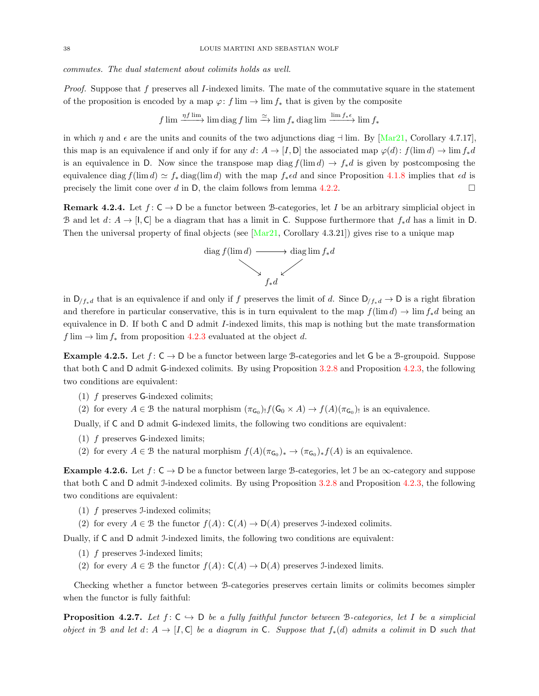commutes. The dual statement about colimits holds as well.

*Proof.* Suppose that f preserves all I-indexed limits. The mate of the commutative square in the statement of the proposition is encoded by a map  $\varphi: f \lim \to \lim f_*$  that is given by the composite

$$
f \lim \frac{\eta f \lim}{\longrightarrow} \lim \text{diag } f \lim \stackrel{\simeq}{\longrightarrow} \lim f_* \text{diag } \lim \frac{\lim f_* \epsilon}{\longrightarrow} \lim f_*
$$

in which  $\eta$  and  $\epsilon$  are the units and counits of the two adjunctions diag  $\neg$  lim. By [\[Mar21,](#page-73-0) Corollary 4.7.17]. this map is an equivalence if and only if for any d:  $A \to [I, D]$  the associated map  $\varphi(d)$ :  $f(\lim d) \to \lim f_*d$ is an equivalence in D. Now since the transpose map diag  $f(\lim d) \to f_*d$  is given by postcomposing the equivalence diag  $f(\lim d) \simeq f_*$  diag(lim d) with the map  $f_* \in d$  and since Proposition [4.1.8](#page-35-3) implies that  $\epsilon d$  is precisely the limit cone over d in D, the claim follows from lemma [4.2.2.](#page-36-0)

**Remark 4.2.4.** Let  $f: C \to D$  be a functor between B-categories, let I be an arbitrary simplicial object in B and let  $d: A \to [1, C]$  be a diagram that has a limit in C. Suppose furthermore that  $f_*d$  has a limit in D. Then the universal property of final objects (see  $[\text{Mar21}, \text{Corollary } 4.3.21]$ ) gives rise to a unique map



in  $D_{f^*d}$  that is an equivalence if and only if f preserves the limit of d. Since  $D_{f^*d} \to D$  is a right fibration and therefore in particular conservative, this is in turn equivalent to the map  $f(\lim d) \to \lim f_*d$  being an equivalence in D. If both C and D admit I-indexed limits, this map is nothing but the mate transformation  $f \lim \rightarrow \lim f_*$  from proposition [4.2.3](#page-36-1) evaluated at the object d.

<span id="page-37-0"></span>**Example 4.2.5.** Let  $f: \mathsf{C} \to \mathsf{D}$  be a functor between large B-categories and let G be a B-groupoid. Suppose that both C and D admit G-indexed colimits. By using Proposition [3.2.8](#page-26-1) and Proposition [4.2.3,](#page-36-1) the following two conditions are equivalent:

- (1) f preserves G-indexed colimits;
- (2) for every  $A \in \mathcal{B}$  the natural morphism  $(\pi_{G_0})_! f(G_0 \times A) \to f(A)(\pi_{G_0})$  is an equivalence.

Dually, if C and D admit G-indexed limits, the following two conditions are equivalent:

- (1) f preserves G-indexed limits;
- (2) for every  $A \in \mathcal{B}$  the natural morphism  $f(A)(\pi_{\mathsf{G}_0})_* \to (\pi_{\mathsf{G}_0})_* f(A)$  is an equivalence.

<span id="page-37-1"></span>**Example 4.2.6.** Let  $f: \mathsf{C} \to \mathsf{D}$  be a functor between large B-categories, let J be an  $\infty$ -category and suppose that both C and D admit I-indexed colimits. By using Proposition [3.2.8](#page-26-1) and Proposition [4.2.3,](#page-36-1) the following two conditions are equivalent:

- (1) f preserves I-indexed colimits;
- (2) for every  $A \in \mathcal{B}$  the functor  $f(A): C(A) \to D(A)$  preserves J-indexed colimits.

Dually, if C and D admit J-indexed limits, the following two conditions are equivalent:

- (1) f preserves I-indexed limits;
- (2) for every  $A \in \mathcal{B}$  the functor  $f(A): C(A) \to D(A)$  preserves J-indexed limits.

Checking whether a functor between B-categories preserves certain limits or colimits becomes simpler when the functor is fully faithful:

<span id="page-37-2"></span>**Proposition 4.2.7.** Let  $f: C \hookrightarrow D$  be a fully faithful functor between B-categories, let I be a simplicial object in B and let  $d: A \to [I, C]$  be a diagram in C. Suppose that  $f_*(d)$  admits a colimit in D such that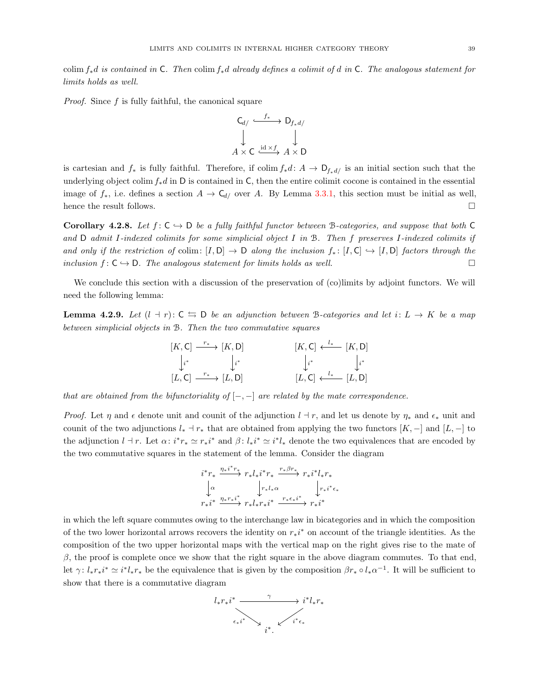colim  $f_*d$  is contained in C. Then colim  $f_*d$  already defines a colimit of d in C. The analogous statement for limits holds as well.

*Proof.* Since  $f$  is fully faithful, the canonical square



is cartesian and  $f_*$  is fully faithful. Therefore, if colim  $f_*d: A \to D_{f_*d}$  is an initial section such that the underlying object colim  $f_*d$  in D is contained in C, then the entire colimit cocone is contained in the essential image of  $f_*$ , i.e. defines a section  $A \to \mathsf{C}_{d}$  over A. By Lemma [3.3.1,](#page-28-0) this section must be initial as well, hence the result follows.

<span id="page-38-1"></span>Corollary 4.2.8. Let  $f: C \hookrightarrow D$  be a fully faithful functor between B-categories, and suppose that both C and D admit I-indexed colimits for some simplicial object I in B. Then f preserves I-indexed colimits if and only if the restriction of colim:  $[I, D] \rightarrow D$  along the inclusion  $f_* : [I, C] \rightarrow [I, D]$  factors through the inclusion  $f: \mathsf{C} \to \mathsf{D}$ . The analogous statement for limits holds as well.

We conclude this section with a discussion of the preservation of (co)limits by adjoint functors. We will need the following lemma:

<span id="page-38-0"></span>**Lemma 4.2.9.** Let  $(l + r): C \leftrightarrows D$  be an adjunction between B-categories and let  $i: L \rightarrow K$  be a map between simplicial objects in B. Then the two commutative squares

$$
[K, C] \xrightarrow{r_*} [K, D] \qquad [K, C] \xleftarrow{l_*} [K, D]
$$
  
\n
$$
\downarrow_i^* \qquad \qquad \downarrow_i^* \qquad \qquad \downarrow_i^* \qquad \qquad \downarrow_i^*
$$
  
\n
$$
[L, C] \xrightarrow{r_*} [L, D] \qquad [L, C] \xleftarrow{l_*} [L, D]
$$

that are obtained from the bifunctoriality of  $[-,-]$  are related by the mate correspondence.

*Proof.* Let  $\eta$  and  $\epsilon$  denote unit and counit of the adjunction  $l \dashv r$ , and let us denote by  $\eta_*$  and  $\epsilon_*$  unit and counit of the two adjunctions  $l_* \dashv r_*$  that are obtained from applying the two functors  $[K, -]$  and  $[L, -]$  to the adjunction  $l \to r$ . Let  $\alpha: i^*r_* \simeq r_*i^*$  and  $\beta: l_*i^* \simeq i^*l_*$  denote the two equivalences that are encoded by the two commutative squares in the statement of the lemma. Consider the diagram

$$
i^*r_* \xrightarrow{\eta_* i^*r_*} r_* l_* i^*r_* \xrightarrow{r_* \beta r_*} r_* i^* l_* r_*
$$
  
\n
$$
\downarrow \alpha \qquad \qquad \downarrow r_* l_* \alpha \qquad \qquad \downarrow r_* i^* \epsilon_*
$$
  
\n
$$
r_* i^* \xrightarrow{\eta_* r_* i^*} r_* l_* r_* i^* \xrightarrow{r_* \epsilon_* i^*} r_* i^*
$$

in which the left square commutes owing to the interchange law in bicategories and in which the composition of the two lower horizontal arrows recovers the identity on  $r_*i^*$  on account of the triangle identities. As the composition of the two upper horizontal maps with the vertical map on the right gives rise to the mate of  $\beta$ , the proof is complete once we show that the right square in the above diagram commutes. To that end, let  $\gamma: l_*r_*i^* \simeq i^*l_*r_*$  be the equivalence that is given by the composition  $\beta r_* \circ l_*\alpha^{-1}$ . It will be sufficient to show that there is a commutative diagram

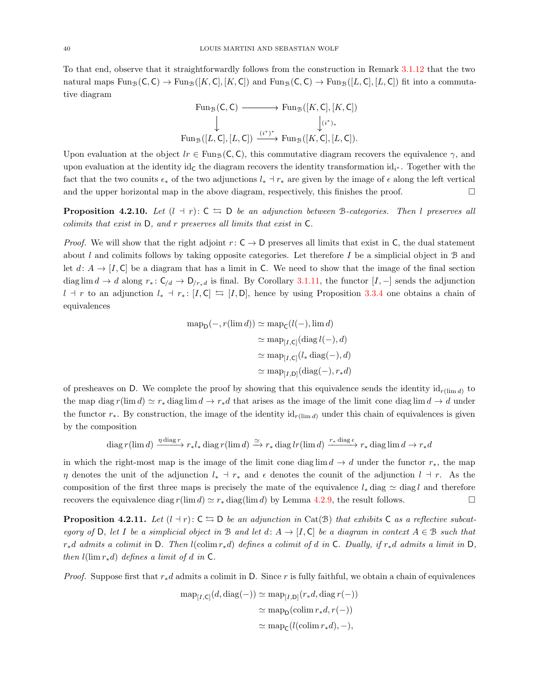To that end, observe that it straightforwardly follows from the construction in Remark [3.1.12](#page-22-0) that the two natural maps  $\text{Fun}_{\mathcal{B}}(\mathsf{C}, \mathsf{C}) \to \text{Fun}_{\mathcal{B}}([K, \mathsf{C}], [K, \mathsf{C}])$  and  $\text{Fun}_{\mathcal{B}}(\mathsf{C}, \mathsf{C}) \to \text{Fun}_{\mathcal{B}}([L, \mathsf{C}], [L, \mathsf{C}])$  fit into a commutative diagram

$$
\begin{array}{ccc}\n\text{Fun}_{\mathcal{B}}(\mathsf{C},\mathsf{C}) & \xrightarrow{\;\;} \text{Fun}_{\mathcal{B}}([K,\mathsf{C}],[K,\mathsf{C}]) \\
\downarrow & & \downarrow^{(i^*)*} \\
\text{Fun}_{\mathcal{B}}([L,\mathsf{C}],[L,\mathsf{C}]) & \xrightarrow{(i^*)^*} \text{Fun}_{\mathcal{B}}([K,\mathsf{C}],[L,\mathsf{C}]).\n\end{array}
$$

Upon evaluation at the object  $lr \in \text{Fun}_{\mathcal{B}}(\mathsf{C}, \mathsf{C})$ , this commutative diagram recovers the equivalence  $\gamma$ , and upon evaluation at the identity id<sub>c</sub> the diagram recovers the identity transformation id<sub>i\*</sub>. Together with the fact that the two counits  $\epsilon_*$  of the two adjunctions  $l_*$  are given by the image of  $\epsilon$  along the left vertical and the upper horizontal map in the above diagram, respectively, this finishes the proof.  $\square$ 

<span id="page-39-1"></span>**Proposition 4.2.10.** Let  $(l + r): C \leftrightarrows D$  be an adjunction between B-categories. Then l preserves all colimits that exist in D, and r preserves all limits that exist in C.

*Proof.* We will show that the right adjoint  $r: \mathsf{C} \to \mathsf{D}$  preserves all limits that exist in  $\mathsf{C}$ , the dual statement about l and colimits follows by taking opposite categories. Let therefore I be a simplicial object in  $\mathcal B$  and let  $d: A \to [I, C]$  be a diagram that has a limit in C. We need to show that the image of the final section diag lim  $d \to d$  along  $r_* : C_{/d} \to D_{/r_*d}$  is final. By Corollary [3.1.11,](#page-21-0) the functor  $[I, -]$  sends the adjunction  $l + r$  to an adjunction  $l_* + r_*$ : [I, C]  $\leftrightarrows$  [I, D], hence by using Proposition [3.3.4](#page-29-0) one obtains a chain of equivalences

$$
\begin{aligned} \text{map}_{\mathsf{D}}(-, r(\lim d)) &\simeq \text{map}_{\mathsf{C}}(l(-), \lim d) \\ &\simeq \text{map}_{[I, \mathsf{C}]}(\text{diag }l(-), d) \\ &\simeq \text{map}_{[I, \mathsf{C}]}(l_* \text{diag}(-), d) \\ &\simeq \text{map}_{[I, \mathsf{D}]}(\text{diag}(-), r_* d) \end{aligned}
$$

of presheaves on D. We complete the proof by showing that this equivalence sends the identity  $id_{r(\text{lim } d)}$  to the map diag  $r(\lim d) \simeq r_*$  diag lim  $d \to r_*d$  that arises as the image of the limit cone diag lim  $d \to d$  under the functor  $r_*$ . By construction, the image of the identity id<sub>r(lim d)</sub> under this chain of equivalences is given by the composition

$$
\operatorname{diag} r(\lim d) \xrightarrow{\eta \operatorname{diag} r} r_* l_* \operatorname{diag} r(\lim d) \xrightarrow{\simeq} r_* \operatorname{diag} lr(\lim d) \xrightarrow{r_* \operatorname{diag} \epsilon} r_* \operatorname{diag} \lim d \to r_* d
$$

in which the right-most map is the image of the limit cone diag lim  $d \to d$  under the functor  $r_*,$  the map η denotes the unit of the adjunction  $l_*$  +  $r_*$  and  $\epsilon$  denotes the counit of the adjunction  $l + r$ . As the composition of the first three maps is precisely the mate of the equivalence  $l_*$  diag  $\sim$  diagle and therefore recovers the equivalence diag  $r(\lim d) \simeq r_*$  diag(lim d) by Lemma [4.2.9,](#page-38-0) the result follows.

<span id="page-39-0"></span>**Proposition 4.2.11.** Let  $(l + r): C \rightharpoonup D$  be an adjunction in Cat(B) that exhibits C as a reflective subcategory of D, let I be a simplicial object in B and let  $d: A \to [I, C]$  be a diagram in context  $A \in \mathcal{B}$  such that  $r_*d$  admits a colimit in D. Then l(colim  $r_*d$ ) defines a colimit of d in C. Dually, if  $r_*d$  admits a limit in D, then  $l(\lim r_*d)$  defines a limit of d in C.

*Proof.* Suppose first that  $r_*d$  admits a colimit in D. Since r is fully faithful, we obtain a chain of equivalences

$$
\begin{aligned} \operatorname{map}_{[I,\mathsf{C}]}(d, \operatorname{diag}(-)) &\simeq \operatorname{map}_{[I,\mathsf{D}]}(r_*d, \operatorname{diag} r(-)) \\ &\simeq \operatorname{map}_{\mathsf{D}}(\operatorname{colim} r_*d, r(-)) \\ &\simeq \operatorname{map}_{\mathsf{C}}(l(\operatorname{colim} r_*d), -), \end{aligned}
$$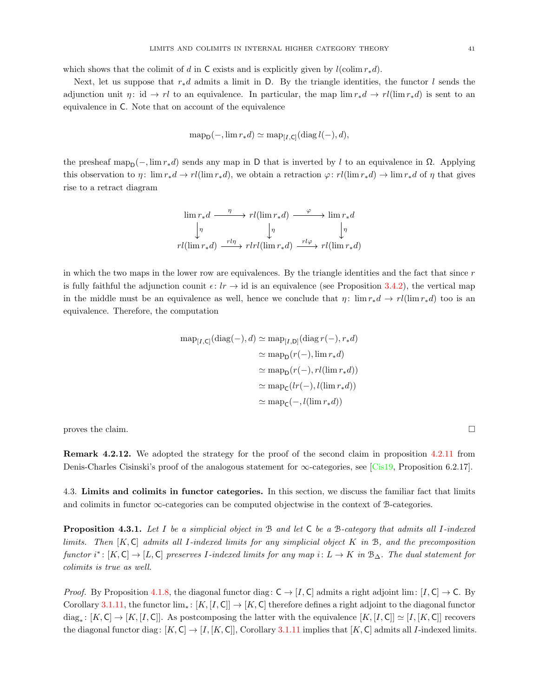which shows that the colimit of d in C exists and is explicitly given by  $l(\text{colim } r_*d)$ .

Next, let us suppose that  $r_*d$  admits a limit in D. By the triangle identities, the functor l sends the adjunction unit  $\eta: id \to rl$  to an equivalence. In particular, the map  $\lim r_*d \to rl(\lim r_*d)$  is sent to an equivalence in C. Note that on account of the equivalence

$$
\operatorname{map}_{\mathsf{D}}(-, \lim r_*d) \simeq \operatorname{map}_{[I, \mathsf{C}]}(\operatorname{diag} l(-), d),
$$

the presheaf map<sub>D</sub>( $-, \lim r_* d$ ) sends any map in D that is inverted by l to an equivalence in  $\Omega$ . Applying this observation to  $\eta: \lim r_*d \to rl(\lim r_*d)$ , we obtain a retraction  $\varphi: rl(\lim r_*d) \to \lim r_*d$  of  $\eta$  that gives rise to a retract diagram

$$
\lim r_* d \xrightarrow{\eta} rl(\lim r_* d) \xrightarrow{\varphi} \lim r_* d
$$
\n
$$
\downarrow \eta \qquad \qquad \downarrow \eta \qquad \qquad \downarrow \eta
$$
\n
$$
rl(\lim r_* d) \xrightarrow{rl\eta} rlrl(\lim r_* d) \xrightarrow{rl\varphi} rl(\lim r_* d)
$$

in which the two maps in the lower row are equivalences. By the triangle identities and the fact that since  $r$ is fully faithful the adjunction counit  $\epsilon: lr \to id$  is an equivalence (see Proposition [3.4.2\)](#page-32-0), the vertical map in the middle must be an equivalence as well, hence we conclude that  $\eta: \lim r_*d \to r\ell(\lim r_*d)$  too is an equivalence. Therefore, the computation

$$
\begin{aligned} \text{map}_{[I,\mathsf{C}]}(\text{diag}(-),d) &\simeq \text{map}_{[I,\mathsf{D}]}(\text{diag }r(-),r_*d) \\ &\simeq \text{map}_{\mathsf{D}}(r(-),\text{lim }r_*d) \\ &\simeq \text{map}_{\mathsf{D}}(r(-),rl(\text{lim }r_*d)) \\ &\simeq \text{map}_{\mathsf{C}}(lr(-),l(\text{lim }r_*d)) \\ &\simeq \text{map}_{\mathsf{C}}(-,l(\text{lim }r_*d)) \end{aligned}
$$

proves the claim.

Remark 4.2.12. We adopted the strategy for the proof of the second claim in proposition [4.2.11](#page-39-0) from Denis-Charles Cisinski's proof of the analogous statement for  $\infty$ -categories, see [\[Cis19,](#page-73-1) Proposition 6.2.17].

4.3. Limits and colimits in functor categories. In this section, we discuss the familiar fact that limits and colimits in functor  $\infty$ -categories can be computed objectwise in the context of B-categories.

<span id="page-40-0"></span>Proposition 4.3.1. Let I be a simplicial object in B and let C be a B-category that admits all I-indexed limits. Then  $[K, \mathsf{C}]$  admits all I-indexed limits for any simplicial object K in B, and the precomposition functor i\*:  $[K, C] \rightarrow [L, C]$  preserves I-indexed limits for any map i:  $L \rightarrow K$  in  $\mathcal{B}_{\Delta}$ . The dual statement for colimits is true as well.

*Proof.* By Proposition [4.1.8,](#page-35-3) the diagonal functor diag:  $C \rightarrow [I, C]$  admits a right adjoint lim:  $[I, C] \rightarrow C$ . By Corollary [3.1.11,](#page-21-0) the functor  $\lim_* : [K, [I, C]] \to [K, C]$  therefore defines a right adjoint to the diagonal functor  $diag_*: [K, C] \to [K, [I, C]]$ . As postcomposing the latter with the equivalence  $[K, [I, C]] \simeq [I, [K, C]]$  recovers the diagonal functor diag:  $[K, C] \rightarrow [I, [K, C]]$ , Corollary [3.1.11](#page-21-0) implies that  $[K, C]$  admits all I-indexed limits.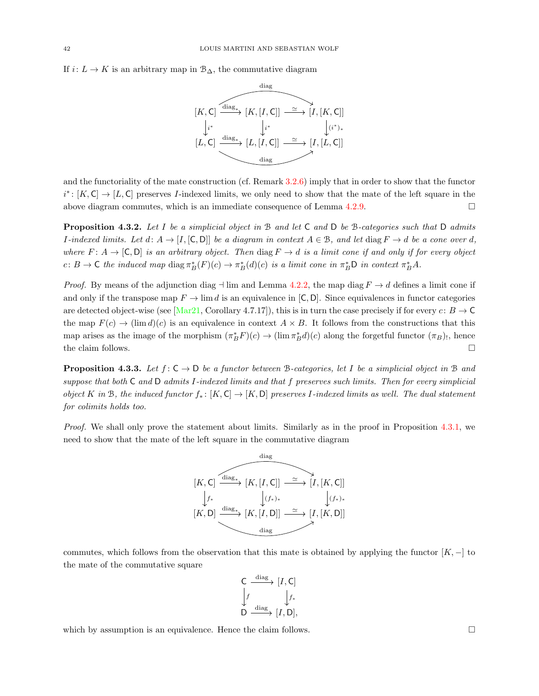If  $i: L \to K$  is an arbitrary map in  $\mathcal{B}_{\Delta}$ , the commutative diagram



and the functoriality of the mate construction (cf. Remark [3.2.6\)](#page-24-0) imply that in order to show that the functor  $i^* \colon [K, C] \to [L, C]$  preserves *I*-indexed limits, we only need to show that the mate of the left square in the above diagram commutes, which is an immediate consequence of Lemma [4.2.9.](#page-38-0)

**Proposition 4.3.2.** Let I be a simplicial object in B and let C and D be B-categories such that D admits I-indexed limits. Let  $d: A \to [I, [C, D]]$  be a diagram in context  $A \in \mathcal{B}$ , and let diag  $F \to d$  be a cone over d, where  $F: A \to [C, D]$  is an arbitrary object. Then diag  $F \to d$  is a limit cone if and only if for every object c:  $B \to \mathsf{C}$  the induced map diag  $\pi_B^*(F)(c) \to \pi_B^*(d)(c)$  is a limit cone in  $\pi_B^* \mathsf{D}$  in context  $\pi_B^* A$ .

*Proof.* By means of the adjunction diag  $\neg$  lim and Lemma [4.2.2,](#page-36-0) the map diag  $F \rightarrow d$  defines a limit cone if and only if the transpose map  $F \to \lim d$  is an equivalence in [C, D]. Since equivalences in functor categories are detected object-wise (see [\[Mar21,](#page-73-0) Corollary 4.7.17]), this is in turn the case precisely if for every  $c: B \to \mathbb{C}$ the map  $F(c) \to (\lim d)(c)$  is an equivalence in context  $A \times B$ . It follows from the constructions that this map arises as the image of the morphism  $(\pi_B^* F)(c) \to (\lim \pi_B^* d)(c)$  along the forgetful functor  $(\pi_B)$ , hence the claim follows.  $\Box$ 

<span id="page-41-0"></span>**Proposition 4.3.3.** Let  $f: C \to D$  be a functor between B-categories, let I be a simplicial object in B and suppose that both C and D admits I-indexed limits and that f preserves such limits. Then for every simplicial object K in B, the induced functor  $f_* : [K, C] \to [K, D]$  preserves I-indexed limits as well. The dual statement for colimits holds too.

Proof. We shall only prove the statement about limits. Similarly as in the proof in Proposition [4.3.1,](#page-40-0) we need to show that the mate of the left square in the commutative diagram



commutes, which follows from the observation that this mate is obtained by applying the functor  $[K, -]$  to the mate of the commutative square

$$
\begin{array}{ccc}\nC & \xrightarrow{\text{diag}} & [I, C] \\
\downarrow f & & \downarrow f_* \\
D & \xrightarrow{\text{diag}} & [I, D],\n\end{array}
$$

which by assumption is an equivalence. Hence the claim follows.  $\square$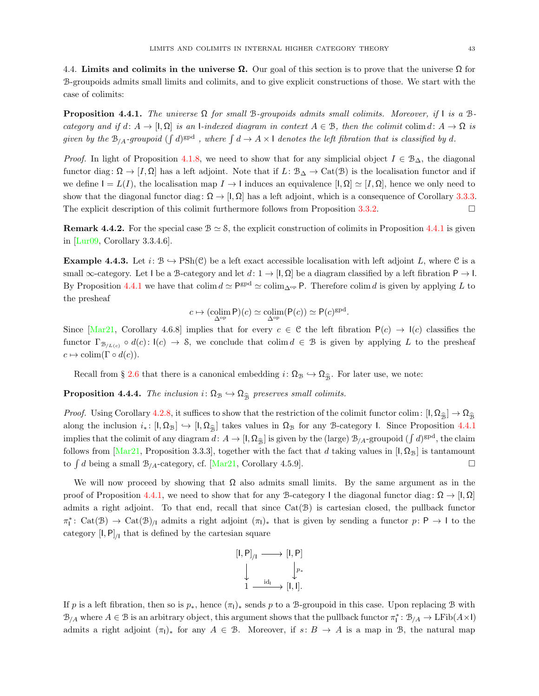4.4. Limits and colimits in the universe  $\Omega$ . Our goal of this section is to prove that the universe  $\Omega$  for B-groupoids admits small limits and colimits, and to give explicit constructions of those. We start with the case of colimits:

<span id="page-42-0"></span>**Proposition 4.4.1.** The universe  $\Omega$  for small B-groupoids admits small colimits. Moreover, if I is a Bcategory and if  $d: A \to [I, \Omega]$  is an I-indexed diagram in context  $A \in \mathcal{B}$ , then the colimit colimit  $d: A \to \Omega$  is given by the  $B_{/A}$ -groupoid  $(\int d)^{\text{gpd}}$ , where  $\int d \to A \times 1$  denotes the left fibration that is classified by d.

*Proof.* In light of Proposition [4.1.8,](#page-35-3) we need to show that for any simplicial object  $I \in \mathcal{B}_{\Delta}$ , the diagonal functor diag:  $\Omega \to [I, \Omega]$  has a left adjoint. Note that if  $L: \mathcal{B}_{\Delta} \to \mathrm{Cat}(\mathcal{B})$  is the localisation functor and if we define  $I = L(I)$ , the localisation map  $I \to I$  induces an equivalence  $[I, \Omega] \simeq [I, \Omega]$ , hence we only need to show that the diagonal functor diag:  $\Omega \to [I, \Omega]$  has a left adjoint, which is a consequence of Corollary [3.3.3.](#page-29-1) The explicit description of this colimit furthermore follows from Proposition [3.3.2.](#page-28-1)

**Remark 4.4.2.** For the special case  $B \simeq S$ , the explicit construction of colimits in Proposition [4.4.1](#page-42-0) is given in [\[Lur09,](#page-73-2) Corollary 3.3.4.6].

**Example 4.4.3.** Let  $i: \mathcal{B} \hookrightarrow \text{PSh}(\mathcal{C})$  be a left exact accessible localisation with left adjoint L, where C is a small  $\infty$ -category. Let I be a B-category and let  $d: 1 \to [I, \Omega]$  be a diagram classified by a left fibration  $P \to I$ . By Proposition [4.4.1](#page-42-0) we have that colim  $d \simeq \mathsf{P}^{\text{gpd}} \simeq \text{colim}_{\Delta^{\text{op}}}$  P. Therefore colim d is given by applying L to the presheaf

$$
c \mapsto (\operatorname*{colim}_{\Delta^{\operatorname{op}}} \mathsf{P})(c) \simeq \operatorname*{colim}_{\Delta^{\operatorname{op}}} (\mathsf{P}(c)) \simeq \mathsf{P}(c)^{\operatorname{gpd}}.
$$

Since  $\left[\text{Mar21}, \text{ Corollary } 4.6.8\right]$  implies that for every  $c \in \mathcal{C}$  the left fibration  $P(c) \rightarrow I(c)$  classifies the functor  $\Gamma_{\mathcal{B}_{/L(c)}} \circ d(c) : \mathcal{I}(c) \to \mathcal{S}$ , we conclude that colim $d \in \mathcal{B}$  is given by applying L to the presheaf  $c \mapsto \text{colim}(\Gamma \circ d(c)).$ 

Recall from § [2.6](#page-5-0) that there is a canonical embedding  $i: \Omega_{\mathcal{B}} \hookrightarrow \Omega_{\widehat{\mathcal{B}}}$ . For later use, we note:

<span id="page-42-1"></span>**Proposition 4.4.4.** The inclusion  $i: \Omega_B \hookrightarrow \Omega_{\widehat{B}}$  preserves small colimits.

*Proof.* Using Corollary [4.2.8,](#page-38-1) it suffices to show that the restriction of the colimit functor colim:  $[1, \Omega_{\hat{\beta}}] \to \Omega_{\hat{\beta}}$ along the inclusion  $i_* : [I, \Omega_B] \hookrightarrow [I, \Omega_{\widehat{B}}]$  takes values in  $\Omega_B$  for any B-category I. Since Proposition [4.4.1](#page-42-0) implies that the colimit of any diagram  $d: A \to [1, \Omega_{\hat{\mathcal{B}}}]$  is given by the (large)  $\mathcal{B}_{/A}$ -groupoid  $(\int d)^{\text{gpd}}$ , the claim follows from [\[Mar21,](#page-73-0) Proposition 3.3.3], together with the fact that d taking values in [I,  $\Omega_{\rm B}$ ] is tantamount to  $\int d$  being a small  $\mathcal{B}_{/A}$ -category, cf. [\[Mar21,](#page-73-0) Corollary 4.5.9].

We will now proceed by showing that  $\Omega$  also admits small limits. By the same argument as in the proof of Proposition [4.4.1,](#page-42-0) we need to show that for any B-category I the diagonal functor diag:  $\Omega \to [I, \Omega]$ admits a right adjoint. To that end, recall that since  $Cat(\mathcal{B})$  is cartesian closed, the pullback functor  $\pi_1^* \colon \text{Cat}(\mathcal{B}) \to \text{Cat}(\mathcal{B})_{/1}$  admits a right adjoint  $(\pi_1)_*$  that is given by sending a functor  $p: \mathsf{P} \to \mathsf{I}$  to the category  $\left[\mathsf{I},\mathsf{P}\right]_{\mathsf{I}}$  that is defined by the cartesian square

$$
[I, P]_{/I} \longrightarrow [I, P]
$$

$$
\downarrow \qquad \downarrow p_*
$$

$$
1 \xrightarrow{\mathrm{id}_I} [I, I].
$$

If p is a left fibration, then so is  $p_*,$  hence  $(\pi_1)_*$  sends p to a B-groupoid in this case. Upon replacing B with  $B_{/A}$  where  $A \in \mathcal{B}$  is an arbitrary object, this argument shows that the pullback functor  $\pi_1^* \colon B_{/A} \to \mathrm{LFib}(A \times \mathsf{I})$ admits a right adjoint  $(\pi_1)_*$  for any  $A \in \mathcal{B}$ . Moreover, if  $s: B \to A$  is a map in  $\mathcal{B}$ , the natural map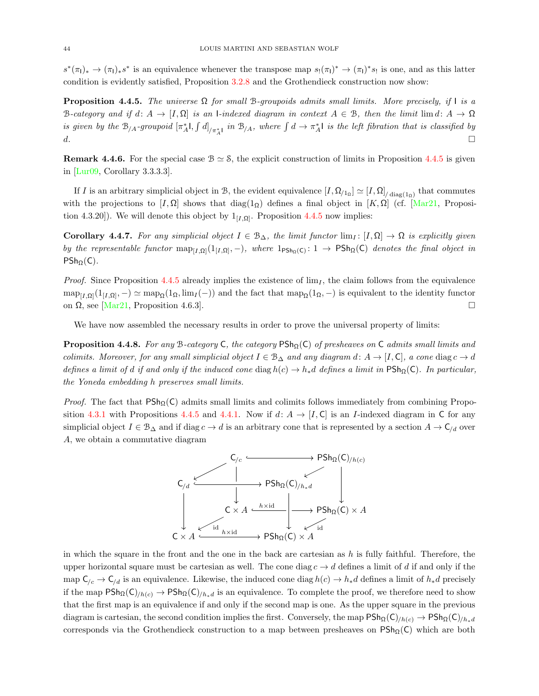$s^*(\pi_1)_* \to (\pi_1)_* s^*$  is an equivalence whenever the transpose map  $s_!(\pi_1)^* \to (\pi_1)^* s_!$  is one, and as this latter condition is evidently satisfied, Proposition [3.2.8](#page-26-1) and the Grothendieck construction now show:

<span id="page-43-0"></span>**Proposition 4.4.5.** The universe  $\Omega$  for small B-groupoids admits small limits. More precisely, if I is a B-category and if  $d: A \to [I, \Omega]$  is an I-indexed diagram in context  $A \in \mathcal{B}$ , then the limit lim  $d: A \to \Omega$ is given by the  $B_{/A}$ -groupoid  $[\pi_A^*], \int d]_{/\pi_A^*I}$  in  $B_{/A}$ , where  $\int d \to \pi_A^*I$  is the left fibration that is classified by d.

**Remark 4.4.6.** For the special case  $B \simeq S$ , the explicit construction of limits in Proposition [4.4.5](#page-43-0) is given in [\[Lur09,](#page-73-2) Corollary 3.3.3.3].

If I is an arbitrary simplicial object in B, the evident equivalence  $[I, \Omega_{12}] \simeq [I, \Omega]_{/\text{diag}(1_0)}$  that commutes with the projections to  $[I, \Omega]$  shows that diag(1<sub>Ω</sub>) defines a final object in [K, Ω] (cf. [\[Mar21,](#page-73-0) Proposition 4.3.20]). We will denote this object by  $1_{[I,\Omega]}$ . Proposition [4.4.5](#page-43-0) now implies:

Corollary 4.4.7. For any simplicial object  $I \in \mathcal{B}_{\Delta}$ , the limit functor  $\lim_{I} : [I, \Omega] \to \Omega$  is explicitly given by the representable functor  $\text{map}_{[I,\Omega]}(1_{[I,\Omega]},-)$ , where  $1_{\text{PSh}_{\Omega}(C)}:1\to \text{PSh}_{\Omega}(C)$  denotes the final object in  $PSh_{\Omega}(C)$ .

*Proof.* Since Proposition [4.4.5](#page-43-0) already implies the existence of  $\lim_{I}$ , the claim follows from the equivalence  $\text{map}_{[I,\Omega]}(1_{[I,\Omega]},-) \simeq \text{map}_{\Omega}(1_{\Omega},\text{lim}_I(-))$  and the fact that  $\text{map}_{\Omega}(1_{\Omega},-)$  is equivalent to the identity functor on  $\Omega$ , see [\[Mar21,](#page-73-0) Proposition 4.6.3].

We have now assembled the necessary results in order to prove the universal property of limits:

<span id="page-43-1"></span>**Proposition 4.4.8.** For any B-category C, the category PSh<sub>Q</sub>(C) of presheaves on C admits small limits and colimits. Moreover, for any small simplicial object  $I \in \mathcal{B}_{\Delta}$  and any diagram  $d: A \to [I, \mathsf{C}]$ , a cone diag  $c \to d$ defines a limit of d if and only if the induced cone diag  $h(c) \to h_*d$  defines a limit in PSh $\Omega(C)$ . In particular, the Yoneda embedding h preserves small limits.

*Proof.* The fact that  $PSh_0(C)$  admits small limits and colimits follows immediately from combining Propo-sition [4.3.1](#page-40-0) with Propositions [4.4.5](#page-43-0) and [4.4.1.](#page-42-0) Now if  $d: A \to [I, C]$  is an I-indexed diagram in C for any simplicial object  $I \in \mathcal{B}_{\Delta}$  and if diag  $c \to d$  is an arbitrary cone that is represented by a section  $A \to \mathsf{C}_{/d}$  over A, we obtain a commutative diagram



in which the square in the front and the one in the back are cartesian as  $h$  is fully faithful. Therefore, the upper horizontal square must be cartesian as well. The cone diag  $c \to d$  defines a limit of d if and only if the map  $C_{/c} \to C_{/d}$  is an equivalence. Likewise, the induced cone diag  $h(c) \to h_*d$  defines a limit of  $h_*d$  precisely if the map  $PSh_{\Omega}(C)/h_{(c)} \to PSh_{\Omega}(C)/h_{*d}$  is an equivalence. To complete the proof, we therefore need to show that the first map is an equivalence if and only if the second map is one. As the upper square in the previous diagram is cartesian, the second condition implies the first. Conversely, the map  $\mathsf{PSh}_\Omega(\mathsf{C})_{/h(c)} \to \mathsf{PSh}_\Omega(\mathsf{C})_{/h*d}$ corresponds via the Grothendieck construction to a map between presheaves on  $PSh_{\Omega}(C)$  which are both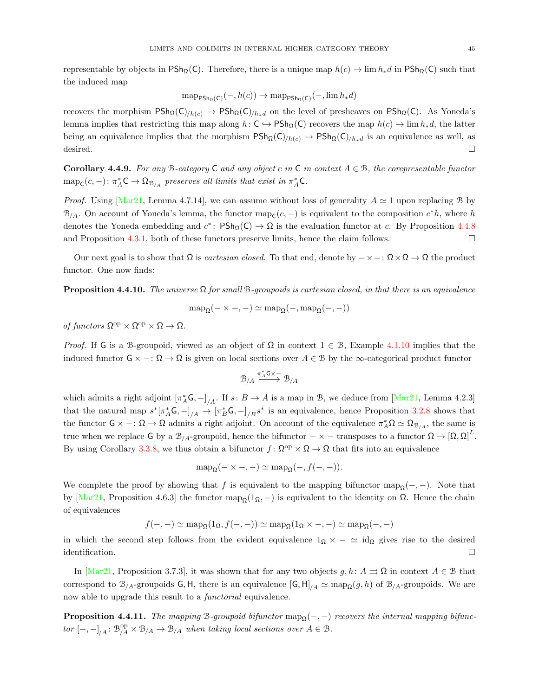representable by objects in PSh<sub>Q</sub>(C). Therefore, there is a unique map  $h(c) \to \lim h_*d$  in PSh<sub>Q</sub>(C) such that the induced map

$$
\operatorname{map}_{\mathsf{PSh}_{\Omega}(C)}(-, h(c)) \to \operatorname{map}_{\mathsf{PSh}_{\Omega}(C)}(-, \lim h_* d)
$$

recovers the morphism  $P\text{Sh}_{\Omega}(C)_{/h(c)} \to P\text{Sh}_{\Omega}(C)_{/h_*d}$  on the level of presheaves on  $P\text{Sh}_{\Omega}(C)$ . As Yoneda's lemma implies that restricting this map along  $h: C \hookrightarrow \text{PSh}_{\Omega}(C)$  recovers the map  $h(c) \to \lim h_*d$ , the latter being an equivalence implies that the morphism  $\text{PSh}_{\Omega}(C)_{/h(c)} \to \text{PSh}_{\Omega}(C)_{/h*d}$  is an equivalence as well, as desired.  $\Box$ 

Corollary 4.4.9. For any B-category C and any object c in C in context  $A \in \mathcal{B}$ , the corepresentable functor  $\text{map}_{\mathsf{C}}(c, -) \colon \pi_A^* \mathsf{C} \to \Omega_{\mathcal{B}_{/A}}$  preserves all limits that exist in  $\pi_A^* \mathsf{C}$ .

*Proof.* Using [\[Mar21,](#page-73-0) Lemma 4.7.14], we can assume without loss of generality  $A \simeq 1$  upon replacing B by  $\mathcal{B}_{/A}$ . On account of Yoneda's lemma, the functor map<sub>c</sub>(c, -) is equivalent to the composition  $c^*h$ , where h denotes the Yoneda embedding and  $c^*$ :  $\mathsf{PSh}_{\Omega}(\mathsf{C}) \to \Omega$  is the evaluation functor at c. By Proposition [4.4.8](#page-43-1) and Proposition [4.3.1,](#page-40-0) both of these functors preserve limits, hence the claim follows.  $\square$ 

Our next goal is to show that  $\Omega$  is *cartesian closed*. To that end, denote by  $-\times$  -:  $\Omega \times \Omega \rightarrow \Omega$  the product functor. One now finds:

<span id="page-44-0"></span>**Proposition 4.4.10.** The universe  $\Omega$  for small B-groupoids is cartesian closed, in that there is an equivalence

$$
\mathrm{map}_{\Omega}(-\times -,-)\simeq \mathrm{map}_{\Omega}(-,\mathrm{map}_{\Omega}(-,-))
$$

of functors  $\Omega^{\rm op} \times \Omega^{\rm op} \times \Omega \to \Omega$ .

*Proof.* If G is a B-groupoid, viewed as an object of  $\Omega$  in context  $1 \in \mathcal{B}$ , Example [4.1.10](#page-35-1) implies that the induced functor  $G \times -\colon \Omega \to \Omega$  is given on local sections over  $A \in \mathcal{B}$  by the  $\infty$ -categorical product functor

$$
\mathcal{B}_{/A} \xrightarrow{\pi_A^* G \times -} \mathcal{B}_{/A}
$$

which admits a right adjoint  $[\pi_A^*G, -]_{/A}$ . If  $s: B \to A$  is a map in B, we deduce from [\[Mar21,](#page-73-0) Lemma 4.2.3] that the natural map  $s^*[\pi_A^*G, -]_{/A} \to [\pi_B^*G, -]_{/B}s^*$  is an equivalence, hence Proposition [3.2.8](#page-26-1) shows that the functor  $\mathsf{G} \times \cdots \Omega \to \Omega$  admits a right adjoint. On account of the equivalence  $\pi_A^* \Omega \simeq \Omega_{\mathcal{B}_{/A}}$ , the same is true when we replace G by a  $\mathcal{B}_{/A}$ -groupoid, hence the bifunctor  $-\times -$  transposes to a functor  $\Omega \to [\Omega, \Omega]^L$ . By using Corollary [3.3.8,](#page-31-0) we thus obtain a bifunctor  $f: \Omega^{\text{op}} \times \Omega \to \Omega$  that fits into an equivalence

$$
\operatorname{map}_{\Omega}(-\times -, -) \simeq \operatorname{map}_{\Omega}(-, f(-, -)).
$$

We complete the proof by showing that f is equivalent to the mapping bifunctor map<sub>Q</sub> $(-,-)$ . Note that by [\[Mar21,](#page-73-0) Proposition 4.6.3] the functor map<sub>Ω</sub>(1<sub>Ω</sub>, –) is equivalent to the identity on Ω. Hence the chain of equivalences

$$
f(-,-) \simeq \mathrm{map}_{\Omega}(1_{\Omega}, f(-,-)) \simeq \mathrm{map}_{\Omega}(1_{\Omega} \times -, -) \simeq \mathrm{map}_{\Omega}(-,-)
$$

in which the second step follows from the evident equivalence  $1_{\Omega} \times -\simeq id_{\Omega}$  gives rise to the desired  $\Box$ identification.

In [\[Mar21,](#page-73-0) Proposition 3.7.3], it was shown that for any two objects  $g, h: A \Rightarrow \Omega$  in context  $A \in \mathcal{B}$  that correspond to  $\mathcal{B}_{/A}$ -groupoids G, H, there is an equivalence  $[G, H]_{/A} \simeq \text{map}_{\Omega}(g, h)$  of  $\mathcal{B}_{/A}$ -groupoids. We are now able to upgrade this result to a *functorial* equivalence.

**Proposition 4.4.11.** The mapping B-groupoid bifunctor map<sub> $Q(-, -)$ </sub> recovers the internal mapping bifunctor  $[-,-]_{/A} : \mathfrak{B}^{op}_{/A} \times \mathfrak{B}_{/A} \to \mathfrak{B}_{/A}$  when taking local sections over  $A \in \mathfrak{B}$ .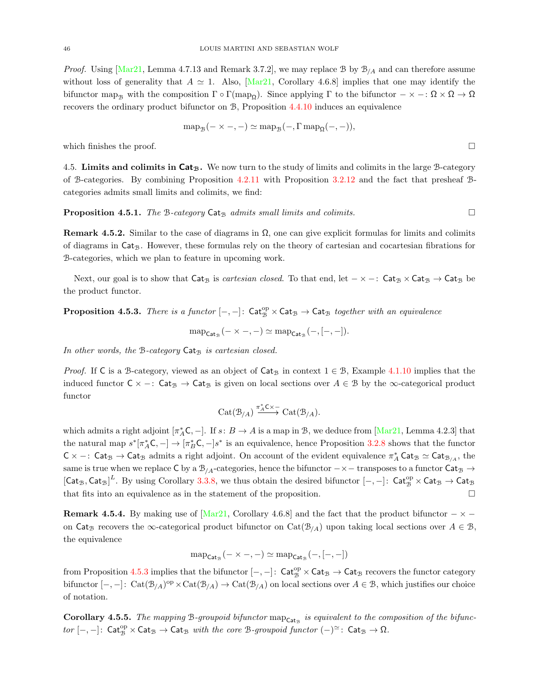*Proof.* Using  $Mar21$ , Lemma 4.7.13 and Remark 3.7.2, we may replace B by  $B_{1/4}$  and can therefore assume without loss of generality that  $A \simeq 1$ . Also, [\[Mar21,](#page-73-0) Corollary 4.6.8] implies that one may identify the bifunctor map<sub>B</sub> with the composition  $\Gamma \circ \Gamma(\text{map}_{\Omega})$ . Since applying  $\Gamma$  to the bifunctor  $-\times -$ :  $\Omega \times \Omega \to \Omega$ recovers the ordinary product bifunctor on B, Proposition [4.4.10](#page-44-0) induces an equivalence

$$
\operatorname{map}_{\mathcal{B}}(- \times -, -) \simeq \operatorname{map}_{\mathcal{B}}(-, \Gamma \operatorname{map}_{\Omega}(-, -)),
$$

which finishes the proof.  $\Box$ 

4.5. Limits and colimits in  $Cat_B$ . We now turn to the study of limits and colimits in the large B-category of B-categories. By combining Proposition [4.2.11](#page-39-0) with Proposition [3.2.12](#page-27-0) and the fact that presheaf Bcategories admits small limits and colimits, we find:

**Proposition 4.5.1.** The B-category Cat<sub>B</sub> admits small limits and colimits.

**Remark 4.5.2.** Similar to the case of diagrams in  $\Omega$ , one can give explicit formulas for limits and colimits of diagrams in Cat<sub>B</sub>. However, these formulas rely on the theory of cartesian and cocartesian fibrations for B-categories, which we plan to feature in upcoming work.

Next, our goal is to show that  $Cat_B$  is *cartesian closed*. To that end, let  $-\times -$ :  $Cat_B \times Cat_B \rightarrow Cat_B$  be the product functor.

<span id="page-45-0"></span>**Proposition 4.5.3.** There is a functor  $[-,-]$ :  $\mathsf{Cat}_{\mathcal{B}}^{\mathrm{op}} \times \mathsf{Cat}_{\mathcal{B}} \to \mathsf{Cat}_{\mathcal{B}}$  together with an equivalence

 $map_{\mathsf{Cat}_{\mathcal{B}}}(- \times -, -) \simeq map_{\mathsf{Cat}_{\mathcal{B}}}(-, [-, -]).$ 

In other words, the  $B$ -category  $Cat_B$  is cartesian closed.

*Proof.* If C is a B-category, viewed as an object of Cat<sub>B</sub> in context  $1 \in \mathcal{B}$ , Example [4.1.10](#page-35-1) implies that the induced functor  $C \times -$ : Cat<sub>B</sub>  $\rightarrow$  Cat<sub>B</sub> is given on local sections over  $A \in B$  by the  $\infty$ -categorical product functor

$$
\mathrm{Cat}(\mathcal{B}_{/A}) \xrightarrow{\pi_A^* C \times -} \mathrm{Cat}(\mathcal{B}_{/A}).
$$

which admits a right adjoint  $[\pi_A^*C, -]$ . If  $s: B \to A$  is a map in B, we deduce from  $[Mar21, \text{Lemma } 4.2.3]$  that the natural map  $s^*[\pi_A^*C, -] \to [\pi_B^*C, -]s^*$  is an equivalence, hence Proposition [3.2.8](#page-26-1) shows that the functor  $C \times -$ : Cat<sub>B</sub>  $\rightarrow$  Cat<sub>B</sub> admits a right adjoint. On account of the evident equivalence  $\pi_A^*$  Cat<sub>B</sub>  $\sim$  Cat<sub>B/A</sub>, the same is true when we replace C by a  $\mathcal{B}_{/A}$ -categories, hence the bifunctor  $-\times -$  transposes to a functor Cat<sub>B</sub>  $\rightarrow$  ${[Cat_{\mathcal{B}}, Cat_{\mathcal{B}}]}^L$ . By using Corollary [3.3.8,](#page-31-0) we thus obtain the desired bifunctor  $[-,-]:$   $Cat_{\mathcal{B}}^{\text{op}} \times Cat_{\mathcal{B}} \to Cat_{\mathcal{B}}$ that fits into an equivalence as in the statement of the proposition.  $\Box$ 

<span id="page-45-1"></span>**Remark 4.5.4.** By making use of  $Mar21$ , Corollary 4.6.8] and the fact that the product bifunctor  $-\times$  − on Cat<sub>B</sub> recovers the ∞-categorical product bifunctor on Cat( $\mathcal{B}_{A}$ ) upon taking local sections over  $A \in \mathcal{B}$ , the equivalence

$$
\mathrm{map}_{\mathsf{Cat}_{\mathcal{B}}}(-\times -, -) \simeq \mathrm{map}_{\mathsf{Cat}_{\mathcal{B}}}(-, [-, -])
$$

from Proposition [4.5.3](#page-45-0) implies that the bifunctor  $[-,-]$ :  $\mathsf{Cat}_{\mathcal{B}}^{\text{op}} \times \mathsf{Cat}_{\mathcal{B}} \to \mathsf{Cat}_{\mathcal{B}}$  recovers the functor category bifunctor  $[-,-]: \text{Cat}(\mathcal{B}_{/A})^{\text{op}} \times \text{Cat}(\mathcal{B}_{/A}) \to \text{Cat}(\mathcal{B}_{/A})$  on local sections over  $A \in \mathcal{B}$ , which justifies our choice of notation.

<span id="page-45-2"></span>**Corollary 4.5.5.** The mapping B-groupoid bifunctor  $map_{Cat_B}$  is equivalent to the composition of the bifunc $tor$   $[-,-]$ : Cat<sub>B</sub>  $\times$  Cat<sub>B</sub>  $\rightarrow$  Cat<sub>B</sub> with the core B-groupoid functor  $(-)$ <sup> $\simeq$ </sup>: Cat<sub>B</sub>  $\rightarrow$  Ω.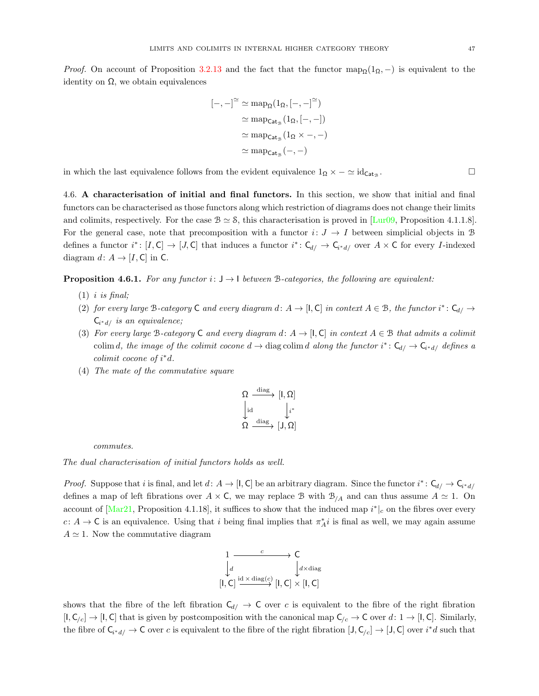*Proof.* On account of Proposition [3.2.13](#page-27-1) and the fact that the functor map<sub>Q</sub>(1<sub>Ω</sub>, –) is equivalent to the identity on  $Ω$ , we obtain equivalences

$$
[-,-]^{\simeq} \simeq \operatorname{map}_{\Omega}(1_{\Omega}, [-,-]^{\simeq})
$$

$$
\simeq \operatorname{map}_{\mathsf{Cat}_{\mathcal{B}}}(1_{\Omega}, [-,-])
$$

$$
\simeq \operatorname{map}_{\mathsf{Cat}_{\mathcal{B}}}(1_{\Omega} \times -, -)
$$

$$
\simeq \operatorname{map}_{\mathsf{Cat}_{\mathcal{B}}}(-,-)
$$

in which the last equivalence follows from the evident equivalence  $1_{\Omega} \times -\simeq id_{\mathsf{Cat}_{\mathcal{B}}}$ .

4.6. A characterisation of initial and final functors. In this section, we show that initial and final functors can be characterised as those functors along which restriction of diagrams does not change their limits and colimits, respectively. For the case  $\mathcal{B} \simeq \mathcal{S}$ , this characterisation is proved in [\[Lur09,](#page-73-2) Proposition 4.1.1.8]. For the general case, note that precomposition with a functor  $i: J \to I$  between simplicial objects in B defines a functor  $i^*: [I, C] \to [J, C]$  that induces a functor  $i^*: C_{d} \to C_{i^*d}$  over  $A \times C$  for every *I*-indexed diagram  $d: A \rightarrow [I, C]$  in C.

<span id="page-46-0"></span>**Proposition 4.6.1.** For any functor  $i: J \to I$  between B-categories, the following are equivalent:

- $(1)$  *i is final*;
- (2) for every large B-category C and every diagram d:  $A \to [I, C]$  in context  $A \in \mathcal{B}$ , the functor  $i^* \colon C_{d} \to$  $C_{i^*d/}$  is an equivalence;
- (3) For every large B-category C and every diagram d:  $A \rightarrow [I, C]$  in context  $A \in \mathcal{B}$  that admits a colimit colim d, the image of the colimit cocone  $d \to \text{diag}\text{ colim } d$  along the functor  $i^* \colon \mathsf{C}_{d} \to \mathsf{C}_{i^*d}$  defines a colimit cocone of  $i^*d$ .
- (4) The mate of the commutative square

$$
\begin{aligned}\n\Omega &\xrightarrow{\mathrm{diag}} [\mathsf{I},\Omega] \\
\downarrow^{\mathrm{id}} &\downarrow^{i^*} \\
\Omega &\xrightarrow{\mathrm{diag}} [\mathsf{J},\Omega]\n\end{aligned}
$$

commutes.

The dual characterisation of initial functors holds as well.

*Proof.* Suppose that i is final, and let  $d: A \to [I, C]$  be an arbitrary diagram. Since the functor  $i^*: C_{d} \to C_{i^*d}$ defines a map of left fibrations over  $A \times C$ , we may replace B with  $B_{/A}$  and can thus assume  $A \simeq 1$ . On account of  $[\text{Mar21}, \text{Proposition 4.1.18}]$ , it suffices to show that the induced map  $i^*|_c$  on the fibres over every c:  $A \to \mathsf{C}$  is an equivalence. Using that i being final implies that  $\pi_A^*i$  is final as well, we may again assume  $A \simeq 1$ . Now the commutative diagram

$$
\begin{array}{ccc}\n1 & \xrightarrow{c} & \mathsf{C} \\
\downarrow d & & \downarrow d \times \text{diag}(c) \\
\lbrack \mathsf{I}, \mathsf{C} \rbrack & \xrightarrow{\mathrm{id} \times \text{diag}(c)} \lbrack \mathsf{I}, \mathsf{C} \rbrack \times \lbrack \mathsf{I}, \mathsf{C} \rbrack\n\end{array}
$$

shows that the fibre of the left fibration  $C_{d/} \rightarrow C$  over c is equivalent to the fibre of the right fibration  $[1, C_{c}] \rightarrow [1, C]$  that is given by postcomposition with the canonical map  $C_{c} \rightarrow C$  over  $d: 1 \rightarrow [1, C]$ . Similarly, the fibre of  $C_{i^*d} \to C$  over c is equivalent to the fibre of the right fibration  $[J, C_{/c}] \to [J, C]$  over  $i^*d$  such that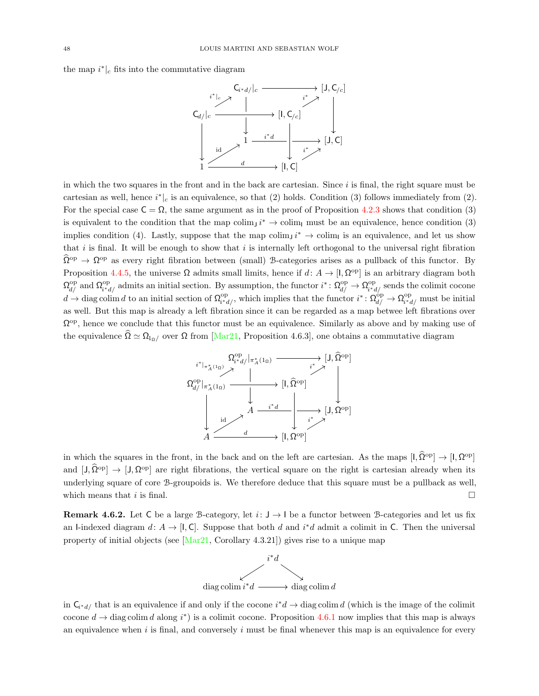the map  $i^*|_c$  fits into the commutative diagram



in which the two squares in the front and in the back are cartesian. Since i is final, the right square must be cartesian as well, hence  $i^*|_c$  is an equivalence, so that (2) holds. Condition (3) follows immediately from (2). For the special case  $C = \Omega$ , the same argument as in the proof of Proposition [4.2.3](#page-36-1) shows that condition (3) is equivalent to the condition that the map colim<sub>J</sub>  $i^* \to$  colim<sub>I</sub> must be an equivalence, hence condition (3) implies condition (4). Lastly, suppose that the map colim<sub>J</sub>  $i^* \to$  colim<sub>i</sub> is an equivalence, and let us show that i is final. It will be enough to show that i is internally left orthogonal to the universal right fibration  $\hat{\Omega}^{\text{op}} \to \Omega^{\text{op}}$  as every right fibration between (small) B-categories arises as a pullback of this functor. By Proposition [4.4.5,](#page-43-0) the universe  $\Omega$  admits small limits, hence if  $d: A \to [1, \Omega^{\text{op}}]$  is an arbitrary diagram both  $\Omega_{d/}^{\text{op}}$  and  $\Omega_{i^*c}^{\text{op}}$ <sup>op</sup><sub>i<sup>\*d</sup>/</sub> admits an initial section. By assumption, the functor  $i^* \colon \Omega_{d/}^{\text{op}} \to \Omega_{i^*c}^{\text{op}}$  $i^{\circ}$ <sup>op</sup><sub>i<sup>\*d</sup></sub>/ sends the colimit cocone  $d \to \text{diag}\, \text{colim} \, d$  to an initial section of  $\Omega_{\text{max}}^{\text{op}}$  $\widehat{a}_{i^*d}^{\text{op}}$ , which implies that the functor  $i^* \colon \Omega_{d/}^{\text{op}} \to \Omega_{i^*d}^{\text{op}}$  $\sum_{i^*d}^{\text{op}}$  must be initial as well. But this map is already a left fibration since it can be regarded as a map betwee left fibrations over  $\Omega^{\text{op}}$ , hence we conclude that this functor must be an equivalence. Similarly as above and by making use of the equivalence  $\Omega \simeq \Omega_{1\Omega}$  over  $\Omega$  from [\[Mar21,](#page-73-0) Proposition 4.6.3], one obtains a commutative diagram



in which the squares in the front, in the back and on the left are cartesian. As the maps  $[1, \hat{\Omega}^{\text{op}}] \to [1, \Omega^{\text{op}}]$ and  $[J, \hat{\Omega}^{\text{op}}] \to [J, \Omega^{\text{op}}]$  are right fibrations, the vertical square on the right is cartesian already when its underlying square of core B-groupoids is. We therefore deduce that this square must be a pullback as well, which means that i is final.

<span id="page-47-0"></span>**Remark 4.6.2.** Let C be a large B-category, let  $i: J \rightarrow I$  be a functor between B-categories and let us fix an I-indexed diagram  $d: A \to [I, C]$ . Suppose that both d and  $i^*d$  admit a colimit in C. Then the universal property of initial objects (see  $\left[\text{Mar21}, \text{Corollary } 4.3.21\right]$ ) gives rise to a unique map



in  $C_{i^*d}$  that is an equivalence if and only if the cocone  $i^*d \to \text{diag}\text{ colim } d$  (which is the image of the colimit cocone  $d \to \text{diag}\text{ colim } d$  along  $i^*$ ) is a colimit cocone. Proposition [4.6.1](#page-46-0) now implies that this map is always an equivalence when  $i$  is final, and conversely  $i$  must be final whenever this map is an equivalence for every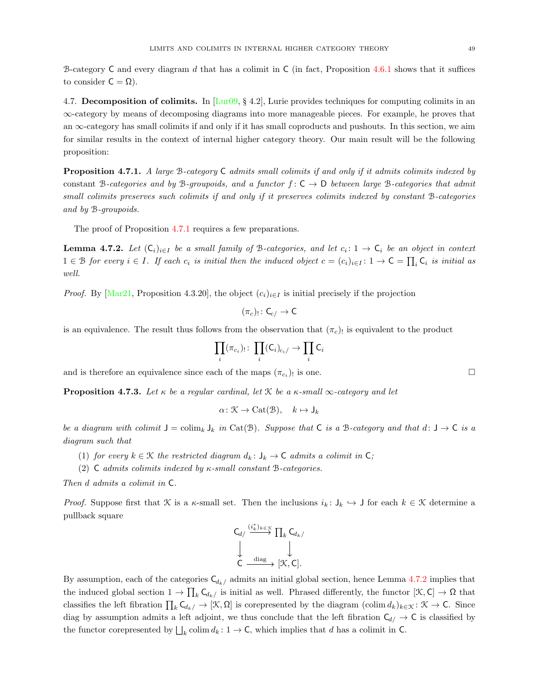B-category C and every diagram d that has a colimit in C (in fact, Proposition [4.6.1](#page-46-0) shows that it suffices to consider  $C = \Omega$ ).

<span id="page-48-3"></span>4.7. Decomposition of colimits. In  $\left[\text{Lur09}, \{4.2\}, \text{Lurie provides techniques for computing colimits in an}\right]$ ∞-category by means of decomposing diagrams into more manageable pieces. For example, he proves that an  $\infty$ -category has small colimits if and only if it has small coproducts and pushouts. In this section, we aim for similar results in the context of internal higher category theory. Our main result will be the following proposition:

<span id="page-48-0"></span>Proposition 4.7.1. A large B-category C admits small colimits if and only if it admits colimits indexed by constant B-categories and by B-groupoids, and a functor  $f: C \to D$  between large B-categories that admit small colimits preserves such colimits if and only if it preserves colimits indexed by constant B-categories and by B-groupoids.

The proof of Proposition [4.7.1](#page-48-0) requires a few preparations.

<span id="page-48-1"></span>**Lemma 4.7.2.** Let  $(C_i)_{i\in I}$  be a small family of B-categories, and let  $c_i: 1 \to C_i$  be an object in context  $1 \in \mathcal{B}$  for every  $i \in I$ . If each  $c_i$  is initial then the induced object  $c = (c_i)_{i \in I} : 1 \to \mathsf{C} = \prod_i \mathsf{C}_i$  is initial as well.

*Proof.* By [\[Mar21,](#page-73-0) Proposition 4.3.20], the object  $(c_i)_{i \in I}$  is initial precisely if the projection

$$
(\pi_c)_!\colon \mathsf{C}_{c/}\to \mathsf{C}
$$

is an equivalence. The result thus follows from the observation that  $(\pi_c)$  is equivalent to the product

$$
\prod_i (\pi_{c_i})_! \colon \prod_i (\mathsf{C}_i)_{c_i} \to \prod_i \mathsf{C}_i
$$

and is therefore an equivalence since each of the maps  $(\pi_{c_i})_!$  is one.

<span id="page-48-2"></span>**Proposition 4.7.3.** Let  $\kappa$  be a regular cardinal, let  $\mathcal{K}$  be a  $\kappa$ -small  $\infty$ -category and let

$$
\alpha \colon \mathcal{K} \to \mathrm{Cat}(\mathcal{B}), \quad k \mapsto \mathsf{J}_k
$$

be a diagram with colimit  $J = colim_k J_k$  in Cat(B). Suppose that C is a B-category and that  $d: J \to C$  is a diagram such that

- (1) for every  $k \in \mathcal{K}$  the restricted diagram  $d_k : J_k \to \mathsf{C}$  admits a colimit in  $\mathsf{C}$ ;
- (2) C admits colimits indexed by  $\kappa$ -small constant B-categories.

Then d admits a colimit in C.

*Proof.* Suppose first that K is a  $\kappa$ -small set. Then the inclusions  $i_k: J_k \hookrightarrow J$  for each  $k \in \mathcal{K}$  determine a pullback square

$$
\begin{array}{ccc}\nC_{d/} & \xrightarrow{(i_{k}^{*})_{k \in \mathcal{K}}}\prod_{k}C_{d_{k}/} \\
\downarrow & & \downarrow \\
C & \xrightarrow{\text{diag}} [\mathcal{K},C].\n\end{array}
$$

By assumption, each of the categories  $C_{d_k/}$  admits an initial global section, hence Lemma [4.7.2](#page-48-1) implies that the induced global section  $1 \to \prod_k \mathsf{C}_{d_k}$  is initial as well. Phrased differently, the functor  $[\mathfrak{K}, \mathsf{C}] \to \Omega$  that classifies the left fibration  $\prod_k \mathsf{C}_{d_k/\iota} \to [\mathfrak{K}, \Omega]$  is corepresented by the diagram  $(\text{colim } d_k)_{k \in \mathfrak{K}} : \mathfrak{K} \to \mathsf{C}$ . Since diag by assumption admits a left adjoint, we thus conclude that the left fibration  $C_{d/} \rightarrow C$  is classified by the functor corepresented by  $\bigsqcup_k$  colim $d_k : 1 \to \mathsf{C}$ , which implies that d has a colimit in  $\mathsf{C}$ .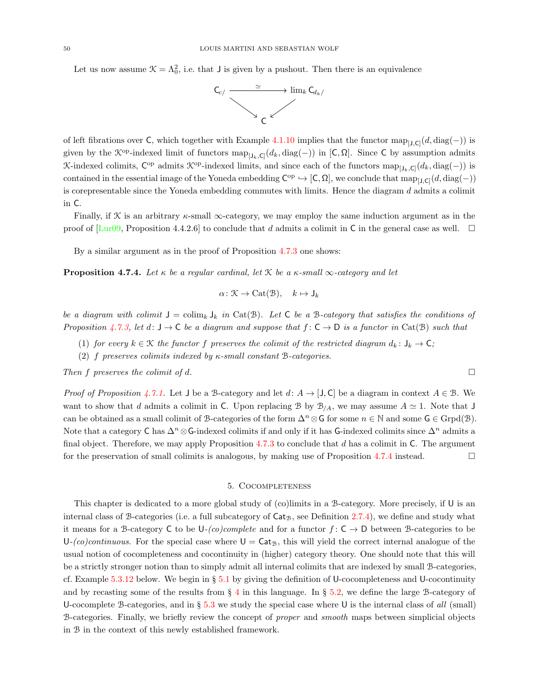Let us now assume  $\mathcal{K} = \Lambda_0^2$ , i.e. that J is given by a pushout. Then there is an equivalence



of left fibrations over C, which together with Example [4.1.10](#page-35-1) implies that the functor  $\text{map}_{[J,C]}(d, \text{diag}(-))$  is given by the  $\mathcal{K}^{\text{op}}$ -indexed limit of functors  $\text{map}_{[J_k,\mathsf{C}]}(d_k,\text{diag}(-))$  in  $[\mathsf{C},\Omega]$ . Since  $\mathsf{C}$  by assumption admits K-indexed colimits,  $\mathsf{C}^{\mathrm{op}}$  admits  $\mathcal{K}^{\mathrm{op}}$ -indexed limits, and since each of the functors  $\mathrm{map}_{[J_k,\mathsf{C}]}(d_k,\mathrm{diag}(-))$  is contained in the essential image of the Yoneda embedding  $C^{op} \hookrightarrow [C, \Omega]$ , we conclude that  $map_{[J, C]}(d, diag(-))$ is corepresentable since the Yoneda embedding commutes with limits. Hence the diagram  $d$  admits a colimit in C.

Finally, if X is an arbitrary  $\kappa$ -small  $\infty$ -category, we may employ the same induction argument as in the proof of  $\text{[Lur09]}$ , Proposition 4.4.2.6] to conclude that d admits a colimit in C in the general case as well.  $\Box$ 

By a similar argument as in the proof of Proposition [4.7.3](#page-48-2) one shows:

<span id="page-49-0"></span>**Proposition 4.7.4.** Let  $\kappa$  be a regular cardinal, let  $\mathcal{K}$  be a  $\kappa$ -small  $\infty$ -category and let

$$
\alpha \colon \mathcal{K} \to \mathrm{Cat}(\mathcal{B}), \quad k \mapsto \mathsf{J}_k
$$

be a diagram with colimit  $J = colim_k J_k$  in Cat(B). Let C be a B-category that satisfies the conditions of Proposition [4.7.3,](#page-48-2) let d:  $J \to C$  be a diagram and suppose that  $f: C \to D$  is a functor in Cat(B) such that

- (1) for every  $k \in \mathcal{K}$  the functor f preserves the colimit of the restricted diagram  $d_k : J_k \to \mathsf{C}$ ;
- (2) f preserves colimits indexed by  $\kappa$ -small constant B-categories.

Then f preserves the colimit of d.  $\square$ 

*Proof of Proposition [4.7.1.](#page-48-0)* Let J be a B-category and let  $d: A \rightarrow [J, C]$  be a diagram in context  $A \in \mathcal{B}$ . We want to show that d admits a colimit in C. Upon replacing B by  $\mathcal{B}_{/A}$ , we may assume  $A \simeq 1$ . Note that J can be obtained as a small colimit of B-categories of the form  $\Delta^n \otimes \mathsf{G}$  for some  $n \in \mathbb{N}$  and some  $\mathsf{G} \in \text{Grpd}(\mathcal{B})$ . Note that a category C has  $\Delta^n \otimes \mathsf{G}\text{-indexed colimits}$  if and only if it has G-indexed colimits since  $\Delta^n$  admits a final object. Therefore, we may apply Proposition  $4.7.3$  to conclude that d has a colimit in C. The argument for the preservation of small colimits is analogous, by making use of Proposition [4.7.4](#page-49-0) instead.

## 5. Cocompleteness

This chapter is dedicated to a more global study of (co)limits in a B-category. More precisely, if U is an internal class of B-categories (i.e. a full subcategory of  $Cat_B$ , see Definition [2.7.4\)](#page-8-0), we define and study what it means for a B-category C to be  $U_{-}(co) complete$  and for a functor  $f: C \rightarrow D$  between B-categories to be  $U-(co)$ continuous. For the special case where  $U = \text{Cat}_{\mathcal{B}}$ , this will yield the correct internal analogue of the usual notion of cocompleteness and cocontinuity in (higher) category theory. One should note that this will be a strictly stronger notion than to simply admit all internal colimits that are indexed by small B-categories, cf. Example  $5.3.12$  below. We begin in §  $5.1$  by giving the definition of U-cocompleteness and U-cocontinuity and by recasting some of the results from  $\S$  [4](#page-33-0) in this language. In  $\S$  [5.2,](#page-51-0) we define the large B-category of U-cocomplete B-categories, and in § [5.3](#page-52-0) we study the special case where U is the internal class of all (small) B-categories. Finally, we briefly review the concept of proper and smooth maps between simplicial objects in B in the context of this newly established framework.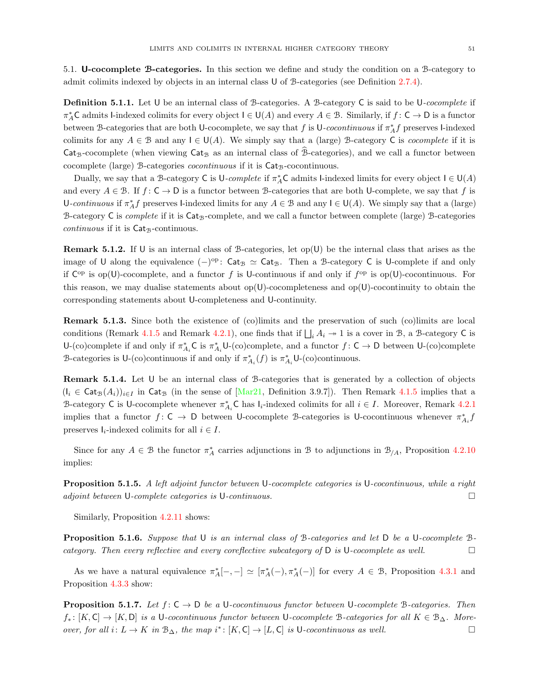<span id="page-50-0"></span>5.1. U-cocomplete B-categories. In this section we define and study the condition on a B-category to admit colimits indexed by objects in an internal class U of B-categories (see Definition [2.7.4\)](#page-8-0).

**Definition 5.1.1.** Let U be an internal class of B-categories. A B-category C is said to be U-cocomplete if  $\pi_A^*$ C admits l-indexed colimits for every object  $I \in U(A)$  and every  $A \in \mathcal{B}$ . Similarly, if  $f: C \to D$  is a functor between B-categories that are both U-cocomplete, we say that f is U-cocontinuous if  $\pi_A^* f$  preserves l-indexed colimits for any  $A \in \mathcal{B}$  and any  $I \in U(A)$ . We simply say that a (large) B-category C is *cocomplete* if it is  $\textsf{Cat}_{\mathcal{B}}$ -cocomplete (when viewing  $\textsf{Cat}_{\mathcal{B}}$  as an internal class of  $\widehat{\mathcal{B}}$ -categories), and we call a functor between cocomplete (large) B-categories  $\emph{cocontinuous}$  if it is  $\textsf{Cat}_{\mathcal{B}}\text{-cocontinuous}.$ 

Dually, we say that a B-category C is  $\mathsf{U}\text{-}complete$  if  $\pi_A^*\mathsf{C}$  admits l-indexed limits for every object  $\mathsf{I}\in\mathsf{U}(A)$ and every  $A \in \mathcal{B}$ . If  $f: C \to D$  is a functor between B-categories that are both U-complete, we say that f is U-continuous if  $\pi_A^* f$  preserves I-indexed limits for any  $A \in \mathcal{B}$  and any  $I \in \mathsf{U}(A)$ . We simply say that a (large) B-category C is *complete* if it is  $Cat_B$ -complete, and we call a functor between complete (large) B-categories  $continuous$  if it is  $Cat_B$ -continuous.

**Remark 5.1.2.** If U is an internal class of B-categories, let  $op(U)$  be the internal class that arises as the image of U along the equivalence  $(-)^{op}$ : Cat<sub>B</sub>  $\simeq$  Cat<sub>B</sub>. Then a B-category C is U-complete if and only if  $C^{op}$  is op(U)-cocomplete, and a functor f is U-continuous if and only if  $f^{op}$  is op(U)-cocontinuous. For this reason, we may dualise statements about  $op(U)$ -cocompleteness and  $op(U)$ -cocontinuity to obtain the corresponding statements about U-completeness and U-continuity.

Remark 5.1.3. Since both the existence of (co)limits and the preservation of such (co)limits are local conditions (Remark [4.1.5](#page-35-2) and Remark [4.2.1\)](#page-36-2), one finds that if  $\bigsqcup_i A_i \twoheadrightarrow 1$  is a cover in B, a B-category C is U-(co)complete if and only if  $\pi_{A_i}^* C$  is  $\pi_{A_i}^* U$ -(co)complete, and a functor  $f: C \to D$  between U-(co)complete B-categories is U-(co)continuous if and only if  $\pi_{A_i}^*(f)$  is  $\pi_{A_i}^*$ U-(co)continuous.

<span id="page-50-3"></span>Remark 5.1.4. Let U be an internal class of B-categories that is generated by a collection of objects  $(I_i \in \text{Cat}_{\mathcal{B}}(A_i))_{i\in I}$  in Cat<sub>B</sub> (in the sense of [\[Mar21,](#page-73-0) Definition 3.9.7]). Then Remark [4.1.5](#page-35-2) implies that a B-category C is U-cocomplete whenever  $\pi_{A_i}^*$ C has  $I_i$ -indexed colimits for all  $i \in I$ . Moreover, Remark [4.2.1](#page-36-2) implies that a functor  $f: \mathsf{C} \to \mathsf{D}$  between U-cocomplete B-categories is U-cocontinuous whenever  $\pi^*_{A_i} f$ preserves  $I_i$ -indexed colimits for all  $i \in I$ .

Since for any  $A \in \mathcal{B}$  the functor  $\pi_A^*$  carries adjunctions in  $\mathcal{B}$  to adjunctions in  $\mathcal{B}_{/A}$ , Proposition [4.2.10](#page-39-1) implies:

Proposition 5.1.5. A left adjoint functor between U-cocomplete categories is U-cocontinuous, while a right adjoint between U-complete categories is U-continuous.

Similarly, Proposition [4.2.11](#page-39-0) shows:

<span id="page-50-2"></span>Proposition 5.1.6. Suppose that U is an internal class of B-categories and let D be a U-cocomplete Bcategory. Then every reflective and every coreflective subcategory of  $D$  is U-cocomplete as well.

As we have a natural equivalence  $\pi_A^*[-,-] \simeq [\pi_A^*(-), \pi_A^*(-)]$  for every  $A \in \mathcal{B}$ , Proposition [4.3.1](#page-40-0) and Proposition [4.3.3](#page-41-0) show:

<span id="page-50-1"></span>**Proposition 5.1.7.** Let  $f: C \to D$  be a U-cocontinuous functor between U-cocomplete B-categories. Then  $f_*: [K, C] \to [K, D]$  is a U-cocontinuous functor between U-cocomplete B-categories for all  $K \in \mathcal{B}_{\Delta}$ . Moreover, for all  $i: L \to K$  in  $\mathcal{B}_{\Delta}$ , the map  $i^*: [K, \mathsf{C}] \to [L, \mathsf{C}]$  is U-cocontinuous as well.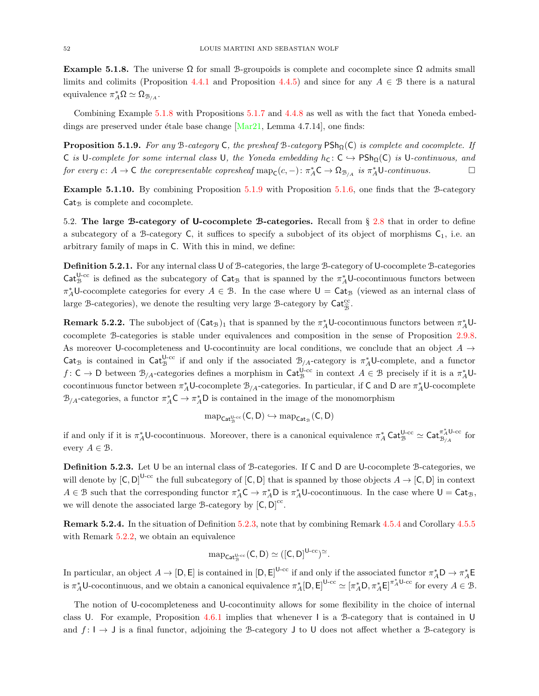<span id="page-51-1"></span>Example 5.1.8. The universe  $\Omega$  for small B-groupoids is complete and cocomplete since  $\Omega$  admits small limits and colimits (Proposition [4.4.1](#page-42-0) and Proposition [4.4.5\)](#page-43-0) and since for any  $A \in \mathcal{B}$  there is a natural equivalence  $\pi_A^* \Omega \simeq \Omega_{\mathcal{B}_{/A}}$ .

Combining Example [5.1.8](#page-51-1) with Propositions [5.1.7](#page-50-1) and [4.4.8](#page-43-1) as well as with the fact that Yoneda embeddings are preserved under étale base change  $[Mar21, Lemma 4.7.14]$ , one finds:

<span id="page-51-2"></span>**Proposition 5.1.9.** For any B-category C, the presheaf B-category  $\mathsf{PSh}_{\Omega}(\mathsf{C})$  is complete and cocomplete. If C is U-complete for some internal class U, the Yoneda embedding  $h_C: C \hookrightarrow PSh_\Omega(C)$  is U-continuous, and for every  $c: A \to C$  the corepresentable copresheaf  $\text{map}_{\mathsf{C}}(c, -): \pi_A^* C \to \Omega_{\mathcal{B}_{/A}}$  is  $\pi_A^* U$ -continuous.

Example 5.1.10. By combining Proposition [5.1.9](#page-51-2) with Proposition [5.1.6,](#page-50-2) one finds that the B-category  $Cat_{\mathcal{B}}$  is complete and cocomplete.

<span id="page-51-0"></span>5.2. The large B-category of U-cocomplete B-categories. Recall from § [2.8](#page-9-0) that in order to define a subcategory of a B-category C, it suffices to specify a subobject of its object of morphisms  $C_1$ , i.e. an arbitrary family of maps in C. With this in mind, we define:

Definition 5.2.1. For any internal class U of B-categories, the large B-category of U-cocomplete B-categories Cat<sup>U-cc</sup> is defined as the subcategory of Cat<sub>B</sub> that is spanned by the  $\pi_A^*U$ -cocontinuous functors between  $\pi_A^*$ U-cocomplete categories for every  $A \in \mathcal{B}$ . In the case where  $\mathsf{U} = \mathsf{Cat}_{\mathcal{B}}$  (viewed as an internal class of large B-categories), we denote the resulting very large B-category by  $\mathsf{Cat}^{\mathrm{cc}}_{\hat{\mathcal{B}}}$ .

<span id="page-51-4"></span>**Remark 5.2.2.** The subobject of  $(Cat_B)_1$  that is spanned by the  $\pi_A^*$ U-cocontinuous functors between  $\pi_A^*$ Ucocomplete B-categories is stable under equivalences and composition in the sense of Proposition [2.9.8.](#page-13-0) As moreover U-cocompleteness and U-cocontinuity are local conditions, we conclude that an object  $A \rightarrow$ Cat<sub>B</sub> is contained in Cat<sup>U-cc</sup> if and only if the associated  $B_{/A}$ -category is  $\pi_A^*U$ -complete, and a functor  $f: \mathsf{C} \to \mathsf{D}$  between  $\mathcal{B}_{/A}$ -categories defines a morphism in  $\mathsf{Cat}_{\mathcal{B}}^{\mathsf{U}\text{-}\mathrm{cc}}$  in context  $A \in \mathcal{B}$  precisely if it is a  $\pi_A^* \mathsf{U}\text{-}$ cocontinuous functor between  $\pi_A^* U$ -cocomplete  $\mathcal{B}_{/A}$ -categories. In particular, if C and D are  $\pi_A^* U$ -cocomplete  $\mathcal{B}_{/A}$ -categories, a functor  $\pi_A^* C \to \pi_A^* D$  is contained in the image of the monomorphism

$$
\operatorname{map}_{\mathsf{Cat}^{\mathsf{U}\text{-}\mathrm{cc}}_{\mathfrak{B}}}(\mathsf{C},\mathsf{D})\hookrightarrow \operatorname{map}_{\mathsf{Cat}_{\mathfrak{B}}}(\mathsf{C},\mathsf{D})
$$

if and only if it is  $\pi_A^* \cup$ -cocontinuous. Moreover, there is a canonical equivalence  $\pi_A^*$  Cat $_{\mathcal{B}}^{\cup \text{-cc}} \simeq$  Cat $_{\mathcal{B}_{/A}}^{\pi_A^* \cup \text{-cc}}$  for every  $A \in \mathcal{B}$ .

<span id="page-51-3"></span>Definition 5.2.3. Let U be an internal class of B-categories. If C and D are U-cocomplete B-categories, we will denote by  $[C, D]^{U-cc}$  the full subcategory of  $[C, D]$  that is spanned by those objects  $A \to [C, D]$  in context  $A \in \mathcal{B}$  such that the corresponding functor  $\pi_A^* C \to \pi_A^* D$  is  $\pi_A^* U$ -cocontinuous. In the case where  $U = \mathsf{Cat}_\mathcal{B}$ , we will denote the associated large  $\mathcal{B}\text{-category}$  by  $[C, D]^{cc}$ .

<span id="page-51-5"></span>Remark 5.2.4. In the situation of Definition [5.2.3,](#page-51-3) note that by combining Remark [4.5.4](#page-45-1) and Corollary [4.5.5](#page-45-2) with Remark [5.2.2,](#page-51-4) we obtain an equivalence

$$
\mathrm{map}_{\mathsf{Cat}^{U\text{-cc}}_{{\mathcal B}}}(C,D)\simeq ([C,D]^{U\text{-cc}})^{\simeq}.
$$

In particular, an object  $A \to [D, E]$  is contained in  $[D, E]^{U-cc}$  if and only if the associated functor  $\pi_A^* D \to \pi_A^* E$ is  $\pi_A^* U$ -cocontinuous, and we obtain a canonical equivalence  $\pi_A^* [D, E]^{U-cc} \simeq [\pi_A^* D, \pi_A^* E]^{\pi_A^* U-cc}$  for every  $A \in \mathcal{B}$ .

The notion of U-cocompleteness and U-cocontinuity allows for some flexibility in the choice of internal class U. For example, Proposition [4.6.1](#page-46-0) implies that whenever I is a B-category that is contained in U and  $f: I \to J$  is a final functor, adjoining the B-category J to U does not affect whether a B-category is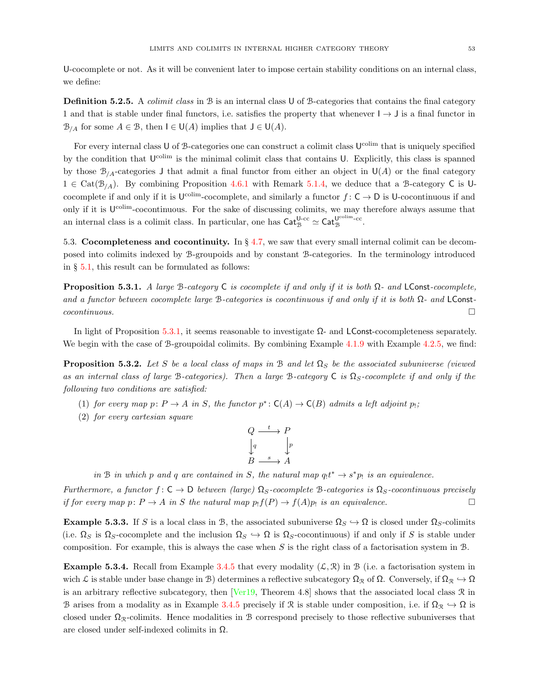U-cocomplete or not. As it will be convenient later to impose certain stability conditions on an internal class, we define:

Definition 5.2.5. A colimit class in B is an internal class U of B-categories that contains the final category 1 and that is stable under final functors, i.e. satisfies the property that whenever  $I \rightarrow J$  is a final functor in  $\mathcal{B}_{/A}$  for some  $A \in \mathcal{B}$ , then  $I \in U(A)$  implies that  $J \in U(A)$ .

For every internal class U of B-categories one can construct a colimit class U<sup>colim</sup> that is uniquely specified by the condition that  $U^{\text{colim}}$  is the minimal colimit class that contains U. Explicitly, this class is spanned by those  $\mathcal{B}_{A}$ -categories J that admit a final functor from either an object in  $U(A)$  or the final category  $1 \in \text{Cat}(\mathcal{B}_{/A})$ . By combining Proposition [4.6.1](#page-46-0) with Remark [5.1.4,](#page-50-3) we deduce that a B-category C is Ucocomplete if and only if it is  $U^{\text{colim}}$ -cocomplete, and similarly a functor  $f: \mathsf{C} \to \mathsf{D}$  is U-cocontinuous if and only if it is U<sup>colim</sup>-cocontinuous. For the sake of discussing colimits, we may therefore always assume that an internal class is a colimit class. In particular, one has  $\mathsf{Cat}_{\mathcal{B}}^{\mathsf{U}\text{-}\mathrm{cc}} \simeq \mathsf{Cat}_{\mathcal{B}}^{\mathsf{U}^{\mathrm{colim}}\text{-}\mathrm{cc}}$ .

<span id="page-52-0"></span>5.3. Cocompleteness and cocontinuity. In § [4.7,](#page-48-3) we saw that every small internal colimit can be decomposed into colimits indexed by B-groupoids and by constant B-categories. In the terminology introduced in § [5.1,](#page-50-0) this result can be formulated as follows:

<span id="page-52-1"></span>**Proposition 5.3.1.** A large B-category C is cocomplete if and only if it is both  $\Omega$ - and LConst-cocomplete, and a functor between cocomplete large B-categories is cocontinuous if and only if it is both  $\Omega$ - and LConst- $\Box$ cocontinuous.

In light of Proposition [5.3.1,](#page-52-1) it seems reasonable to investigate  $\Omega$ - and LConst-cocompleteness separately. We begin with the case of B-groupoidal colimits. By combining Example [4.1.9](#page-35-0) with Example [4.2.5,](#page-37-0) we find:

<span id="page-52-2"></span>**Proposition 5.3.2.** Let S be a local class of maps in B and let  $\Omega_S$  be the associated subuniverse (viewed as an internal class of large B-categories). Then a large B-category C is  $\Omega_S$ -cocomplete if and only if the following two conditions are satisfied:

- (1) for every map  $p: P \to A$  in S, the functor  $p^*: C(A) \to C(B)$  admits a left adjoint  $p_1$ ;
- (2) for every cartesian square

$$
\begin{array}{ccc}\nQ & \xrightarrow{t} & P \\
\downarrow^{q} & & \downarrow^{p} \\
B & \xrightarrow{s} & A\n\end{array}
$$

in B in which p and q are contained in S, the natural map  $q_1t^* \rightarrow s^*p_1$  is an equivalence.

Furthermore, a functor  $f: C \to D$  between (large)  $\Omega_S$ -cocomplete B-categories is  $\Omega_S$ -cocontinuous precisely if for every map  $p: P \to A$  in S the natural map  $p_1 f(P) \to f(A)p_1$  is an equivalence.

**Example 5.3.3.** If S is a local class in B, the associated subuniverse  $\Omega_S \hookrightarrow \Omega$  is closed under  $\Omega_S$ -colimits (i.e.  $\Omega_S$  is  $\Omega_S$ -cocomplete and the inclusion  $\Omega_S \hookrightarrow \Omega$  is  $\Omega_S$ -cocontinuous) if and only if S is stable under composition. For example, this is always the case when  $S$  is the right class of a factorisation system in  $B$ .

**Example 5.3.4.** Recall from Example [3.4.5](#page-32-1) that every modality  $(\mathcal{L}, \mathcal{R})$  in B (i.e. a factorisation system in wich L is stable under base change in B) determines a reflective subcategory  $\Omega_{\mathcal{R}}$  of  $\Omega$ . Conversely, if  $\Omega_{\mathcal{R}} \hookrightarrow \Omega$ is an arbitrary reflective subcategory, then  $[Ver19, Theorem 4.8]$  shows that the associated local class  $\Re$  in B arises from a modality as in Example [3.4.5](#page-32-1) precisely if R is stable under composition, i.e. if  $\Omega_{\mathcal{R}} \hookrightarrow \Omega$  is closed under  $\Omega_{\mathcal{R}}$ -colimits. Hence modalities in B correspond precisely to those reflective subuniverses that are closed under self-indexed colimits in Ω.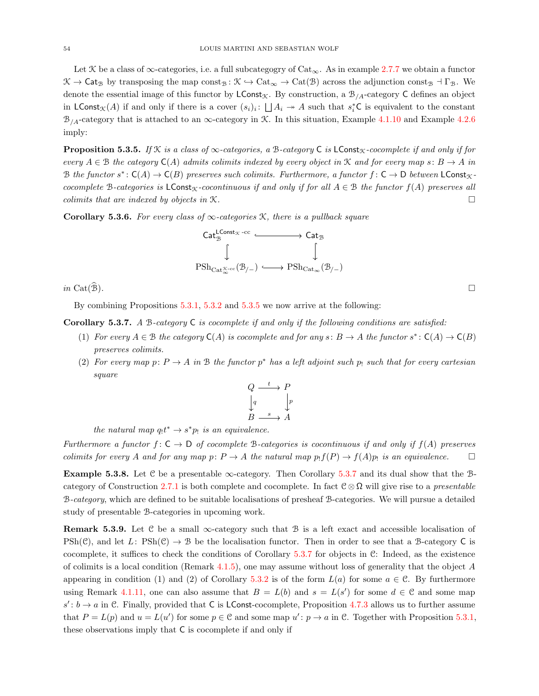Let X be a class of  $\infty$ -categories, i.e. a full subcategogry of Cat<sub>∞</sub>. As in example [2.7.7](#page-9-1) we obtain a functor  $\mathcal{K} \to \mathsf{Cat}_\mathcal{B}$  by transposing the map const $_B : \mathcal{K} \to \mathrm{Cat}_\infty \to \mathrm{Cat}(\mathcal{B})$  across the adjunction const $_B \dashv \Gamma_B$ . We denote the essential image of this functor by  $\mathsf{LConst}_{\mathcal{K}}$ . By construction, a  $\mathcal{B}_{/A}$ -category  $\mathsf C$  defines an object in  $\mathsf{LConst}_{\mathcal{K}}(A)$  if and only if there is a cover  $(s_i)_i: \bigsqcup A_i \to A$  such that  $s_i^*\mathsf{C}$  is equivalent to the constant  $\mathcal{B}_{\text{A}}$ -category that is attached to an ∞-category in *K*. In this situation, Example [4.1.10](#page-35-1) and Example [4.2.6](#page-37-1) imply:

<span id="page-53-0"></span>**Proposition 5.3.5.** If  $K$  is a class of  $\infty$ -categories, a B-category C is LConst<sub>K</sub>-cocomplete if and only if for every  $A \in \mathcal{B}$  the category  $\mathsf{C}(A)$  admits colimits indexed by every object in  $\mathcal{K}$  and for every map s:  $B \to A$  in B the functor  $s^*: C(A) \to C(B)$  preserves such colimits. Furthermore, a functor  $f: C \to D$  between  $\mathsf{LConst}_{\mathcal{K}}$ . cocomplete B-categories is LConst<sub>K</sub>-cocontinuous if and only if for all  $A \in \mathcal{B}$  the functor  $f(A)$  preserves all colimits that are indexed by objects in  $\mathcal{K}$ .

Corollary 5.3.6. For every class of  $\infty$ -categories  $\mathcal{K}$ , there is a pullback square



in Cat( $\widehat{\mathcal{B}}$ ).

By combining Propositions [5.3.1,](#page-52-1) [5.3.2](#page-52-2) and [5.3.5](#page-53-0) we now arrive at the following:

<span id="page-53-1"></span>**Corollary 5.3.7.** A B-category  $C$  is cocomplete if and only if the following conditions are satisfied:

- (1) For every  $A \in \mathcal{B}$  the category  $\mathsf{C}(A)$  is cocomplete and for any  $s: B \to A$  the functor  $s^*: \mathsf{C}(A) \to \mathsf{C}(B)$ preserves colimits.
- (2) For every map  $p: P \to A$  in B the functor  $p^*$  has a left adjoint such  $p_1$  such that for every cartesian square

$$
Q \xrightarrow{t} P
$$
  
\n
$$
\downarrow q
$$
  
\n
$$
B \xrightarrow{s} A
$$

the natural map  $q_!t^* \rightarrow s^*p_!$  is an equivalence.

Furthermore a functor  $f: \mathsf{C} \to \mathsf{D}$  of cocomplete B-categories is cocontinuous if and only if  $f(A)$  preserves colimits for every A and for any map  $p: P \to A$  the natural map  $p_1 f(P) \to f(A)p_1$  is an equivalence.

Example 5.3.8. Let C be a presentable  $\infty$ -category. Then Corollary [5.3.7](#page-53-1) and its dual show that the B-category of Construction [2.7.1](#page-8-1) is both complete and cocomplete. In fact  $C \otimes \Omega$  will give rise to a presentable B-category, which are defined to be suitable localisations of presheaf B-categories. We will pursue a detailed study of presentable B-categories in upcoming work.

**Remark 5.3.9.** Let C be a small  $\infty$ -category such that B is a left exact and accessible localisation of  $\text{PSh}(\mathcal{C})$ , and let L:  $\text{PSh}(\mathcal{C}) \to \mathcal{B}$  be the localisation functor. Then in order to see that a B-category C is cocomplete, it suffices to check the conditions of Corollary [5.3.7](#page-53-1) for objects in  $\mathcal{C}$ : Indeed, as the existence of colimits is a local condition (Remark [4.1.5\)](#page-35-2), one may assume without loss of generality that the object  $A$ appearing in condition (1) and (2) of Corollary [5.3.2](#page-52-2) is of the form  $L(a)$  for some  $a \in \mathcal{C}$ . By furthermore using Remark [4.1.11,](#page-36-3) one can also assume that  $B = L(b)$  and  $s = L(s')$  for some  $d \in \mathcal{C}$  and some map  $s' : b \to a$  in C. Finally, provided that C is LConst-cocomplete, Proposition [4.7.3](#page-48-2) allows us to further assume that  $P = L(p)$  and  $u = L(u')$  for some  $p \in \mathcal{C}$  and some map  $u' : p \to a$  in  $\mathcal{C}$ . Together with Proposition [5.3.1,](#page-52-1) these observations imply that C is cocomplete if and only if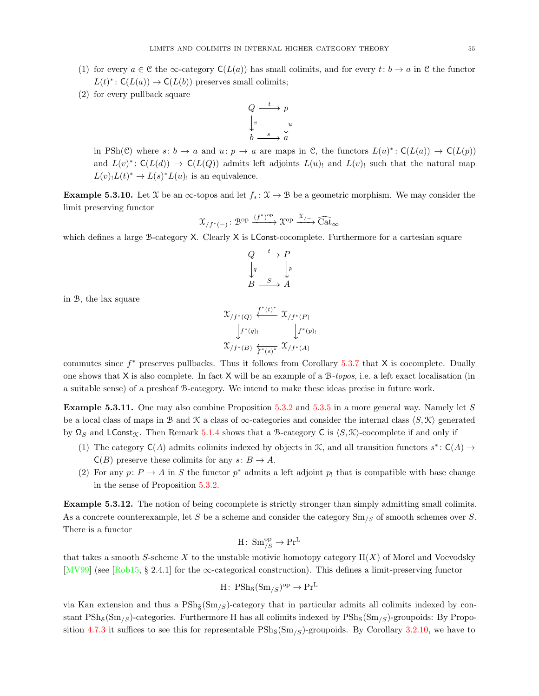- (1) for every  $a \in \mathcal{C}$  the  $\infty$ -category  $C(L(a))$  has small colimits, and for every  $t: b \to a$  in  $\mathcal{C}$  the functor  $L(t)^* \colon C(L(a)) \to C(L(b))$  preserves small colimits;
- (2) for every pullback square



in PSh(C) where  $s: b \to a$  and  $u: p \to a$  are maps in C, the functors  $L(u)^* : C(L(a)) \to C(L(p))$ and  $L(v)^* \to C(L(d)) \to C(L(Q))$  admits left adjoints  $L(u)$  and  $L(v)$  such that the natural map  $L(v)_!L(t)^* \to L(s)^*L(u)$  is an equivalence.

Example 5.3.10. Let  $\mathfrak X$  be an  $\infty$ -topos and let  $f_* : \mathfrak X \to \mathfrak B$  be a geometric morphism. We may consider the limit preserving functor

$$
\mathfrak{X}_{/f^*(-)} \colon \mathcal{B}^{\mathrm{op}} \xrightarrow{(f^*)^{\mathrm{op}}} \mathfrak{X}^{\mathrm{op}} \xrightarrow{\mathfrak{X}_{/-}} \widehat{\mathrm{Cat}}_{\infty}
$$

which defines a large B-category X. Clearly X is LConst-cocomplete. Furthermore for a cartesian square

$$
Q \xrightarrow{t} P
$$
  
\n
$$
\downarrow q
$$
  
\n
$$
B \xrightarrow{S} A
$$

in B, the lax square

$$
\begin{array}{c}\mathfrak{X}_{/f^*(Q)} \xleftarrow{f^*(t)^*} \mathfrak{X}_{/f^*(P)}\\ \downarrow f^*(q) : \qquad \qquad \downarrow f^*(p) :\\ \mathfrak{X}_{/f^*(B)} \xleftarrow{f^*(s)^*} \mathfrak{X}_{/f^*(A)}\end{array}
$$

commutes since  $f^*$  preserves pullbacks. Thus it follows from Corollary [5.3.7](#page-53-1) that  $X$  is cocomplete. Dually one shows that  $X$  is also complete. In fact  $X$  will be an example of a  $B-topos$ , i.e. a left exact localisation (in a suitable sense) of a presheaf B-category. We intend to make these ideas precise in future work.

<span id="page-54-1"></span>Example 5.3.11. One may also combine Proposition [5.3.2](#page-52-2) and [5.3.5](#page-53-0) in a more general way. Namely let S be a local class of maps in B and K a class of  $\infty$ -categories and consider the internal class  $\langle S, \mathcal{K} \rangle$  generated by  $\Omega_S$  and LConst<sub>K</sub>. Then Remark [5.1.4](#page-50-3) shows that a B-category C is  $\langle S, \mathcal{K} \rangle$ -cocomplete if and only if

- (1) The category  $C(A)$  admits colimits indexed by objects in  $K$ , and all transition functors  $s^*$ :  $C(A) \rightarrow$  $C(B)$  preserve these colimits for any  $s: B \to A$ .
- (2) For any  $p: P \to A$  in S the functor  $p^*$  admits a left adjoint  $p_!$  that is compatible with base change in the sense of Proposition [5.3.2.](#page-52-2)

<span id="page-54-0"></span>Example 5.3.12. The notion of being cocomplete is strictly stronger than simply admitting small colimits. As a concrete counterexample, let S be a scheme and consider the category  $\text{Sm}_{/S}$  of smooth schemes over S. There is a functor

$$
H\colon\operatorname{Sm}^{\operatorname{op}}_{/S}\to\operatorname{Pr}^L
$$

that takes a smooth S-scheme X to the unstable motivic homotopy category  $H(X)$  of Morel and Voevodsky [\[MV99\]](#page-73-3) (see [\[Rob15,](#page-73-4) § 2.4.1] for the ∞-categorical construction). This defines a limit-preserving functor

$$
H\colon\operatorname{PSh}_\mathcal{S}(\mathrm{Sm}_{/S})^\mathrm{op}\to\operatorname{Pr}^{\operatorname{L}}
$$

via Kan extension and thus a  $\text{PSh}_{\mathfrak{F}}(\text{Sm}_{\ell S})$ -category that in particular admits all colimits indexed by constant  $PSh_8(Sm_{\ell}s)$ -categories. Furthermore H has all colimits indexed by  $PSh_8(Sm_{\ell}s)$ -groupoids: By Propo-sition [4.7.3](#page-48-2) it suffices to see this for representable  $\text{PSh}_8(\text{Sm}_{\ell S})$ -groupoids. By Corollary [3.2.10,](#page-26-0) we have to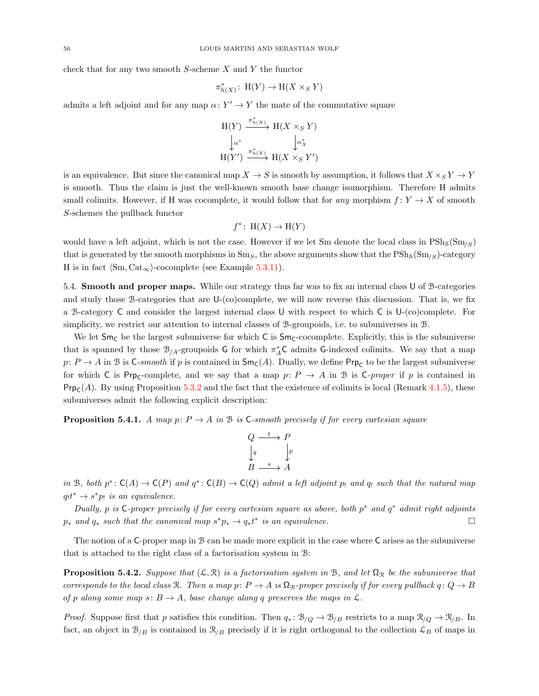check that for any two smooth S-scheme X and Y the functor

$$
\pi^*_{h(X)}\colon\operatorname{H}(Y)\to\operatorname{H}(X\times_S Y)
$$

admits a left adjoint and for any map  $\alpha: Y' \to Y$  the mate of the commutative square

$$
\begin{array}{ccc}\nH(Y) & \xrightarrow{\pi_{h(X)}^*} & H(X \times_S Y) \\
\downarrow \alpha^* & & \downarrow \alpha_X^* \\
H(Y') & \xrightarrow{\pi_{h(X)}^*} & H(X \times_S Y')\n\end{array}
$$

is an equivalence. But since the canonical map  $X \to S$  is smooth by assumption, it follows that  $X \times_S Y \to Y$ is smooth. Thus the claim is just the well-known smooth base change isomorphism. Therefore H admits small colimits. However, if H was cocomplete, it would follow that for any morphism  $f: Y \to X$  of smooth S-schemes the pullback functor

$$
f^* \colon H(X) \to H(Y)
$$

would have a left adjoint, which is not the case. However if we let Sm denote the local class in  $\text{PSh}_\mathcal{S}(\text{Sm}_\ell)$ that is generated by the smooth morphisms in  $Sm_S$ , the above arguments show that the  $\text{PSh}_S(Sm_{/S})$ -category H is in fact  $\langle Sm, Cat_{\infty}\rangle$ -cocomplete (see Example [5.3.11\)](#page-54-1).

5.4. Smooth and proper maps. While our strategy thus far was to fix an internal class U of B-categories and study those B-categories that are U-(co)complete, we will now reverse this discussion. That is, we fix a B-category C and consider the largest internal class U with respect to which C is  $U_{-}$  (co)complete. For simplicity, we restrict our attention to internal classes of B-groupoids, i.e. to subuniverses in B.

We let  $Sm_C$  be the largest subuniverse for which C is  $Sm_C$ -cocomplete. Explicitly, this is the subuniverse that is spanned by those  $\mathcal{B}_{/A}$ -groupoids G for which  $\pi_A^*C$  admits G-indexed colimits. We say that a map  $p: P \to A$  in B is C-smooth if p is contained in  $\mathsf{Sm}_\mathsf{C}(A)$ . Dually, we define  $\mathsf{Prp}_\mathsf{C}$  to be the largest subuniverse for which C is  $\textsf{Prp}_\textsf{C}\text{-complete}$ , and we say that a map  $p: P \to A$  in B is C-proper if p is contained in  $\textsf{Prp}_\textsf{C}(A)$ . By using Proposition [5.3.2](#page-52-2) and the fact that the existence of colimits is local (Remark [4.1.5\)](#page-35-2), these subuniverses admit the following explicit description:

<span id="page-55-0"></span>**Proposition 5.4.1.** A map p:  $P \rightarrow A$  in B is C-smooth precisely if for every cartesian square

$$
Q \xrightarrow{t} P
$$
  
\n
$$
\downarrow q
$$
  
\n
$$
B \xrightarrow{s} A
$$

in B, both  $p^*: C(A) \to C(P)$  and  $q^*: C(B) \to C(Q)$  admit a left adjoint p<sub>!</sub> and q<sub>!</sub> such that the natural map  $q_1 t^* \to s^* p_1$  is an equivalence.

Dually, p is C-proper precisely if for every cartesian square as above, both  $p^*$  and  $q^*$  admit right adjoints  $p_*$  and  $q_*$  such that the canonical map  $s^*p_* \to q_*t^*$  is an equivalence.

The notion of a C-proper map in B can be made more explicit in the case where C arises as the subuniverse that is attached to the right class of a factorisation system in B:

<span id="page-55-1"></span>**Proposition 5.4.2.** Suppose that  $(L, \mathcal{R})$  is a factorisation system in B, and let  $\Omega_{\mathcal{R}}$  be the subuniverse that corresponds to the local class R. Then a map p:  $P \to A$  is  $\Omega_{\mathcal{R}}$ -proper precisely if for every pullback  $q: Q \to B$ of p along some map  $s: B \to A$ , base change along q preserves the maps in  $\mathcal{L}$ .

*Proof.* Suppose first that p satisfies this condition. Then  $q_* \colon \mathcal{B}_{/Q} \to \mathcal{B}_{/B}$  restricts to a map  $\mathcal{R}_{/Q} \to \mathcal{R}_{/B}$ . In fact, an object in  $\mathcal{B}_{/B}$  is contained in  $\mathcal{R}_{/B}$  precisely if it is right orthogonal to the collection  $\mathcal{L}_B$  of maps in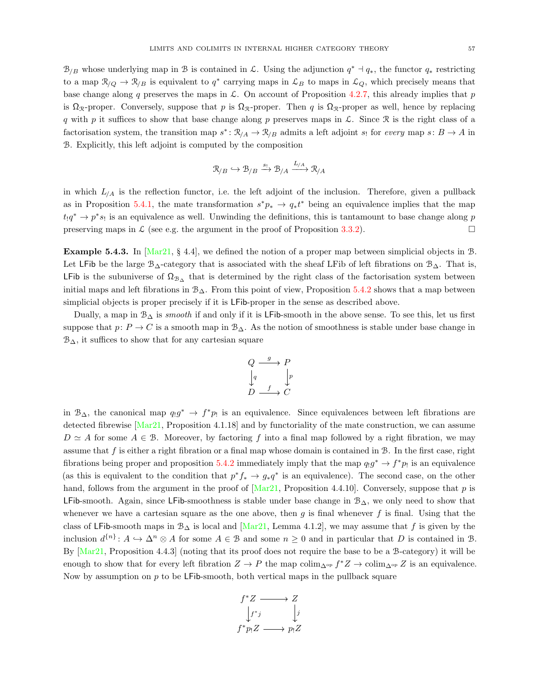$\mathcal{B}_{/B}$  whose underlying map in B is contained in L. Using the adjunction  $q^* \dashv q_*$ , the functor  $q_*$  restricting to a map  $\mathcal{R}_{/Q} \to \mathcal{R}_{/B}$  is equivalent to  $q^*$  carrying maps in  $\mathcal{L}_B$  to maps in  $\mathcal{L}_Q$ , which precisely means that base change along q preserves the maps in  $\mathcal{L}$ . On account of Proposition [4.2.7,](#page-37-2) this already implies that p is  $\Omega_{\mathcal{R}}$ -proper. Conversely, suppose that p is  $\Omega_{\mathcal{R}}$ -proper. Then q is  $\Omega_{\mathcal{R}}$ -proper as well, hence by replacing q with p it suffices to show that base change along p preserves maps in  $\mathcal{L}$ . Since R is the right class of a factorisation system, the transition map  $s^*: \mathcal{R}_{/A} \to \mathcal{R}_{/B}$  admits a left adjoint  $s_i$  for every map  $s: B \to A$  in B. Explicitly, this left adjoint is computed by the composition

$$
\mathfrak{R}_{/B}\hookrightarrow\mathfrak{B}_{/B}\xrightarrow{s_!}\mathfrak{B}_{/A}\xrightarrow{L_{/A}}\mathfrak{R}_{/A}
$$

in which  $L_{/A}$  is the reflection functor, i.e. the left adjoint of the inclusion. Therefore, given a pullback as in Proposition [5.4.1,](#page-55-0) the mate transformation  $s^*p_* \to q_*t^*$  being an equivalence implies that the map  $t_1q^* \to p^*s_1$  is an equivalence as well. Unwinding the definitions, this is tantamount to base change along p preserving maps in  $\mathcal{L}$  (see e.g. the argument in the proof of Proposition [3.3.2\)](#page-28-1).

**Example 5.4.3.** In  $Mar21$ , § 4.4, we defined the notion of a proper map between simplicial objects in B. Let LFib be the large B<sub>∆</sub>-category that is associated with the sheaf LFib of left fibrations on  $B_{\Delta}$ . That is, LFib is the subuniverse of  $\Omega_{\beta\Delta}$  that is determined by the right class of the factorisation system between initial maps and left fibrations in  $\mathcal{B}_{\Delta}$ . From this point of view, Proposition [5.4.2](#page-55-1) shows that a map between simplicial objects is proper precisely if it is LFib-proper in the sense as described above.

Dually, a map in  $\mathcal{B}_{\Delta}$  is *smooth* if and only if it is LFib-smooth in the above sense. To see this, let us first suppose that  $p: P \to C$  is a smooth map in  $\mathcal{B}_{\Delta}$ . As the notion of smoothness is stable under base change in  $\mathcal{B}_{\Delta}$ , it suffices to show that for any cartesian square

$$
\begin{array}{ccc}\nQ & \xrightarrow{g} & P \\
\downarrow{q} & & \downarrow{p} \\
D & \xrightarrow{f} & C\n\end{array}
$$

in  $B_{\Delta}$ , the canonical map  $q_1g^* \to f^*p_1$  is an equivalence. Since equivalences between left fibrations are detected fibrewise [\[Mar21,](#page-73-0) Proposition 4.1.18] and by functoriality of the mate construction, we can assume  $D \simeq A$  for some  $A \in \mathcal{B}$ . Moreover, by factoring f into a final map followed by a right fibration, we may assume that  $f$  is either a right fibration or a final map whose domain is contained in  $B$ . In the first case, right fibrations being proper and proposition [5.4.2](#page-55-1) immediately imply that the map  $q_1g^* \to f^*p_1$  is an equivalence (as this is equivalent to the condition that  $p^*f_* \to g_*q^*$  is an equivalence). The second case, on the other hand, follows from the argument in the proof of  $[Mar21,$  Proposition 4.4.10]. Conversely, suppose that p is LFib-smooth. Again, since LFib-smoothness is stable under base change in  $\mathcal{B}_\Delta$ , we only need to show that whenever we have a cartesian square as the one above, then  $g$  is final whenever  $f$  is final. Using that the class of LFib-smooth maps in  $\mathcal{B}_{\Delta}$  is local and [\[Mar21,](#page-73-0) Lemma 4.1.2], we may assume that f is given by the inclusion  $d^{\{n\}}: A \hookrightarrow \Delta^n \otimes A$  for some  $A \in \mathcal{B}$  and some  $n \geq 0$  and in particular that D is contained in  $\mathcal{B}$ . By [\[Mar21,](#page-73-0) Proposition 4.4.3] (noting that its proof does not require the base to be a B-category) it will be enough to show that for every left fibration  $Z \to P$  the map colim<sub>∆op</sub>  $f^*Z \to \text{colim}_{\Delta^{op}} Z$  is an equivalence. Now by assumption on  $p$  to be LFib-smooth, both vertical maps in the pullback square

$$
f^*Z \longrightarrow Z
$$
  
\n
$$
\downarrow f^*j \qquad \qquad j
$$
  
\n
$$
f^*p_!Z \longrightarrow p_!Z
$$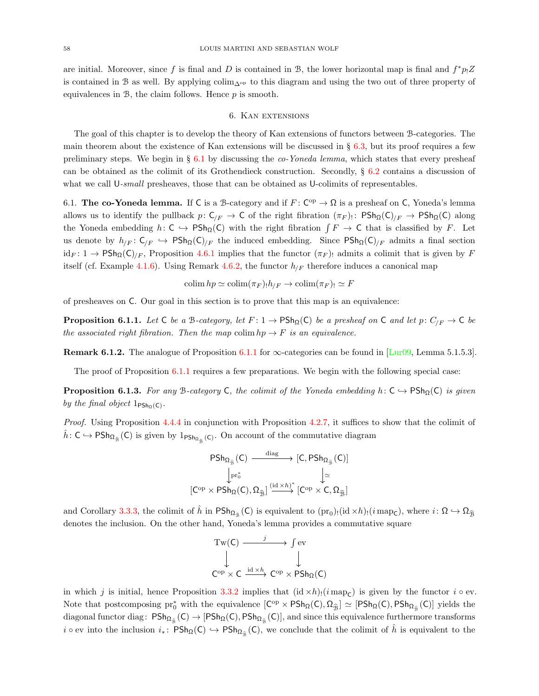are initial. Moreover, since f is final and D is contained in B, the lower horizontal map is final and  $f^*p_!Z$ is contained in B as well. By applying colim∆op to this diagram and using the two out of three property of equivalences in  $\mathcal{B}$ , the claim follows. Hence  $p$  is smooth.

## 6. Kan extensions

The goal of this chapter is to develop the theory of Kan extensions of functors between B-categories. The main theorem about the existence of Kan extensions will be discussed in  $\S$  [6.3,](#page-60-0) but its proof requires a few preliminary steps. We begin in  $\S 6.1$  $\S 6.1$  by discussing the *co-Yoneda lemma*, which states that every presheaf can be obtained as the colimit of its Grothendieck construction. Secondly,  $\S 6.2$  $\S 6.2$  contains a discussion of what we call U-small presheaves, those that can be obtained as U-colimits of representables.

<span id="page-57-0"></span>6.1. The co-Yoneda lemma. If C is a B-category and if  $F: C^{op} \to \Omega$  is a presheaf on C, Yoneda's lemma allows us to identify the pullback  $p: C_{/F} \to C$  of the right fibration  $(\pi_F)_{\cdot}$ :  $P\mathsf{Sh}_{\Omega}(C)_{/F} \to P\mathsf{Sh}_{\Omega}(C)$  along the Yoneda embedding  $h: C \hookrightarrow P\mathsf{Sh}_{\Omega}(C)$  with the right fibration  $\int F \to C$  that is classified by F. Let us denote by  $h_{/F}: C_{/F} \hookrightarrow \text{PSh}_{\Omega}(C)_{/F}$  the induced embedding. Since  $\text{PSh}_{\Omega}(C)_{/F}$  admits a final section  $id_F: 1 \to \text{PSh}_{\Omega}(\mathsf{C})/F$ , Proposition [4.6.1](#page-46-0) implies that the functor  $(\pi_F)$  admits a colimit that is given by F itself (cf. Example [4.1.6\)](#page-35-4). Using Remark [4.6.2,](#page-47-0) the functor  $h_{F}$  therefore induces a canonical map

$$
\operatorname{colim} h p \simeq \operatorname{colim}(\pi_F)_{!} h_{/F} \to \operatorname{colim}(\pi_F)_{!} \simeq F
$$

of presheaves on C. Our goal in this section is to prove that this map is an equivalence:

<span id="page-57-1"></span>**Proposition 6.1.1.** Let C be a B-category, let  $F: 1 \to \text{PSh}_{\Omega}(\mathsf{C})$  be a presheaf on C and let  $p: C_{F} \to \mathsf{C}$  be the associated right fibration. Then the map colim  $hp \to F$  is an equivalence.

**Remark 6.1.2.** The analogue of Proposition [6.1.1](#page-57-1) for  $\infty$ -categories can be found in [\[Lur09,](#page-73-2) Lemma 5.1.5.3].

The proof of Proposition [6.1.1](#page-57-1) requires a few preparations. We begin with the following special case:

<span id="page-57-2"></span>**Proposition 6.1.3.** For any B-category C, the colimit of the Yoneda embedding  $h: C \hookrightarrow \text{PSh}_{\Omega}(C)$  is given by the final object  $1_{\text{PSh}_{\Omega}(C)}$ .

Proof. Using Proposition [4.4.4](#page-42-1) in conjunction with Proposition [4.2.7,](#page-37-2) it suffices to show that the colimit of  $\hat{h}: C \hookrightarrow \mathsf{PSh}_{\Omega_{\hat{\mathcal{B}}}}(C)$  is given by  $1_{\mathsf{PSh}_{\Omega_{\hat{\mathcal{B}}}}(C)}$ . On account of the commutative diagram

$$
\begin{array}{ccc}PSh_{\Omega_{\widehat{\mathfrak{B}}}}(C)&\xrightarrow{\mathrm{diag}}& [C,PSh_{\Omega_{\widehat{\mathfrak{B}}}}(C)]\\ &\downarrow_{\mathrm{pr}_{0}^{*}}&&\downarrow_{\simeq}\\ [C^{\mathrm{op}}\times PSh_{\Omega}(C),\Omega_{\widehat{\mathfrak{B}}}] \xrightarrow{(\mathrm{id}\times h)^{*}}[C^{\mathrm{op}}\times C,\Omega_{\widehat{\mathfrak{B}}}]\\ \end{array}
$$

and Corollary [3.3.3,](#page-29-1) the colimit of  $\hat{h}$  in  $\mathsf{PSh}_{\Omega_{\hat{B}}}(C)$  is equivalent to  $(\text{pr}_0)_! (\text{id} \times h)_! (i \text{ map}_C)$ , where  $i: \Omega \hookrightarrow \Omega_{\hat{B}}$ denotes the inclusion. On the other hand, Yoneda's lemma provides a commutative square

$$
\begin{array}{ccc}\n\operatorname{Tw}(C) & \xrightarrow{j} & \text{f} \text{ ev} \\
\downarrow & & \downarrow \\
\operatorname{C^{op}} \times C & \xrightarrow{\operatorname{id} \times h} & \operatorname{C^{op}} \times \operatorname{PSh}_{\Omega}(C)\n\end{array}
$$

in which j is initial, hence Proposition [3.3.2](#page-28-1) implies that  $(id \times h)(i \text{ map}_{\mathsf{C}})$  is given by the functor  $i \circ ev$ . Note that postcomposing pr<sup>\*</sup> with the equivalence  $[C^{\rm op} \times PSh_{\Omega}(C), \Omega_{\hat{B}}] \simeq [PSh_{\Omega}(C), PSh_{\Omega_{\hat{B}}}(C)]$  yields the diagonal functor diag:  $\mathsf{PSh}_\Omega(\mathsf{C}) \to [\mathsf{PSh}_\Omega(\mathsf{C}), \mathsf{PSh}_{\Omega_{\widehat{\mathcal{B}}}}(\mathsf{C})]$ , and since this equivalence furthermore transforms  $i \circ \text{ev}$  into the inclusion  $i_* \colon \text{PSh}_{\Omega}(\mathsf{C}) \hookrightarrow \text{PSh}_{\Omega_{\widehat{\mathbb{B}}}}(\mathsf{C})$ , we conclude that the colimit of  $\hat{h}$  is equivalent to the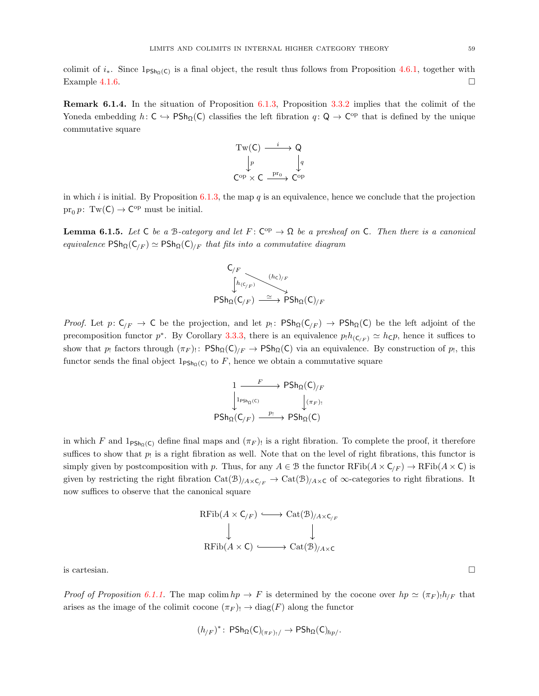colimit of  $i_*$ . Since  $1_{\text{PSh}_{\Omega}(\text{C})}$  is a final object, the result thus follows from Proposition [4.6.1,](#page-46-0) together with Example [4.1.6.](#page-35-4)  $\Box$ 

Remark 6.1.4. In the situation of Proposition [6.1.3,](#page-57-2) Proposition [3.3.2](#page-28-1) implies that the colimit of the Yoneda embedding  $h: C \hookrightarrow P\mathsf{Sh}_{\Omega}(C)$  classifies the left fibration  $q: Q \to C^{op}$  that is defined by the unique commutative square



in which i is initial. By Proposition  $6.1.3$ , the map q is an equivalence, hence we conclude that the projection  $pr_0 p$ : Tw(C)  $\rightarrow$  C<sup>op</sup> must be initial.

<span id="page-58-0"></span>**Lemma 6.1.5.** Let C be a B-category and let  $F: C^{op} \to \Omega$  be a presheaf on C. Then there is a canonical equivalence  $\text{PSh}_{\Omega}(\mathsf{C}_{/F}) \simeq \text{PSh}_{\Omega}(\mathsf{C})_{/F}$  that fits into a commutative diagram

$$
\begin{array}{ccc}\nC_{/F} & & & (h_c)_{/F} \\
\downarrow h(c_{/F}) & \xrightarrow{(h_c)_{/F}} & \text{PSh}_{\Omega}(C)_{/F}\n\end{array}
$$

*Proof.* Let  $p: C_{/F} \to C$  be the projection, and let  $p_!: P\mathsf{Sh}_{\Omega}(C_{/F}) \to P\mathsf{Sh}_{\Omega}(C)$  be the left adjoint of the precomposition functor  $p^*$ . By Corollary [3.3.3,](#page-29-1) there is an equivalence  $p_1h_{(C/F)} \simeq h_{\mathsf{C}}p$ , hence it suffices to show that  $p_!$  factors through  $(\pi_F)_!$ :  $P\text{Sh}_{\Omega}(C)_{/F} \to P\text{Sh}_{\Omega}(C)$  via an equivalence. By construction of  $p_!$ , this functor sends the final object  $1_{\text{PSh}_{\Omega}(C)}$  to F, hence we obtain a commutative square

$$
\begin{array}{ccc}\n1 & F & \longrightarrow & \mathsf{PSh}_{\Omega}(\mathsf{C})_{/F} \\
\downarrow^{1_{\mathsf{PSh}_{\Omega}(\mathsf{C})}} & & \downarrow^{(\pi_F)_!} \\
\mathsf{PSh}_{\Omega}(\mathsf{C}_{/F}) & \xrightarrow{p_!} & \mathsf{PSh}_{\Omega}(\mathsf{C})\n\end{array}
$$

in which F and  $1_{\text{PSh}_\Omega(C)}$  define final maps and  $(\pi_F)$  is a right fibration. To complete the proof, it therefore suffices to show that  $p_!$  is a right fibration as well. Note that on the level of right fibrations, this functor is simply given by postcomposition with p. Thus, for any  $A \in \mathcal{B}$  the functor  $\mathrm{RFib}(A \times \mathsf{C}_{/F}) \to \mathrm{RFib}(A \times \mathsf{C})$  is given by restricting the right fibration  $Cat(\mathcal{B})_{/A \times C_{/F}} \to Cat(\mathcal{B})_{/A \times C}$  of  $\infty$ -categories to right fibrations. It now suffices to observe that the canonical square



is cartesian.  $\Box$ 

Proof of Proposition [6.1.1.](#page-57-1) The map colim  $hp \to F$  is determined by the cocone over  $hp \simeq (\pi_F)h_{/F}$  that arises as the image of the colimit cocone  $(\pi_F)$ !  $\to$  diag(F) along the functor

$$
(h_{/F})^* \colon \mathsf{PSh}_{\Omega}(\mathsf{C})_{(\pi_F)_!}/ \to \mathsf{PSh}_{\Omega}(\mathsf{C})_{hp/}.
$$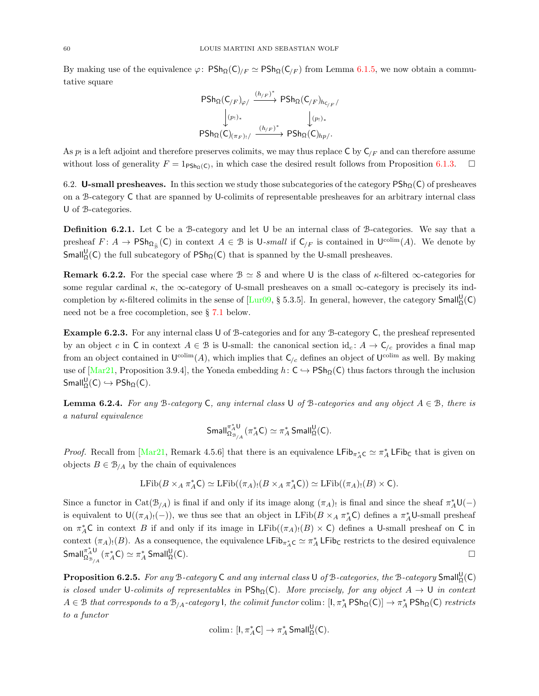By making use of the equivalence  $\varphi$ :  $P\text{Sh}_{\Omega}(\mathsf{C})_{/F} \simeq P\text{Sh}_{\Omega}(\mathsf{C}_{/F})$  from Lemma [6.1.5,](#page-58-0) we now obtain a commutative square

$$
\begin{array}{ccc}\n\text{PSh}_{\Omega}(C_{/F})_{\varphi/} & \xrightarrow{(h_{/F})^*} \text{PSh}_{\Omega}(C_{/F})_{h_{C_{/F}}}/\\ \downarrow^{(p_!)_*} & \downarrow^{(p_!)_*} \\
\text{PSh}_{\Omega}(C)_{(\pi_F)_!/} & \xrightarrow{(h_{/F})^*} \text{PSh}_{\Omega}(C)_{hp/}.\n\end{array}
$$

As  $p_!$  is a left adjoint and therefore preserves colimits, we may thus replace C by  $C_{/F}$  and can therefore assume without loss of generality  $F = 1_{\text{PSh}_{\Omega}(C)}$ , in which case the desired result follows from Proposition [6.1.3.](#page-57-2)

<span id="page-59-0"></span>6.2. U-small presheaves. In this section we study those subcategories of the category  $\mathsf{PSh}_\Omega(\mathsf{C})$  of presheaves on a B-category C that are spanned by U-colimits of representable presheaves for an arbitrary internal class U of B-categories.

Definition 6.2.1. Let C be a B-category and let U be an internal class of B-categories. We say that a presheaf  $F: A \to \text{PSh}_{\Omega_{\widehat{\mathcal{B}}}}(\mathsf{C})$  in context  $A \in \mathcal{B}$  is  $\mathsf{U}\text{-}small$  if  $\mathsf{C}_{/F}$  is contained in  $\mathsf{U}^{\text{colim}}(A)$ . We denote by Small<sup>U</sup><sub> $\Omega$ </sub>(C) the full subcategory of PSh<sub> $\Omega$ </sub>(C) that is spanned by the U-small presheaves.

**Remark 6.2.2.** For the special case where  $\mathcal{B} \simeq \mathcal{S}$  and where U is the class of  $\kappa$ -filtered  $\infty$ -categories for some regular cardinal  $\kappa$ , the  $\infty$ -category of U-small presheaves on a small  $\infty$ -category is precisely its indcompletion by  $\kappa$ -filtered colimits in the sense of [\[Lur09,](#page-73-2) § 5.3.5]. In general, however, the category  $Small^{\mathsf{U}}_{\Omega}(\mathsf{C})$ need not be a free cocompletion, see § [7.1](#page-65-0) below.

Example 6.2.3. For any internal class U of B-categories and for any B-category C, the presheaf represented by an object c in C in context  $A \in \mathcal{B}$  is U-small: the canonical section  $\mathrm{id}_{c}: A \to \mathsf{C}_{/c}$  provides a final map from an object contained in  $\mathsf{U}^{\text{colim}}(A)$ , which implies that  $\mathsf{C}_{/c}$  defines an object of  $\mathsf{U}^{\text{colim}}$  as well. By making use of  $[\text{Mar21}, \text{Proposition 3.9.4}]$ , the Yoneda embedding  $h: \text{C} \rightarrow \text{PSh}_{\Omega}(\text{C})$  thus factors through the inclusion  $\mathsf{Small}^{\mathsf{U}}_{\Omega}(\mathsf{C}) \hookrightarrow \mathsf{PSh}_{\Omega}(\mathsf{C}).$ 

<span id="page-59-1"></span>**Lemma 6.2.4.** For any B-category C, any internal class U of B-categories and any object  $A \in \mathcal{B}$ , there is a natural equivalence

$$
\mathsf{Small}_{\Omega_{\mathcal{B}_{/A}}}^{\pi_A^*U}(\pi_A^*C)\simeq \pi_A^*\, \mathsf{Small}^U_\Omega(C).
$$

*Proof.* Recall from [\[Mar21,](#page-73-0) Remark 4.5.6] that there is an equivalence  $\mathsf{LFib}_{\pi_A^*\mathsf{C}} \simeq \pi_A^* \mathsf{LFib}_{\mathsf{C}}$  that is given on objects  $B \in \mathcal{B}_{/A}$  by the chain of equivalences

$$
\operatorname{LFib}(B \times_A \pi_A^* C) \simeq \operatorname{LFib}((\pi_A)_! (B \times_A \pi_A^* C)) \simeq \operatorname{LFib}((\pi_A)_! (B) \times C).
$$

Since a functor in  $Cat(\mathcal{B}_{/A})$  is final if and only if its image along  $(\pi_A)$ , is final and since the sheaf  $\pi_A^* \mathsf{U}(-)$ is equivalent to  $\mathsf{U}((\pi_A)_!(-))$ , we thus see that an object in LFib( $B \times_A \pi_A^* C$ ) defines a  $\pi_A^* \mathsf{U}\text{-small presheaf}$ on  $\pi_A^*$ C in context B if and only if its image in LFib $((\pi_A)_!(B) \times C)$  defines a U-small presheaf on C in context  $(\pi_A)_!(B)$ . As a consequence, the equivalence LFib<sub> $\pi_A^*$ C  $\simeq \pi_A^*$  LFib<sub>C</sub> restricts to the desired equivalence</sub>  $S$ mall $\sigma_{\alpha}^{*}$ U  $\frac{\pi^\ast_A\mathsf{U}}{\Omega^\ast_{\mathbb{B}_{/A}}}(\pi^\ast_A\mathsf{C})\simeq \pi^\ast_A$  Small $^{\mathsf{U}}_\Omega$  $\mathcal{Q}_\Omega(\mathsf{C})$ .

<span id="page-59-2"></span>**Proposition 6.2.5.** For any B-category C and any internal class U of B-categories, the B-category  $Small^{\mathsf{U}}_{\Omega}(\mathsf{C})$ is closed under U-colimits of representables in  $\text{PSh}_{\Omega}(C)$ . More precisely, for any object  $A \to U$  in context  $A \in \mathcal{B}$  that corresponds to a  $\mathcal{B}_{/A}$ -category I, the colimit functor colim:  $[\mathsf{I}, \pi_A^* \mathsf{PSh}_{\Omega}(\mathsf{C})] \to \pi_A^* \mathsf{PSh}_{\Omega}(\mathsf{C})$  restricts to a functor

$$
\mathrm{colim}\colon [I,\pi_A^*C]\to \pi_A^*\,\mathsf{Small}^{\mathsf{U}}_\Omega(C).
$$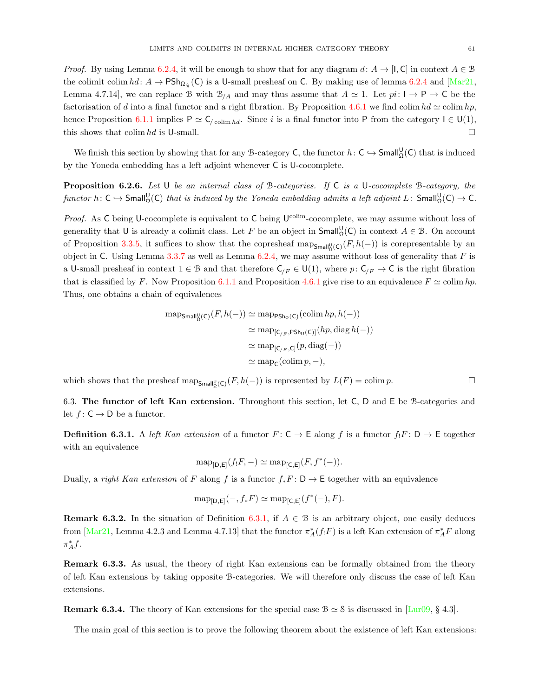*Proof.* By using Lemma [6.2.4,](#page-59-1) it will be enough to show that for any diagram  $d: A \to [1, C]$  in context  $A \in \mathcal{B}$ the colimit colim  $hd: A \to \text{PSh}_{\Omega_{\hat{\mathcal{B}}}}(\mathsf{C})$  is a U-small presheaf on C. By making use of lemma [6.2.4](#page-59-1) and [\[Mar21,](#page-73-0) Lemma 4.7.14], we can replace B with  $\mathcal{B}_{/A}$  and may thus assume that  $A \simeq 1$ . Let  $pi: I \to P \to C$  be the factorisation of d into a final functor and a right fibration. By Proposition [4.6.1](#page-46-0) we find colim  $hd \simeq \text{colim } hp$ , hence Proposition [6.1.1](#page-57-1) implies  $P \simeq C_{\ell \text{colim }hd}$ . Since i is a final functor into P from the category  $I \in U(1)$ , this shows that colim hd is U-small.

We finish this section by showing that for any B-category C, the functor  $h: C \hookrightarrow$  Small ${}^{\bigcup}_{\Omega}(C)$  that is induced by the Yoneda embedding has a left adjoint whenever C is U-cocomplete.

<span id="page-60-2"></span>**Proposition 6.2.6.** Let U be an internal class of B-categories. If  $C$  is a U-cocomplete B-category, the functor  $h\colon \mathsf{C}\hookrightarrow \mathsf{Small}^{\mathsf{U}}_\Omega(\mathsf{C})$  that is induced by the Yoneda embedding admits a left adjoint  $L\colon \mathsf{Small}^{\mathsf{U}}_\Omega(\mathsf{C})\to \mathsf{C}.$ 

*Proof.* As C being U-cocomplete is equivalent to C being  $U^{\text{colim}}$ -cocomplete, we may assume without loss of generality that U is already a colimit class. Let F be an object in  $Small^{\mathsf{U}}_{\Omega}(\mathsf{C})$  in context  $A \in \mathcal{B}$ . On account of Proposition [3.3.5,](#page-30-0) it suffices to show that the copresheaf  $\text{map}_{\mathsf{Small}^{\mathsf{U}}_{\mathfrak{D}}(\mathsf{C})}(F, h(-))$  is corepresentable by an object in C. Using Lemma  $3.3.7$  as well as Lemma  $6.2.4$ , we may assume without loss of generality that F is a U-small presheaf in context  $1 \in \mathcal{B}$  and that therefore  $C_{F} \in \mathsf{U}(1)$ , where  $p: C_{F} \to \mathsf{C}$  is the right fibration that is classified by F. Now Proposition [6.1.1](#page-57-1) and Proposition [4.6.1](#page-46-0) give rise to an equivalence  $F \simeq \text{colim } hp$ . Thus, one obtains a chain of equivalences

$$
\begin{aligned} \operatorname{map}_{\mathsf{Small}^{\mathsf{U}}_{\mathfrak{Q}}(\mathsf{C})}(F, h(-)) &\simeq \operatorname{map}_{\mathsf{PSh}_{\mathfrak{Q}}(\mathsf{C})}(\operatorname{colim} hp, h(-)) \\ &\simeq \operatorname{map}_{[\mathsf{C}_{/F}, \mathsf{PSh}_{\mathfrak{Q}}(\mathsf{C})]}(hp, \operatorname{diag} h(-)) \\ &\simeq \operatorname{map}_{[\mathsf{C}_{/F}, \mathsf{C}]}(p, \operatorname{diag}(-)) \\ &\simeq \operatorname{map}_{\mathsf{C}}(\operatorname{colim} p, -), \end{aligned}
$$

which shows that the presheaf  $\text{map}_{\text{Small}^0_{\Omega}(C)}(F, h(-))$  is represented by  $L(F) = \text{colim } p$ .

<span id="page-60-0"></span>6.3. The functor of left Kan extension. Throughout this section, let C, D and E be B-categories and let  $f: \mathsf{C} \to \mathsf{D}$  be a functor.

<span id="page-60-1"></span>**Definition 6.3.1.** A left Kan extension of a functor  $F: \mathsf{C} \to \mathsf{E}$  along f is a functor  $f_!F: \mathsf{D} \to \mathsf{E}$  together with an equivalence

$$
\operatorname{map}_{[D,E]}(f_!F,-)\simeq \operatorname{map}_{[C,E]}(F,f^*(-)).
$$

Dually, a right Kan extension of F along f is a functor  $f_*F: D \to \mathsf{E}$  together with an equivalence

$$
\operatorname{map}_{[D,E]}(-, f_*F) \simeq \operatorname{map}_{[C,E]}(f^*(-), F).
$$

<span id="page-60-3"></span>**Remark 6.3.2.** In the situation of Definition [6.3.1,](#page-60-1) if  $A \in \mathcal{B}$  is an arbitrary object, one easily deduces from  $\left[\text{Mar21, Lemma 4.2.3 and Lemma 4.7.13}\right]$  that the functor  $\pi_A^*(f_!F)$  is a left Kan extension of  $\pi_A^*F$  along  $\pi_A^* f$ .

Remark 6.3.3. As usual, the theory of right Kan extensions can be formally obtained from the theory of left Kan extensions by taking opposite B-categories. We will therefore only discuss the case of left Kan extensions.

**Remark 6.3.4.** The theory of Kan extensions for the special case  $B \simeq S$  is discussed in [\[Lur09,](#page-73-2) § 4.3].

The main goal of this section is to prove the following theorem about the existence of left Kan extensions: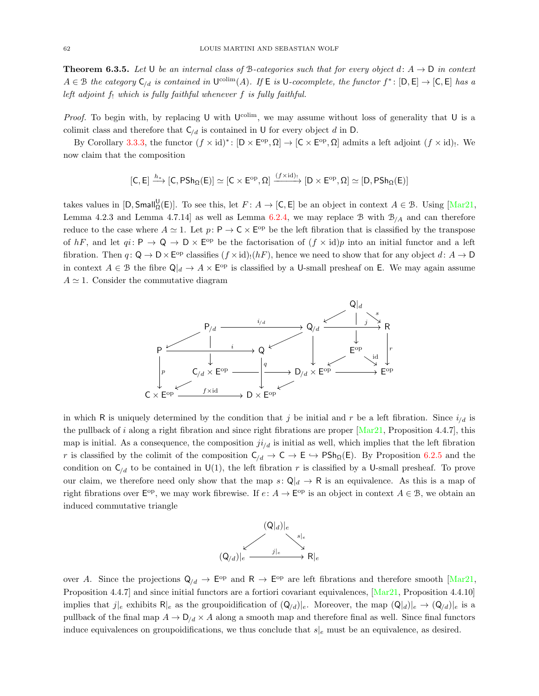<span id="page-61-0"></span>**Theorem 6.3.5.** Let U be an internal class of B-categories such that for every object d:  $A \rightarrow D$  in context  $A \in \mathcal{B}$  the category  $C_{/d}$  is contained in  $\mathsf{U}^{\text{colim}}(A)$ . If  $\mathsf{E}$  is  $\mathsf{U}\text{-}cocomplete$ , the functor  $f^* \colon [\mathsf{D}, \mathsf{E}] \to [\mathsf{C}, \mathsf{E}]$  has a left adjoint  $f_!$  which is fully faithful whenever  $f$  is fully faithful.

*Proof.* To begin with, by replacing U with  $U^{\text{colim}}$ , we may assume without loss of generality that U is a colimit class and therefore that  $C_{/d}$  is contained in U for every object d in D.

By Corollary [3.3.3,](#page-29-1) the functor  $(f \times id)^*$ :  $[D \times E^{op}, \Omega] \to [C \times E^{op}, \Omega]$  admits a left adjoint  $(f \times id)$ . We now claim that the composition

$$
[C,E] \xrightarrow{h_*} [C, PSh_\Omega(E)] \simeq [C \times E^{\rm op},\Omega] \xrightarrow{(f \times \mathrm{id})_!} [D \times E^{\rm op},\Omega] \simeq [D, PSh_\Omega(E)]
$$

takes values in  $[D, Small_{\Omega}^{U}(E)]$ . To see this, let  $F: A \rightarrow [C,E]$  be an object in context  $A \in \mathcal{B}$ . Using  $[Mar21,$ Lemma 4.2.3 and Lemma 4.7.14] as well as Lemma [6.2.4,](#page-59-1) we may replace B with  $\mathcal{B}_{/A}$  and can therefore reduce to the case where  $A \simeq 1$ . Let  $p: \mathsf{P} \to \mathsf{C} \times \mathsf{E}^{\mathrm{op}}$  be the left fibration that is classified by the transpose of hF, and let  $qi: \mathsf{P} \to \mathsf{Q} \to \mathsf{D} \times \mathsf{E}^{\text{op}}$  be the factorisation of  $(f \times id)p$  into an initial functor and a left fibration. Then  $q: \mathsf{Q} \to \mathsf{D} \times \mathsf{E}^{\mathrm{op}}$  classifies  $(f \times \mathrm{id})_!(hF)$ , hence we need to show that for any object  $d: A \to \mathsf{D}$ in context  $A \in \mathcal{B}$  the fibre  $\mathsf{Q}|_d \to A \times \mathsf{E}^{\text{op}}$  is classified by a U-small presheaf on E. We may again assume  $A \simeq 1$ . Consider the commutative diagram



in which R is uniquely determined by the condition that j be initial and r be a left fibration. Since  $i_{d}$  is the pullback of i along a right fibration and since right fibrations are proper  $[\text{Mar21}, \text{Proposition 4.4.7}],$  this map is initial. As a consequence, the composition  $ji_{d}$  is initial as well, which implies that the left fibration r is classified by the colimit of the composition  $C_{/d} \to C \to E \to PSh_{\Omega}(E)$ . By Proposition [6.2.5](#page-59-2) and the condition on  $C_{/d}$  to be contained in U(1), the left fibration r is classified by a U-small presheaf. To prove our claim, we therefore need only show that the map  $s: Q|_d \to \mathsf{R}$  is an equivalence. As this is a map of right fibrations over  $\mathsf{E}^{\text{op}}$ , we may work fibrewise. If  $e: A \to \mathsf{E}^{\text{op}}$  is an object in context  $A \in \mathcal{B}$ , we obtain an induced commutative triangle



over A. Since the projections  $Q_{/d} \to \mathsf{E}^{\text{op}}$  and  $\mathsf{R} \to \mathsf{E}^{\text{op}}$  are left fibrations and therefore smooth [\[Mar21,](#page-73-0) Proposition 4.4.7 and since initial functors are a fortiori covariant equivalences, [\[Mar21,](#page-73-0) Proposition 4.4.10] implies that  $j|_e$  exhibits  $R|_e$  as the groupoidification of  $(Q_d)|_e$ . Moreover, the map  $(Q_d)|_e \rightarrow (Q_d)|_e$  is a pullback of the final map  $A \to D/d \times A$  along a smooth map and therefore final as well. Since final functors induce equivalences on groupoidifications, we thus conclude that  $s|e$  must be an equivalence, as desired.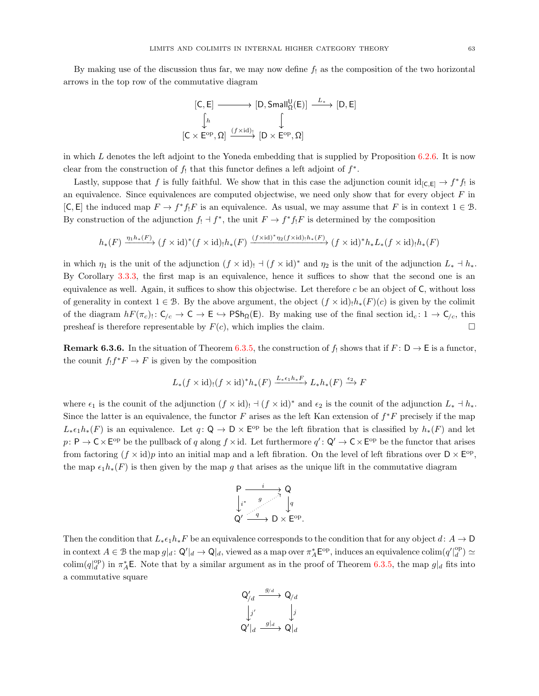By making use of the discussion thus far, we may now define  $f_1$  as the composition of the two horizontal arrows in the top row of the commutative diagram

$$
[C, E] \longrightarrow [D, Small_{\Omega}^{U}(E)] \xrightarrow{L_{*}} [D, E]
$$

$$
\downarrow \qquad \qquad [C \times E^{\mathrm{op}}, \Omega] \xrightarrow{(f \times \mathrm{id})_{!}} [D \times E^{\mathrm{op}}, \Omega]
$$

in which L denotes the left adjoint to the Yoneda embedding that is supplied by Proposition  $6.2.6$ . It is now clear from the construction of  $f_!$  that this functor defines a left adjoint of  $f^*$ .

Lastly, suppose that f is fully faithful. We show that in this case the adjunction counit  $\mathrm{id}_{[C,E]} \to f^*f$  is an equivalence. Since equivalences are computed objectwise, we need only show that for every object  $F$  in  $[\mathsf{C}, \mathsf{E}]$  the induced map  $F \to f^* f_! F$  is an equivalence. As usual, we may assume that F is in context  $1 \in \mathcal{B}$ . By construction of the adjunction  $f_! \dashv f^*$ , the unit  $F \to f^* f_! F$  is determined by the composition

$$
h_*(F) \xrightarrow{\eta_1 h_*(F)} (f \times id)^*(f \times id)h_*(F) \xrightarrow{(f \times id)^* \eta_2(f \times id)h_*(F)} (f \times id)^* h_* L_*(f \times id)h_*(F)
$$

in which  $\eta_1$  is the unit of the adjunction  $(f \times id)$ !  $\vdash (f \times id)^*$  and  $\eta_2$  is the unit of the adjunction  $L_* \dashv h_*$ . By Corollary [3.3.3,](#page-29-1) the first map is an equivalence, hence it suffices to show that the second one is an equivalence as well. Again, it suffices to show this objectwise. Let therefore  $c$  be an object of  $C$ , without loss of generality in context  $1 \in \mathcal{B}$ . By the above argument, the object  $(f \times id)_{!} h_*(F)(c)$  is given by the colimit of the diagram  $hF(\pi_c): \mathsf{C}_{/c} \to \mathsf{C} \to \mathsf{E} \to \mathsf{PSh}_{\Omega}(\mathsf{E})$ . By making use of the final section  $\mathrm{id}_c: 1 \to \mathsf{C}_{/c}$ , this presheaf is therefore representable by  $F(c)$ , which implies the claim.

<span id="page-62-0"></span>**Remark 6.3.6.** In the situation of Theorem [6.3.5,](#page-61-0) the construction of  $f_!$  shows that if  $F: D \to E$  is a functor, the counit  $f_! f^* F \to F$  is given by the composition

$$
L_*(f \times id)_!(f \times id)^* h_*(F) \xrightarrow{L_* \epsilon_1 h_* F} L_* h_*(F) \xrightarrow{\epsilon_2} F
$$

where  $\epsilon_1$  is the counit of the adjunction  $(f \times id)$ !  $\neg (f \times id)^*$  and  $\epsilon_2$  is the counit of the adjunction  $L_* \dashv h_*$ . Since the latter is an equivalence, the functor  $F$  arises as the left Kan extension of  $f^*F$  precisely if the map  $L_*\epsilon_1 h_*(F)$  is an equivalence. Let  $q: \mathsf{Q} \to \mathsf{D} \times \mathsf{E}^{\text{op}}$  be the left fibration that is classified by  $h_*(F)$  and let  $p: \mathsf{P} \to \mathsf{C} \times \mathsf{E}^{\mathrm{op}}$  be the pullback of q along  $f \times \mathrm{id}$ . Let furthermore  $q': \mathsf{Q}' \to \mathsf{C} \times \mathsf{E}^{\mathrm{op}}$  be the functor that arises from factoring  $(f \times id)p$  into an initial map and a left fibration. On the level of left fibrations over  $D \times E^{op}$ , the map  $\epsilon_1 h_*(F)$  is then given by the map g that arises as the unique lift in the commutative diagram

$$
\begin{array}{ccc}\n & \stackrel{i}{\longrightarrow} & \text{Q} \\
 \downarrow_i^* & \stackrel{g}{\longrightarrow} & \downarrow_q \\
 \text{Q}' & \stackrel{q}{\longrightarrow} & \text{D} \times \text{E^{op}}.\n\end{array}
$$

Then the condition that  $L_*\epsilon_1 h_*F$  be an equivalence corresponds to the condition that for any object  $d: A \to \mathsf{D}$ in context  $A \in \mathcal{B}$  the map  $g|_d \colon \mathsf{Q}'|_d \to \mathsf{Q}|_d$ , viewed as a map over  $\pi_A^* \mathsf{E}^{\mathrm{op}}$ , induces an equivalence colim $(q'|_d^{\mathrm{op}}) \simeq$ colim $(q|_d^{\text{op}})$  in  $\pi_A^*$ E. Note that by a similar argument as in the proof of Theorem [6.3.5,](#page-61-0) the map  $g|_d$  fits into a commutative square

$$
\begin{array}{ccc}\n\mathbf{Q}'_{/d} & \xrightarrow{g_{/d}} & \mathbf{Q}_{/d} \\
\downarrow^{j'} & & \downarrow^{j} \\
\mathbf{Q}'|_{d} & \xrightarrow{g|_{d}} & \mathbf{Q}|_{d}\n\end{array}
$$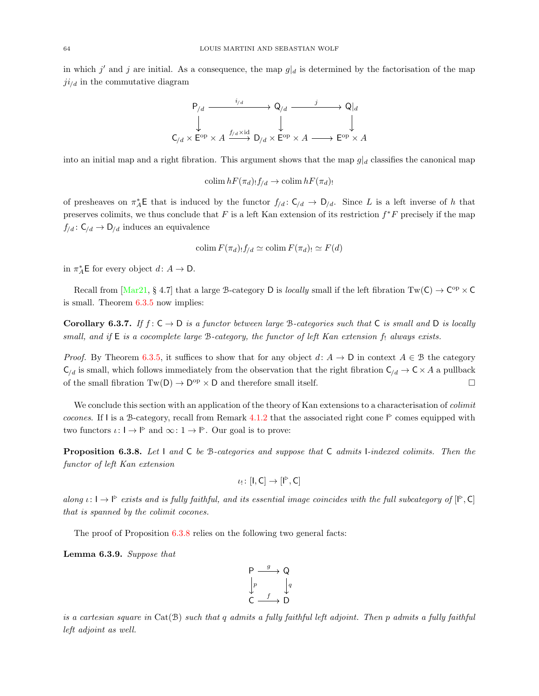in which j' and j are initial. As a consequence, the map  $g|_d$  is determined by the factorisation of the map  $ji_{/d}$  in the commutative diagram



into an initial map and a right fibration. This argument shows that the map  $g|_d$  classifies the canonical map

colim  $hF(\pi_d)! f_{/d} \to \text{colim } hF(\pi_d)!$ 

of presheaves on  $\pi_A^*$ **E** that is induced by the functor  $f_{/d}$ :  $C_{/d} \to D_{/d}$ . Since L is a left inverse of h that preserves colimits, we thus conclude that  $F$  is a left Kan extension of its restriction  $f^*F$  precisely if the map  $f_{/d} : \mathsf{C}_{/d} \to \mathsf{D}_{/d}$  induces an equivalence

$$
\operatorname{colim} F(\pi_d)_! f_{/d} \simeq \operatorname{colim} F(\pi_d)_! \simeq F(d)
$$

in  $\pi_A^* \mathsf{E}$  for every object  $d: A \to \mathsf{D}$ .

Recall from  $[\text{Mar21}, \S 4.7]$  that a large B-category D is *locally* small if the left fibration  $Tw(C) \to C^{op} \times C$ is small. Theorem [6.3.5](#page-61-0) now implies:

Corollary 6.3.7. If  $f: \mathsf{C} \to \mathsf{D}$  is a functor between large B-categories such that  $\mathsf{C}$  is small and  $\mathsf{D}$  is locally small, and if  $E$  is a cocomplete large B-category, the functor of left Kan extension  $f_1$  always exists.

*Proof.* By Theorem [6.3.5,](#page-61-0) it suffices to show that for any object  $d: A \to D$  in context  $A \in \mathcal{B}$  the category  $C_{/d}$  is small, which follows immediately from the observation that the right fibration  $C_{/d} \to C \times A$  a pullback of the small fibration  $Tw(D) \to D^{op} \times D$  and therefore small itself.

We conclude this section with an application of the theory of Kan extensions to a characterisation of *colimit* cocones. If I is a B-category, recall from Remark [4.1.2](#page-34-0) that the associated right cone  $\mathbb P$  comes equipped with two functors  $\iota: I \to I^{\triangleright}$  and  $\infty: I \to I^{\triangleright}$ . Our goal is to prove:

<span id="page-63-0"></span>**Proposition 6.3.8.** Let  $\vert$  and  $\vert$  be B-categories and suppose that  $\vert$  admits I-indexed colimits. Then the functor of left Kan extension

$$
\iota_! \colon [I,C] \to [I^\triangleright, C]
$$

along  $\iota: I \to I^{\triangleright}$  exists and is fully faithful, and its essential image coincides with the full subcategory of  $[I^{\triangleright}, C]$ that is spanned by the colimit cocones.

The proof of Proposition [6.3.8](#page-63-0) relies on the following two general facts:

<span id="page-63-1"></span>Lemma 6.3.9. Suppose that

$$
\begin{array}{ccc}\n & P & \xrightarrow{g} & Q \\
 \downarrow{p} & & \downarrow{q} \\
 C & \xrightarrow{f} & D\n\end{array}
$$

is a cartesian square in  $Cat(B)$  such that q admits a fully faithful left adjoint. Then p admits a fully faithful left adjoint as well.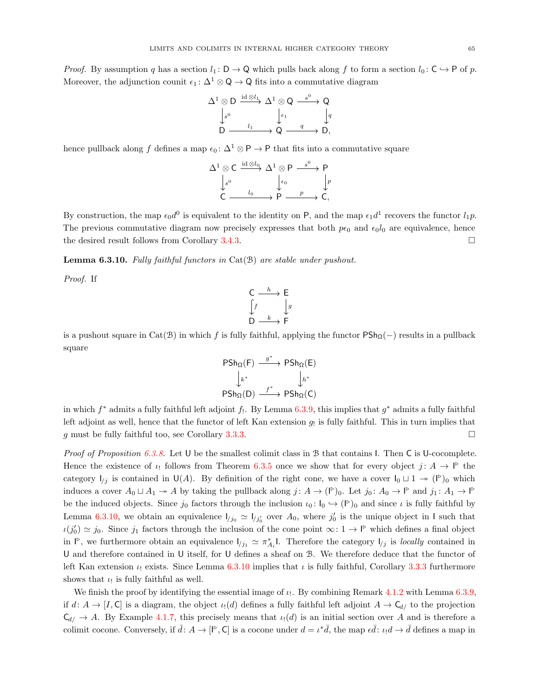*Proof.* By assumption q has a section  $l_1 : D \to Q$  which pulls back along f to form a section  $l_0 : C \to P$  of p. Moreover, the adjunction counit  $\epsilon_1 : \Delta^1 \otimes \mathsf{Q} \to \mathsf{Q}$  fits into a commutative diagram

$$
\begin{array}{ccc}\n\Delta^1 \otimes D & \xrightarrow{\operatorname{id} \otimes l_1} & \Delta^1 \otimes Q & \xrightarrow{s^0} & Q \\
\downarrow{s^0} & & \downarrow{\epsilon_1} & & \downarrow{q} \\
D & \xrightarrow{l_1} & & Q & \xrightarrow{q} & D,\n\end{array}
$$

hence pullback along f defines a map  $\epsilon_0 : \Delta^1 \otimes \mathsf{P} \to \mathsf{P}$  that fits into a commutative square

$$
\begin{array}{ccc}\n\Delta^1 \otimes C & \xrightarrow{\operatorname{id} \otimes l_0} & \Delta^1 \otimes P & \xrightarrow{s^0} & P \\
\downarrow{s^0} & & \downarrow{\epsilon_0} & & \downarrow{p} \\
C & \xrightarrow{l_0} & & P & \xrightarrow{p} & \Delta, \\
\end{array}
$$

By construction, the map  $\epsilon_0 d^0$  is equivalent to the identity on P, and the map  $\epsilon_1 d^1$  recovers the functor  $l_1 p$ . The previous commutative diagram now precisely expresses that both  $p\epsilon_0$  and  $\epsilon_0 l_0$  are equivalence, hence the desired result follows from Corollary [3.4.3.](#page-32-2)

<span id="page-64-0"></span>**Lemma 6.3.10.** Fully faithful functors in  $Cat(\mathcal{B})$  are stable under pushout.

Proof. If

$$
\begin{array}{ccc}\nC & \xrightarrow{h} & E \\
\int f & & \downarrow g \\
D & & \xrightarrow{k} & F\n\end{array}
$$

is a pushout square in Cat(B) in which f is fully faithful, applying the functor  $\mathsf{PSh}_\Omega(-)$  results in a pullback square

$$
\begin{array}{ccc}\n\text{PSh}_{\Omega}(F) & \xrightarrow{g^*} & \text{PSh}_{\Omega}(E) \\
\downarrow_{k^*} & & \downarrow_{h^*} \\
\text{PSh}_{\Omega}(D) & \xrightarrow{f^*} & \text{PSh}_{\Omega}(C)\n\end{array}
$$

in which  $f^*$  admits a fully faithful left adjoint  $f_!$ . By Lemma [6.3.9,](#page-63-1) this implies that  $g^*$  admits a fully faithful left adjoint as well, hence that the functor of left Kan extension  $g_!$  is fully faithful. This in turn implies that g must be fully faithful too, see Corollary [3.3.3.](#page-29-1)

Proof of Proposition [6.3.8.](#page-63-0) Let U be the smallest colimit class in B that contains I. Then C is U-cocomplete. Hence the existence of  $\iota_!$  follows from Theorem [6.3.5](#page-61-0) once we show that for every object  $j: A \to \mathsf{I}^{\triangleright}$  the category  $I_{/j}$  is contained in U(A). By definition of the right cone, we have a cover  $I_0 \sqcup 1 \twoheadrightarrow (I^{\triangleright})_0$  which induces a cover  $A_0 \sqcup A_1 \twoheadrightarrow A$  by taking the pullback along  $j: A \to (\mathbb{P})_0$ . Let  $j_0: A_0 \to \mathbb{P}$  and  $j_1: A_1 \to \mathbb{P}$ be the induced objects. Since  $j_0$  factors through the inclusion  $\iota_0: I_0 \hookrightarrow (I^{\triangleright})_0$  and since  $\iota$  is fully faithful by Lemma [6.3.10,](#page-64-0) we obtain an equivalence  $l_{j_0} \simeq l_{j_0'}$  over  $A_0$ , where  $j_0'$  is the unique object in I such that  $\iota(j'_0) \simeq j_0$ . Since  $j_1$  factors through the inclusion of the cone point  $\infty: 1 \to \mathbb{P}$  which defines a final object in  $\mathbb{P}$ , we furthermore obtain an equivalence  $I_{j_1} \simeq \pi_{A_i}^*$ . Therefore the category  $I_{j}$  is locally contained in U and therefore contained in U itself, for U defines a sheaf on B. We therefore deduce that the functor of left Kan extension  $\iota_1$  exists. Since Lemma [6.3.10](#page-64-0) implies that  $\iota_1$  is fully faithful, Corollary [3.3.3](#page-29-1) furthermore shows that  $\iota_!$  is fully faithful as well.

We finish the proof by identifying the essential image of  $\iota_!$ . By combining Remark [4.1.2](#page-34-0) with Lemma [6.3.9,](#page-63-1) if  $d: A \to [I, C]$  is a diagram, the object  $\iota_1(d)$  defines a fully faithful left adjoint  $A \to C_{d}$  to the projection  $C_{d/} \rightarrow A$ . By Example [4.1.7,](#page-35-5) this precisely means that  $u(d)$  is an initial section over A and is therefore a colimit cocone. Conversely, if  $\bar{d}: A \to [\,]^{\triangleright}, \mathsf{C} \,]$  is a cocone under  $d = \iota^* \bar{d}$ , the map  $\epsilon \bar{d}: \iota_! d \to \bar{d}$  defines a map in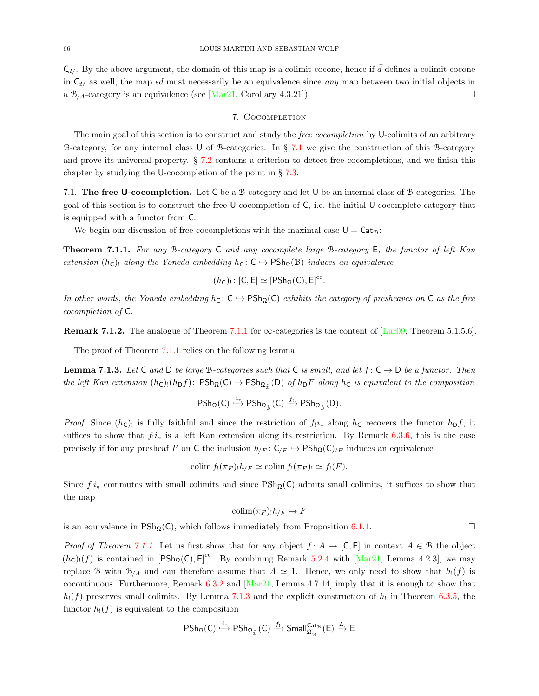$C_{d/}$ . By the above argument, the domain of this map is a colimit cocone, hence if  $\bar{d}$  defines a colimit cocone in  $C_{d/}$  as well, the map  $\epsilon \bar{d}$  must necessarily be an equivalence since any map between two initial objects in a  $\mathcal{B}_{\Lambda}$ -category is an equivalence (see [\[Mar21,](#page-73-0) Corollary 4.3.21]).

## 7. COCOMPLETION

The main goal of this section is to construct and study the *free cocompletion* by U-colimits of an arbitrary B-category, for any internal class U of B-categories. In § [7.1](#page-65-0) we give the construction of this B-category and prove its universal property. § [7.2](#page-71-0) contains a criterion to detect free cocompletions, and we finish this chapter by studying the U-cocompletion of the point in § [7.3.](#page-71-1)

<span id="page-65-0"></span>7.1. The free U-cocompletion. Let C be a B-category and let U be an internal class of B-categories. The goal of this section is to construct the free U-cocompletion of C, i.e. the initial U-cocomplete category that is equipped with a functor from C.

We begin our discussion of free cocompletions with the maximal case  $U = \text{Cat}_{\mathcal{B}}$ :

<span id="page-65-1"></span>**Theorem 7.1.1.** For any B-category  $C$  and any cocomplete large B-category  $E$ , the functor of left Kan extension  $(h_c)$  along the Yoneda embedding  $h_c : C \rightarrow PSh_{\Omega}(\mathcal{B})$  induces an equivalence

$$
(\mathit{h}_\mathsf{C})_!\colon [\mathsf{C},\mathsf{E}] \simeq [\mathsf{PSh}_\Omega(\mathsf{C}),\mathsf{E}]^\mathrm{cc}.
$$

In other words, the Yoneda embedding  $h_{\mathsf{C}}: \mathsf{C} \hookrightarrow \mathsf{PSh}_{\Omega}(\mathsf{C})$  exhibits the category of presheaves on  $\mathsf{C}$  as the free cocompletion of C.

**Remark 7.1.2.** The analogue of Theorem [7.1.1](#page-65-1) for  $\infty$ -categories is the content of [\[Lur09,](#page-73-2) Theorem 5.1.5.6].

The proof of Theorem [7.1.1](#page-65-1) relies on the following lemma:

<span id="page-65-2"></span>**Lemma 7.1.3.** Let C and D be large B-categories such that C is small, and let  $f: C \to D$  be a functor. Then the left Kan extension  $(h_c)$ <sub>1</sub> $(h_D f)$ :  $PSh_\Omega(C) \to PSh_{\Omega_{\hat{\mathcal{B}}}}(D)$  of  $h_D F$  along  $h_C$  is equivalent to the composition

$$
\mathsf{PSh}_\Omega(\mathsf{C}) \stackrel{i_*}{\hookrightarrow} \mathsf{PSh}_{\Omega_{\widehat{\mathfrak{B}}}}(\mathsf{C}) \stackrel{f_!}{\longrightarrow} \mathsf{PSh}_{\Omega_{\widehat{\mathfrak{B}}}}(\mathsf{D}).
$$

*Proof.* Since  $(h_c)$  is fully faithful and since the restriction of  $f_i i_*$  along  $h_c$  recovers the functor  $h_D f$ , it suffices to show that  $f_i i_*$  is a left Kan extension along its restriction. By Remark [6.3.6,](#page-62-0) this is the case precisely if for any presheaf F on C the inclusion  $h_{/F} : C_{/F} \hookrightarrow \mathsf{PSh}_{\Omega}(C)_{/F}$  induces an equivalence

$$
\mathrm{colim} f_!(\pi_F)_! h_{/F} \simeq \mathrm{colim} f_!(\pi_F)_! \simeq f_!(F).
$$

Since  $f_i$ <sub>\*</sub> commutes with small colimits and since  $\text{PSh}_0(C)$  admits small colimits, it suffices to show that the map

$$
\mathop{\rm colim}(\pi_F)_!h_{/F}\to F
$$

is an equivalence in  $\text{PSh}_{\Omega}(\mathsf{C})$ , which follows immediately from Proposition [6.1.1.](#page-57-1)

*Proof of Theorem [7.1.1.](#page-65-1)* Let us first show that for any object  $f: A \to [C, E]$  in context  $A \in \mathcal{B}$  the object  $(h_c)$ :(f) is contained in  $[PSh_{\Omega}(C), E]^{cc}$ . By combining Remark [5.2.4](#page-51-5) with [\[Mar21,](#page-73-0) Lemma 4.2.3], we may replace B with  $B_{/A}$  and can therefore assume that  $A \simeq 1$ . Hence, we only need to show that  $h_!(f)$  is cocontinuous. Furthermore, Remark [6.3.2](#page-60-3) and [\[Mar21,](#page-73-0) Lemma 4.7.14] imply that it is enough to show that  $h_!(f)$  preserves small colimits. By Lemma [7.1.3](#page-65-2) and the explicit construction of  $h_!$  in Theorem [6.3.5,](#page-61-0) the functor  $h_1(f)$  is equivalent to the composition

$$
\mathsf{PSh}_\Omega(\mathsf{C})\stackrel{i_*}{\hookrightarrow}\mathsf{PSh}_{\Omega_{\widehat{\mathfrak{B}}}}(\mathsf{C})\stackrel{f_1}{\longrightarrow}\mathsf{Small}^{\mathsf{Cat}_\mathfrak{B}}_{\Omega_{\widehat{\mathfrak{B}}}}(\mathsf{E})\stackrel{L}{\rightarrow}\mathsf{E}
$$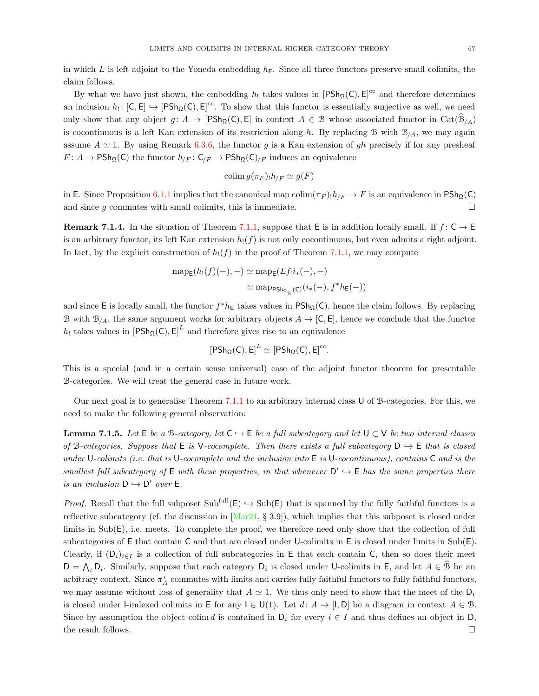in which L is left adjoint to the Yoneda embedding  $h<sub>E</sub>$ . Since all three functors preserve small colimits, the claim follows.

By what we have just shown, the embedding  $h_!$  takes values in  $[PSh_{\Omega}(C), E]^{cc}$  and therefore determines an inclusion  $h_!:[C, E] \hookrightarrow [PSh_{\Omega}(C), E]^{cc}$ . To show that this functor is essentially surjective as well, we need only show that any object  $g: A \to [P\text{Sh}_{\Omega}(\mathsf{C}), \mathsf{E}]$  in context  $A \in \mathcal{B}$  whose associated functor in  $\text{Cat}(\mathcal{B}_{/A})$ is cocontinuous is a left Kan extension of its restriction along h. By replacing B with  $B_{/A}$ , we may again assume  $A \simeq 1$ . By using Remark [6.3.6,](#page-62-0) the functor g is a Kan extension of gh precisely if for any presheaf  $F: A \to \text{PSh}_{\Omega}(\mathsf{C})$  the functor  $h_{/F}: \mathsf{C}_{/F} \to \text{PSh}_{\Omega}(\mathsf{C})_{/F}$  induces an equivalence

$$
\operatorname{colim} g(\pi_F)_{!}h_{/F} \simeq g(F)
$$

in E. Since Proposition [6.1.1](#page-57-1) implies that the canonical map  $\text{colim}(\pi_F) \cdot h_{/F} \to F$  is an equivalence in PSh $_{\Omega}(\mathsf{C})$ and since g commutes with small colimits, this is immediate.  $\square$ 

**Remark 7.1.4.** In the situation of Theorem [7.1.1,](#page-65-1) suppose that E is in addition locally small. If  $f: \mathsf{C} \to \mathsf{E}$ is an arbitrary functor, its left Kan extension  $h_1(f)$  is not only cocontinuous, but even admits a right adjoint. In fact, by the explicit construction of  $h_1(f)$  in the proof of Theorem [7.1.1,](#page-65-1) we may compute

$$
\begin{aligned} \operatorname{map}_{\mathsf{E}}(h_!(f)(-), -) &\simeq \operatorname{map}_{\mathsf{E}}(Lf_!i_*(-), -) \\ &\simeq \operatorname{map}_{\mathsf{PSh}_{\Omega_{\widehat{\mathcal{B}}}}(\mathsf{C})}(i_*(-), f^*h_{\mathsf{E}}(-)) \end{aligned}
$$

and since E is locally small, the functor  $f^*h_{\mathsf{E}}$  takes values in  $\mathsf{PSh}_{\Omega}(\mathsf{C})$ , hence the claim follows. By replacing B with  $B_{/A}$ , the same argument works for arbitrary objects  $A \to [C, E]$ , hence we conclude that the functor  $h_!$  takes values in  $[PSh_{\Omega}(C), E]^L$  and therefore gives rise to an equivalence

$$
[\mathsf{PSh}_{\Omega}(\mathsf{C}),\mathsf{E}]^L\simeq [\mathsf{PSh}_{\Omega}(\mathsf{C}),\mathsf{E}]^{\mathrm{cc}}.
$$

This is a special (and in a certain sense universal) case of the adjoint functor theorem for presentable B-categories. We will treat the general case in future work.

Our next goal is to generalise Theorem [7.1.1](#page-65-1) to an arbitrary internal class U of B-categories. For this, we need to make the following general observation:

<span id="page-66-0"></span>**Lemma 7.1.5.** Let  $E$  be a B-category, let  $C \rightarrow E$  be a full subcategory and let  $U \subset V$  be two internal classes of B-categories. Suppose that  $E$  is V-cocomplete. Then there exists a full subcategory  $D \hookrightarrow E$  that is closed under U-colimits (i.e. that is U-cocomplete and the inclusion into  $E$  is U-cocontinuous), contains  $C$  and is the smallest full subcategory of  $E$  with these properties, in that whenever  $D' \hookrightarrow E$  has the same properties there is an inclusion  $D \hookrightarrow D'$  over E.

*Proof.* Recall that the full subposet  $Sub<sup>full</sup>(E) \hookrightarrow Sub(E)$  that is spanned by the fully faithful functors is a reflective subcategory (cf. the discussion in  $\text{[Mar21, § 3.9]}$ ), which implies that this subposet is closed under limits in Sub(E), i.e. meets. To complete the proof, we therefore need only show that the collection of full subcategories of E that contain C and that are closed under U-colimits in E is closed under limits in Sub(E). Clearly, if  $(D_i)_{i\in I}$  is a collection of full subcategories in E that each contain C, then so does their meet  $D = \bigwedge_i D_i$ . Similarly, suppose that each category  $D_i$  is closed under U-colimits in E, and let  $A \in \mathcal{B}$  be an arbitrary context. Since  $\pi_A^*$  commutes with limits and carries fully faithful functors to fully faithful functors, we may assume without loss of generality that  $A \simeq 1$ . We thus only need to show that the meet of the  $D_i$ is closed under I-indexed colimits in E for any  $I \in U(1)$ . Let  $d: A \to [I, D]$  be a diagram in context  $A \in \mathcal{B}$ . Since by assumption the object colim d is contained in  $D_i$  for every  $i \in I$  and thus defines an object in D, the result follows.  $\Box$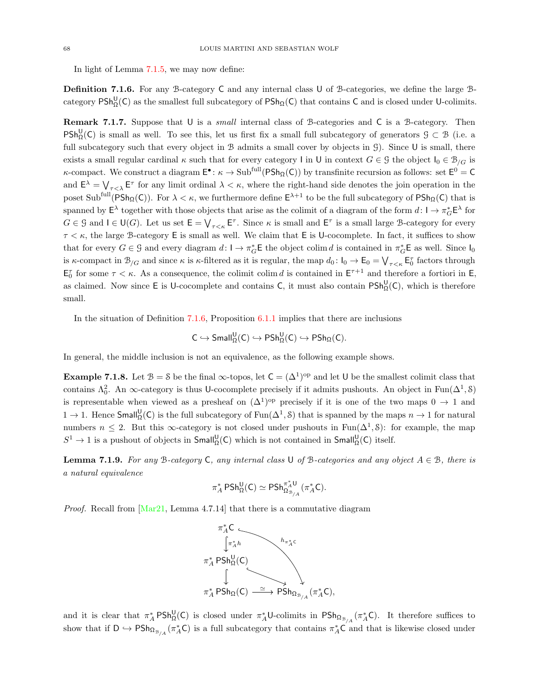In light of Lemma [7.1.5,](#page-66-0) we may now define:

<span id="page-67-0"></span>Definition 7.1.6. For any B-category C and any internal class U of B-categories, we define the large Bcategory  $PSh_{\Omega}^{\mathsf{U}}(\mathsf{C})$  as the smallest full subcategory of  $PSh_{\Omega}(\mathsf{C})$  that contains  $\mathsf{C}$  and is closed under U-colimits.

<span id="page-67-2"></span>Remark 7.1.7. Suppose that U is a *small* internal class of B-categories and C is a B-category. Then  $PSh_{\Omega}^{U}(C)$  is small as well. To see this, let us first fix a small full subcategory of generators  $\mathcal{G} \subset \mathcal{B}$  (i.e. a full subcategory such that every object in  $\mathcal B$  admits a small cover by objects in  $\mathcal G$ ). Since U is small, there exists a small regular cardinal  $\kappa$  such that for every category I in U in context  $G \in \mathcal{G}$  the object  $I_0 \in \mathcal{B}_{/G}$  is *κ*-compact. We construct a diagram  $E^{\bullet}$ :  $\kappa \to \text{Sub}^{\text{full}}(P\text{Sh}_{\Omega}(C))$  by transfinite recursion as follows: set  $E^0 = C$ and  $E^{\lambda} = \bigvee_{\tau \leq \lambda} E^{\tau}$  for any limit ordinal  $\lambda \leq \kappa$ , where the right-hand side denotes the join operation in the poset  $\text{Sub}^{\text{full}}(\text{PSh}_{\Omega}(\mathsf{C}))$ . For  $\lambda < \kappa$ , we furthermore define  $\mathsf{E}^{\lambda+1}$  to be the full subcategory of  $\text{PSh}_{\Omega}(\mathsf{C})$  that is spanned by  $\mathsf{E}^{\lambda}$  together with those objects that arise as the colimit of a diagram of the form  $d: \mathsf{I} \to \pi_G^* \mathsf{E}^{\lambda}$  for  $G \in \mathcal{G}$  and  $I \in \mathsf{U}(G)$ . Let us set  $\mathsf{E} = \bigvee_{\tau \leq \kappa} \mathsf{E}^{\tau}$ . Since  $\kappa$  is small and  $\mathsf{E}^{\tau}$  is a small large B-category for every  $\tau < \kappa$ , the large B-category E is small as well. We claim that E is U-cocomplete. In fact, it suffices to show that for every  $G \in \mathcal{G}$  and every diagram  $d: \mathsf{I} \to \pi_G^* \mathsf{E}$  the object colim d is contained in  $\pi_G^* \mathsf{E}$  as well. Since  $\mathsf{I}_0$ is  $\kappa$ -compact in  $\mathcal{B}_{/G}$  and since  $\kappa$  is  $\kappa$ -filtered as it is regular, the map  $d_0: I_0 \to \mathsf{E}_0 = \bigvee_{\tau \leq \kappa} \mathsf{E}_0^{\tau}$  factors through  $\mathsf{E}_0^{\tau}$  for some  $\tau < \kappa$ . As a consequence, the colimit colim d is contained in  $\mathsf{E}^{\tau+1}$  and therefore a fortiori in  $\mathsf{E}_2$ , as claimed. Now since  $E$  is U-cocomplete and contains C, it must also contain  $PSh_{\Omega}^{\mathsf{U}}(\mathsf{C})$ , which is therefore small.

In the situation of Definition [7.1.6,](#page-67-0) Proposition [6.1.1](#page-57-1) implies that there are inclusions

$$
\mathsf{C}\hookrightarrow {\sf Small}^{\sf U}_{\Omega}(\mathsf{C})\hookrightarrow {\sf PSh}^{\sf U}_{\Omega}(\mathsf{C})\hookrightarrow {\sf PSh}_{\Omega}(\mathsf{C}).
$$

In general, the middle inclusion is not an equivalence, as the following example shows.

**Example 7.1.8.** Let  $\mathcal{B} = \mathcal{S}$  be the final  $\infty$ -topos, let  $C = (\Delta^1)^\text{op}$  and let U be the smallest colimit class that contains  $\Lambda_0^2$ . An  $\infty$ -category is thus U-cocomplete precisely if it admits pushouts. An object in Fun( $\Delta^1$ , S) is representable when viewed as a presheaf on  $(\Delta^1)^\text{op}$  precisely if it is one of the two maps  $0 \to 1$  and 1 → 1. Hence Small<sup>U</sup><sub>Ω</sub>(C) is the full subcategory of Fun(Δ<sup>1</sup>, S) that is spanned by the maps  $n \to 1$  for natural numbers  $n \leq 2$ . But this  $\infty$ -category is not closed under pushouts in Fun( $\Delta^1$ , S): for example, the map  $S^1 \to 1$  is a pushout of objects in  $Small_{\Omega}^{\mathsf{U}}(\mathsf{C})$  which is not contained in  $Small_{\Omega}^{\mathsf{U}}(\mathsf{C})$  itself.

<span id="page-67-1"></span>**Lemma 7.1.9.** For any B-category C, any internal class U of B-categories and any object  $A \in \mathcal{B}$ , there is a natural equivalence

$$
\pi_A^*\operatorname{PSh}^{\sf U}_\Omega({\sf C})\simeq \operatorname{PSh}^{\pi_A^*{\sf U}}_{\Omega_{\mathcal{B}_{/A}}}(\pi_A^*{\sf C}).
$$

*Proof.* Recall from  $Mar21$ , Lemma 4.7.14 that there is a commutative diagram



and it is clear that  $\pi_A^* P Sh_{\Omega}^{\mathsf{U}}(\mathsf{C})$  is closed under  $\pi_A^* \mathsf{U}$ -colimits in  $PSh_{\Omega_{\mathbb{B}_{/A}}}(\pi_A^*\mathsf{C})$ . It therefore suffices to show that if  $D \hookrightarrow PSh_{\Omega_{\mathcal{B}_{A}}}(\pi_A^*\mathsf{C})$  is a full subcategory that contains  $\pi_A^*\mathsf{C}$  and that is likewise closed under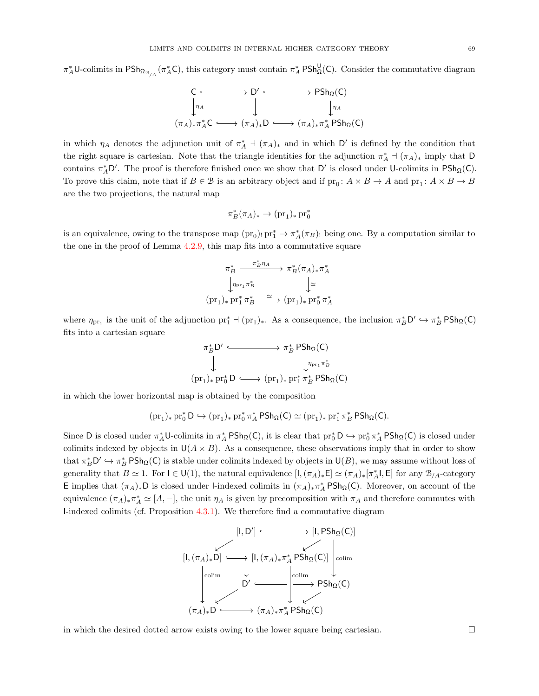$\pi_A^*$ U-colimits in PSh<sub>Ω<sub>B/A</sub> ( $\pi_A^*$ C), this category must contain  $\pi_A^*$  PSh<sub>Ω</sub>(C). Consider the commutative diagram</sub>

$$
\begin{array}{ccc}\nC & \longrightarrow & D' & \longrightarrow & \text{PSh}_{\Omega}(C) \\
\downarrow^{\eta_{A}} & \downarrow & & \downarrow^{\eta_{A}} \\
(\pi_{A})_{*}\pi_{A}^{*}C & \longrightarrow & (\pi_{A})_{*}D & \longrightarrow & (\pi_{A})_{*}\pi_{A}^{*} \text{PSh}_{\Omega}(C)\n\end{array}
$$

in which  $\eta_A$  denotes the adjunction unit of  $\pi_A^*$  +  $(\pi_A)_*$  and in which D' is defined by the condition that the right square is cartesian. Note that the triangle identities for the adjunction  $\pi_A^*$  +  $(\pi_A)_*$  imply that D contains  $\pi_A^* D'$ . The proof is therefore finished once we show that D' is closed under U-colimits in  $P\mathsf{Sh}_{\Omega}(\mathsf{C})$ . To prove this claim, note that if  $B \in \mathcal{B}$  is an arbitrary object and if  $\text{pr}_0: A \times B \to A$  and  $\text{pr}_1: A \times B \to B$ are the two projections, the natural map

$$
\pi^*_B(\pi_A)_*\to (\mathrm{pr}_1)_*\,\mathrm{pr}_0^*
$$

is an equivalence, owing to the transpose map  $(pr_0)$ ,  $pr_1^* \to \pi_A^*(\pi_B)$ , being one. By a computation similar to the one in the proof of Lemma [4.2.9,](#page-38-0) this map fits into a commutative square

$$
\begin{array}{ccc}\n\pi_{B}^{*} & \xrightarrow{\pi_{B}^{*}\eta_{A}} \rightarrow \pi_{B}^{*}(\pi_{A})_{*}\pi_{A}^{*} \\
\downarrow^{\eta_{\text{pr}_1}\pi_{B}^{*}} & \downarrow^{\simeq} \\
(\text{pr}_1)_{*}\,\text{pr}_1^{*}\,\pi_{B}^{*} & \xrightarrow{\simeq} (\text{pr}_1)_{*}\,\text{pr}_0^{*}\,\pi_{A}^{*}\n\end{array}
$$

where  $\eta_{pr_1}$  is the unit of the adjunction  $pr_1^* \dashv (pr_1)_*$ . As a consequence, the inclusion  $\pi_B^* D' \hookrightarrow \pi_B^* P \text{Sh}_{\Omega}(C)$ fits into a cartesian square

$$
\begin{array}{ccc}\n\pi_B^* D' & \xrightarrow{\qquad} & \pi_B^* \operatorname{PSh}_{\Omega}(C) \\
\downarrow & & \downarrow \eta_{\Pr1} \pi_B^* \\
(\mathrm{pr}_1)_* \operatorname{pr}_0^* D & \xrightarrow{\qquad} (\mathrm{pr}_1)_* \operatorname{pr}_1^* \pi_B^* \operatorname{PSh}_{\Omega}(C)\n\end{array}
$$

in which the lower horizontal map is obtained by the composition

$$
(\mathrm{pr}_1)_*\,\mathrm{pr}_0^*\,D\hookrightarrow (\mathrm{pr}_1)_*\,\mathrm{pr}_0^*\,\pi_A^*\,\mathsf{PSh}_\Omega(C)\simeq (\mathrm{pr}_1)_*\,\mathrm{pr}_1^*\,\pi_B^*\,\mathsf{PSh}_\Omega(C).
$$

Since D is closed under  $\pi_A^* \mathsf{U}$ -colimits in  $\pi_A^* \mathsf{PSh}_{\Omega}(\mathsf{C})$ , it is clear that  $\mathrm{pr}_0^* \mathsf{D} \hookrightarrow \mathrm{pr}_0^* \pi_A^* \mathsf{PSh}_{\Omega}(\mathsf{C})$  is closed under colimits indexed by objects in  $U(A \times B)$ . As a consequence, these observations imply that in order to show that  $\pi_B^* D' \hookrightarrow \pi_B^* P \mathsf{Sh}_{\Omega}(\mathsf{C})$  is stable under colimits indexed by objects in  $\mathsf{U}(B)$ , we may assume without loss of generality that  $B \simeq 1$ . For  $I \in U(1)$ , the natural equivalence  $[I, (\pi_A)_*E] \simeq (\pi_A)_*[\pi_A^*I, E]$  for any  $\mathcal{B}_{/A}$ -category E implies that  $(\pi_A)_*D$  is closed under l-indexed colimits in  $(\pi_A)_*\pi_A^*PSh_{\Omega}(C)$ . Moreover, on account of the equivalence  $(\pi_A)_*\pi_A^* \simeq [A, -]$ , the unit  $\eta_A$  is given by precomposition with  $\pi_A$  and therefore commutes with I-indexed colimits (cf. Proposition [4.3.1\)](#page-40-0). We therefore find a commutative diagram



in which the desired dotted arrow exists owing to the lower square being cartesian.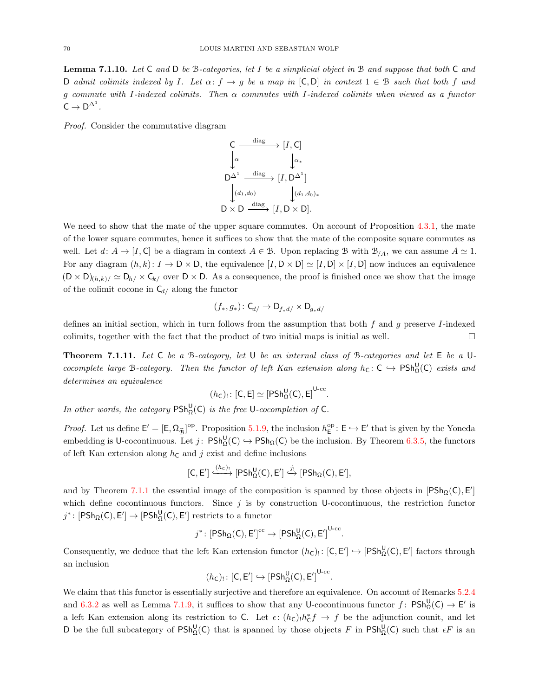<span id="page-69-0"></span>**Lemma 7.1.10.** Let  $C$  and  $D$  be  $B$ -categories, let I be a simplicial object in  $B$  and suppose that both  $C$  and D admit colimits indexed by I. Let  $\alpha: f \to g$  be a map in  $[C, D]$  in context  $1 \in \mathcal{B}$  such that both f and g commute with I-indexed colimits. Then α commutes with I-indexed colimits when viewed as a functor  $C \rightarrow D^{\Delta^1}.$ 

Proof. Consider the commutative diagram



We need to show that the mate of the upper square commutes. On account of Proposition [4.3.1,](#page-40-0) the mate of the lower square commutes, hence it suffices to show that the mate of the composite square commutes as well. Let  $d: A \to [I, C]$  be a diagram in context  $A \in \mathcal{B}$ . Upon replacing  $\mathcal{B}$  with  $\mathcal{B}_{A}$ , we can assume  $A \simeq 1$ . For any diagram  $(h, k): I \to D \times D$ , the equivalence  $[I, D \times D] \simeq [I, D] \times [I, D]$  now induces an equivalence  $(D \times D)_{(h,k)} \simeq D_{h} \times C_{k}$  over  $D \times D$ . As a consequence, the proof is finished once we show that the image of the colimit cocone in  $C_{d/}$  along the functor

$$
(f_*,g_*)\colon \mathsf{C}_{d/}\to \mathsf{D}_{f_*d/}\times \mathsf{D}_{g_*d/}
$$

defines an initial section, which in turn follows from the assumption that both  $f$  and  $g$  preserve I-indexed colimits, together with the fact that the product of two initial maps is initial as well.  $\Box$ 

<span id="page-69-1"></span>**Theorem 7.1.11.** Let  $C$  be a  $B$ -category, let  $U$  be an internal class of  $B$ -categories and let  $E$  be a  $U$ cocomplete large B-category. Then the functor of left Kan extension along  $h_C: C \hookrightarrow PSh^{\bigcup}_{\Omega}(C)$  exists and determines an equivalence

$$
(h_C)_!\colon [C,E]\simeq [\mathsf{PSh}^{\mathsf{U}}_{\Omega}(C),E]^{\mathsf{U}\text{-}\mathrm{cc}}
$$

.

In other words, the category  $\mathsf{PSh}^{\mathsf{U}}_{\Omega}(\mathsf{C})$  is the free U-cocompletion of C.

*Proof.* Let us define  $E' = [E, \Omega_{\widehat{\mathcal{B}}}]^{\text{op}}$ . Proposition [5.1.9,](#page-51-2) the inclusion  $h_E^{\text{op}} : E \hookrightarrow E'$  that is given by the Yoneda embedding is U-cocontinuous. Let  $j: P\mathsf{Sh}^{\mathsf{U}}_{\Omega}(\mathsf{C}) \hookrightarrow P\mathsf{Sh}_{\Omega}(\mathsf{C})$  be the inclusion. By Theorem [6.3.5,](#page-61-0) the functors of left Kan extension along  $h<sub>C</sub>$  and j exist and define inclusions

$$
[C, E'] \xrightarrow{(h_C)_!} [PSh^U_{\Omega}(C), E'] \xrightarrow{j_!} [PSh_{\Omega}(C), E'],
$$

and by Theorem [7.1.1](#page-65-1) the essential image of the composition is spanned by those objects in  $[PSh_{\Omega}(C), E']$ which define cocontinuous functors. Since  $j$  is by construction U-cocontinuous, the restriction functor  $j^*$ : [PSh<sub>Ω</sub>(C), E'] → [PSh<sub>Ω</sub>(C), E'] restricts to a functor

$$
j^* \colon \left[\mathsf{PSh}_{\Omega}(\mathsf{C}), \mathsf{E}'\right]^{\mathrm{cc}} \to \left[\mathsf{PSh}^{\mathsf{U}}_{\Omega}(\mathsf{C}), \mathsf{E}'\right]^{\mathsf{U}\text{-cc}}.
$$

Consequently, we deduce that the left Kan extension functor  $(h_C)$ :  $[C, E'] \hookrightarrow [PSh_{\Omega}^{\mathsf{U}}(C), E']$  factors through an inclusion

$$
(\mathit{h}_\mathsf{C})_!\colon [\mathsf{C},\mathsf{E}']\hookrightarrow [\mathsf{PSh}^{\mathsf{U}}_\Omega(\mathsf{C}),\mathsf{E}']^{\mathsf{U}\text{-}\mathrm{cc}}.
$$

We claim that this functor is essentially surjective and therefore an equivalence. On account of Remarks  $5.2.4$ and [6.3.2](#page-60-3) as well as Lemma [7.1.9,](#page-67-1) it suffices to show that any U-cocontinuous functor  $f: P\mathsf{Sh}^{\mathsf{U}}_{\Omega}(\mathsf{C}) \to \mathsf{E}'$  is a left Kan extension along its restriction to C. Let  $\epsilon$ :  $(h_c)$ <sub>1</sub> $h_c^* f \to f$  be the adjunction counit, and let D be the full subcategory of  $PSh_{\Omega}^{\mathsf{U}}(\mathsf{C})$  that is spanned by those objects F in  $PSh_{\Omega}^{\mathsf{U}}(\mathsf{C})$  such that  $\epsilon F$  is an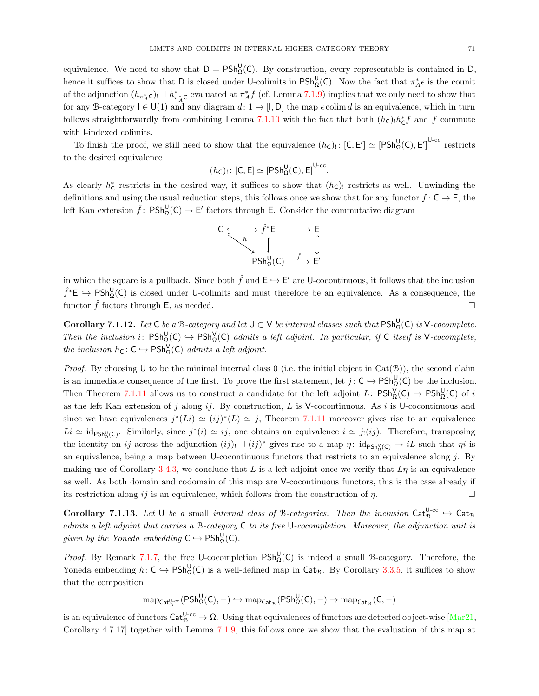equivalence. We need to show that  $D = P Sh_{\Omega}^{\mathsf{U}}(C)$ . By construction, every representable is contained in D, hence it suffices to show that D is closed under U-colimits in  $\mathsf{PSh}^{\mathsf{U}}_{\Omega}(\mathsf{C})$ . Now the fact that  $\pi_A^*\epsilon$  is the counit of the adjunction  $(h_{\pi_A^*\mathsf{C}})$  +  $h_{\pi_A^*\mathsf{C}}^*$  evaluated at  $\pi_A^* f$  (cf. Lemma [7.1.9\)](#page-67-1) implies that we only need to show that for any B-category  $I \in U(1)$  and any diagram  $d: 1 \to [I, D]$  the map  $\epsilon$  colim d is an equivalence, which in turn follows straightforwardly from combining Lemma [7.1.10](#page-69-0) with the fact that both  $(h_c)$ <sub>1</sub> $h_c^*$  and f commute with I-indexed colimits.

To finish the proof, we still need to show that the equivalence  $(h_c)$ :  $[C, E'] \simeq [PSh_{\Omega}^{\mathsf{U}}(C), E']^{\mathsf{U}-\mathrm{cc}}$  restricts to the desired equivalence

$$
(\mathit{h}_\mathsf{C})_!\colon [\mathsf{C},\mathsf{E}] \simeq [\mathsf{PSh}^{\mathsf{U}}_\Omega(\mathsf{C}),\mathsf{E}]^{\mathsf{U}\text{-}\mathrm{cc}}.
$$

As clearly  $h_{\mathsf{C}}^*$  restricts in the desired way, it suffices to show that  $(h_{\mathsf{C}})$  restricts as well. Unwinding the definitions and using the usual reduction steps, this follows once we show that for any functor  $f: C \to E$ , the left Kan extension  $\hat{f}$ :  $\mathsf{PSh}^{\mathsf{U}}_{\Omega}(\mathsf{C}) \to \mathsf{E}'$  factors through E. Consider the commutative diagram



in which the square is a pullback. Since both  $\hat{f}$  and  $\mathsf{E} \hookrightarrow \mathsf{E}'$  are U-cocontinuous, it follows that the inclusion  $\hat{f}^*E \to \text{PSh}^{\text{U}}_{\Omega}(\text{C})$  is closed under U-colimits and must therefore be an equivalence. As a consequence, the functor  $\hat{f}$  factors through E, as needed.

**Corollary 7.1.12.** Let C be a B-category and let  $U \subset V$  be internal classes such that  $\text{PSh}^U_{\Omega}(C)$  is V-cocomplete. Then the inclusion i:  $\text{PSh}_{\Omega}^{\mathsf{U}}(\mathsf{C}) \hookrightarrow \text{PSh}_{\Omega}^{\mathsf{V}}(\mathsf{C})$  admits a left adjoint. In particular, if  $\mathsf{C}$  itself is V-cocomplete, the inclusion  $h_{\mathsf{C}} : \mathsf{C} \hookrightarrow \mathsf{PSh}^{\mathsf{V}}_{\Omega}(\mathsf{C})$  admits a left adjoint.

*Proof.* By choosing U to be the minimal internal class 0 (i.e. the initial object in  $Cat(\mathcal{B})$ ), the second claim is an immediate consequence of the first. To prove the first statement, let  $j: C \hookrightarrow PSh_{\Omega}^{\mathsf{U}}(\mathsf{C})$  be the inclusion. Then Theorem [7.1.11](#page-69-1) allows us to construct a candidate for the left adjoint L:  $P\mathsf{Sh}^{\mathsf{V}}_{\Omega}(\mathsf{C}) \to P\mathsf{Sh}^{\mathsf{U}}_{\Omega}(\mathsf{C})$  of i as the left Kan extension of j along ij. By construction, L is V-cocontinuous. As i is U-cocontinuous and since we have equivalences  $j^*(Li) \simeq (ij)^*(L) \simeq j$ , Theorem [7.1.11](#page-69-1) moreover gives rise to an equivalence  $Li \simeq id_{\text{PSh}_\Omega^U(C)}$ . Similarly, since  $j^*(i) \simeq ij$ , one obtains an equivalence  $i \simeq j_!(ij)$ . Therefore, transposing the identity on ij across the adjunction  $(ij)$ !  $\neg (ij)^*$  gives rise to a map  $\eta$ :  $id_{PSh_{\Omega}^{\vee}(C)} \rightarrow iL$  such that  $\eta i$  is an equivalence, being a map between U-cocontinuous functors that restricts to an equivalence along  $j$ . By making use of Corollary [3.4.3,](#page-32-2) we conclude that L is a left adjoint once we verify that  $L\eta$  is an equivalence as well. As both domain and codomain of this map are V-cocontinuous functors, this is the case already if its restriction along ij is an equivalence, which follows from the construction of  $\eta$ .

**Corollary 7.1.13.** Let U be a small internal class of B-categories. Then the inclusion  $\text{Cat}_{\mathcal{B}}^{\text{U-cc}} \hookrightarrow \text{Cat}_{\mathcal{B}}$ admits a left adjoint that carries a B-category C to its free U-cocompletion. Moreover, the adjunction unit is given by the Yoneda embedding  $C \hookrightarrow PSh_{\Omega}^{\mathsf{U}}(C)$ .

*Proof.* By Remark [7.1.7,](#page-67-2) the free U-cocompletion  $PSh_{\Omega}^{\mathsf{U}}(\mathsf{C})$  is indeed a small B-category. Therefore, the Yoneda embedding  $h: \mathsf{C} \hookrightarrow \mathsf{PSh}^{\mathsf{U}}_{\Omega}(\mathsf{C})$  is a well-defined map in  $\mathsf{Cat}_{\mathcal{B}}$ . By Corollary [3.3.5,](#page-30-0) it suffices to show that the composition

$$
\mathrm{map}_{\mathsf{Cat}_\mathcal{B}^{\mathsf{U-cc}}}( \mathsf{PSh}^{\mathsf{U}}_{\Omega}(\mathsf{C}), -) \hookrightarrow \mathrm{map}_{\mathsf{Cat}_\mathcal{B}}( \mathsf{PSh}^{\mathsf{U}}_{\Omega}(\mathsf{C}), -) \rightarrow \mathrm{map}_{\mathsf{Cat}_\mathcal{B}}(\mathsf{C}, -)
$$

is an equivalence of functors  $\mathsf{Cat}_{\mathcal{B}}^{\mathsf{U-cc}} \to \Omega$ . Using that equivalences of functors are detected object-wise  $[\text{Mar21},$ Corollary 4.7.17] together with Lemma [7.1.9,](#page-67-1) this follows once we show that the evaluation of this map at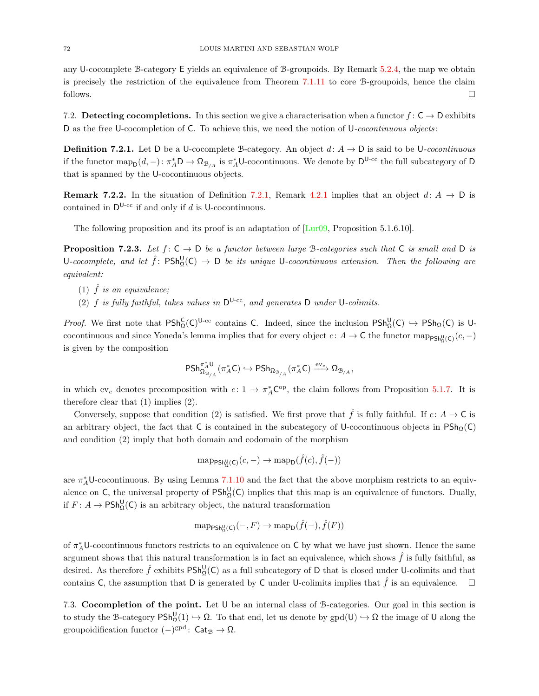any U-cocomplete B-category E yields an equivalence of B-groupoids. By Remark [5.2.4,](#page-51-5) the map we obtain is precisely the restriction of the equivalence from Theorem [7.1.11](#page-69-1) to core B-groupoids, hence the claim follows.  $\Box$ 

<span id="page-71-0"></span>7.2. Detecting cocompletions. In this section we give a characterisation when a functor  $f: \mathsf{C} \to \mathsf{D}$  exhibits D as the free U-cocompletion of C. To achieve this, we need the notion of U-cocontinuous objects:

<span id="page-71-2"></span>**Definition 7.2.1.** Let D be a U-cocomplete B-category. An object  $d: A \rightarrow D$  is said to be U-cocontinuous if the functor  $\text{map}_D(d, -)$ :  $\pi_A^* D \to \Omega_{B/A}$  is  $\pi_A^* U$ -cocontinuous. We denote by  $D^{U-cc}$  the full subcategory of D that is spanned by the U-cocontinuous objects.

**Remark 7.2.2.** In the situation of Definition [7.2.1,](#page-71-2) Remark [4.2.1](#page-36-2) implies that an object  $d: A \rightarrow D$  is contained in  $D^{U-cc}$  if and only if d is U-cocontinuous.

The following proposition and its proof is an adaptation of  $\left[ \text{Lur09}, \text{Proposition 5.1.6.10} \right]$ .

**Proposition 7.2.3.** Let  $f: C \to D$  be a functor between large B-categories such that C is small and D is U-cocomplete, and let  $\hat{f}$ :  $\text{PSh}^{\text{U}}_{\Omega}(\text{C}) \to \text{D}$  be its unique U-cocontinuous extension. Then the following are equivalent:

- (1)  $\hat{f}$  is an equivalence;
- (2) f is fully faithful, takes values in  $D^{U-cc}$ , and generates D under U-colimits.

*Proof.* We first note that  $PSh_{\Omega}^{C}(C)^{U-cc}$  contains C. Indeed, since the inclusion  $PSh_{\Omega}^{U}(C) \hookrightarrow PSh_{\Omega}(C)$  is Ucocontinuous and since Yoneda's lemma implies that for every object  $c: A \to \mathsf{C}$  the functor map<sub>PSh<sup>U</sup><sub>2</sub>( $c$ )</sub> $(c, -)$ is given by the composition

$$
\mathsf{PSh}_{\Omega_{\mathcal{B}_{/A}}}^{\pi_A^*U}(\pi_A^*C)\hookrightarrow \mathsf{PSh}_{\Omega_{\mathcal{B}_{/A}}}(\pi_A^*C)\xrightarrow{\operatorname{ev}_c}\Omega_{\mathcal{B}_{/A}},
$$

in which ev<sub>c</sub> denotes precomposition with  $c: 1 \to \pi_A^* C^{\text{op}}$ , the claim follows from Proposition [5.1.7.](#page-50-1) It is therefore clear that (1) implies (2).

Conversely, suppose that condition (2) is satisfied. We first prove that  $\hat{f}$  is fully faithful. If  $c: A \to \mathsf{C}$  is an arbitrary object, the fact that C is contained in the subcategory of U-cocontinuous objects in  $P\text{Sh}_0(C)$ and condition (2) imply that both domain and codomain of the morphism

$$
\mathrm{map}_{\mathsf{PSh}^{\mathrm{U}}_{\Omega}(\mathsf{C})}(c,-)\rightarrow \mathrm{map}_{\mathsf{D}}(\hat{f}(c),\hat{f}(-))
$$

are  $\pi_A^*$ U-cocontinuous. By using Lemma [7.1.10](#page-69-0) and the fact that the above morphism restricts to an equivalence on C, the universal property of  $P\text{Sh}^{\text{U}}_{\Omega}(\text{C})$  implies that this map is an equivalence of functors. Dually, if  $F: A \to \mathsf{PSh}^{\mathsf{U}}_{\Omega}(\mathsf{C})$  is an arbitrary object, the natural transformation

$$
\operatorname{map}_{\mathsf{PSh}^{\mathsf{U}}_{\Omega}(\mathsf{C})}(-,F) \to \operatorname{map}_{\mathsf{D}}(\hat{f}(-),\hat{f}(F))
$$

of  $\pi_A^*$ U-cocontinuous functors restricts to an equivalence on C by what we have just shown. Hence the same argument shows that this natural transformation is in fact an equivalence, which shows  $\hat{f}$  is fully faithful, as desired. As therefore  $\hat{f}$  exhibits  $PSh_{\Omega}^{\mathsf{U}}(\mathsf{C})$  as a full subcategory of D that is closed under U-colimits and that contains C, the assumption that D is generated by C under U-colimits implies that  $\hat{f}$  is an equivalence.  $\Box$ 

<span id="page-71-1"></span>7.3. Cocompletion of the point. Let U be an internal class of B-categories. Our goal in this section is to study the B-category  $\mathsf{PSh}^{\mathsf{U}}_{\Omega}(1) \hookrightarrow \Omega$ . To that end, let us denote by  $\mathrm{gpd}(\mathsf{U}) \hookrightarrow \Omega$  the image of U along the groupoidification functor  $(-)^{\text{gpd}}$ :  $\text{Cat}_{\mathcal{B}} \to \Omega$ .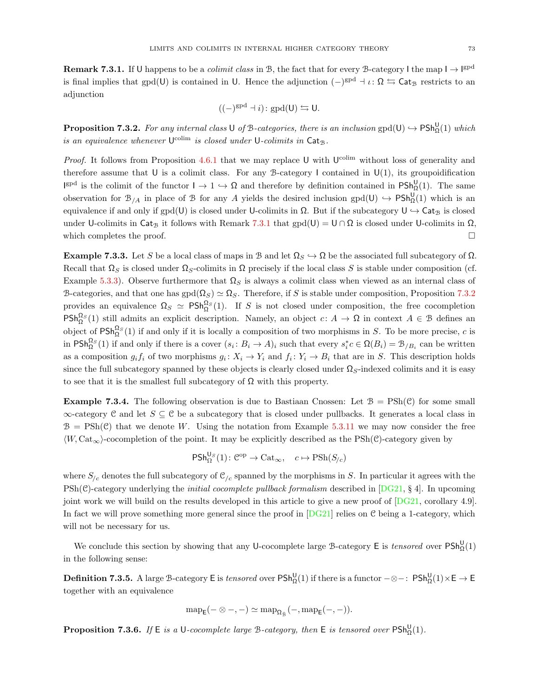<span id="page-72-0"></span>**Remark 7.3.1.** If U happens to be a *colimit class* in B, the fact that for every B-category I the map  $I \to I^{gpd}$ is final implies that gpd(U) is contained in U. Hence the adjunction  $(-)^{gpd} + \iota \colon \Omega \leftrightarrows \mathsf{Cat}_{\mathcal{B}}$  restricts to an adjunction

$$
((-)^{\text{spd}} \dashv i) \colon \text{gpd}(U) \leftrightarrows U.
$$

<span id="page-72-1"></span>**Proposition 7.3.2.** For any internal class U of B-categories, there is an inclusion  $\text{gpd}(U) \hookrightarrow \text{PSh}^U_{\Omega}(1)$  which is an equivalence whenever  $\mathsf{U}^{\text{colim}}$  is closed under  $\mathsf{U}\text{-}colimits$  in  $\mathsf{Cat}_\mathcal{B}$ .

*Proof.* It follows from Proposition [4.6.1](#page-46-0) that we may replace U with  $U^{\text{colim}}$  without loss of generality and therefore assume that U is a colimit class. For any B-category I contained in  $U(1)$ , its groupoidification  $\mathsf{I}^{\text{gpd}}$  is the colimit of the functor  $\mathsf{I} \to 1 \hookrightarrow \Omega$  and therefore by definition contained in  $\mathsf{P} \mathsf{Sh}^{\mathsf{U}}_{\Omega}(1)$ . The same observation for  $\mathcal{B}_{/A}$  in place of  $\mathcal B$  for any A yields the desired inclusion gpd(U)  $\hookrightarrow P\mathsf{Sh}^{\mathsf{U}}_{\Omega}(1)$  which is an equivalence if and only if  $\text{gpd}(U)$  is closed under U-colimits in  $\Omega$ . But if the subcategory  $U \hookrightarrow \text{Cat}_{\mathcal{B}}$  is closed under U-colimits in Cat<sub>B</sub> it follows with Remark [7.3.1](#page-72-0) that  $\text{gpd}(U) = U \cap \Omega$  is closed under U-colimits in  $\Omega$ , which completes the proof.  $\Box$ 

Example 7.3.3. Let S be a local class of maps in B and let  $\Omega_S \hookrightarrow \Omega$  be the associated full subcategory of  $\Omega$ . Recall that  $\Omega_S$  is closed under  $\Omega_S$ -colimits in  $\Omega$  precisely if the local class S is stable under composition (cf. Example [5.3.3\)](#page-52-0). Observe furthermore that  $\Omega<sub>S</sub>$  is always a colimit class when viewed as an internal class of B-categories, and that one has  $\text{gpd}(\Omega_S) \simeq \Omega_S$ . Therefore, if S is stable under composition, Proposition [7.3.2](#page-72-1) provides an equivalence  $\Omega_S \simeq \text{PSh}_{\Omega}^{\Omega_S}(1)$ . If S is not closed under composition, the free cocompletion  $\mathsf{PSh}_{\Omega}^{\Omega_S}(1)$  still admits an explicit description. Namely, an object  $c: A \to \Omega$  in context  $A \in \mathcal{B}$  defines an object of  $PSh_{\Omega}^{\Omega_S}(1)$  if and only if it is locally a composition of two morphisms in S. To be more precise, c is in  $\mathsf{PSh}^{\Omega_S}_\Omega(1)$  if and only if there is a cover  $(s_i: B_i \to A)_i$  such that every  $s_i^* c \in \Omega(B_i) = \mathcal{B}_{/B_i}$  can be written as a composition  $g_i f_i$  of two morphisms  $g_i \colon X_i \to Y_i$  and  $f_i \colon Y_i \to B_i$  that are in S. This description holds since the full subcategory spanned by these objects is clearly closed under  $\Omega_S$ -indexed colimits and it is easy to see that it is the smallest full subcategory of  $\Omega$  with this property.

**Example 7.3.4.** The following observation is due to Bastiaan Cnossen: Let  $\mathcal{B} = \text{PSh}(\mathcal{C})$  for some small  $\infty$ -category C and let  $S \subseteq \mathcal{C}$  be a subcategory that is closed under pullbacks. It generates a local class in  $B = \text{PSh}(\mathcal{C})$  that we denote W. Using the notation from Example [5.3.11](#page-54-0) we may now consider the free  $\langle W, \text{Cat}_{\infty} \rangle$ -cocompletion of the point. It may be explicitly described as the PSh(C)-category given by

$$
\mathsf{PSh}^{\mathsf{U}_S}_\Omega(1) \colon \mathcal{C}^{\mathrm{op}} \to \mathbf{Cat}_\infty, \quad c \mapsto \mathbf{PSh}(S_{/c})
$$

where  $S_{c}$  denotes the full subcategory of  $\mathcal{C}_{c}$  spanned by the morphisms in S. In particular it agrees with the  $\text{PSh}(\mathcal{C})$ -category underlying the *initial cocomplete pullback formalism* described in  $\overline{[DG21, §4]}$ . In upcoming joint work we will build on the results developed in this article to give a new proof of [\[DG21,](#page-73-0) corollary 4.9]. In fact we will prove something more general since the proof in  $[DG21]$  relies on C being a 1-category, which will not be necessary for us.

We conclude this section by showing that any U-cocomplete large B-category E is *tensored* over  $\text{PSh}_{\Omega}^{\mathsf{U}}(1)$ in the following sense:

Definition 7.3.5. A large B-category E is *tensored* over  $\mathsf{PSh}^{\mathsf{U}}_{\Omega}(1)$  if there is a functor  $-\otimes-$ :  $\mathsf{PSh}^{\mathsf{U}}_{\Omega}(1)\times \mathsf{E} \to \mathsf{E}$ together with an equivalence

$$
\mathrm{map}_E(-\otimes-, -) \simeq \mathrm{map}_{\Omega_{\hat{\mathfrak{B}}}}(-, \mathrm{map}_E(-,-)).
$$

<span id="page-72-2"></span>**Proposition 7.3.6.** If  $E$  is a U-cocomplete large B-category, then  $E$  is tensored over  $\text{PSh}_{\Omega}^{U}(1)$ .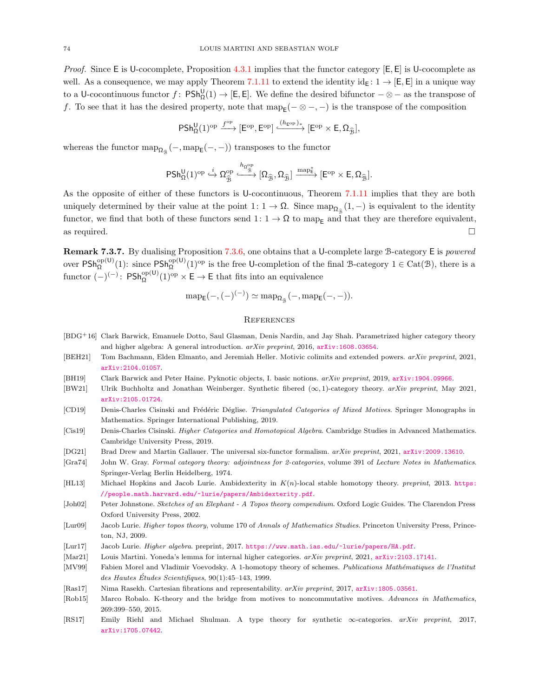*Proof.* Since E is U-cocomplete, Proposition [4.3.1](#page-40-0) implies that the functor category  $[E, E]$  is U-cocomplete as well. As a consequence, we may apply Theorem [7.1.11](#page-69-0) to extend the identity  $id_E: 1 \to [E, E]$  in a unique way to a U-cocontinuous functor  $f: P\mathsf{Sh}^{\mathsf{U}}_{\Omega}(1) \to [E, E].$  We define the desired bifunctor  $-\otimes -$  as the transpose of f. To see that it has the desired property, note that  $\text{map}_{\mathsf{E}}(-\otimes -,-)$  is the transpose of the composition

$$
\mathsf{PSh}^{\mathsf{U}}_{\Omega}(1)^{\mathrm{op}} \xrightarrow{f^{\mathrm{op}}} [\mathsf{E}^{\mathrm{op}},\mathsf{E}^{\mathrm{op}}] \xrightarrow{(\mathfrak{h}_{\mathsf{E}^{\mathrm{op}}})_*} [\mathsf{E}^{\mathrm{op}} \times \mathsf{E},\Omega_{\widehat{\mathcal{B}}}],
$$

whereas the functor  $\text{map}_{\Omega_{\hat{\mathbb{B}}}}(-, \text{map}_{\mathsf{E}}(-, -))$  transposes to the functor

$$
\mathsf{PSh}^{\mathsf{U}}_{\Omega}(1)^{\mathrm{op}}\overset{i}{\hookrightarrow} \Omega^{\mathrm{op}}_{\widehat{\mathfrak{B}}}\xrightarrow{h_{\Omega^{\mathrm{op}}_{\widehat{\mathfrak{B}}}}}\left[\Omega_{\widehat{\mathfrak{B}}},\Omega_{\widehat{\mathfrak{B}}}\right]\xrightarrow{\mathrm{map}^*_{\widehat{\mathsf{E}}}}[\mathsf{E}^{\mathrm{op}}\times\mathsf{E},\Omega_{\widehat{\mathfrak{B}}}].
$$

As the opposite of either of these functors is U-cocontinuous, Theorem [7.1.11](#page-69-0) implies that they are both uniquely determined by their value at the point  $1: 1 \to \Omega$ . Since  $\text{map}_{\Omega_{\hat{\mathcal{B}}}}(1, -)$  is equivalent to the identity functor, we find that both of these functors send  $1: 1 \to \Omega$  to map<sub>E</sub> and that they are therefore equivalent, as required.  $\square$ 

Remark 7.3.7. By dualising Proposition [7.3.6,](#page-72-2) one obtains that a U-complete large B-category E is powered over  $PSh_{\Omega}^{\text{op}(U)}(1)$ : since  $PSh_{\Omega}^{\text{op}(U)}(1)^{\text{op}}$  is the free U-completion of the final B-category  $1 \in \text{Cat}(\mathcal{B})$ , there is a functor  $(-)^{(-)}$ :  $\mathsf{PSh}^{\mathrm{op}(U)}_{\Omega}(1)^{\mathrm{op}} \times \mathsf{E} \to \mathsf{E}$  that fits into an equivalence

$$
\mathrm{map}_{\mathsf{E}}(-,(-)^{(-)}) \simeq \mathrm{map}_{\Omega_{\widehat{\mathbb{B}}}}(-, \mathrm{map}_{\mathsf{E}}(-,-)).
$$

## **REFERENCES**

- [BDG+16] Clark Barwick, Emanuele Dotto, Saul Glasman, Denis Nardin, and Jay Shah. Parametrized higher category theory and higher algebra: A general introduction. arXiv preprint, 2016, [arXiv:1608.03654](http://arxiv.org/abs/1608.03654).
- [BEH21] Tom Bachmann, Elden Elmanto, and Jeremiah Heller. Motivic colimits and extended powers. arXiv preprint, 2021, [arXiv:2104.01057](http://arxiv.org/abs/2104.01057).
- [BH19] Clark Barwick and Peter Haine. Pyknotic objects, I. basic notions. arXiv preprint, 2019, [arXiv:1904.09966](http://arxiv.org/abs/1904.09966).
- [BW21] Ulrik Buchholtz and Jonathan Weinberger. Synthetic fibered  $(\infty, 1)$ -category theory. arXiv preprint, May 2021, [arXiv:2105.01724](http://arxiv.org/abs/2105.01724).
- [CD19] Denis-Charles Cisinski and Frédéric Déglise. Triangulated Categories of Mixed Motives. Springer Monographs in Mathematics. Springer International Publishing, 2019.
- [Cis19] Denis-Charles Cisinski. Higher Categories and Homotopical Algebra. Cambridge Studies in Advanced Mathematics. Cambridge University Press, 2019.
- <span id="page-73-0"></span>[DG21] Brad Drew and Martin Gallauer. The universal six-functor formalism. arXiv preprint, 2021, [arXiv:2009.13610](http://arxiv.org/abs/2009.13610).
- [Gra74] John W. Gray. Formal category theory: adjointness for 2-categories, volume 391 of Lecture Notes in Mathematics. Springer-Verlag Berlin Heidelberg, 1974.
- [HL13] Michael Hopkins and Jacob Lurie. Ambidexterity in  $K(n)$ -local stable homotopy theory. preprint, 2013. [https:](https://people.math.harvard.edu/~lurie/papers/Ambidexterity.pdf) [//people.math.harvard.edu/~lurie/papers/Ambidexterity.pdf](https://people.math.harvard.edu/~lurie/papers/Ambidexterity.pdf).
- [Joh02] Peter Johnstone. Sketches of an Elephant A Topos theory compendium. Oxford Logic Guides. The Clarendon Press Oxford University Press, 2002.
- [Lur09] Jacob Lurie. Higher topos theory, volume 170 of Annals of Mathematics Studies. Princeton University Press, Princeton, NJ, 2009.
- [Lur17] Jacob Lurie. Higher algebra. preprint, 2017. <https://www.math.ias.edu/~lurie/papers/HA.pdf>.
- [Mar21] Louis Martini. Yoneda's lemma for internal higher categories. arXiv preprint, 2021, [arXiv:2103.17141](http://arxiv.org/abs/2103.17141).
- [MV99] Fabien Morel and Vladimir Voevodsky. A 1-homotopy theory of schemes. Publications Mathématiques de l'Institut des Hautes Études Scientifiques,  $90(1):45-143$ , 1999.
- [Ras17] Nima Rasekh. Cartesian fibrations and representability. arXiv preprint, 2017, [arXiv:1805.03561](http://arxiv.org/abs/1805.03561).
- [Rob15] Marco Robalo. K-theory and the bridge from motives to noncommutative motives. Advances in Mathematics, 269:399–550, 2015.
- [RS17] Emily Riehl and Michael Shulman. A type theory for synthetic ∞-categories. arXiv preprint, 2017, [arXiv:1705.07442](http://arxiv.org/abs/1705.07442).